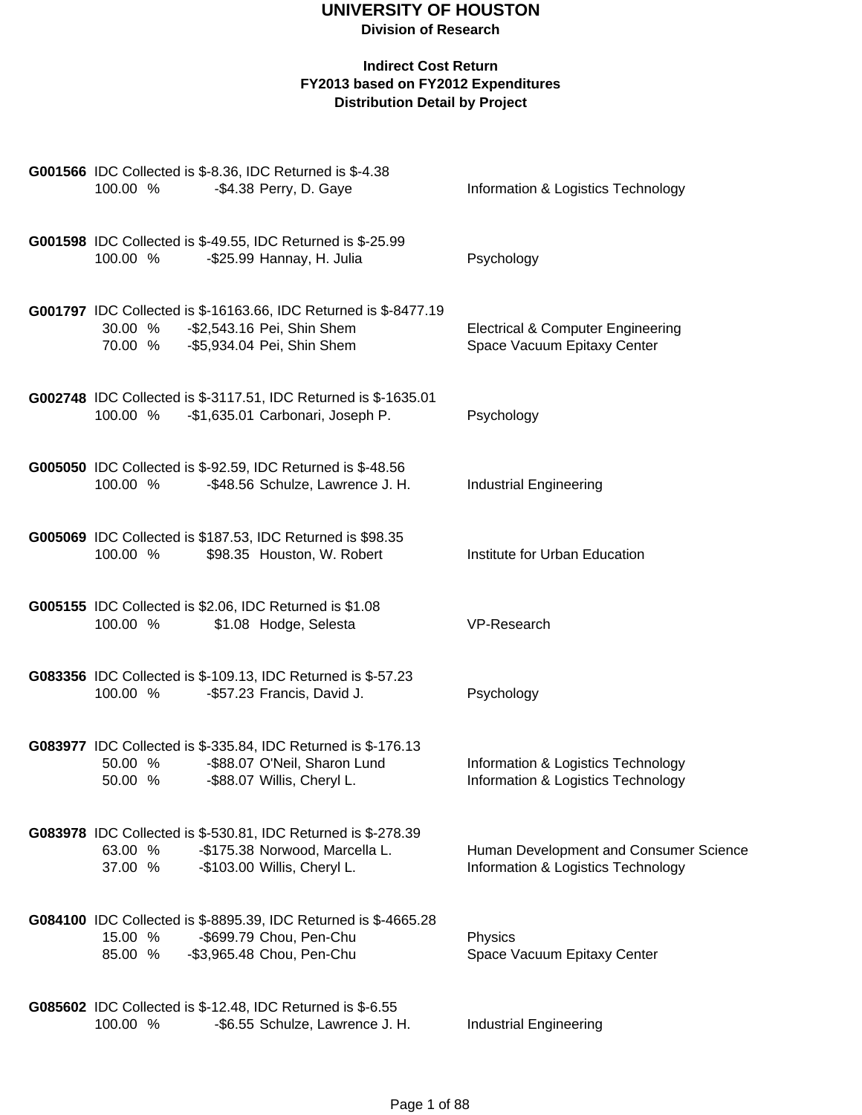### **Indirect Cost Return FY2013 based on FY2012 Expenditures**

**Distribution Detail by Project**

| <b>G001566</b> IDC Collected is \$-8.36, IDC Returned is \$-4.38<br>100.00 %<br>-\$4.38 Perry, D. Gaye                                               | Information & Logistics Technology                                           |
|------------------------------------------------------------------------------------------------------------------------------------------------------|------------------------------------------------------------------------------|
| G001598 IDC Collected is \$-49.55, IDC Returned is \$-25.99<br>100.00 %<br>-\$25.99 Hannay, H. Julia                                                 | Psychology                                                                   |
| G001797 IDC Collected is \$-16163.66, IDC Returned is \$-8477.19<br>30.00 %<br>-\$2,543.16 Pei, Shin Shem<br>70.00 %<br>-\$5,934.04 Pei, Shin Shem   | <b>Electrical &amp; Computer Engineering</b><br>Space Vacuum Epitaxy Center  |
| G002748 IDC Collected is \$-3117.51, IDC Returned is \$-1635.01<br>-\$1,635.01 Carbonari, Joseph P.<br>100.00 %                                      | Psychology                                                                   |
| G005050 IDC Collected is \$-92.59, IDC Returned is \$-48.56<br>100.00 %<br>-\$48.56 Schulze, Lawrence J. H.                                          | <b>Industrial Engineering</b>                                                |
| G005069 IDC Collected is \$187.53, IDC Returned is \$98.35<br>100.00 %<br>\$98.35 Houston, W. Robert                                                 | Institute for Urban Education                                                |
| G005155 IDC Collected is \$2.06, IDC Returned is \$1.08<br>100.00 %<br>\$1.08 Hodge, Selesta                                                         | VP-Research                                                                  |
| G083356 IDC Collected is \$-109.13, IDC Returned is \$-57.23<br>100.00 %<br>-\$57.23 Francis, David J.                                               | Psychology                                                                   |
| G083977 IDC Collected is \$-335.84, IDC Returned is \$-176.13<br>-\$88.07 O'Neil, Sharon Lund<br>50.00 %<br>-\$88.07 Willis, Cheryl L.<br>50.00 %    | Information & Logistics Technology<br>Information & Logistics Technology     |
| G083978 IDC Collected is \$-530.81, IDC Returned is \$-278.39<br>-\$175.38 Norwood, Marcella L.<br>63.00 %<br>37.00 %<br>-\$103.00 Willis, Cheryl L. | Human Development and Consumer Science<br>Information & Logistics Technology |
| G084100 IDC Collected is \$-8895.39, IDC Returned is \$-4665.28<br>-\$699.79 Chou, Pen-Chu<br>15.00 %<br>85.00 %<br>-\$3,965.48 Chou, Pen-Chu        | Physics<br>Space Vacuum Epitaxy Center                                       |
| <b>G085602</b> IDC Collected is \$-12.48, IDC Returned is \$-6.55<br>100.00 %<br>-\$6.55 Schulze, Lawrence J. H.                                     | <b>Industrial Engineering</b>                                                |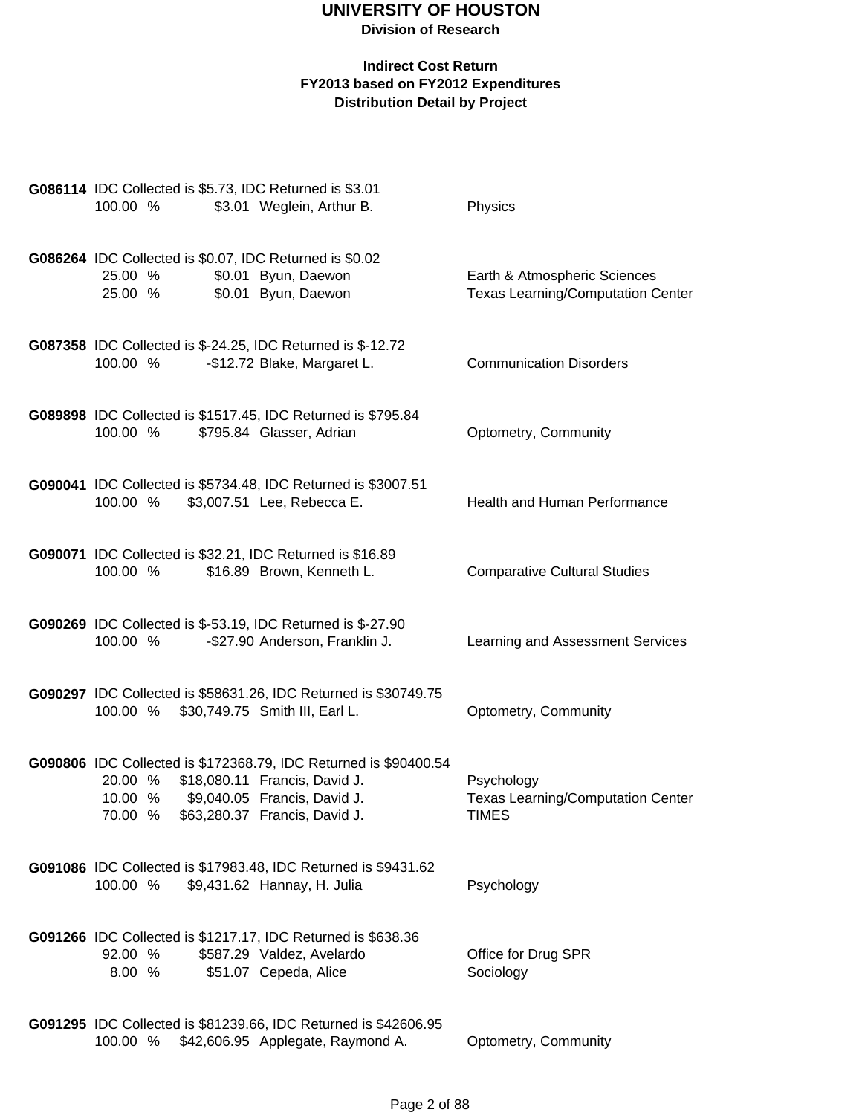|          |         | G086114 IDC Collected is \$5.73, IDC Returned is \$3.01                                    |                                                                          |
|----------|---------|--------------------------------------------------------------------------------------------|--------------------------------------------------------------------------|
| 100.00 % |         | \$3.01 Weglein, Arthur B.                                                                  | Physics                                                                  |
|          |         |                                                                                            |                                                                          |
|          |         | G086264 IDC Collected is \$0.07, IDC Returned is \$0.02                                    |                                                                          |
| 25.00 %  | 25.00 % | \$0.01 Byun, Daewon<br>\$0.01 Byun, Daewon                                                 | Earth & Atmospheric Sciences<br><b>Texas Learning/Computation Center</b> |
|          |         |                                                                                            |                                                                          |
|          |         |                                                                                            |                                                                          |
| 100.00 % |         | G087358 IDC Collected is \$-24.25, IDC Returned is \$-12.72<br>-\$12.72 Blake, Margaret L. | <b>Communication Disorders</b>                                           |
|          |         |                                                                                            |                                                                          |
|          |         | G089898 IDC Collected is \$1517.45, IDC Returned is \$795.84                               |                                                                          |
| 100.00 % |         | \$795.84 Glasser, Adrian                                                                   | Optometry, Community                                                     |
|          |         |                                                                                            |                                                                          |
|          |         | G090041 IDC Collected is \$5734.48, IDC Returned is \$3007.51                              |                                                                          |
| 100.00 % |         | \$3,007.51 Lee, Rebecca E.                                                                 | Health and Human Performance                                             |
|          |         |                                                                                            |                                                                          |
|          |         | G090071 IDC Collected is \$32.21, IDC Returned is \$16.89                                  |                                                                          |
| 100.00 % |         | \$16.89 Brown, Kenneth L.                                                                  | <b>Comparative Cultural Studies</b>                                      |
|          |         |                                                                                            |                                                                          |
|          |         | G090269 IDC Collected is \$-53.19, IDC Returned is \$-27.90                                |                                                                          |
| 100.00 % |         | -\$27.90 Anderson, Franklin J.                                                             | Learning and Assessment Services                                         |
|          |         |                                                                                            |                                                                          |
|          |         | G090297 IDC Collected is \$58631.26, IDC Returned is \$30749.75                            |                                                                          |
|          |         | 100.00 % \$30,749.75 Smith III, Earl L.                                                    | Optometry, Community                                                     |
|          |         |                                                                                            |                                                                          |
|          |         | G090806 IDC Collected is \$172368.79, IDC Returned is \$90400.54                           |                                                                          |
|          |         | 20.00 % \$18,080.11 Francis, David J.                                                      | Psychology                                                               |
|          |         | 10.00 % \$9,040.05 Francis, David J.<br>70.00 % \$63,280.37 Francis, David J.              | <b>Texas Learning/Computation Center</b><br>TIMES                        |
|          |         |                                                                                            |                                                                          |
|          |         | G091086 IDC Collected is \$17983.48, IDC Returned is \$9431.62                             |                                                                          |
| 100.00 % |         | \$9,431.62 Hannay, H. Julia                                                                | Psychology                                                               |
|          |         |                                                                                            |                                                                          |
|          |         | G091266 IDC Collected is \$1217.17, IDC Returned is \$638.36                               |                                                                          |
| 92.00 %  |         | \$587.29 Valdez, Avelardo                                                                  | Office for Drug SPR                                                      |
| 8.00 %   |         | \$51.07 Cepeda, Alice                                                                      | Sociology                                                                |
|          |         |                                                                                            |                                                                          |
|          |         | G091295 IDC Collected is \$81239.66, IDC Returned is \$42606.95                            |                                                                          |
|          |         | 100.00 % \$42,606.95 Applegate, Raymond A.                                                 | Optometry, Community                                                     |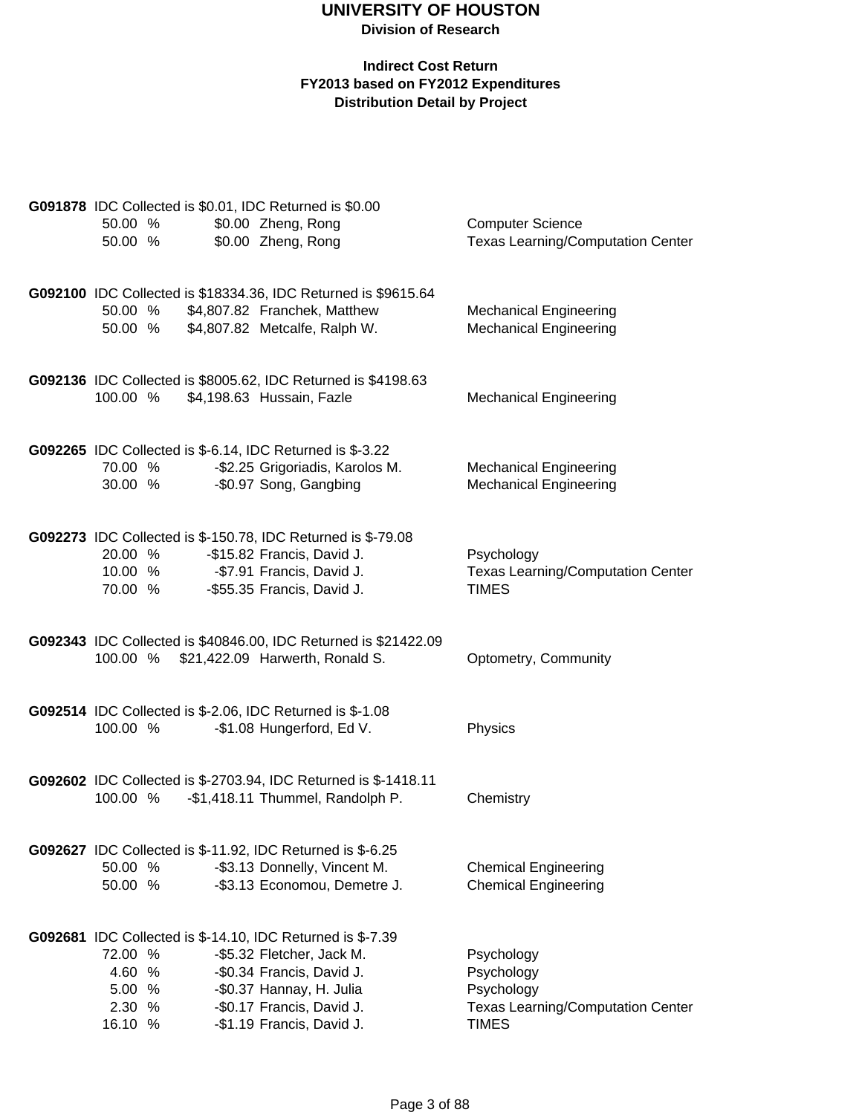|                  |         | G091878 IDC Collected is \$0.01, IDC Returned is \$0.00          |                                                        |
|------------------|---------|------------------------------------------------------------------|--------------------------------------------------------|
| 50.00 %          |         | \$0.00 Zheng, Rong                                               | <b>Computer Science</b>                                |
|                  | 50.00 % | \$0.00 Zheng, Rong                                               | <b>Texas Learning/Computation Center</b>               |
|                  |         |                                                                  |                                                        |
|                  |         |                                                                  |                                                        |
|                  |         | G092100 IDC Collected is \$18334.36, IDC Returned is \$9615.64   |                                                        |
|                  | 50.00 % | \$4,807.82 Franchek, Matthew                                     | <b>Mechanical Engineering</b>                          |
|                  | 50.00 % | \$4,807.82 Metcalfe, Ralph W.                                    | <b>Mechanical Engineering</b>                          |
|                  |         |                                                                  |                                                        |
|                  |         | G092136 IDC Collected is \$8005.62, IDC Returned is \$4198.63    |                                                        |
| 100.00 %         |         | \$4,198.63 Hussain, Fazle                                        | <b>Mechanical Engineering</b>                          |
|                  |         |                                                                  |                                                        |
|                  |         | G092265 IDC Collected is \$-6.14, IDC Returned is \$-3.22        |                                                        |
|                  | 70.00 % | -\$2.25 Grigoriadis, Karolos M.                                  | <b>Mechanical Engineering</b>                          |
|                  | 30.00 % | -\$0.97 Song, Gangbing                                           | <b>Mechanical Engineering</b>                          |
|                  |         |                                                                  |                                                        |
|                  |         |                                                                  |                                                        |
|                  | 20.00 % | G092273 IDC Collected is \$-150.78, IDC Returned is \$-79.08     |                                                        |
|                  |         | -\$15.82 Francis, David J.<br>10.00 % - \$7.91 Francis, David J. | Psychology<br><b>Texas Learning/Computation Center</b> |
|                  | 70.00 % | -\$55.35 Francis, David J.                                       | <b>TIMES</b>                                           |
|                  |         |                                                                  |                                                        |
|                  |         |                                                                  |                                                        |
|                  |         | G092343 IDC Collected is \$40846.00, IDC Returned is \$21422.09  |                                                        |
|                  |         | 100.00 % \$21,422.09 Harwerth, Ronald S.                         | Optometry, Community                                   |
|                  |         |                                                                  |                                                        |
|                  |         | <b>G092514</b> IDC Collected is \$-2.06, IDC Returned is \$-1.08 |                                                        |
| 100.00 %         |         | -\$1.08 Hungerford, Ed V.                                        | Physics                                                |
|                  |         |                                                                  |                                                        |
|                  |         | G092602 IDC Collected is \$-2703.94, IDC Returned is \$-1418.11  |                                                        |
| 100.00 %         |         | -\$1,418.11 Thummel, Randolph P.                                 | Chemistry                                              |
|                  |         |                                                                  |                                                        |
|                  |         | G092627 IDC Collected is \$-11.92, IDC Returned is \$-6.25       |                                                        |
| 50.00 %          |         | -\$3.13 Donnelly, Vincent M.                                     | <b>Chemical Engineering</b>                            |
| 50.00 %          |         | -\$3.13 Economou, Demetre J.                                     | <b>Chemical Engineering</b>                            |
|                  |         |                                                                  |                                                        |
|                  |         |                                                                  |                                                        |
|                  |         | G092681 IDC Collected is \$-14.10, IDC Returned is \$-7.39       |                                                        |
| 72.00 %          |         | -\$5.32 Fletcher, Jack M.                                        | Psychology                                             |
| 4.60 %<br>5.00 % |         | -\$0.34 Francis, David J.                                        | Psychology                                             |
| 2.30 %           |         | -\$0.37 Hannay, H. Julia<br>-\$0.17 Francis, David J.            | Psychology<br><b>Texas Learning/Computation Center</b> |
| 16.10 %          |         | -\$1.19 Francis, David J.                                        | <b>TIMES</b>                                           |
|                  |         |                                                                  |                                                        |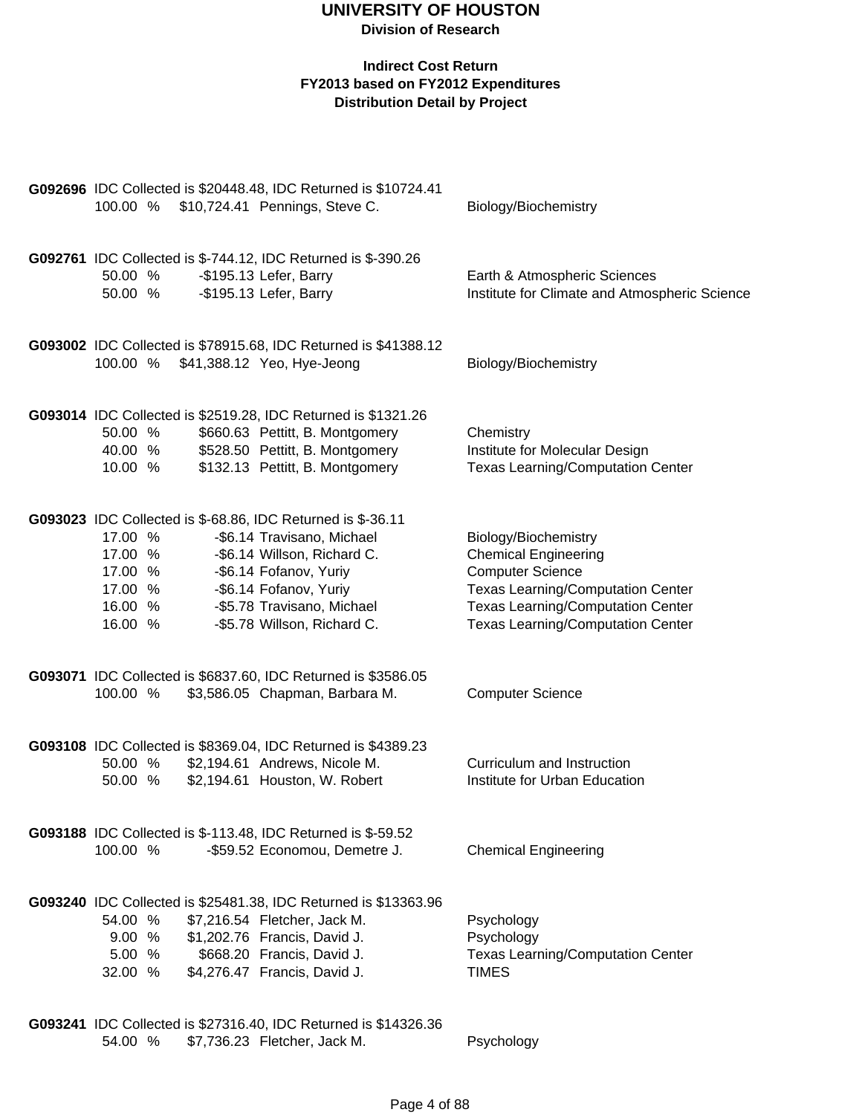| 100.00 %                                                                                                                      | G092696 IDC Collected is \$20448.48, IDC Returned is \$10724.41<br>\$10,724.41 Pennings, Steve C.                                                                                             | Biology/Biochemistry                                                                                                                                                                                               |
|-------------------------------------------------------------------------------------------------------------------------------|-----------------------------------------------------------------------------------------------------------------------------------------------------------------------------------------------|--------------------------------------------------------------------------------------------------------------------------------------------------------------------------------------------------------------------|
| 50.00 %<br>50.00 %                                                                                                            | G092761 IDC Collected is \$-744.12, IDC Returned is \$-390.26<br>-\$195.13 Lefer, Barry<br>-\$195.13 Lefer, Barry                                                                             | Earth & Atmospheric Sciences<br>Institute for Climate and Atmospheric Science                                                                                                                                      |
| 100.00 %                                                                                                                      | G093002 IDC Collected is \$78915.68, IDC Returned is \$41388.12<br>\$41,388.12 Yeo, Hye-Jeong                                                                                                 | Biology/Biochemistry                                                                                                                                                                                               |
| 50.00 %<br>40.00 %<br>10.00 %                                                                                                 | G093014 IDC Collected is \$2519.28, IDC Returned is \$1321.26<br>\$660.63 Pettitt, B. Montgomery<br>\$528.50 Pettitt, B. Montgomery<br>\$132.13 Pettitt, B. Montgomery                        | Chemistry<br>Institute for Molecular Design<br><b>Texas Learning/Computation Center</b>                                                                                                                            |
| G093023 IDC Collected is \$-68.86, IDC Returned is \$-36.11<br>17.00 %<br>17.00 %<br>17.00 %<br>17.00 %<br>16.00 %<br>16.00 % | -\$6.14 Travisano, Michael<br>-\$6.14 Willson, Richard C.<br>-\$6.14 Fofanov, Yuriy<br>-\$6.14 Fofanov, Yuriy<br>-\$5.78 Travisano, Michael<br>-\$5.78 Willson, Richard C.                    | Biology/Biochemistry<br><b>Chemical Engineering</b><br><b>Computer Science</b><br><b>Texas Learning/Computation Center</b><br><b>Texas Learning/Computation Center</b><br><b>Texas Learning/Computation Center</b> |
| 100.00 %                                                                                                                      | G093071 IDC Collected is \$6837.60, IDC Returned is \$3586.05<br>\$3,586.05 Chapman, Barbara M.                                                                                               | <b>Computer Science</b>                                                                                                                                                                                            |
| 50.00 %<br>50.00 %                                                                                                            | G093108 IDC Collected is \$8369.04, IDC Returned is \$4389.23<br>\$2,194.61 Andrews, Nicole M.<br>\$2,194.61 Houston, W. Robert                                                               | Curriculum and Instruction<br>Institute for Urban Education                                                                                                                                                        |
| 100.00 %                                                                                                                      | <b>G093188</b> IDC Collected is \$-113.48, IDC Returned is \$-59.52<br>-\$59.52 Economou, Demetre J.                                                                                          | <b>Chemical Engineering</b>                                                                                                                                                                                        |
| 54.00 %<br>9.00 %<br>5.00 %<br>32.00 %                                                                                        | G093240 IDC Collected is \$25481.38, IDC Returned is \$13363.96<br>\$7,216.54 Fletcher, Jack M.<br>\$1,202.76 Francis, David J.<br>\$668.20 Francis, David J.<br>\$4,276.47 Francis, David J. | Psychology<br>Psychology<br><b>Texas Learning/Computation Center</b><br><b>TIMES</b>                                                                                                                               |
| 54.00 %                                                                                                                       | G093241 IDC Collected is \$27316.40, IDC Returned is \$14326.36<br>\$7,736.23 Fletcher, Jack M.                                                                                               | Psychology                                                                                                                                                                                                         |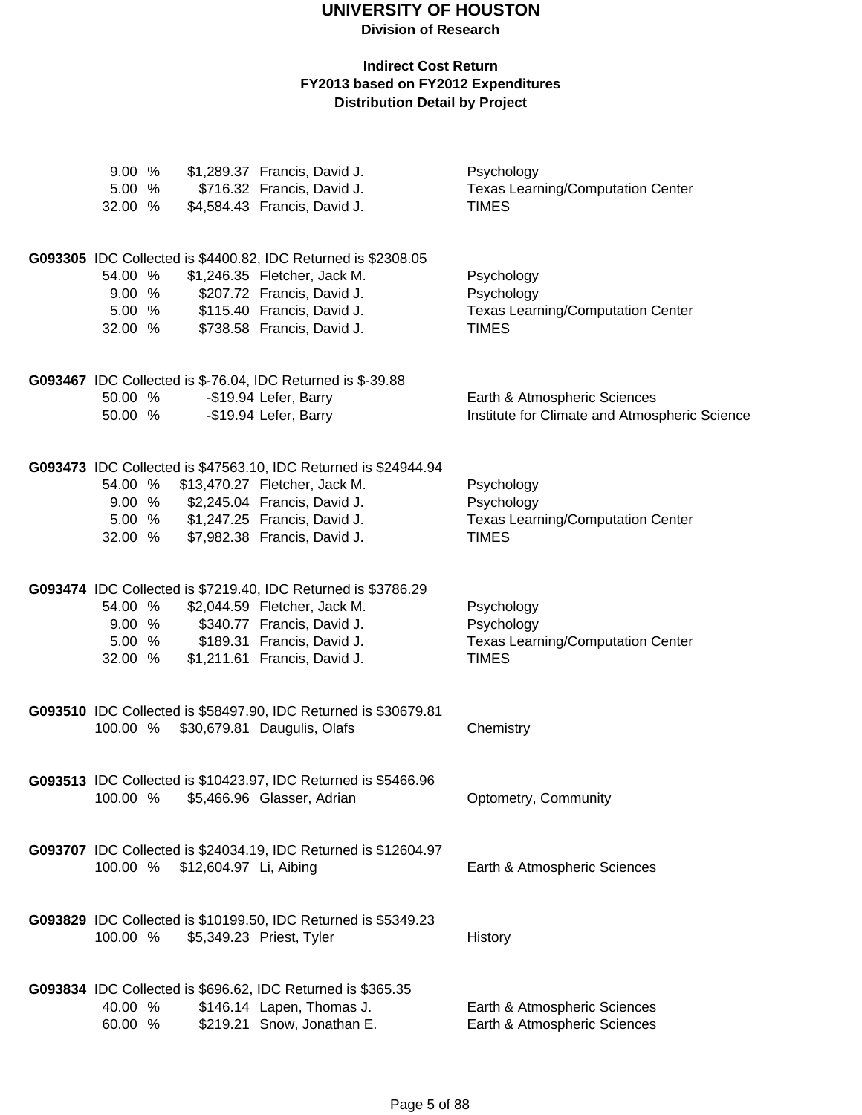**Division of Research**

| 9.00%<br>5.00%<br>32.00 % |                        | \$1,289.37 Francis, David J.<br>\$716.32 Francis, David J.<br>\$4,584.43 Francis, David J.    | Psychology<br><b>Texas Learning/Computation Center</b><br><b>TIMES</b> |
|---------------------------|------------------------|-----------------------------------------------------------------------------------------------|------------------------------------------------------------------------|
| 54.00 %                   |                        | G093305 IDC Collected is \$4400.82, IDC Returned is \$2308.05<br>\$1,246.35 Fletcher, Jack M. | Psychology                                                             |
|                           |                        |                                                                                               |                                                                        |
| 9.00 %                    |                        | \$207.72 Francis, David J.                                                                    | Psychology                                                             |
| 5.00 %                    |                        | \$115.40 Francis, David J.                                                                    | <b>Texas Learning/Computation Center</b>                               |
| 32.00 %                   |                        | \$738.58 Francis, David J.                                                                    | <b>TIMES</b>                                                           |
|                           |                        | <b>G093467</b> IDC Collected is \$-76.04, IDC Returned is \$-39.88                            |                                                                        |
| 50.00 %                   |                        | -\$19.94 Lefer, Barry                                                                         | Earth & Atmospheric Sciences                                           |
| 50.00 %                   |                        | -\$19.94 Lefer, Barry                                                                         | Institute for Climate and Atmospheric Science                          |
|                           |                        | G093473 IDC Collected is \$47563.10, IDC Returned is \$24944.94                               |                                                                        |
| 54.00 %                   |                        | \$13,470.27 Fletcher, Jack M.                                                                 | Psychology                                                             |
|                           |                        | 9.00 % \$2,245.04 Francis, David J.                                                           | Psychology                                                             |
|                           |                        | 5.00 % \$1,247.25 Francis, David J.                                                           | <b>Texas Learning/Computation Center</b>                               |
|                           |                        | 32.00 % \$7,982.38 Francis, David J.                                                          | <b>TIMES</b>                                                           |
|                           |                        | G093474 IDC Collected is \$7219.40, IDC Returned is \$3786.29                                 |                                                                        |
| 54.00 %                   |                        | \$2,044.59 Fletcher, Jack M.                                                                  | Psychology                                                             |
| $9.00 %$<br>5.00 %        |                        | \$340.77 Francis, David J.                                                                    | Psychology                                                             |
|                           |                        | \$189.31 Francis, David J.                                                                    | <b>Texas Learning/Computation Center</b>                               |
| 32.00 %                   |                        | \$1,211.61 Francis, David J.                                                                  | <b>TIMES</b>                                                           |
|                           |                        | G093510 IDC Collected is \$58497.90, IDC Returned is \$30679.81                               |                                                                        |
|                           |                        | 100.00 % \$30,679.81 Daugulis, Olafs                                                          | Chemistry                                                              |
|                           |                        | G093513 IDC Collected is \$10423.97, IDC Returned is \$5466.96                                |                                                                        |
| 100.00 %                  |                        | \$5,466.96 Glasser, Adrian                                                                    | Optometry, Community                                                   |
|                           |                        | G093707 IDC Collected is \$24034.19, IDC Returned is \$12604.97                               |                                                                        |
| 100.00 %                  | \$12,604.97 Li, Aibing |                                                                                               | Earth & Atmospheric Sciences                                           |
|                           |                        | G093829 IDC Collected is \$10199.50, IDC Returned is \$5349.23                                |                                                                        |
| 100.00 %                  |                        | \$5,349.23 Priest, Tyler                                                                      | History                                                                |
|                           |                        | G093834 IDC Collected is \$696.62, IDC Returned is \$365.35                                   |                                                                        |
| 40.00 %<br>60.00 %        |                        | \$146.14 Lapen, Thomas J.<br>\$219.21 Snow, Jonathan E.                                       | Earth & Atmospheric Sciences<br>Earth & Atmospheric Sciences           |
|                           |                        |                                                                                               |                                                                        |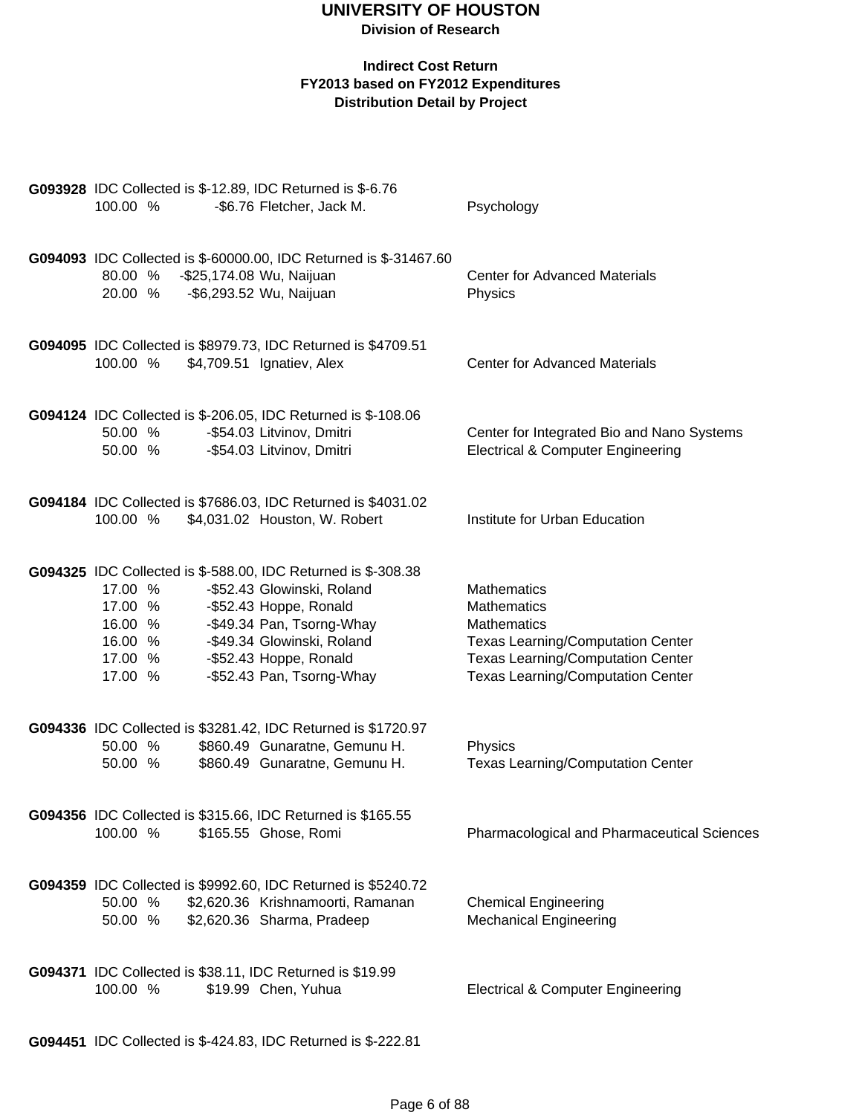| G093928 IDC Collected is \$-12.89, IDC Returned is \$-6.76<br>100.00 %<br>-\$6.76 Fletcher, Jack M.        | Psychology                                                                                 |
|------------------------------------------------------------------------------------------------------------|--------------------------------------------------------------------------------------------|
|                                                                                                            |                                                                                            |
| G094093 IDC Collected is \$-60000.00, IDC Returned is \$-31467.60<br>80.00 %<br>-\$25,174.08 Wu, Naijuan   | <b>Center for Advanced Materials</b>                                                       |
| -\$6,293.52 Wu, Naijuan<br>20.00 %                                                                         | Physics                                                                                    |
| G094095 IDC Collected is \$8979.73, IDC Returned is \$4709.51                                              |                                                                                            |
| 100.00 %<br>\$4,709.51 Ignatiev, Alex                                                                      | <b>Center for Advanced Materials</b>                                                       |
| <b>G094124</b> IDC Collected is \$-206.05, IDC Returned is \$-108.06                                       |                                                                                            |
| 50.00 %<br>-\$54.03 Litvinov, Dmitri<br>50.00 %<br>-\$54.03 Litvinov, Dmitri                               | Center for Integrated Bio and Nano Systems<br><b>Electrical &amp; Computer Engineering</b> |
|                                                                                                            |                                                                                            |
| G094184 IDC Collected is \$7686.03, IDC Returned is \$4031.02<br>100.00 %<br>\$4,031.02 Houston, W. Robert | Institute for Urban Education                                                              |
|                                                                                                            |                                                                                            |
| <b>G094325</b> IDC Collected is \$-588.00, IDC Returned is \$-308.38                                       |                                                                                            |
| 17.00 %<br>-\$52.43 Glowinski, Roland<br>17.00 %<br>-\$52.43 Hoppe, Ronald                                 | Mathematics<br>Mathematics                                                                 |
| -\$49.34 Pan, Tsorng-Whay<br>16.00 %                                                                       | Mathematics                                                                                |
| -\$49.34 Glowinski, Roland<br>16.00 %                                                                      | <b>Texas Learning/Computation Center</b>                                                   |
| -\$52.43 Hoppe, Ronald<br>17.00 %                                                                          | <b>Texas Learning/Computation Center</b>                                                   |
| -\$52.43 Pan, Tsorng-Whay<br>17.00 %                                                                       | <b>Texas Learning/Computation Center</b>                                                   |
| G094336 IDC Collected is \$3281.42, IDC Returned is \$1720.97                                              |                                                                                            |
| \$860.49 Gunaratne, Gemunu H.<br>50.00 %                                                                   | Physics                                                                                    |
| \$860.49 Gunaratne, Gemunu H.<br>50.00 %                                                                   | <b>Texas Learning/Computation Center</b>                                                   |
| G094356 IDC Collected is \$315.66, IDC Returned is \$165.55                                                |                                                                                            |
| \$165.55 Ghose, Romi<br>100.00 %                                                                           | <b>Pharmacological and Pharmaceutical Sciences</b>                                         |
| G094359 IDC Collected is \$9992.60, IDC Returned is \$5240.72                                              |                                                                                            |
| 50.00 %<br>\$2,620.36 Krishnamoorti, Ramanan<br>50.00 %<br>\$2,620.36 Sharma, Pradeep                      | <b>Chemical Engineering</b><br><b>Mechanical Engineering</b>                               |
|                                                                                                            |                                                                                            |
| G094371 IDC Collected is \$38.11, IDC Returned is \$19.99                                                  |                                                                                            |
| 100.00 %<br>\$19.99 Chen, Yuhua                                                                            | <b>Electrical &amp; Computer Engineering</b>                                               |
|                                                                                                            |                                                                                            |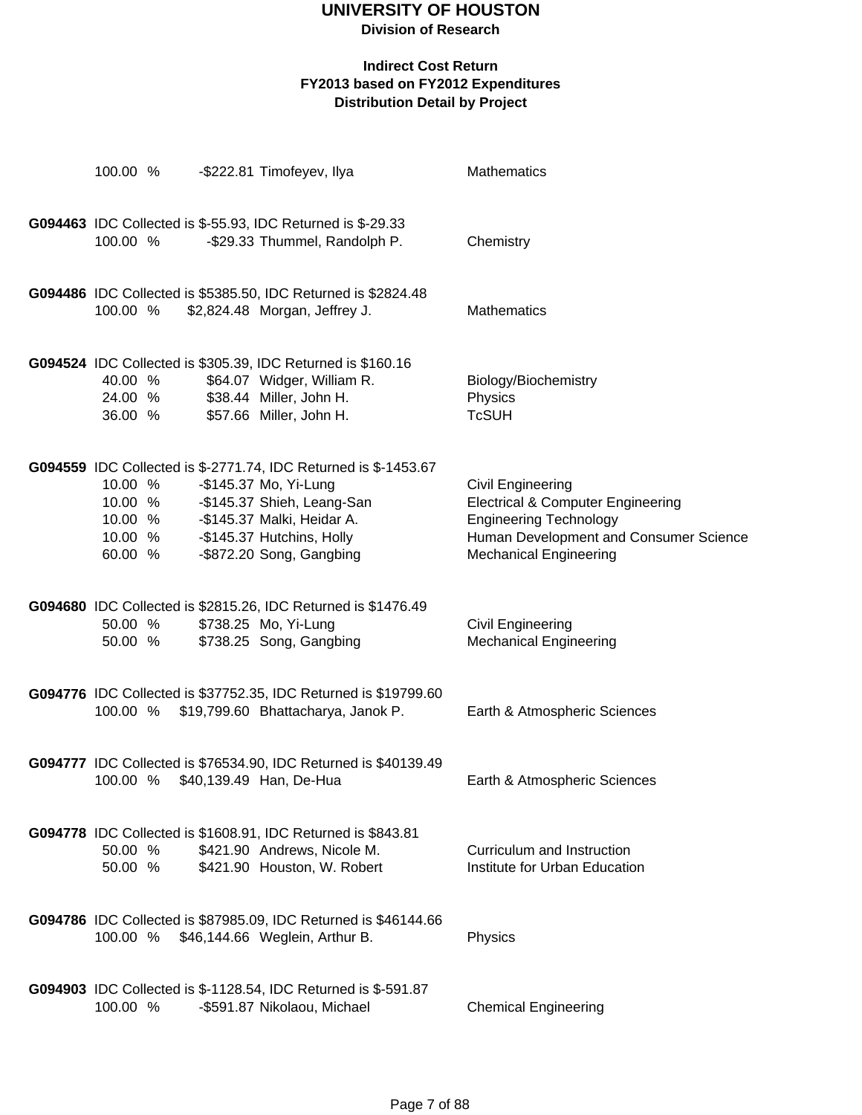**Division of Research**

| 100.00 %                                            | -\$222.81 Timofeyev, Ilya                                                                                                                                                                                     | <b>Mathematics</b>                                                                                                                                                            |
|-----------------------------------------------------|---------------------------------------------------------------------------------------------------------------------------------------------------------------------------------------------------------------|-------------------------------------------------------------------------------------------------------------------------------------------------------------------------------|
| 100.00 %                                            | <b>G094463</b> IDC Collected is \$-55.93, IDC Returned is \$-29.33<br>-\$29.33 Thummel, Randolph P.                                                                                                           | Chemistry                                                                                                                                                                     |
| 100.00 %                                            | G094486 IDC Collected is \$5385.50, IDC Returned is \$2824.48<br>\$2,824.48 Morgan, Jeffrey J.                                                                                                                | <b>Mathematics</b>                                                                                                                                                            |
| 40.00 %<br>36.00 %                                  | G094524 IDC Collected is \$305.39, IDC Returned is \$160.16<br>\$64.07 Widger, William R.<br>24.00 % \$38.44 Miller, John H.<br>\$57.66 Miller, John H.                                                       | Biology/Biochemistry<br>Physics<br><b>TcSUH</b>                                                                                                                               |
| 10.00 %<br>10.00 %<br>10.00 %<br>10.00 %<br>60.00 % | G094559 IDC Collected is \$-2771.74, IDC Returned is \$-1453.67<br>-\$145.37 Mo, Yi-Lung<br>-\$145.37 Shieh, Leang-San<br>-\$145.37 Malki, Heidar A.<br>-\$145.37 Hutchins, Holly<br>-\$872.20 Song, Gangbing | Civil Engineering<br><b>Electrical &amp; Computer Engineering</b><br><b>Engineering Technology</b><br>Human Development and Consumer Science<br><b>Mechanical Engineering</b> |
| 50.00 %<br>50.00 %                                  | G094680 IDC Collected is \$2815.26, IDC Returned is \$1476.49<br>\$738.25 Mo, Yi-Lung<br>\$738.25 Song, Gangbing                                                                                              | Civil Engineering<br><b>Mechanical Engineering</b>                                                                                                                            |
| 100.00 %                                            | G094776 IDC Collected is \$37752.35, IDC Returned is \$19799.60<br>\$19,799.60 Bhattacharya, Janok P.                                                                                                         | Earth & Atmospheric Sciences                                                                                                                                                  |
| 100.00 %                                            | G094777 IDC Collected is \$76534.90, IDC Returned is \$40139.49<br>\$40,139.49 Han, De-Hua                                                                                                                    | Earth & Atmospheric Sciences                                                                                                                                                  |
| 50.00 %<br>50.00 %                                  | G094778 IDC Collected is \$1608.91, IDC Returned is \$843.81<br>\$421.90 Andrews, Nicole M.<br>\$421.90 Houston, W. Robert                                                                                    | Curriculum and Instruction<br>Institute for Urban Education                                                                                                                   |
| 100.00 %                                            | G094786 IDC Collected is \$87985.09, IDC Returned is \$46144.66<br>\$46,144.66 Weglein, Arthur B.                                                                                                             | Physics                                                                                                                                                                       |
| 100.00 %                                            | <b>G094903</b> IDC Collected is \$-1128.54, IDC Returned is \$-591.87<br>-\$591.87 Nikolaou, Michael                                                                                                          | <b>Chemical Engineering</b>                                                                                                                                                   |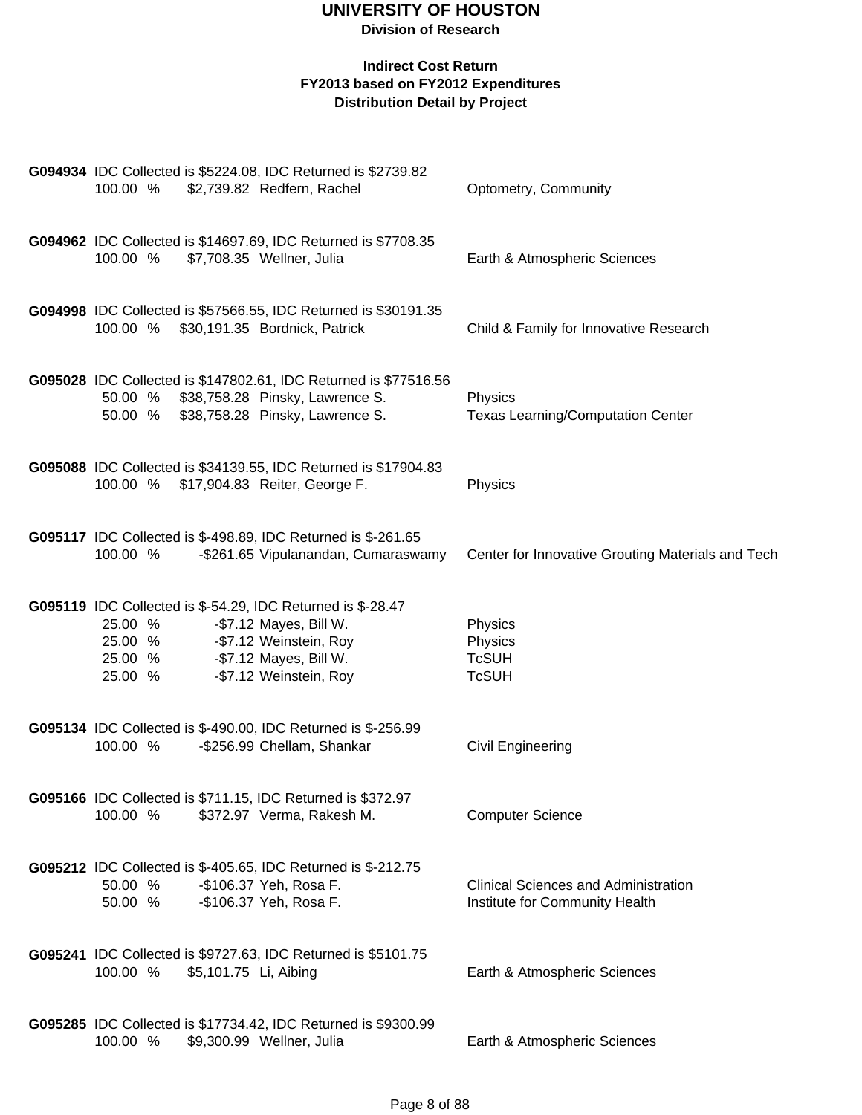| G094934 IDC Collected is \$5224.08, IDC Returned is \$2739.82<br>100.00 %<br>\$2,739.82 Redfern, Rachel                                                                                                     | Optometry, Community                                                          |
|-------------------------------------------------------------------------------------------------------------------------------------------------------------------------------------------------------------|-------------------------------------------------------------------------------|
| G094962 IDC Collected is \$14697.69, IDC Returned is \$7708.35<br>100.00 %<br>\$7,708.35 Wellner, Julia                                                                                                     | Earth & Atmospheric Sciences                                                  |
| G094998 IDC Collected is \$57566.55, IDC Returned is \$30191.35<br>100.00 % \$30,191.35 Bordnick, Patrick                                                                                                   | Child & Family for Innovative Research                                        |
| G095028 IDC Collected is \$147802.61, IDC Returned is \$77516.56<br>50.00 % \$38,758.28 Pinsky, Lawrence S.<br>50.00 % \$38,758.28 Pinsky, Lawrence S.                                                      | Physics<br><b>Texas Learning/Computation Center</b>                           |
| G095088 IDC Collected is \$34139.55, IDC Returned is \$17904.83<br>100.00 % \$17,904.83 Reiter, George F.                                                                                                   | Physics                                                                       |
| G095117 IDC Collected is \$-498.89, IDC Returned is \$-261.65<br>100.00 %<br>-\$261.65 Vipulanandan, Cumaraswamy                                                                                            | Center for Innovative Grouting Materials and Tech                             |
| G095119 IDC Collected is \$-54.29, IDC Returned is \$-28.47<br>-\$7.12 Mayes, Bill W.<br>25.00 %<br>25.00 % - \$7.12 Weinstein, Roy<br>25.00 % - \$7.12 Mayes, Bill W.<br>-\$7.12 Weinstein, Roy<br>25.00 % | Physics<br>Physics<br><b>TcSUH</b><br><b>TcSUH</b>                            |
| G095134 IDC Collected is \$-490.00, IDC Returned is \$-256.99<br>100.00 %<br>-\$256.99 Chellam, Shankar                                                                                                     | Civil Engineering                                                             |
| G095166 IDC Collected is \$711.15, IDC Returned is \$372.97<br>100.00 %<br>\$372.97 Verma, Rakesh M.                                                                                                        | <b>Computer Science</b>                                                       |
| G095212 IDC Collected is \$-405.65, IDC Returned is \$-212.75<br>50.00 %<br>-\$106.37 Yeh, Rosa F.<br>50.00 %<br>-\$106.37 Yeh, Rosa F.                                                                     | <b>Clinical Sciences and Administration</b><br>Institute for Community Health |
| G095241 IDC Collected is \$9727.63, IDC Returned is \$5101.75<br>100.00 %<br>\$5,101.75 Li, Aibing                                                                                                          | Earth & Atmospheric Sciences                                                  |
| G095285 IDC Collected is \$17734.42, IDC Returned is \$9300.99<br>100.00 %<br>\$9,300.99 Wellner, Julia                                                                                                     | Earth & Atmospheric Sciences                                                  |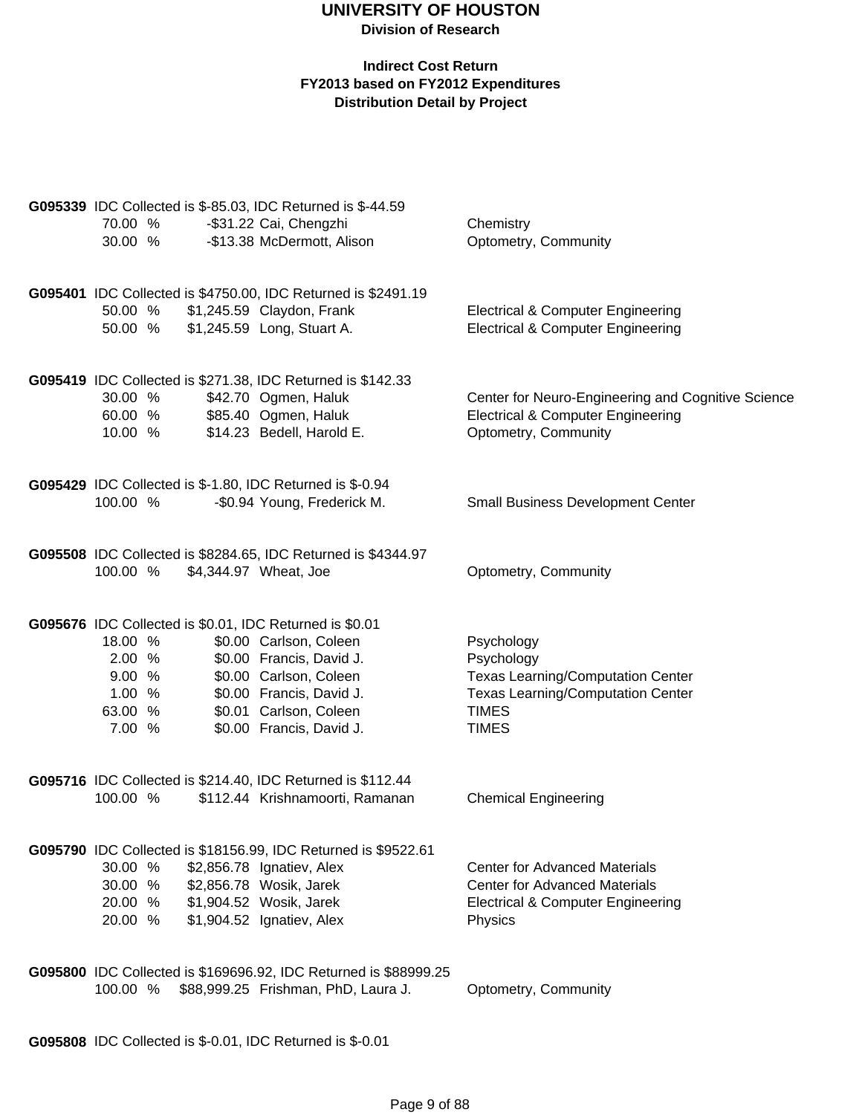### **Indirect Cost Return FY2013 based on FY2012 Expenditures Distribution Detail by Project**

|          | G095339 IDC Collected is \$-85.03, IDC Returned is \$-44.59      |                                                    |
|----------|------------------------------------------------------------------|----------------------------------------------------|
| 70.00 %  | -\$31.22 Cai, Chengzhi                                           | Chemistry                                          |
| 30.00 %  | -\$13.38 McDermott, Alison                                       | Optometry, Community                               |
|          |                                                                  |                                                    |
|          |                                                                  |                                                    |
|          | G095401 IDC Collected is \$4750.00, IDC Returned is \$2491.19    |                                                    |
| 50.00 %  | \$1,245.59 Claydon, Frank                                        | <b>Electrical &amp; Computer Engineering</b>       |
| 50.00 %  | \$1,245.59 Long, Stuart A.                                       | <b>Electrical &amp; Computer Engineering</b>       |
|          |                                                                  |                                                    |
|          |                                                                  |                                                    |
|          | G095419 IDC Collected is \$271.38, IDC Returned is \$142.33      |                                                    |
| 30.00 %  | \$42.70 Ogmen, Haluk                                             | Center for Neuro-Engineering and Cognitive Science |
| 60.00 %  | \$85.40 Ogmen, Haluk                                             | <b>Electrical &amp; Computer Engineering</b>       |
| 10.00 %  | \$14.23 Bedell, Harold E.                                        | Optometry, Community                               |
|          |                                                                  |                                                    |
|          |                                                                  |                                                    |
|          | <b>G095429</b> IDC Collected is \$-1.80, IDC Returned is \$-0.94 |                                                    |
| 100.00 % | -\$0.94 Young, Frederick M.                                      | <b>Small Business Development Center</b>           |
|          |                                                                  |                                                    |
|          |                                                                  |                                                    |
|          | G095508 IDC Collected is \$8284.65, IDC Returned is \$4344.97    |                                                    |
| 100.00 % | \$4,344.97 Wheat, Joe                                            | Optometry, Community                               |
|          |                                                                  |                                                    |
|          | G095676 IDC Collected is \$0.01, IDC Returned is \$0.01          |                                                    |
|          |                                                                  |                                                    |
| 18.00 %  | \$0.00 Carlson, Coleen                                           | Psychology                                         |
| 2.00 %   | \$0.00 Francis, David J.                                         | Psychology                                         |
| 9.00 %   | \$0.00 Carlson, Coleen                                           | <b>Texas Learning/Computation Center</b>           |
| 1.00%    | \$0.00 Francis, David J.                                         | <b>Texas Learning/Computation Center</b>           |
| 63.00 %  | \$0.01 Carlson, Coleen                                           | <b>TIMES</b>                                       |
| 7.00 %   | \$0.00 Francis, David J.                                         | <b>TIMES</b>                                       |
|          |                                                                  |                                                    |
|          |                                                                  |                                                    |
|          | G095716 IDC Collected is \$214.40, IDC Returned is \$112.44      |                                                    |
| 100.00 % | \$112.44 Krishnamoorti, Ramanan                                  | <b>Chemical Engineering</b>                        |
|          |                                                                  |                                                    |
|          |                                                                  |                                                    |
|          | G095790 IDC Collected is \$18156.99, IDC Returned is \$9522.61   |                                                    |
| 30.00 %  | \$2,856.78 Ignatiev, Alex                                        | <b>Center for Advanced Materials</b>               |
| 30.00 %  | \$2,856.78 Wosik, Jarek                                          | <b>Center for Advanced Materials</b>               |
| 20.00 %  | \$1,904.52 Wosik, Jarek                                          | <b>Electrical &amp; Computer Engineering</b>       |
| 20.00 %  | \$1,904.52 Ignatiev, Alex                                        | Physics                                            |
|          |                                                                  |                                                    |
|          |                                                                  |                                                    |
|          | G095800 IDC Collected is \$169696.92, IDC Returned is \$88999.25 |                                                    |
| 100.00 % | \$88,999.25 Frishman, PhD, Laura J.                              | Optometry, Community                               |
|          |                                                                  |                                                    |

**G095808** IDC Collected is \$-0.01, IDC Returned is \$-0.01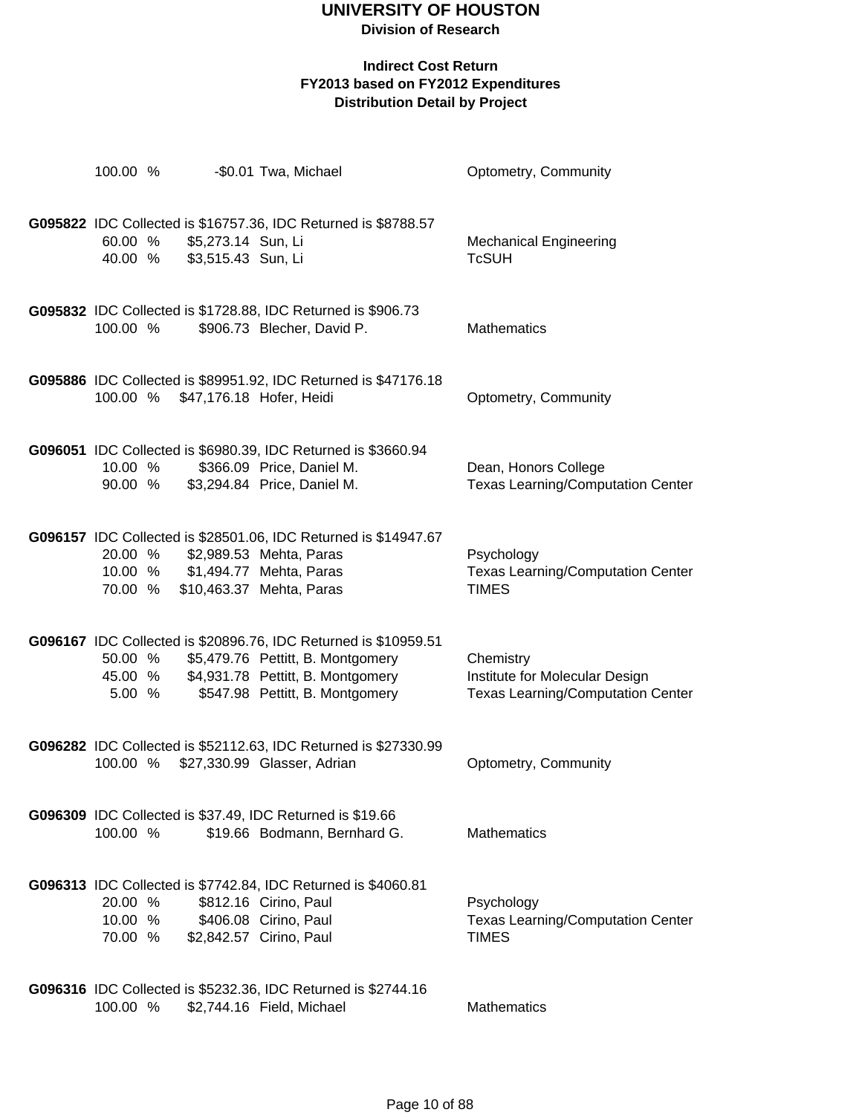**Division of Research**

| 100.00 %                      |        |                                          | -\$0.01 Twa, Michael                                                                                                                                                                 | Optometry, Community                                                                    |
|-------------------------------|--------|------------------------------------------|--------------------------------------------------------------------------------------------------------------------------------------------------------------------------------------|-----------------------------------------------------------------------------------------|
| 60.00 %<br>40.00 %            |        | \$5,273.14 Sun, Li<br>\$3,515.43 Sun, Li | G095822 IDC Collected is \$16757.36, IDC Returned is \$8788.57                                                                                                                       | <b>Mechanical Engineering</b><br><b>TcSUH</b>                                           |
| 100.00 %                      |        |                                          | G095832 IDC Collected is \$1728.88, IDC Returned is \$906.73<br>\$906.73 Blecher, David P.                                                                                           | <b>Mathematics</b>                                                                      |
|                               |        |                                          | G095886 IDC Collected is \$89951.92, IDC Returned is \$47176.18<br>100.00 % \$47,176.18 Hofer, Heidi                                                                                 | Optometry, Community                                                                    |
| 90.00 %                       |        |                                          | G096051 IDC Collected is \$6980.39, IDC Returned is \$3660.94<br>10.00 % \$366.09 Price, Daniel M.<br>\$3,294.84 Price, Daniel M.                                                    | Dean, Honors College<br><b>Texas Learning/Computation Center</b>                        |
| 20.00 %                       |        |                                          | G096157 IDC Collected is \$28501.06, IDC Returned is \$14947.67<br>\$2,989.53 Mehta, Paras<br>10.00 % \$1,494.77 Mehta, Paras<br>70.00 % \$10,463.37 Mehta, Paras                    | Psychology<br><b>Texas Learning/Computation Center</b><br><b>TIMES</b>                  |
| 50.00 %                       | 5.00 % |                                          | G096167 IDC Collected is \$20896.76, IDC Returned is \$10959.51<br>\$5,479.76 Pettitt, B. Montgomery<br>45.00 % \$4,931.78 Pettitt, B. Montgomery<br>\$547.98 Pettitt, B. Montgomery | Chemistry<br>Institute for Molecular Design<br><b>Texas Learning/Computation Center</b> |
|                               |        |                                          | G096282 IDC Collected is \$52112.63, IDC Returned is \$27330.99<br>100.00 % \$27,330.99 Glasser, Adrian                                                                              | Optometry, Community                                                                    |
| 100.00 %                      |        |                                          | G096309 IDC Collected is \$37.49, IDC Returned is \$19.66<br>\$19.66 Bodmann, Bernhard G.                                                                                            | <b>Mathematics</b>                                                                      |
| 20.00 %<br>10.00 %<br>70.00 % |        |                                          | G096313 IDC Collected is \$7742.84, IDC Returned is \$4060.81<br>\$812.16 Cirino, Paul<br>\$406.08 Cirino, Paul<br>\$2,842.57 Cirino, Paul                                           | Psychology<br><b>Texas Learning/Computation Center</b><br><b>TIMES</b>                  |
| 100.00 %                      |        |                                          | G096316 IDC Collected is \$5232.36, IDC Returned is \$2744.16<br>\$2,744.16 Field, Michael                                                                                           | Mathematics                                                                             |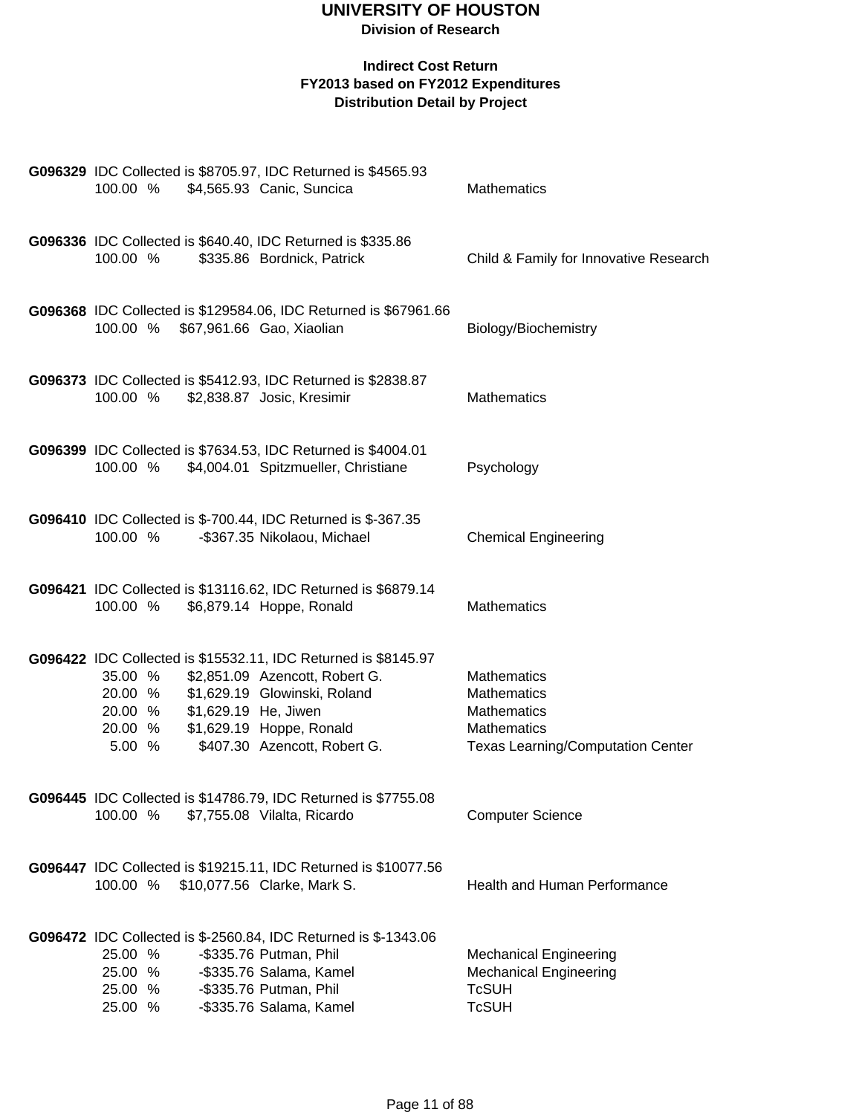| 100.00 %                                                                   | G096329 IDC Collected is \$8705.97, IDC Returned is \$4565.93<br>\$4,565.93 Canic, Suncica                                                                                                   | Mathematics                                                                                                 |
|----------------------------------------------------------------------------|----------------------------------------------------------------------------------------------------------------------------------------------------------------------------------------------|-------------------------------------------------------------------------------------------------------------|
| G096336 IDC Collected is \$640.40, IDC Returned is \$335.86<br>100.00 %    | \$335.86 Bordnick, Patrick                                                                                                                                                                   | Child & Family for Innovative Research                                                                      |
| 100.00 % \$67,961.66 Gao, Xiaolian                                         | G096368 IDC Collected is \$129584.06, IDC Returned is \$67961.66                                                                                                                             | Biology/Biochemistry                                                                                        |
| 100.00 %                                                                   | G096373 IDC Collected is \$5412.93, IDC Returned is \$2838.87<br>\$2,838.87 Josic, Kresimir                                                                                                  | <b>Mathematics</b>                                                                                          |
| 100.00 %                                                                   | G096399 IDC Collected is \$7634.53, IDC Returned is \$4004.01<br>\$4,004.01 Spitzmueller, Christiane                                                                                         | Psychology                                                                                                  |
| 100.00 %                                                                   | G096410 IDC Collected is \$-700.44, IDC Returned is \$-367.35<br>-\$367.35 Nikolaou, Michael                                                                                                 | <b>Chemical Engineering</b>                                                                                 |
| 100.00 %                                                                   | G096421 IDC Collected is \$13116.62, IDC Returned is \$6879.14<br>\$6,879.14 Hoppe, Ronald                                                                                                   | Mathematics                                                                                                 |
| 35.00 %<br>20.00 %<br>20.00 %<br>\$1,629.19 He, Jiwen<br>20.00 %<br>5.00 % | G096422 IDC Collected is \$15532.11, IDC Returned is \$8145.97<br>\$2,851.09 Azencott, Robert G.<br>\$1,629.19 Glowinski, Roland<br>\$1,629.19 Hoppe, Ronald<br>\$407.30 Azencott, Robert G. | Mathematics<br>Mathematics<br>Mathematics<br><b>Mathematics</b><br><b>Texas Learning/Computation Center</b> |
| 100.00 %                                                                   | G096445 IDC Collected is \$14786.79, IDC Returned is \$7755.08<br>\$7,755.08 Vilalta, Ricardo                                                                                                | <b>Computer Science</b>                                                                                     |
| 100.00 %                                                                   | G096447 IDC Collected is \$19215.11, IDC Returned is \$10077.56<br>\$10,077.56 Clarke, Mark S.                                                                                               | <b>Health and Human Performance</b>                                                                         |
| 25.00 %<br>25.00 %<br>25.00 %<br>25.00 %                                   | G096472 IDC Collected is \$-2560.84, IDC Returned is \$-1343.06<br>-\$335.76 Putman, Phil<br>-\$335.76 Salama, Kamel<br>-\$335.76 Putman, Phil<br>-\$335.76 Salama, Kamel                    | <b>Mechanical Engineering</b><br><b>Mechanical Engineering</b><br><b>TcSUH</b><br><b>TcSUH</b>              |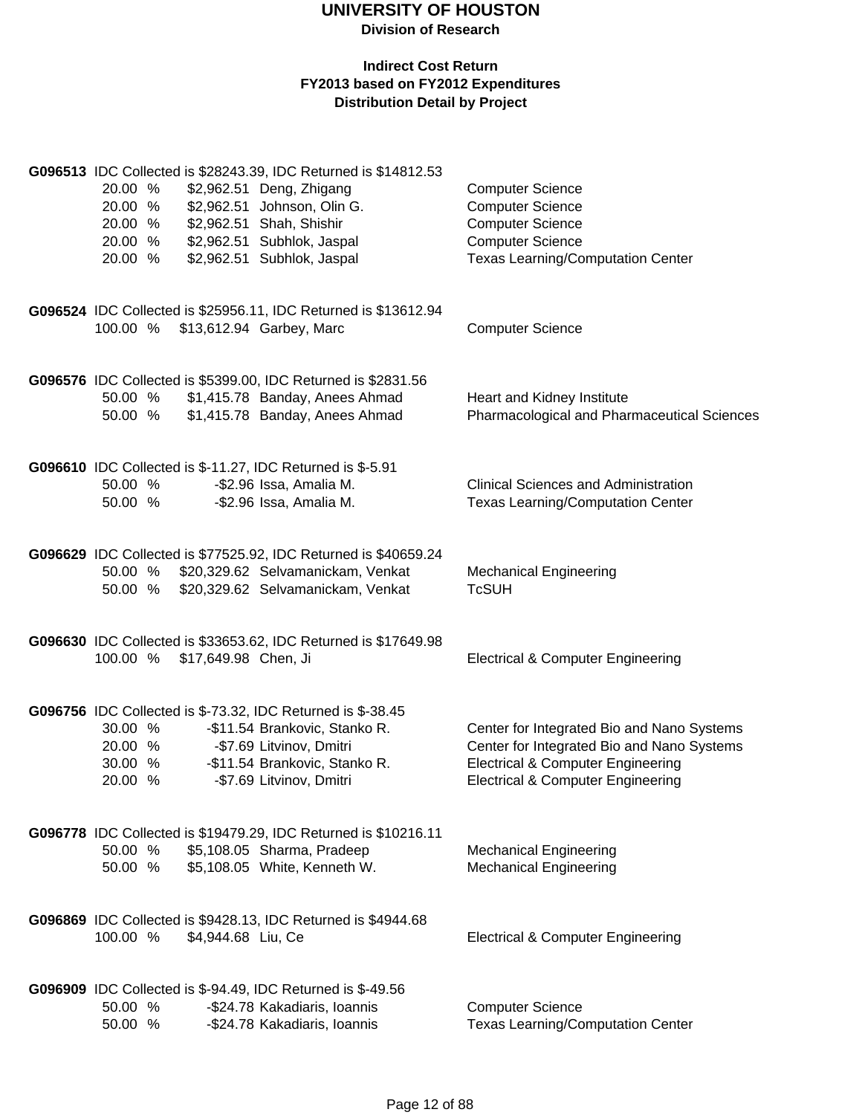| G096513 IDC Collected is \$28243.39, IDC Returned is \$14812.53<br>\$2,962.51 Deng, Zhigang<br>20.00 %<br>\$2,962.51 Johnson, Olin G.<br>20.00 %<br>\$2,962.51 Shah, Shishir<br>20.00 %<br>\$2,962.51 Subhlok, Jaspal<br>20.00 %<br>\$2,962.51 Subhlok, Jaspal<br>20.00 % |                                                                        | <b>Computer Science</b><br><b>Computer Science</b><br><b>Computer Science</b><br><b>Computer Science</b><br><b>Texas Learning/Computation Center</b>                                     |
|---------------------------------------------------------------------------------------------------------------------------------------------------------------------------------------------------------------------------------------------------------------------------|------------------------------------------------------------------------|------------------------------------------------------------------------------------------------------------------------------------------------------------------------------------------|
| G096524 IDC Collected is \$25956.11, IDC Returned is \$13612.94<br>100.00 %<br>\$13,612.94 Garbey, Marc                                                                                                                                                                   |                                                                        | <b>Computer Science</b>                                                                                                                                                                  |
| G096576 IDC Collected is \$5399.00, IDC Returned is \$2831.56<br>50.00 %<br>50.00 %                                                                                                                                                                                       | \$1,415.78 Banday, Anees Ahmad<br>\$1,415.78 Banday, Anees Ahmad       | Heart and Kidney Institute<br>Pharmacological and Pharmaceutical Sciences                                                                                                                |
| G096610 IDC Collected is \$-11.27, IDC Returned is \$-5.91<br>50.00 %<br>-\$2.96 Issa, Amalia M.<br>-\$2.96 Issa, Amalia M.<br>50.00 %                                                                                                                                    |                                                                        | <b>Clinical Sciences and Administration</b><br><b>Texas Learning/Computation Center</b>                                                                                                  |
| G096629 IDC Collected is \$77525.92, IDC Returned is \$40659.24<br>50.00 %<br>50.00 %                                                                                                                                                                                     | \$20,329.62 Selvamanickam, Venkat<br>\$20,329.62 Selvamanickam, Venkat | <b>Mechanical Engineering</b><br><b>TcSUH</b>                                                                                                                                            |
| G096630 IDC Collected is \$33653.62, IDC Returned is \$17649.98<br>100.00 %<br>\$17,649.98 Chen, Ji                                                                                                                                                                       |                                                                        | <b>Electrical &amp; Computer Engineering</b>                                                                                                                                             |
| G096756 IDC Collected is \$-73.32, IDC Returned is \$-38.45<br>30.00 %<br>20.00 %<br>-\$7.69 Litvinov, Dmitri<br>30.00 %<br>20.00 %<br>-\$7.69 Litvinov, Dmitri                                                                                                           | -\$11.54 Brankovic, Stanko R.<br>-\$11.54 Brankovic, Stanko R.         | Center for Integrated Bio and Nano Systems<br>Center for Integrated Bio and Nano Systems<br><b>Electrical &amp; Computer Engineering</b><br><b>Electrical &amp; Computer Engineering</b> |
| G096778 IDC Collected is \$19479.29, IDC Returned is \$10216.11<br>50.00 %<br>\$5,108.05 Sharma, Pradeep<br>\$5,108.05 White, Kenneth W.<br>50.00 %                                                                                                                       |                                                                        | <b>Mechanical Engineering</b><br><b>Mechanical Engineering</b>                                                                                                                           |
| <b>G096869</b> IDC Collected is \$9428.13, IDC Returned is \$4944.68<br>100.00 %<br>\$4,944.68 Liu, Ce                                                                                                                                                                    |                                                                        | <b>Electrical &amp; Computer Engineering</b>                                                                                                                                             |
| <b>G096909</b> IDC Collected is \$-94.49, IDC Returned is \$-49.56<br>50.00 %<br>-\$24.78 Kakadiaris, Ioannis<br>-\$24.78 Kakadiaris, Ioannis<br>50.00 %                                                                                                                  |                                                                        | <b>Computer Science</b><br><b>Texas Learning/Computation Center</b>                                                                                                                      |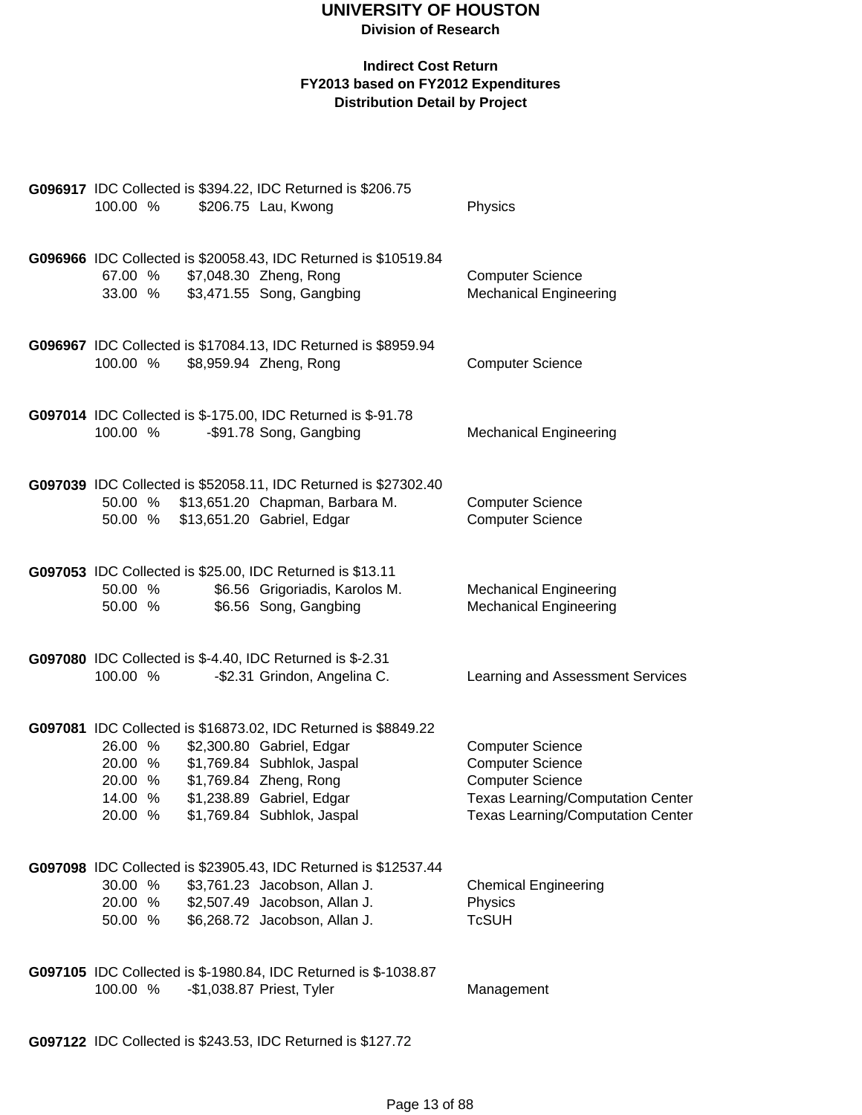### **Division of Research**

### **Indirect Cost Return FY2013 based on FY2012 Expenditures Distribution Detail by Project**

| G096917 IDC Collected is \$394.22, IDC Returned is \$206.75<br>100.00 %         | \$206.75 Lau, Kwong                                                                                                                                                                                            | Physics                                                                                                                                                        |
|---------------------------------------------------------------------------------|----------------------------------------------------------------------------------------------------------------------------------------------------------------------------------------------------------------|----------------------------------------------------------------------------------------------------------------------------------------------------------------|
| 67.00 %<br>33.00 %                                                              | G096966 IDC Collected is \$20058.43, IDC Returned is \$10519.84<br>\$7,048.30 Zheng, Rong<br>\$3,471.55 Song, Gangbing                                                                                         | <b>Computer Science</b><br><b>Mechanical Engineering</b>                                                                                                       |
| 100.00 %                                                                        | G096967 IDC Collected is \$17084.13, IDC Returned is \$8959.94<br>\$8,959.94 Zheng, Rong                                                                                                                       | <b>Computer Science</b>                                                                                                                                        |
| G097014 IDC Collected is \$-175.00, IDC Returned is \$-91.78<br>100.00 %        | -\$91.78 Song, Gangbing                                                                                                                                                                                        | <b>Mechanical Engineering</b>                                                                                                                                  |
| 50.00 %<br>50.00 %                                                              | G097039 IDC Collected is \$52058.11, IDC Returned is \$27302.40<br>\$13,651.20 Chapman, Barbara M.<br>\$13,651.20 Gabriel, Edgar                                                                               | <b>Computer Science</b><br><b>Computer Science</b>                                                                                                             |
| G097053 IDC Collected is \$25.00, IDC Returned is \$13.11<br>50.00 %<br>50.00 % | \$6.56 Grigoriadis, Karolos M.<br>\$6.56 Song, Gangbing                                                                                                                                                        | <b>Mechanical Engineering</b><br><b>Mechanical Engineering</b>                                                                                                 |
| G097080 IDC Collected is \$-4.40, IDC Returned is \$-2.31<br>100.00 %           | -\$2.31 Grindon, Angelina C.                                                                                                                                                                                   | Learning and Assessment Services                                                                                                                               |
| 26.00 %<br>20.00 %<br>20.00 %<br>14.00 %<br>20.00 %                             | G097081 IDC Collected is \$16873.02, IDC Returned is \$8849.22<br>\$2,300.80 Gabriel, Edgar<br>\$1,769.84 Subhlok, Jaspal<br>\$1,769.84 Zheng, Rong<br>\$1,238.89 Gabriel, Edgar<br>\$1,769.84 Subhlok, Jaspal | <b>Computer Science</b><br><b>Computer Science</b><br><b>Computer Science</b><br><b>Texas Learning/Computation Center</b><br>Texas Learning/Computation Center |
| 30.00 %<br>20.00 %<br>50.00 %                                                   | G097098 IDC Collected is \$23905.43, IDC Returned is \$12537.44<br>\$3,761.23 Jacobson, Allan J.<br>\$2,507.49 Jacobson, Allan J.<br>\$6,268.72 Jacobson, Allan J.                                             | <b>Chemical Engineering</b><br>Physics<br><b>TcSUH</b>                                                                                                         |
| 100.00 %                                                                        | G097105 IDC Collected is \$-1980.84, IDC Returned is \$-1038.87<br>-\$1,038.87 Priest, Tyler                                                                                                                   | Management                                                                                                                                                     |

**G097122** IDC Collected is \$243.53, IDC Returned is \$127.72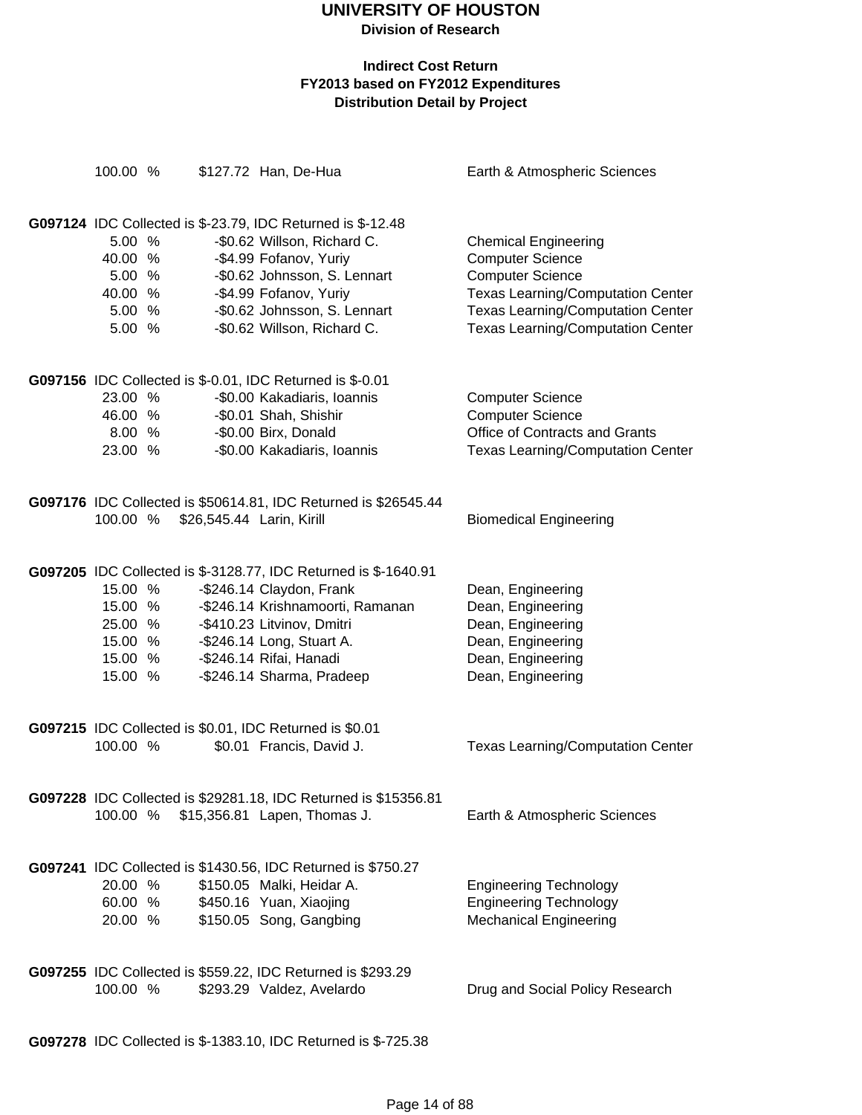**Division of Research**

### **Indirect Cost Return FY2013 based on FY2012 Expenditures Distribution Detail by Project**

| 100.00 % |  | \$127.72 Han, De-Hua                                                                        | Earth & Atmospheric Sciences             |
|----------|--|---------------------------------------------------------------------------------------------|------------------------------------------|
|          |  |                                                                                             |                                          |
|          |  | G097124 IDC Collected is \$-23.79, IDC Returned is \$-12.48                                 |                                          |
| 5.00 %   |  | -\$0.62 Willson, Richard C.                                                                 | <b>Chemical Engineering</b>              |
| 40.00 %  |  | -\$4.99 Fofanov, Yuriy                                                                      | <b>Computer Science</b>                  |
| 5.00 %   |  | -\$0.62 Johnsson, S. Lennart                                                                | <b>Computer Science</b>                  |
| 40.00 %  |  | -\$4.99 Fofanov, Yuriy                                                                      | <b>Texas Learning/Computation Center</b> |
| 5.00 %   |  | -\$0.62 Johnsson, S. Lennart                                                                | <b>Texas Learning/Computation Center</b> |
| 5.00 %   |  | -\$0.62 Willson, Richard C.                                                                 | <b>Texas Learning/Computation Center</b> |
|          |  |                                                                                             |                                          |
|          |  | G097156 IDC Collected is \$-0.01, IDC Returned is \$-0.01                                   |                                          |
| 23.00 %  |  | -\$0.00 Kakadiaris, Ioannis                                                                 | <b>Computer Science</b>                  |
| 46.00 %  |  | -\$0.01 Shah, Shishir                                                                       | <b>Computer Science</b>                  |
| 8.00 %   |  | -\$0.00 Birx, Donald                                                                        | Office of Contracts and Grants           |
| 23.00 %  |  | -\$0.00 Kakadiaris, Ioannis                                                                 | <b>Texas Learning/Computation Center</b> |
|          |  |                                                                                             |                                          |
|          |  | G097176 IDC Collected is \$50614.81, IDC Returned is \$26545.44                             |                                          |
| 100.00 % |  | \$26,545.44 Larin, Kirill                                                                   | <b>Biomedical Engineering</b>            |
|          |  |                                                                                             |                                          |
|          |  |                                                                                             |                                          |
| 15.00 %  |  | G097205 IDC Collected is \$-3128.77, IDC Returned is \$-1640.91<br>-\$246.14 Claydon, Frank | Dean, Engineering                        |
| 15.00 %  |  | -\$246.14 Krishnamoorti, Ramanan                                                            | Dean, Engineering                        |
| 25.00 %  |  | -\$410.23 Litvinov, Dmitri                                                                  | Dean, Engineering                        |
| 15.00 %  |  | -\$246.14 Long, Stuart A.                                                                   | Dean, Engineering                        |
| 15.00 %  |  | -\$246.14 Rifai, Hanadi                                                                     | Dean, Engineering                        |
| 15.00 %  |  | -\$246.14 Sharma, Pradeep                                                                   | Dean, Engineering                        |
|          |  |                                                                                             |                                          |
|          |  | G097215 IDC Collected is \$0.01, IDC Returned is \$0.01                                     |                                          |
| 100.00 % |  | \$0.01 Francis, David J.                                                                    | <b>Texas Learning/Computation Center</b> |
|          |  |                                                                                             |                                          |
|          |  |                                                                                             |                                          |
|          |  | G097228 IDC Collected is \$29281.18, IDC Returned is \$15356.81                             |                                          |
| 100.00 % |  | \$15,356.81 Lapen, Thomas J.                                                                | Earth & Atmospheric Sciences             |
|          |  |                                                                                             |                                          |
|          |  | G097241 IDC Collected is \$1430.56, IDC Returned is \$750.27                                |                                          |
| 20.00 %  |  | \$150.05 Malki, Heidar A.                                                                   | <b>Engineering Technology</b>            |
| 60.00 %  |  | \$450.16 Yuan, Xiaojing                                                                     | <b>Engineering Technology</b>            |
| 20.00 %  |  | \$150.05 Song, Gangbing                                                                     | <b>Mechanical Engineering</b>            |
|          |  |                                                                                             |                                          |
|          |  | G097255 IDC Collected is \$559.22, IDC Returned is \$293.29                                 |                                          |
| 100.00 % |  | \$293.29 Valdez, Avelardo                                                                   | Drug and Social Policy Research          |
|          |  |                                                                                             |                                          |

**G097278** IDC Collected is \$-1383.10, IDC Returned is \$-725.38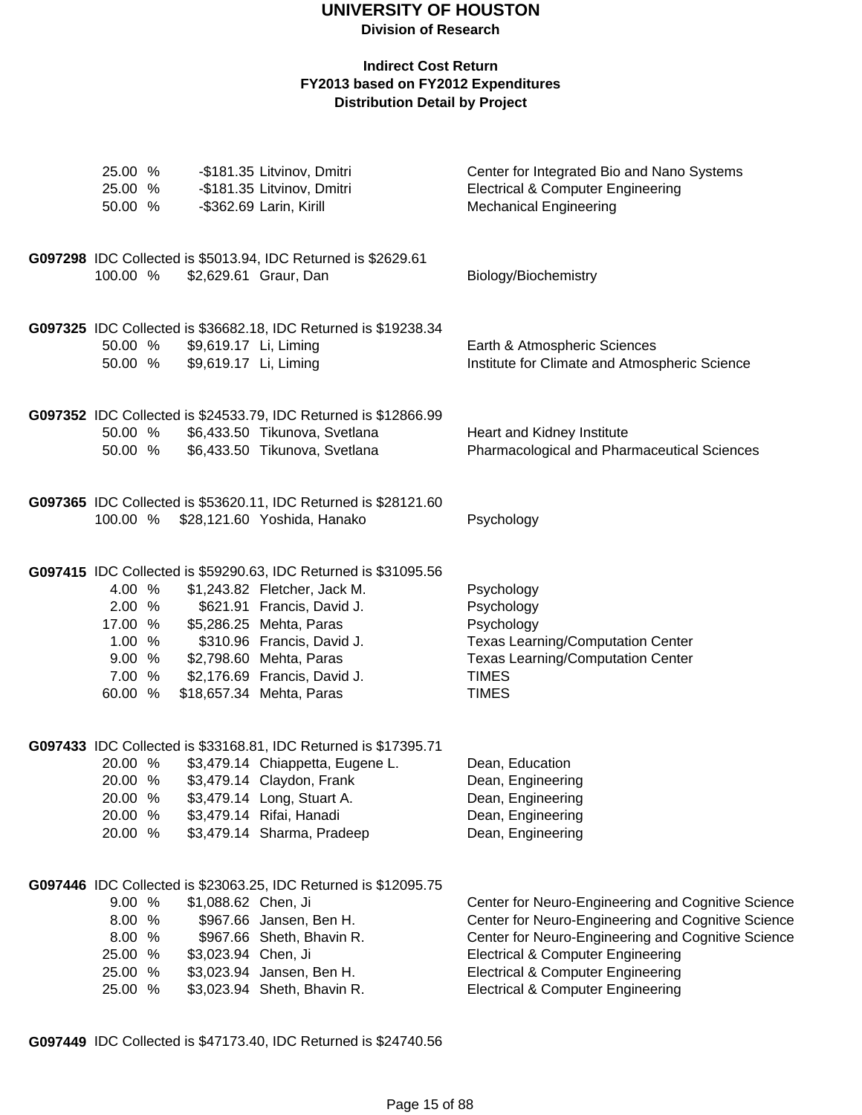### **Indirect Cost Return FY2013 based on FY2012 Expenditures Distribution Detail by Project**

| 25.00 %<br>25.00 %<br>50.00 %                                       |                                                | -\$181.35 Litvinov, Dmitri<br>-\$181.35 Litvinov, Dmitri<br>-\$362.69 Larin, Kirill                                                                                                                                                                                           | Center for Integrated Bio and Nano Systems<br><b>Electrical &amp; Computer Engineering</b><br><b>Mechanical Engineering</b>                                                                                                                                                                                    |
|---------------------------------------------------------------------|------------------------------------------------|-------------------------------------------------------------------------------------------------------------------------------------------------------------------------------------------------------------------------------------------------------------------------------|----------------------------------------------------------------------------------------------------------------------------------------------------------------------------------------------------------------------------------------------------------------------------------------------------------------|
| 100.00 %                                                            |                                                | G097298 IDC Collected is \$5013.94, IDC Returned is \$2629.61<br>\$2,629.61 Graur, Dan                                                                                                                                                                                        | Biology/Biochemistry                                                                                                                                                                                                                                                                                           |
| 50.00 %<br>50.00 %                                                  | \$9,619.17 Li, Liming<br>\$9,619.17 Li, Liming | G097325 IDC Collected is \$36682.18, IDC Returned is \$19238.34                                                                                                                                                                                                               | Earth & Atmospheric Sciences<br>Institute for Climate and Atmospheric Science                                                                                                                                                                                                                                  |
| 50.00 %<br>50.00 %                                                  |                                                | G097352 IDC Collected is \$24533.79, IDC Returned is \$12866.99<br>\$6,433.50 Tikunova, Svetlana<br>\$6,433.50 Tikunova, Svetlana                                                                                                                                             | Heart and Kidney Institute<br>Pharmacological and Pharmaceutical Sciences                                                                                                                                                                                                                                      |
|                                                                     |                                                | G097365 IDC Collected is \$53620.11, IDC Returned is \$28121.60<br>100.00 % \$28,121.60 Yoshida, Hanako                                                                                                                                                                       | Psychology                                                                                                                                                                                                                                                                                                     |
| 4.00 %<br>2.00 %<br>17.00 %<br>1.00%<br>9.00 %<br>7.00 %<br>60.00 % |                                                | G097415 IDC Collected is \$59290.63, IDC Returned is \$31095.56<br>\$1,243.82 Fletcher, Jack M.<br>\$621.91 Francis, David J.<br>\$5,286.25 Mehta, Paras<br>\$310.96 Francis, David J.<br>\$2,798.60 Mehta, Paras<br>\$2,176.69 Francis, David J.<br>\$18,657.34 Mehta, Paras | Psychology<br>Psychology<br>Psychology<br><b>Texas Learning/Computation Center</b><br><b>Texas Learning/Computation Center</b><br><b>TIMES</b><br><b>TIMES</b>                                                                                                                                                 |
| 20.00 %<br>20.00 %<br>20.00 %<br>20.00 %<br>20.00 %                 |                                                | G097433 IDC Collected is \$33168.81, IDC Returned is \$17395.71<br>\$3,479.14 Chiappetta, Eugene L.<br>\$3,479.14 Claydon, Frank<br>\$3,479.14 Long, Stuart A.<br>\$3,479.14 Rifai, Hanadi<br>\$3,479.14 Sharma, Pradeep                                                      | Dean, Education<br>Dean, Engineering<br>Dean, Engineering<br>Dean, Engineering<br>Dean, Engineering                                                                                                                                                                                                            |
| 9.00 %<br>8.00 %<br>8.00 %<br>25.00 %<br>25.00 %<br>25.00 %         | \$1,088.62 Chen, Ji<br>\$3,023.94 Chen, Ji     | G097446 IDC Collected is \$23063.25, IDC Returned is \$12095.75<br>\$967.66 Jansen, Ben H.<br>\$967.66 Sheth, Bhavin R.<br>\$3,023.94 Jansen, Ben H.<br>\$3,023.94 Sheth, Bhavin R.                                                                                           | Center for Neuro-Engineering and Cognitive Science<br>Center for Neuro-Engineering and Cognitive Science<br>Center for Neuro-Engineering and Cognitive Science<br><b>Electrical &amp; Computer Engineering</b><br><b>Electrical &amp; Computer Engineering</b><br><b>Electrical &amp; Computer Engineering</b> |

**G097449** IDC Collected is \$47173.40, IDC Returned is \$24740.56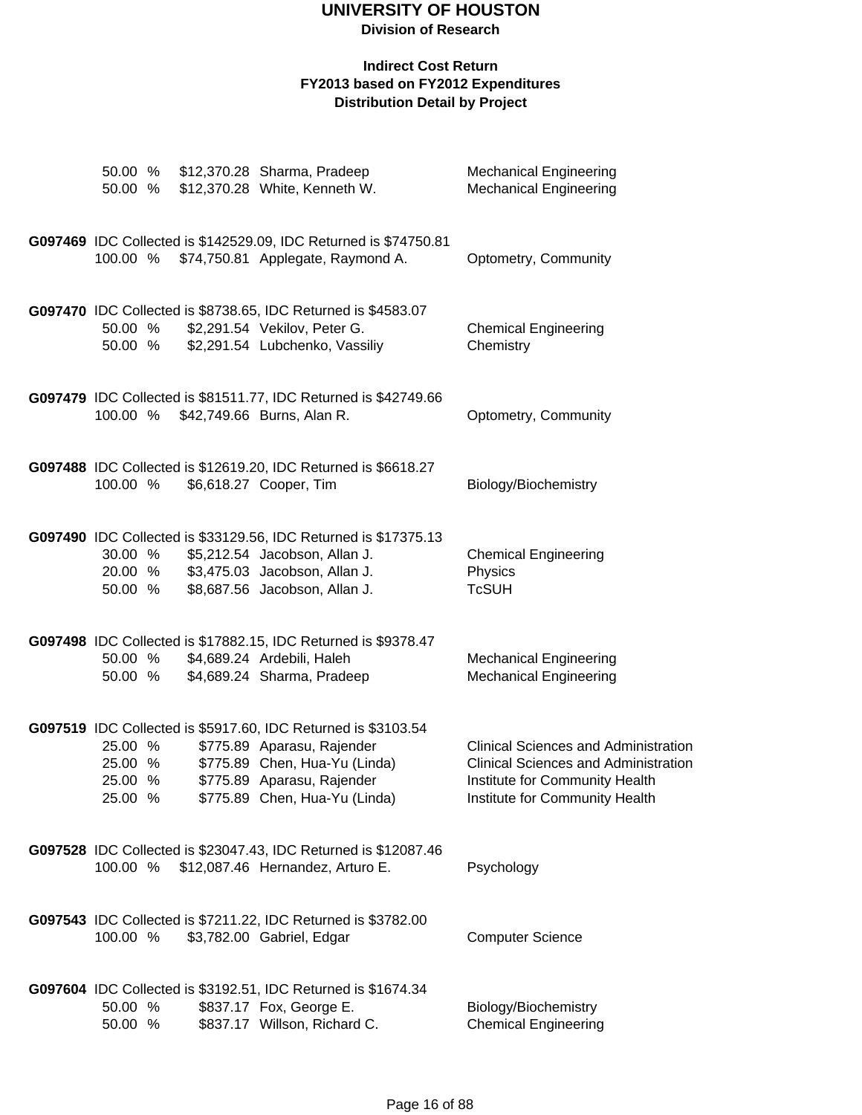### **Division of Research**

|  | 50.00 %<br>50.00 %                       |  | \$12,370.28 Sharma, Pradeep<br>\$12,370.28 White, Kenneth W.                                                                                                                                | <b>Mechanical Engineering</b><br><b>Mechanical Engineering</b>                                                                                                 |
|--|------------------------------------------|--|---------------------------------------------------------------------------------------------------------------------------------------------------------------------------------------------|----------------------------------------------------------------------------------------------------------------------------------------------------------------|
|  |                                          |  | G097469 IDC Collected is \$142529.09, IDC Returned is \$74750.81<br>100.00 % \$74,750.81 Applegate, Raymond A.                                                                              | Optometry, Community                                                                                                                                           |
|  |                                          |  | G097470 IDC Collected is \$8738.65, IDC Returned is \$4583.07                                                                                                                               |                                                                                                                                                                |
|  | 50.00 %<br>50.00 %                       |  | \$2,291.54 Vekilov, Peter G.<br>\$2,291.54 Lubchenko, Vassiliy                                                                                                                              | <b>Chemical Engineering</b><br>Chemistry                                                                                                                       |
|  | 100.00 %                                 |  | G097479 IDC Collected is \$81511.77, IDC Returned is \$42749.66<br>\$42,749.66 Burns, Alan R.                                                                                               | Optometry, Community                                                                                                                                           |
|  | 100.00 %                                 |  | G097488 IDC Collected is \$12619.20, IDC Returned is \$6618.27<br>\$6,618.27 Cooper, Tim                                                                                                    | Biology/Biochemistry                                                                                                                                           |
|  | 30.00 %<br>20.00 %<br>50.00 %            |  | G097490 IDC Collected is \$33129.56, IDC Returned is \$17375.13<br>\$5,212.54 Jacobson, Allan J.<br>\$3,475.03 Jacobson, Allan J.<br>\$8,687.56 Jacobson, Allan J.                          | <b>Chemical Engineering</b><br>Physics<br><b>TcSUH</b>                                                                                                         |
|  | 50.00 %<br>50.00 %                       |  | G097498 IDC Collected is \$17882.15, IDC Returned is \$9378.47<br>\$4,689.24 Ardebili, Haleh<br>\$4,689.24 Sharma, Pradeep                                                                  | <b>Mechanical Engineering</b><br><b>Mechanical Engineering</b>                                                                                                 |
|  | 25.00 %<br>25.00 %<br>25.00 %<br>25.00 % |  | G097519 IDC Collected is \$5917.60, IDC Returned is \$3103.54<br>\$775.89 Aparasu, Rajender<br>\$775.89 Chen, Hua-Yu (Linda)<br>\$775.89 Aparasu, Rajender<br>\$775.89 Chen, Hua-Yu (Linda) | <b>Clinical Sciences and Administration</b><br><b>Clinical Sciences and Administration</b><br>Institute for Community Health<br>Institute for Community Health |
|  | 100.00 %                                 |  | G097528 IDC Collected is \$23047.43, IDC Returned is \$12087.46<br>\$12,087.46 Hernandez, Arturo E.                                                                                         | Psychology                                                                                                                                                     |
|  | 100.00 %                                 |  | G097543 IDC Collected is \$7211.22, IDC Returned is \$3782.00<br>\$3,782.00 Gabriel, Edgar                                                                                                  | <b>Computer Science</b>                                                                                                                                        |
|  | 50.00 %<br>50.00 %                       |  | G097604 IDC Collected is \$3192.51, IDC Returned is \$1674.34<br>\$837.17 Fox, George E.<br>\$837.17 Willson, Richard C.                                                                    | Biology/Biochemistry<br><b>Chemical Engineering</b>                                                                                                            |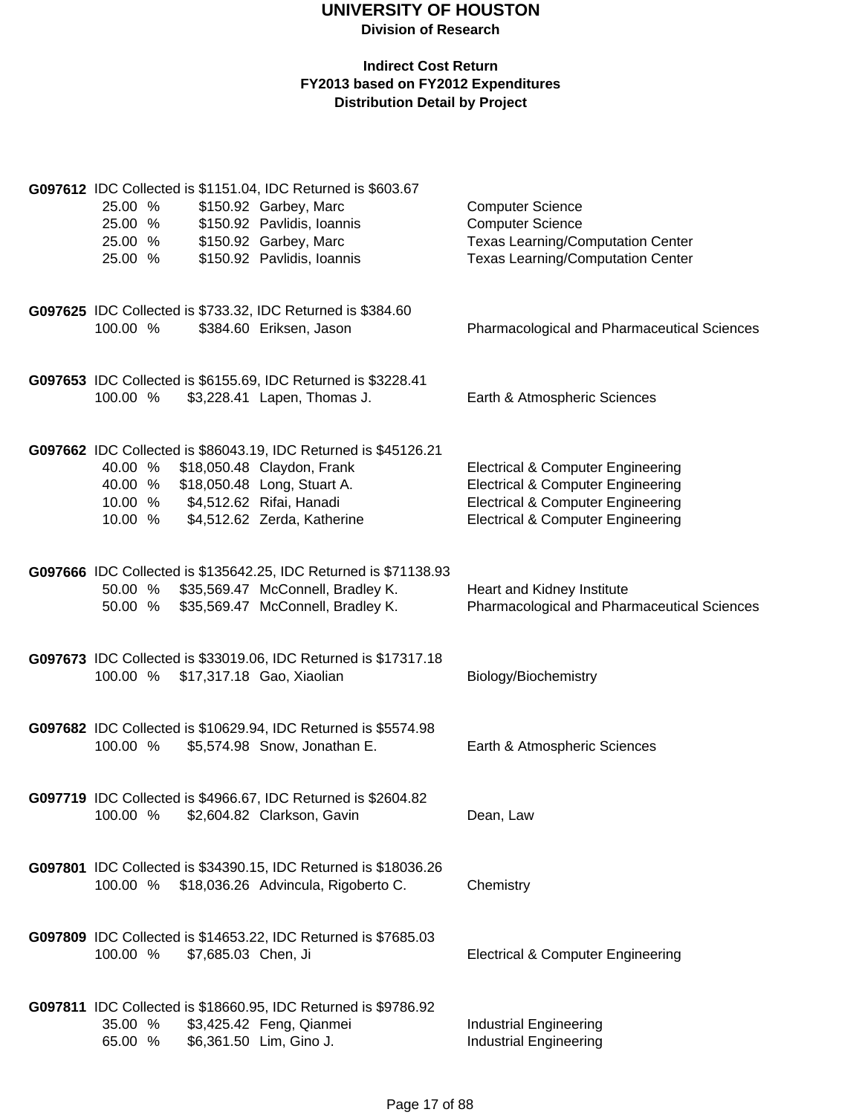|          |                                    | G097612 IDC Collected is \$1151.04, IDC Returned is \$603.67     |                                                    |
|----------|------------------------------------|------------------------------------------------------------------|----------------------------------------------------|
| 25.00 %  |                                    | \$150.92 Garbey, Marc                                            | <b>Computer Science</b>                            |
| 25.00 %  |                                    | \$150.92 Pavlidis, Ioannis                                       | <b>Computer Science</b>                            |
| 25.00 %  |                                    | \$150.92 Garbey, Marc                                            | <b>Texas Learning/Computation Center</b>           |
| 25.00 %  |                                    | \$150.92 Pavlidis, Ioannis                                       | <b>Texas Learning/Computation Center</b>           |
|          |                                    |                                                                  |                                                    |
|          |                                    | G097625 IDC Collected is \$733.32, IDC Returned is \$384.60      |                                                    |
| 100.00 % |                                    | \$384.60 Eriksen, Jason                                          | <b>Pharmacological and Pharmaceutical Sciences</b> |
|          |                                    | G097653 IDC Collected is \$6155.69, IDC Returned is \$3228.41    |                                                    |
| 100.00 % |                                    | \$3,228.41 Lapen, Thomas J.                                      | Earth & Atmospheric Sciences                       |
|          |                                    | G097662 IDC Collected is \$86043.19, IDC Returned is \$45126.21  |                                                    |
| 40.00 %  |                                    | \$18,050.48 Claydon, Frank                                       | <b>Electrical &amp; Computer Engineering</b>       |
| 40.00 %  |                                    | \$18,050.48 Long, Stuart A.                                      | <b>Electrical &amp; Computer Engineering</b>       |
|          | 10.00 % \$4,512.62 Rifai, Hanadi   |                                                                  | <b>Electrical &amp; Computer Engineering</b>       |
| 10.00 %  |                                    | \$4,512.62 Zerda, Katherine                                      | <b>Electrical &amp; Computer Engineering</b>       |
|          |                                    | G097666 IDC Collected is \$135642.25, IDC Returned is \$71138.93 |                                                    |
| 50.00 %  |                                    | \$35,569.47 McConnell, Bradley K.                                | Heart and Kidney Institute                         |
| 50.00 %  |                                    | \$35,569.47 McConnell, Bradley K.                                | Pharmacological and Pharmaceutical Sciences        |
|          |                                    | G097673 IDC Collected is \$33019.06, IDC Returned is \$17317.18  |                                                    |
|          | 100.00 % \$17,317.18 Gao, Xiaolian |                                                                  | Biology/Biochemistry                               |
|          |                                    | G097682 IDC Collected is \$10629.94, IDC Returned is \$5574.98   |                                                    |
| 100.00 % |                                    | \$5,574.98 Snow, Jonathan E.                                     | Earth & Atmospheric Sciences                       |
|          |                                    | G097719 IDC Collected is \$4966.67, IDC Returned is \$2604.82    |                                                    |
| 100.00 % |                                    | \$2,604.82 Clarkson, Gavin                                       | Dean, Law                                          |
|          |                                    | G097801 IDC Collected is \$34390.15, IDC Returned is \$18036.26  |                                                    |
| 100.00 % |                                    | \$18,036.26 Advincula, Rigoberto C.                              | Chemistry                                          |
|          |                                    | G097809 IDC Collected is \$14653.22, IDC Returned is \$7685.03   |                                                    |
| 100.00 % | \$7,685.03 Chen, Ji                |                                                                  | <b>Electrical &amp; Computer Engineering</b>       |
|          |                                    | G097811 IDC Collected is \$18660.95, IDC Returned is \$9786.92   |                                                    |
| 35.00 %  |                                    | \$3,425.42 Feng, Qianmei                                         | <b>Industrial Engineering</b>                      |
| 65.00 %  |                                    | \$6,361.50 Lim, Gino J.                                          | <b>Industrial Engineering</b>                      |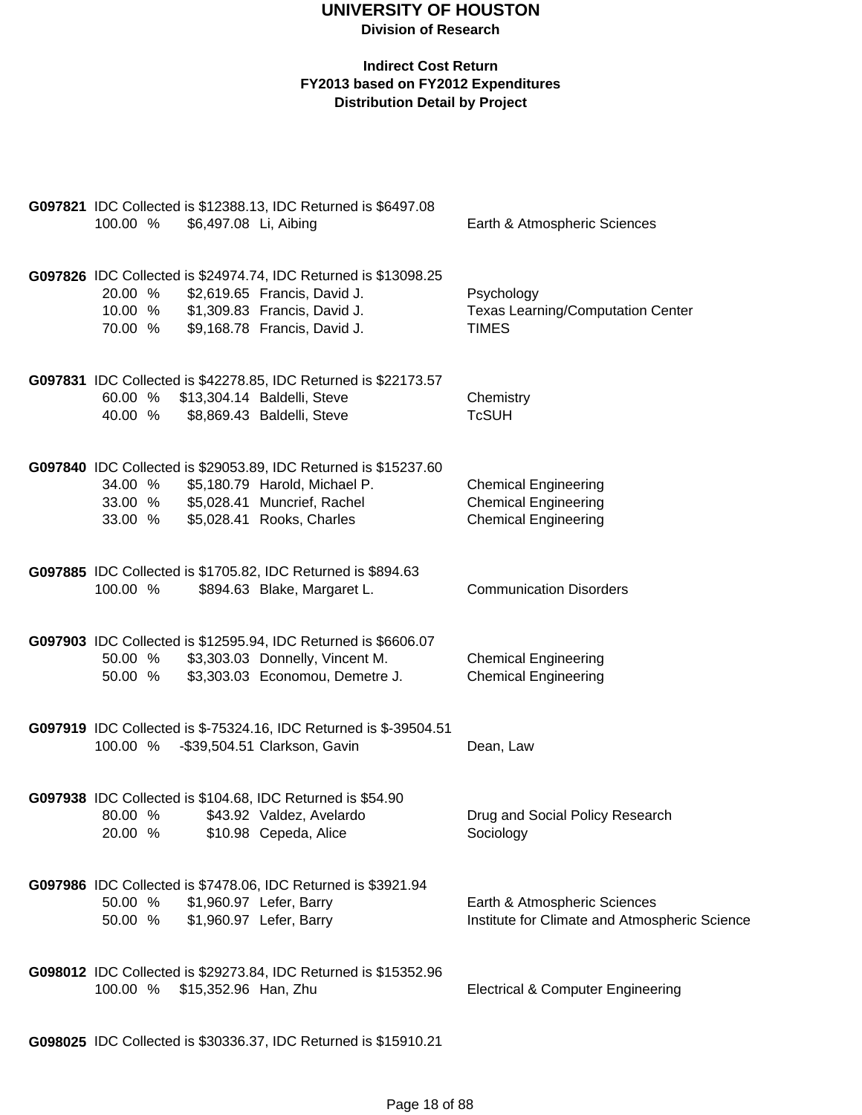### **Indirect Cost Return FY2013 based on FY2012 Expenditures Distribution Detail by Project**

| 100.00 %                      | \$6,497.08 Li, Aibing | G097821 IDC Collected is \$12388.13, IDC Returned is \$6497.08                                                                                                  | Earth & Atmospheric Sciences                                                              |
|-------------------------------|-----------------------|-----------------------------------------------------------------------------------------------------------------------------------------------------------------|-------------------------------------------------------------------------------------------|
| 20.00 %<br>10.00 %<br>70.00 % |                       | G097826 IDC Collected is \$24974.74, IDC Returned is \$13098.25<br>\$2,619.65 Francis, David J.<br>\$1,309.83 Francis, David J.<br>\$9,168.78 Francis, David J. | Psychology<br><b>Texas Learning/Computation Center</b><br><b>TIMES</b>                    |
| 60.00 %<br>40.00 %            |                       | G097831 IDC Collected is \$42278.85, IDC Returned is \$22173.57<br>\$13,304.14 Baldelli, Steve<br>\$8,869.43 Baldelli, Steve                                    | Chemistry<br><b>TcSUH</b>                                                                 |
| 34.00 %<br>33.00 %<br>33.00 % |                       | G097840 IDC Collected is \$29053.89, IDC Returned is \$15237.60<br>\$5,180.79 Harold, Michael P.<br>\$5,028.41 Muncrief, Rachel<br>\$5,028.41 Rooks, Charles    | <b>Chemical Engineering</b><br><b>Chemical Engineering</b><br><b>Chemical Engineering</b> |
| 100.00 %                      |                       | G097885 IDC Collected is \$1705.82, IDC Returned is \$894.63<br>\$894.63 Blake, Margaret L.                                                                     | <b>Communication Disorders</b>                                                            |
| 50.00 %<br>50.00 %            |                       | G097903 IDC Collected is \$12595.94, IDC Returned is \$6606.07<br>\$3,303.03 Donnelly, Vincent M.<br>\$3,303.03 Economou, Demetre J.                            | <b>Chemical Engineering</b><br><b>Chemical Engineering</b>                                |
| 100.00 %                      |                       | G097919 IDC Collected is \$-75324.16, IDC Returned is \$-39504.51<br>-\$39,504.51 Clarkson, Gavin                                                               | Dean, Law                                                                                 |
| 80.00 %<br>20.00 %            |                       | G097938 IDC Collected is \$104.68, IDC Returned is \$54.90<br>\$43.92 Valdez, Avelardo<br>\$10.98 Cepeda, Alice                                                 | Drug and Social Policy Research<br>Sociology                                              |
| 50.00 %<br>50.00 %            |                       | G097986 IDC Collected is \$7478.06, IDC Returned is \$3921.94<br>\$1,960.97 Lefer, Barry<br>\$1,960.97 Lefer, Barry                                             | Earth & Atmospheric Sciences<br>Institute for Climate and Atmospheric Science             |
| 100.00 %                      | \$15,352.96 Han, Zhu  | G098012 IDC Collected is \$29273.84, IDC Returned is \$15352.96                                                                                                 | <b>Electrical &amp; Computer Engineering</b>                                              |
|                               |                       |                                                                                                                                                                 |                                                                                           |

**G098025** IDC Collected is \$30336.37, IDC Returned is \$15910.21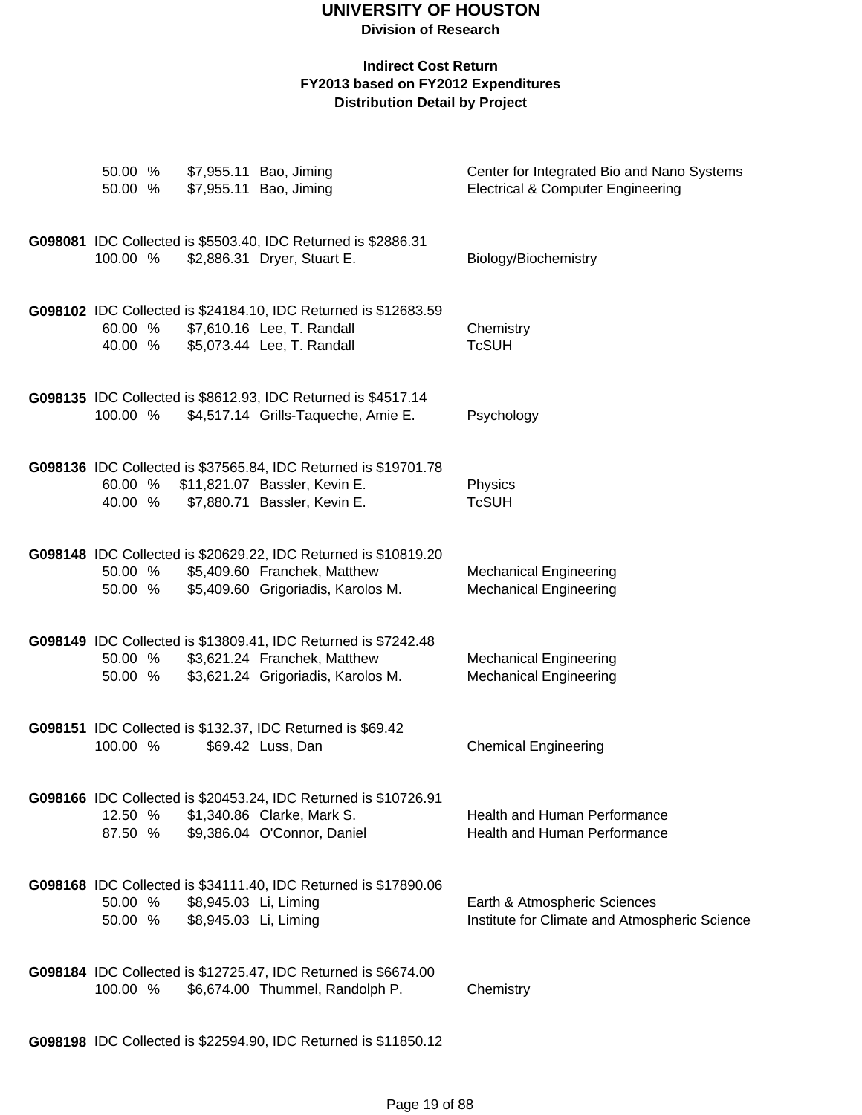### **Indirect Cost Return FY2013 based on FY2012 Expenditures Distribution Detail by Project**

| 50.00 %<br>50.00 % |                       | \$7,955.11 Bao, Jiming<br>\$7,955.11 Bao, Jiming                                                     | Center for Integrated Bio and Nano Systems<br><b>Electrical &amp; Computer Engineering</b> |
|--------------------|-----------------------|------------------------------------------------------------------------------------------------------|--------------------------------------------------------------------------------------------|
|                    |                       |                                                                                                      |                                                                                            |
| 100.00 %           |                       | G098081 IDC Collected is \$5503.40, IDC Returned is \$2886.31<br>\$2,886.31 Dryer, Stuart E.         | Biology/Biochemistry                                                                       |
|                    |                       |                                                                                                      |                                                                                            |
|                    |                       | G098102 IDC Collected is \$24184.10, IDC Returned is \$12683.59                                      |                                                                                            |
| 60.00 %<br>40.00 % |                       | \$7,610.16 Lee, T. Randall<br>\$5,073.44 Lee, T. Randall                                             | Chemistry<br><b>TcSUH</b>                                                                  |
|                    |                       |                                                                                                      |                                                                                            |
| 100.00 %           |                       | G098135 IDC Collected is \$8612.93, IDC Returned is \$4517.14<br>\$4,517.14 Grills-Taqueche, Amie E. | Psychology                                                                                 |
|                    |                       |                                                                                                      |                                                                                            |
| 60.00 %            |                       | G098136 IDC Collected is \$37565.84, IDC Returned is \$19701.78<br>\$11,821.07 Bassler, Kevin E.     |                                                                                            |
| 40.00 %            |                       | \$7,880.71 Bassler, Kevin E.                                                                         | Physics<br><b>TcSUH</b>                                                                    |
|                    |                       |                                                                                                      |                                                                                            |
| 50.00 %            |                       | G098148 IDC Collected is \$20629.22, IDC Returned is \$10819.20<br>\$5,409.60 Franchek, Matthew      | <b>Mechanical Engineering</b>                                                              |
| 50.00 %            |                       | \$5,409.60 Grigoriadis, Karolos M.                                                                   | <b>Mechanical Engineering</b>                                                              |
|                    |                       | G098149 IDC Collected is \$13809.41, IDC Returned is \$7242.48                                       |                                                                                            |
| 50.00 %<br>50.00 % |                       | \$3,621.24 Franchek, Matthew<br>\$3,621.24 Grigoriadis, Karolos M.                                   | <b>Mechanical Engineering</b><br><b>Mechanical Engineering</b>                             |
|                    |                       |                                                                                                      |                                                                                            |
|                    |                       | G098151 IDC Collected is \$132.37, IDC Returned is \$69.42                                           |                                                                                            |
| 100.00 %           |                       | \$69.42 Luss, Dan                                                                                    | <b>Chemical Engineering</b>                                                                |
|                    |                       | G098166 IDC Collected is \$20453.24, IDC Returned is \$10726.91                                      |                                                                                            |
| 12.50 %<br>87.50 % |                       | \$1,340.86 Clarke, Mark S.<br>\$9,386.04 O'Connor, Daniel                                            | <b>Health and Human Performance</b><br>Health and Human Performance                        |
|                    |                       |                                                                                                      |                                                                                            |
| 50.00 %            | \$8,945.03 Li, Liming | G098168 IDC Collected is \$34111.40, IDC Returned is \$17890.06                                      | Earth & Atmospheric Sciences                                                               |
| 50.00 %            | \$8,945.03 Li, Liming |                                                                                                      | Institute for Climate and Atmospheric Science                                              |
|                    |                       |                                                                                                      |                                                                                            |
| 100.00 %           |                       | G098184 IDC Collected is \$12725.47, IDC Returned is \$6674.00<br>\$6,674.00 Thummel, Randolph P.    | Chemistry                                                                                  |
|                    |                       |                                                                                                      |                                                                                            |

**G098198** IDC Collected is \$22594.90, IDC Returned is \$11850.12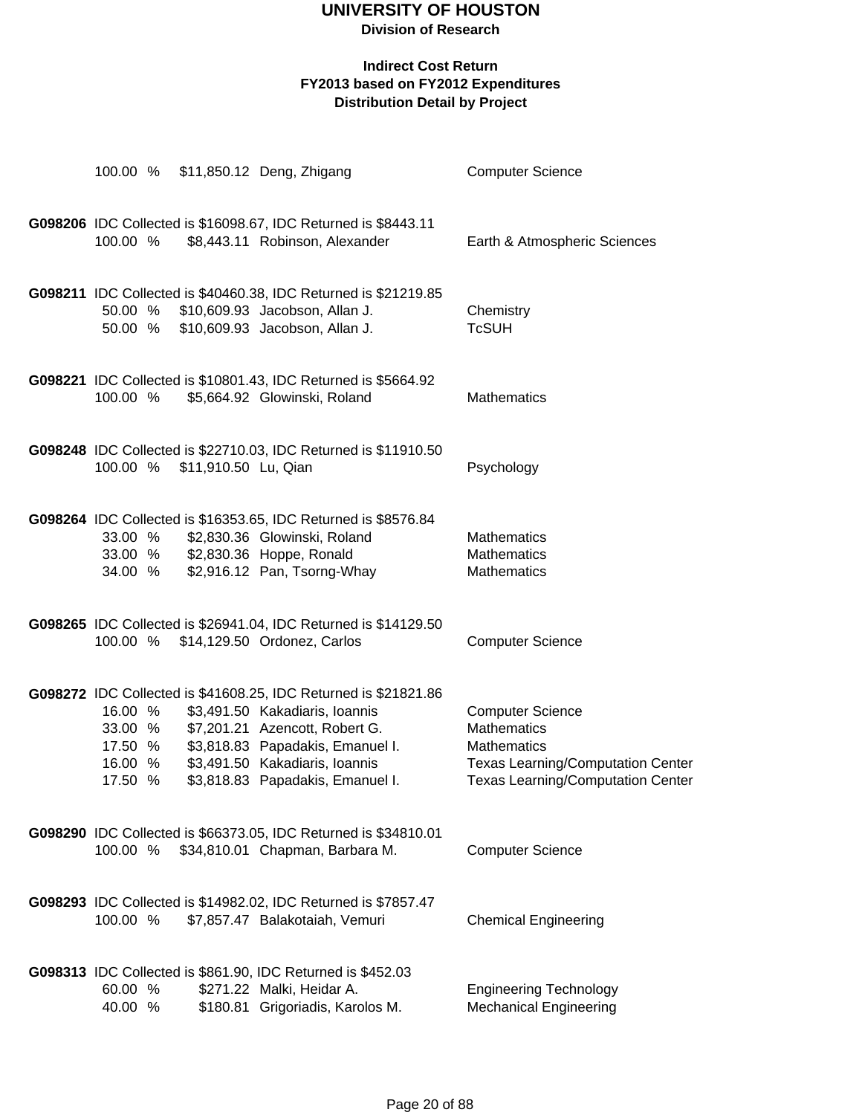### **Indirect Cost Return FY2013 based on FY2012 Expenditures**

**Distribution Detail by Project**

|                                                     |                      | 100.00 % \$11,850.12 Deng, Zhigang                                                                                                                                                                                                            | <b>Computer Science</b>                                                                                                                                     |
|-----------------------------------------------------|----------------------|-----------------------------------------------------------------------------------------------------------------------------------------------------------------------------------------------------------------------------------------------|-------------------------------------------------------------------------------------------------------------------------------------------------------------|
| 100.00 %                                            |                      | G098206 IDC Collected is \$16098.67, IDC Returned is \$8443.11<br>\$8,443.11 Robinson, Alexander                                                                                                                                              | Earth & Atmospheric Sciences                                                                                                                                |
| 50.00 %<br>50.00 %                                  |                      | G098211 IDC Collected is \$40460.38, IDC Returned is \$21219.85<br>\$10,609.93 Jacobson, Allan J.<br>\$10,609.93 Jacobson, Allan J.                                                                                                           | Chemistry<br><b>TcSUH</b>                                                                                                                                   |
| 100.00 %                                            |                      | G098221 IDC Collected is \$10801.43, IDC Returned is \$5664.92<br>\$5,664.92 Glowinski, Roland                                                                                                                                                | <b>Mathematics</b>                                                                                                                                          |
| 100.00 %                                            | \$11,910.50 Lu, Qian | G098248 IDC Collected is \$22710.03, IDC Returned is \$11910.50                                                                                                                                                                               | Psychology                                                                                                                                                  |
| 33.00 %<br>34.00 %                                  |                      | G098264 IDC Collected is \$16353.65, IDC Returned is \$8576.84<br>\$2,830.36 Glowinski, Roland<br>33.00 % \$2,830.36 Hoppe, Ronald<br>\$2,916.12 Pan, Tsorng-Whay                                                                             | <b>Mathematics</b><br><b>Mathematics</b><br>Mathematics                                                                                                     |
|                                                     |                      | G098265 IDC Collected is \$26941.04, IDC Returned is \$14129.50<br>100.00 % \$14,129.50 Ordonez, Carlos                                                                                                                                       | <b>Computer Science</b>                                                                                                                                     |
| 16.00 %<br>33.00 %<br>17.50 %<br>16.00 %<br>17.50 % |                      | G098272 IDC Collected is \$41608.25, IDC Returned is \$21821.86<br>\$3,491.50 Kakadiaris, Ioannis<br>\$7,201.21 Azencott, Robert G.<br>\$3,818.83 Papadakis, Emanuel I.<br>\$3,491.50 Kakadiaris, Ioannis<br>\$3,818.83 Papadakis, Emanuel I. | <b>Computer Science</b><br><b>Mathematics</b><br><b>Mathematics</b><br><b>Texas Learning/Computation Center</b><br><b>Texas Learning/Computation Center</b> |
| 100.00 %                                            |                      | G098290 IDC Collected is \$66373.05, IDC Returned is \$34810.01<br>\$34,810.01 Chapman, Barbara M.                                                                                                                                            | <b>Computer Science</b>                                                                                                                                     |
| 100.00 %                                            |                      | G098293 IDC Collected is \$14982.02, IDC Returned is \$7857.47<br>\$7,857.47 Balakotaiah, Vemuri                                                                                                                                              | <b>Chemical Engineering</b>                                                                                                                                 |
| 60.00 %<br>40.00 %                                  |                      | G098313 IDC Collected is \$861.90, IDC Returned is \$452.03<br>\$271.22 Malki, Heidar A.<br>\$180.81 Grigoriadis, Karolos M.                                                                                                                  | <b>Engineering Technology</b><br><b>Mechanical Engineering</b>                                                                                              |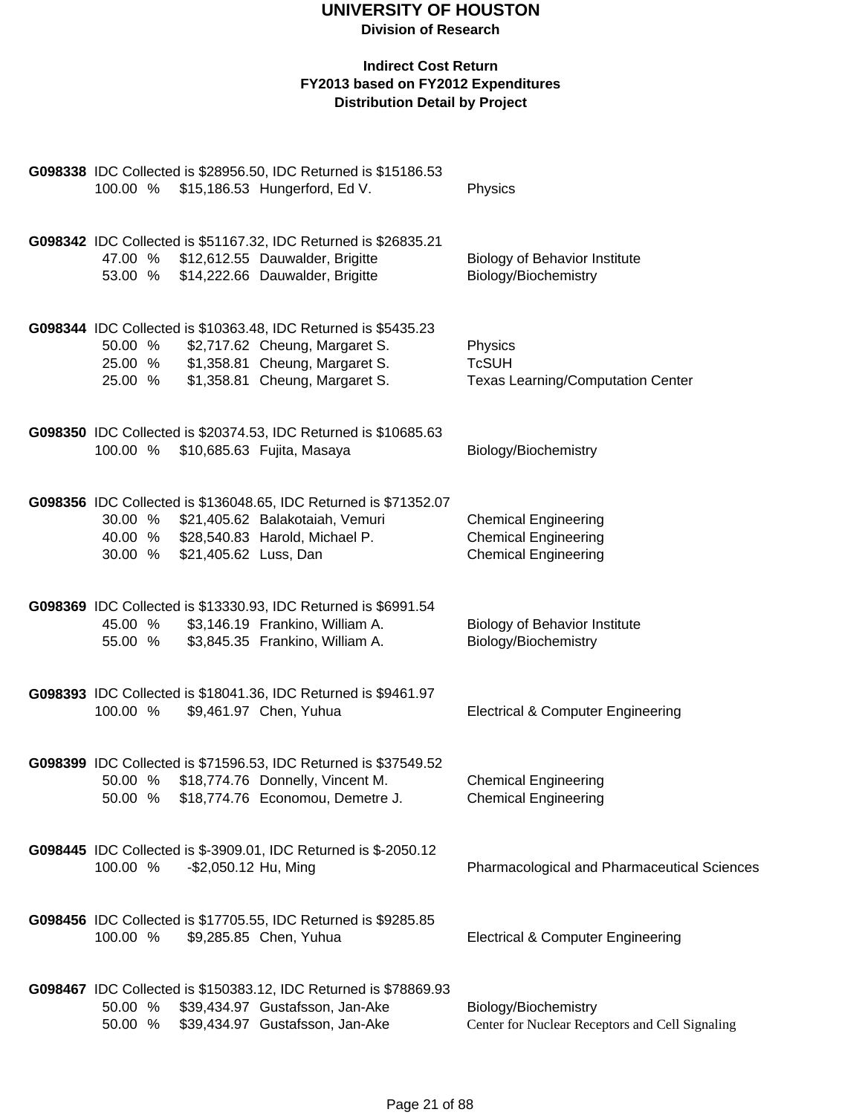| G098338 IDC Collected is \$28956.50, IDC Returned is \$15186.53<br>100.00 % \$15,186.53 Hungerford, Ed V.                                                     |                                                                    | Physics                                                                                   |
|---------------------------------------------------------------------------------------------------------------------------------------------------------------|--------------------------------------------------------------------|-------------------------------------------------------------------------------------------|
| G098342 IDC Collected is \$51167.32, IDC Returned is \$26835.21<br>47.00 % \$12,612.55 Dauwalder, Brigitte<br>53.00 % \$14,222.66 Dauwalder, Brigitte         |                                                                    | <b>Biology of Behavior Institute</b><br>Biology/Biochemistry                              |
| G098344 IDC Collected is \$10363.48, IDC Returned is \$5435.23<br>50.00 % \$2,717.62 Cheung, Margaret S.<br>25.00 % \$1,358.81 Cheung, Margaret S.<br>25.00 % | \$1,358.81 Cheung, Margaret S.                                     | Physics<br><b>TcSUH</b><br><b>Texas Learning/Computation Center</b>                       |
| G098350 IDC Collected is \$20374.53, IDC Returned is \$10685.63<br>100.00 % \$10,685.63 Fujita, Masaya                                                        |                                                                    | Biology/Biochemistry                                                                      |
| G098356 IDC Collected is \$136048.65, IDC Returned is \$71352.07<br>30.00 %<br>40.00 % \$28,540.83 Harold, Michael P.<br>\$21,405.62 Luss, Dan<br>30.00 %     | \$21,405.62 Balakotaiah, Vemuri                                    | <b>Chemical Engineering</b><br><b>Chemical Engineering</b><br><b>Chemical Engineering</b> |
| G098369 IDC Collected is \$13330.93, IDC Returned is \$6991.54<br>45.00 % \$3,146.19 Frankino, William A.<br>55.00 % \$3,845.35 Frankino, William A.          |                                                                    | <b>Biology of Behavior Institute</b><br>Biology/Biochemistry                              |
| G098393 IDC Collected is \$18041.36, IDC Returned is \$9461.97<br>\$9,461.97 Chen, Yuhua<br>100.00 %                                                          |                                                                    | <b>Electrical &amp; Computer Engineering</b>                                              |
| G098399 IDC Collected is \$71596.53, IDC Returned is \$37549.52<br>50.00 % \$18,774.76 Donnelly, Vincent M.<br>50.00 % \$18,774.76 Economou, Demetre J.       |                                                                    | <b>Chemical Engineering</b><br><b>Chemical Engineering</b>                                |
| G098445 IDC Collected is \$-3909.01, IDC Returned is \$-2050.12<br>100.00 %<br>-\$2,050.12 Hu, Ming                                                           |                                                                    | Pharmacological and Pharmaceutical Sciences                                               |
| G098456 IDC Collected is \$17705.55, IDC Returned is \$9285.85<br>100.00 %<br>\$9,285.85 Chen, Yuhua                                                          |                                                                    | <b>Electrical &amp; Computer Engineering</b>                                              |
| G098467 IDC Collected is \$150383.12, IDC Returned is \$78869.93<br>50.00 %<br>50.00 %                                                                        | \$39,434.97 Gustafsson, Jan-Ake<br>\$39,434.97 Gustafsson, Jan-Ake | Biology/Biochemistry<br>Center for Nuclear Receptors and Cell Signaling                   |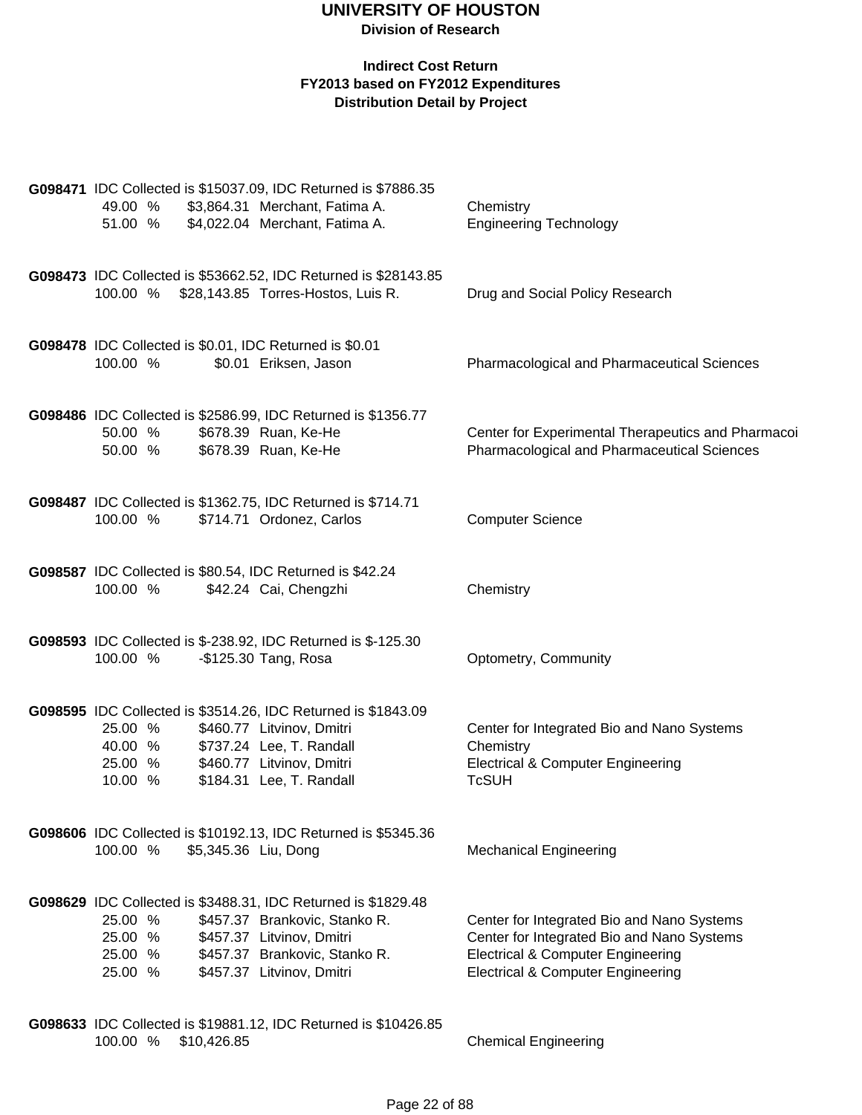| G098471 IDC Collected is \$15037.09, IDC Returned is \$7886.35 |             |                                                                                                                |                                                    |  |  |  |
|----------------------------------------------------------------|-------------|----------------------------------------------------------------------------------------------------------------|----------------------------------------------------|--|--|--|
| 49.00 %                                                        |             | \$3,864.31 Merchant, Fatima A.                                                                                 | Chemistry                                          |  |  |  |
| 51.00 %                                                        |             | \$4,022.04 Merchant, Fatima A.                                                                                 | <b>Engineering Technology</b>                      |  |  |  |
|                                                                |             |                                                                                                                |                                                    |  |  |  |
|                                                                |             |                                                                                                                |                                                    |  |  |  |
|                                                                |             | G098473 IDC Collected is \$53662.52, IDC Returned is \$28143.85<br>100.00 % \$28,143.85 Torres-Hostos, Luis R. | Drug and Social Policy Research                    |  |  |  |
|                                                                |             |                                                                                                                |                                                    |  |  |  |
|                                                                |             |                                                                                                                |                                                    |  |  |  |
|                                                                |             | G098478 IDC Collected is \$0.01, IDC Returned is \$0.01                                                        |                                                    |  |  |  |
| 100.00 %                                                       |             | \$0.01 Eriksen, Jason                                                                                          | <b>Pharmacological and Pharmaceutical Sciences</b> |  |  |  |
|                                                                |             |                                                                                                                |                                                    |  |  |  |
|                                                                |             |                                                                                                                |                                                    |  |  |  |
| 50.00 %                                                        |             | G098486 IDC Collected is \$2586.99, IDC Returned is \$1356.77<br>\$678.39 Ruan, Ke-He                          | Center for Experimental Therapeutics and Pharmacoi |  |  |  |
| 50.00 %                                                        |             | \$678.39 Ruan, Ke-He                                                                                           | Pharmacological and Pharmaceutical Sciences        |  |  |  |
|                                                                |             |                                                                                                                |                                                    |  |  |  |
|                                                                |             |                                                                                                                |                                                    |  |  |  |
|                                                                |             | G098487 IDC Collected is \$1362.75, IDC Returned is \$714.71                                                   |                                                    |  |  |  |
| 100.00 %                                                       |             | \$714.71 Ordonez, Carlos                                                                                       | <b>Computer Science</b>                            |  |  |  |
|                                                                |             |                                                                                                                |                                                    |  |  |  |
|                                                                |             | G098587 IDC Collected is \$80.54, IDC Returned is \$42.24                                                      |                                                    |  |  |  |
| 100.00 %                                                       |             | \$42.24 Cai, Chengzhi                                                                                          | Chemistry                                          |  |  |  |
|                                                                |             |                                                                                                                |                                                    |  |  |  |
|                                                                |             |                                                                                                                |                                                    |  |  |  |
|                                                                |             | G098593 IDC Collected is \$-238.92, IDC Returned is \$-125.30                                                  |                                                    |  |  |  |
| 100.00 %                                                       |             | -\$125.30 Tang, Rosa                                                                                           | Optometry, Community                               |  |  |  |
|                                                                |             |                                                                                                                |                                                    |  |  |  |
|                                                                |             |                                                                                                                |                                                    |  |  |  |
| 25.00 %                                                        |             | G098595 IDC Collected is \$3514.26, IDC Returned is \$1843.09<br>\$460.77 Litvinov, Dmitri                     | Center for Integrated Bio and Nano Systems         |  |  |  |
| 40.00 %                                                        |             | \$737.24 Lee, T. Randall                                                                                       | Chemistry                                          |  |  |  |
| 25.00 %                                                        |             | \$460.77 Litvinov, Dmitri                                                                                      | <b>Electrical &amp; Computer Engineering</b>       |  |  |  |
| 10.00 %                                                        |             | \$184.31 Lee, T. Randall                                                                                       | <b>TcSUH</b>                                       |  |  |  |
|                                                                |             |                                                                                                                |                                                    |  |  |  |
|                                                                |             |                                                                                                                |                                                    |  |  |  |
|                                                                |             | G098606 IDC Collected is \$10192.13, IDC Returned is \$5345.36                                                 |                                                    |  |  |  |
| 100.00 %                                                       |             | \$5,345.36 Liu, Dong                                                                                           | <b>Mechanical Engineering</b>                      |  |  |  |
|                                                                |             |                                                                                                                |                                                    |  |  |  |
|                                                                |             | G098629 IDC Collected is \$3488.31, IDC Returned is \$1829.48                                                  |                                                    |  |  |  |
| 25.00 %                                                        |             | \$457.37 Brankovic, Stanko R.                                                                                  | Center for Integrated Bio and Nano Systems         |  |  |  |
| 25.00 %                                                        |             | \$457.37 Litvinov, Dmitri                                                                                      | Center for Integrated Bio and Nano Systems         |  |  |  |
| 25.00 %                                                        |             | \$457.37 Brankovic, Stanko R.                                                                                  | <b>Electrical &amp; Computer Engineering</b>       |  |  |  |
| 25.00 %                                                        |             | \$457.37 Litvinov, Dmitri                                                                                      | <b>Electrical &amp; Computer Engineering</b>       |  |  |  |
|                                                                |             |                                                                                                                |                                                    |  |  |  |
|                                                                |             | G098633 IDC Collected is \$19881.12, IDC Returned is \$10426.85                                                |                                                    |  |  |  |
| 100.00 %                                                       | \$10,426.85 |                                                                                                                | <b>Chemical Engineering</b>                        |  |  |  |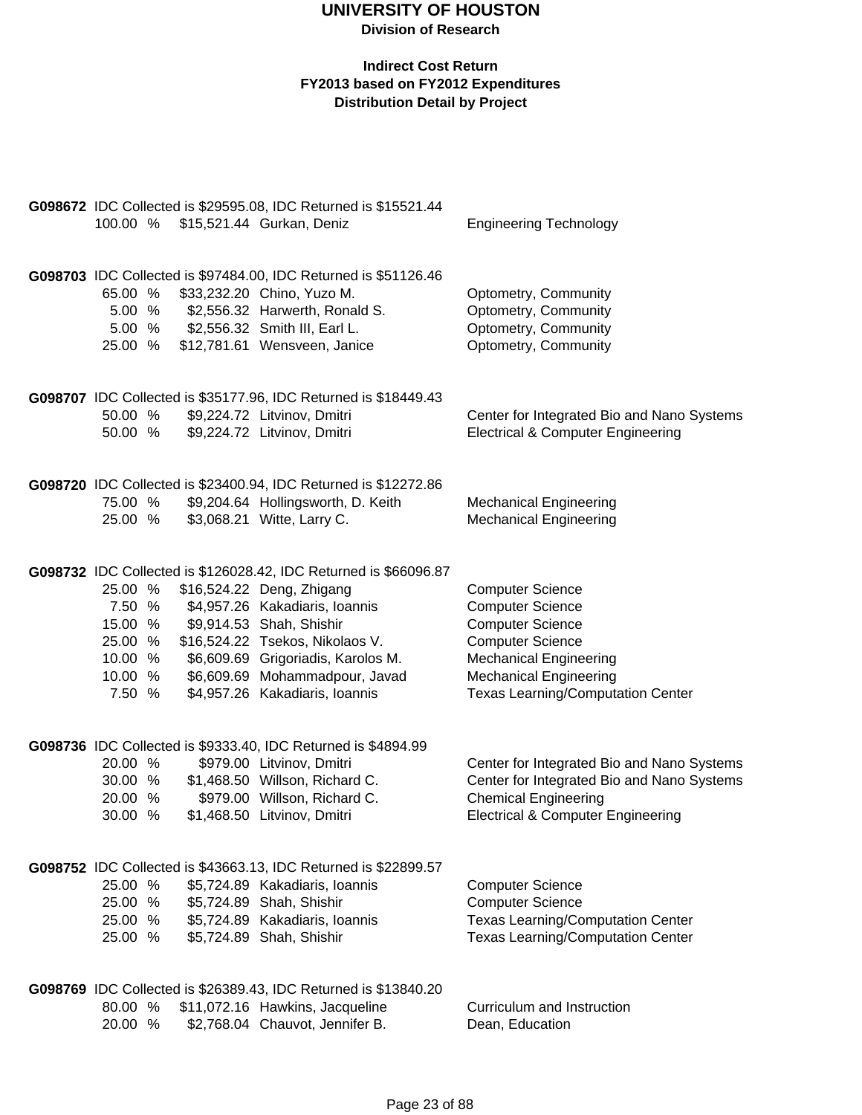| 100.00 %                     | G098672 IDC Collected is \$29595.08, IDC Returned is \$15521.44<br>\$15,521.44 Gurkan, Deniz                                                                                                            | <b>Engineering Technology</b>                                                                |
|------------------------------|---------------------------------------------------------------------------------------------------------------------------------------------------------------------------------------------------------|----------------------------------------------------------------------------------------------|
|                              |                                                                                                                                                                                                         |                                                                                              |
| 65.00 %<br>5.00 %<br>25.00 % | G098703 IDC Collected is \$97484.00, IDC Returned is \$51126.46<br>\$33,232.20 Chino, Yuzo M.<br>\$2,556.32 Harwerth, Ronald S.<br>5.00 % \$2,556.32 Smith III, Earl L.<br>\$12,781.61 Wensveen, Janice | Optometry, Community<br>Optometry, Community<br>Optometry, Community<br>Optometry, Community |
|                              | G098707 IDC Collected is \$35177.96, IDC Returned is \$18449.43                                                                                                                                         |                                                                                              |
| 50.00 %                      | \$9,224.72 Litvinov, Dmitri                                                                                                                                                                             | Center for Integrated Bio and Nano Systems                                                   |
| 50.00 %                      | \$9,224.72 Litvinov, Dmitri                                                                                                                                                                             | <b>Electrical &amp; Computer Engineering</b>                                                 |
|                              | G098720 IDC Collected is \$23400.94, IDC Returned is \$12272.86                                                                                                                                         |                                                                                              |
| 75.00 %                      | \$9,204.64 Hollingsworth, D. Keith                                                                                                                                                                      | <b>Mechanical Engineering</b>                                                                |
| 25.00 %                      | \$3,068.21 Witte, Larry C.                                                                                                                                                                              | <b>Mechanical Engineering</b>                                                                |
|                              | G098732 IDC Collected is \$126028.42, IDC Returned is \$66096.87                                                                                                                                        |                                                                                              |
| 25.00 %                      | \$16,524.22 Deng, Zhigang                                                                                                                                                                               | <b>Computer Science</b>                                                                      |
| 7.50 %                       | \$4,957.26 Kakadiaris, Ioannis                                                                                                                                                                          | <b>Computer Science</b>                                                                      |
| 15.00 %                      | \$9,914.53 Shah, Shishir                                                                                                                                                                                | <b>Computer Science</b>                                                                      |
| 25.00 %<br>10.00 %           | \$16,524.22 Tsekos, Nikolaos V.<br>\$6,609.69 Grigoriadis, Karolos M.                                                                                                                                   | <b>Computer Science</b><br><b>Mechanical Engineering</b>                                     |
| 10.00 %                      | \$6,609.69 Mohammadpour, Javad                                                                                                                                                                          | <b>Mechanical Engineering</b>                                                                |
| 7.50 %                       | \$4,957.26 Kakadiaris, Ioannis                                                                                                                                                                          | <b>Texas Learning/Computation Center</b>                                                     |
|                              | G098736 IDC Collected is \$9333.40, IDC Returned is \$4894.99                                                                                                                                           |                                                                                              |
| 20.00 %                      | \$979.00 Litvinov, Dmitri                                                                                                                                                                               | Center for Integrated Bio and Nano Systems                                                   |
| 30.00 %                      | \$1,468.50 Willson, Richard C.                                                                                                                                                                          | Center for Integrated Bio and Nano Systems                                                   |
| 20.00 %<br>30.00 %           | \$979.00 Willson, Richard C.<br>\$1,468.50 Litvinov, Dmitri                                                                                                                                             | <b>Chemical Engineering</b>                                                                  |
|                              |                                                                                                                                                                                                         | <b>Electrical &amp; Computer Engineering</b>                                                 |
|                              | G098752 IDC Collected is \$43663.13, IDC Returned is \$22899.57                                                                                                                                         |                                                                                              |
| 25.00 %                      | \$5,724.89 Kakadiaris, Ioannis                                                                                                                                                                          | <b>Computer Science</b>                                                                      |
| 25.00 %                      | \$5,724.89 Shah, Shishir                                                                                                                                                                                | <b>Computer Science</b>                                                                      |
| 25.00 %                      | \$5,724.89 Kakadiaris, Ioannis<br>\$5,724.89 Shah, Shishir                                                                                                                                              | <b>Texas Learning/Computation Center</b>                                                     |
| 25.00 %                      |                                                                                                                                                                                                         | <b>Texas Learning/Computation Center</b>                                                     |
|                              | G098769 IDC Collected is \$26389.43, IDC Returned is \$13840.20                                                                                                                                         |                                                                                              |
| 80.00 %                      | \$11,072.16 Hawkins, Jacqueline                                                                                                                                                                         | Curriculum and Instruction                                                                   |
| 20.00 %                      | \$2,768.04 Chauvot, Jennifer B.                                                                                                                                                                         | Dean, Education                                                                              |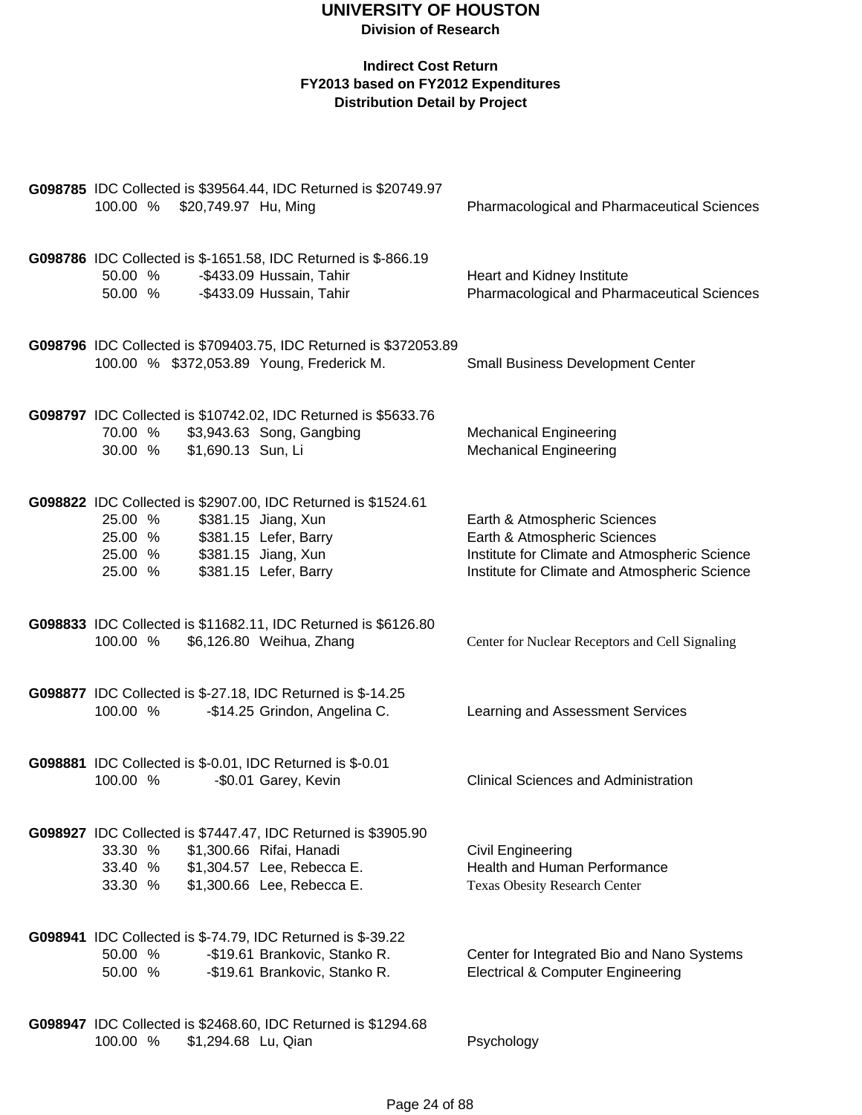| 100.00 % \$20,749.97 Hu, Ming            |                     | G098785 IDC Collected is \$39564.44, IDC Returned is \$20749.97                                                                                               | <b>Pharmacological and Pharmaceutical Sciences</b>                                                                                                             |
|------------------------------------------|---------------------|---------------------------------------------------------------------------------------------------------------------------------------------------------------|----------------------------------------------------------------------------------------------------------------------------------------------------------------|
| 50.00 %<br>50.00 %                       |                     | G098786 IDC Collected is \$-1651.58, IDC Returned is \$-866.19<br>-\$433.09 Hussain, Tahir<br>-\$433.09 Hussain, Tahir                                        | Heart and Kidney Institute<br>Pharmacological and Pharmaceutical Sciences                                                                                      |
|                                          |                     | G098796 IDC Collected is \$709403.75, IDC Returned is \$372053.89<br>100.00 % \$372,053.89 Young, Frederick M.                                                | <b>Small Business Development Center</b>                                                                                                                       |
| 70.00 %<br>30.00 %                       | \$1,690.13 Sun, Li  | G098797 IDC Collected is \$10742.02, IDC Returned is \$5633.76<br>\$3,943.63 Song, Gangbing                                                                   | <b>Mechanical Engineering</b><br><b>Mechanical Engineering</b>                                                                                                 |
| 25.00 %<br>25.00 %<br>25.00 %<br>25.00 % |                     | G098822 IDC Collected is \$2907.00, IDC Returned is \$1524.61<br>\$381.15 Jiang, Xun<br>\$381.15 Lefer, Barry<br>\$381.15 Jiang, Xun<br>\$381.15 Lefer, Barry | Earth & Atmospheric Sciences<br>Earth & Atmospheric Sciences<br>Institute for Climate and Atmospheric Science<br>Institute for Climate and Atmospheric Science |
| 100.00 %                                 |                     | G098833 IDC Collected is \$11682.11, IDC Returned is \$6126.80<br>\$6,126.80 Weihua, Zhang                                                                    | Center for Nuclear Receptors and Cell Signaling                                                                                                                |
| 100.00 %                                 |                     | G098877 IDC Collected is \$-27.18, IDC Returned is \$-14.25<br>-\$14.25 Grindon, Angelina C.                                                                  | Learning and Assessment Services                                                                                                                               |
| 100.00 %                                 |                     | G098881 IDC Collected is \$-0.01, IDC Returned is \$-0.01<br>-\$0.01 Garey, Kevin                                                                             | <b>Clinical Sciences and Administration</b>                                                                                                                    |
| 33.30 %<br>33.40 %<br>33.30 %            |                     | G098927 IDC Collected is \$7447.47, IDC Returned is \$3905.90<br>\$1,300.66 Rifai, Hanadi<br>\$1,304.57 Lee, Rebecca E.<br>\$1,300.66 Lee, Rebecca E.         | Civil Engineering<br>Health and Human Performance<br><b>Texas Obesity Research Center</b>                                                                      |
| 50.00 %<br>50.00 %                       |                     | G098941 IDC Collected is \$-74.79, IDC Returned is \$-39.22<br>-\$19.61 Brankovic, Stanko R.<br>-\$19.61 Brankovic, Stanko R.                                 | Center for Integrated Bio and Nano Systems<br><b>Electrical &amp; Computer Engineering</b>                                                                     |
| 100.00 %                                 | \$1,294.68 Lu, Qian | G098947 IDC Collected is \$2468.60, IDC Returned is \$1294.68                                                                                                 | Psychology                                                                                                                                                     |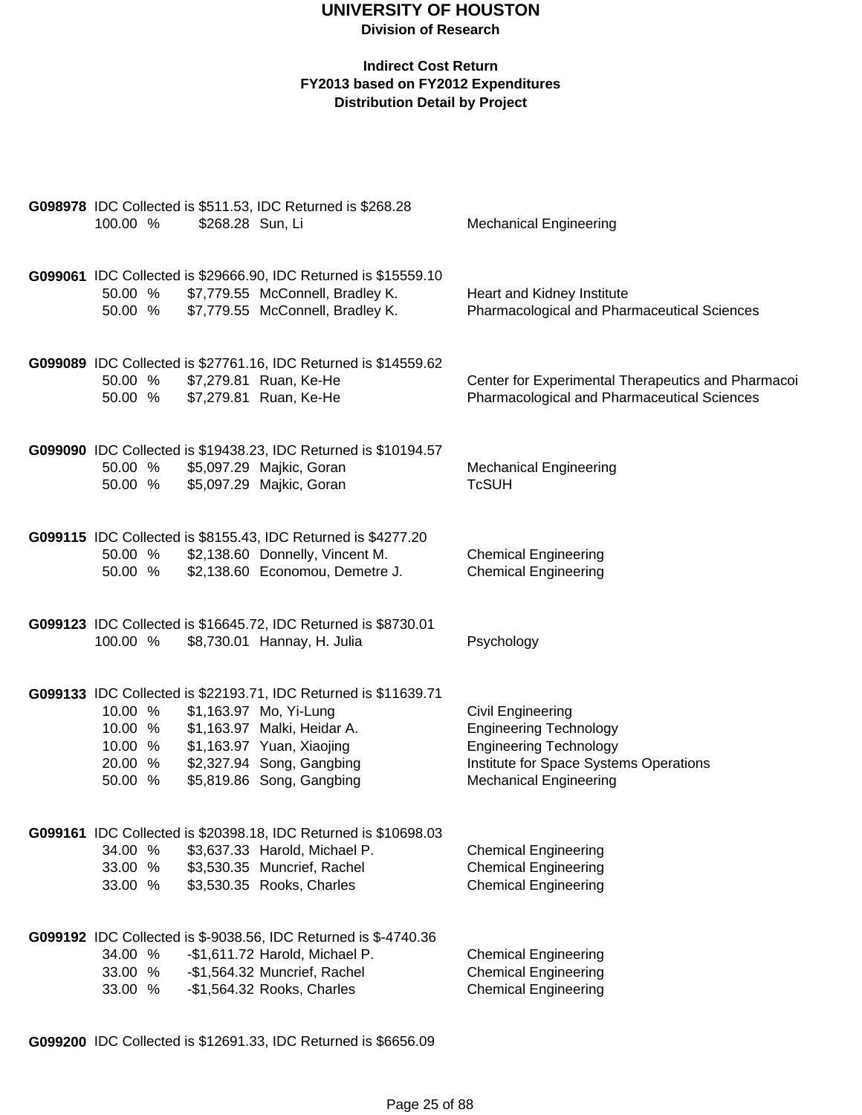### **Indirect Cost Return FY2013 based on FY2012 Expenditures Distribution Detail by Project**

| 100.00 %           | \$268.28 Sun, Li | G098978 IDC Collected is \$511.53, IDC Returned is \$268.28            | <b>Mechanical Engineering</b>                                             |
|--------------------|------------------|------------------------------------------------------------------------|---------------------------------------------------------------------------|
|                    |                  | G099061 IDC Collected is \$29666.90, IDC Returned is \$15559.10        |                                                                           |
| 50.00 %<br>50.00 % |                  | \$7,779.55 McConnell, Bradley K.<br>\$7,779.55 McConnell, Bradley K.   | Heart and Kidney Institute<br>Pharmacological and Pharmaceutical Sciences |
|                    |                  |                                                                        |                                                                           |
|                    |                  | G099089 IDC Collected is \$27761.16, IDC Returned is \$14559.62        |                                                                           |
| 50.00 %            |                  | \$7,279.81 Ruan, Ke-He                                                 | Center for Experimental Therapeutics and Pharmacoi                        |
| 50.00 %            |                  | \$7,279.81 Ruan, Ke-He                                                 | Pharmacological and Pharmaceutical Sciences                               |
|                    |                  | G099090 IDC Collected is \$19438.23, IDC Returned is \$10194.57        |                                                                           |
| 50.00 %<br>50.00 % |                  | \$5,097.29 Majkic, Goran                                               | <b>Mechanical Engineering</b><br><b>TcSUH</b>                             |
|                    |                  | \$5,097.29 Majkic, Goran                                               |                                                                           |
|                    |                  | G099115 IDC Collected is \$8155.43, IDC Returned is \$4277.20          |                                                                           |
| 50.00 %            |                  | \$2,138.60 Donnelly, Vincent M.                                        | <b>Chemical Engineering</b>                                               |
| 50.00 %            |                  | \$2,138.60 Economou, Demetre J.                                        | <b>Chemical Engineering</b>                                               |
|                    |                  | G099123 IDC Collected is \$16645.72, IDC Returned is \$8730.01         |                                                                           |
| 100.00 %           |                  | \$8,730.01 Hannay, H. Julia                                            | Psychology                                                                |
|                    |                  | G099133 IDC Collected is \$22193.71, IDC Returned is \$11639.71        |                                                                           |
| 10.00 %            |                  | \$1,163.97 Mo, Yi-Lung                                                 | Civil Engineering                                                         |
| 10.00 %<br>10.00 % |                  | \$1,163.97 Malki, Heidar A.<br>\$1,163.97 Yuan, Xiaojing               | <b>Engineering Technology</b><br><b>Engineering Technology</b>            |
| 20.00 %            |                  | \$2,327.94 Song, Gangbing                                              | Institute for Space Systems Operations                                    |
| 50.00 %            |                  | \$5,819.86 Song, Gangbing                                              | <b>Mechanical Engineering</b>                                             |
|                    |                  | G099161 IDC Collected is \$20398.18, IDC Returned is \$10698.03        |                                                                           |
| 34.00 %            |                  | \$3,637.33 Harold, Michael P.                                          | <b>Chemical Engineering</b>                                               |
| 33.00 %            |                  | \$3,530.35 Muncrief, Rachel                                            | <b>Chemical Engineering</b>                                               |
| 33.00 %            |                  | \$3,530.35 Rooks, Charles                                              | <b>Chemical Engineering</b>                                               |
|                    |                  | <b>G099192</b> IDC Collected is \$-9038.56, IDC Returned is \$-4740.36 |                                                                           |
| 34.00 %            |                  | -\$1,611.72 Harold, Michael P.                                         | <b>Chemical Engineering</b>                                               |
| 33.00 %            |                  | -\$1,564.32 Muncrief, Rachel                                           | <b>Chemical Engineering</b>                                               |
| 33.00 %            |                  | -\$1,564.32 Rooks, Charles                                             | <b>Chemical Engineering</b>                                               |

**G099200** IDC Collected is \$12691.33, IDC Returned is \$6656.09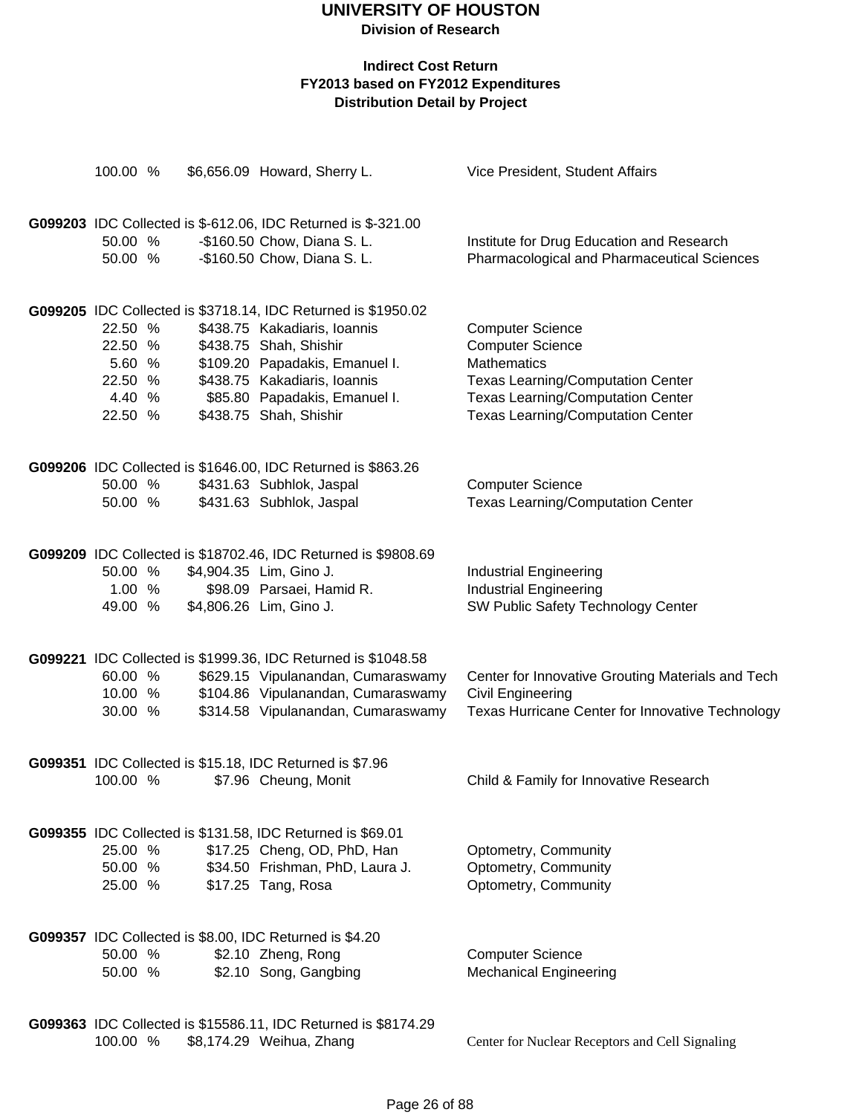**Division of Research**

| 100.00 %                                                     | \$6,656.09 Howard, Sherry L.                                                                                                                                                                                                                         | Vice President, Student Affairs                                                                                                                                                                              |
|--------------------------------------------------------------|------------------------------------------------------------------------------------------------------------------------------------------------------------------------------------------------------------------------------------------------------|--------------------------------------------------------------------------------------------------------------------------------------------------------------------------------------------------------------|
| 50.00 %<br>50.00 %                                           | G099203 IDC Collected is \$-612.06, IDC Returned is \$-321.00<br>-\$160.50 Chow, Diana S. L.<br>-\$160.50 Chow, Diana S. L.                                                                                                                          | Institute for Drug Education and Research<br>Pharmacological and Pharmaceutical Sciences                                                                                                                     |
| 22.50 %<br>22.50 %<br>5.60 %<br>22.50 %<br>4.40 %<br>22.50 % | G099205 IDC Collected is \$3718.14, IDC Returned is \$1950.02<br>\$438.75 Kakadiaris, Ioannis<br>\$438.75 Shah, Shishir<br>\$109.20 Papadakis, Emanuel I.<br>\$438.75 Kakadiaris, Ioannis<br>\$85.80 Papadakis, Emanuel I.<br>\$438.75 Shah, Shishir | <b>Computer Science</b><br><b>Computer Science</b><br><b>Mathematics</b><br><b>Texas Learning/Computation Center</b><br><b>Texas Learning/Computation Center</b><br><b>Texas Learning/Computation Center</b> |
| 50.00 %<br>50.00 %                                           | G099206 IDC Collected is \$1646.00, IDC Returned is \$863.26<br>\$431.63 Subhlok, Jaspal<br>\$431.63 Subhlok, Jaspal                                                                                                                                 | <b>Computer Science</b><br><b>Texas Learning/Computation Center</b>                                                                                                                                          |
| 50.00 %<br>1.00 %<br>49.00 %                                 | G099209 IDC Collected is \$18702.46, IDC Returned is \$9808.69<br>\$4,904.35 Lim, Gino J.<br>\$98.09 Parsaei, Hamid R.<br>\$4,806.26 Lim, Gino J.                                                                                                    | <b>Industrial Engineering</b><br><b>Industrial Engineering</b><br>SW Public Safety Technology Center                                                                                                         |
| 60.00 %<br>10.00 %<br>30.00 %                                | G099221 IDC Collected is \$1999.36, IDC Returned is \$1048.58<br>\$629.15 Vipulanandan, Cumaraswamy<br>\$104.86 Vipulanandan, Cumaraswamy<br>\$314.58 Vipulanandan, Cumaraswamy                                                                      | Center for Innovative Grouting Materials and Tech<br>Civil Engineering<br>Texas Hurricane Center for Innovative Technology                                                                                   |
| 100.00 %                                                     | G099351 IDC Collected is \$15.18, IDC Returned is \$7.96<br>\$7.96 Cheung, Monit                                                                                                                                                                     | Child & Family for Innovative Research                                                                                                                                                                       |
| 25.00 %<br>50.00 %<br>25.00 %                                | G099355 IDC Collected is \$131.58, IDC Returned is \$69.01<br>\$17.25 Cheng, OD, PhD, Han<br>\$34.50 Frishman, PhD, Laura J.<br>\$17.25 Tang, Rosa                                                                                                   | Optometry, Community<br>Optometry, Community<br>Optometry, Community                                                                                                                                         |
| 50.00 %<br>50.00 %                                           | G099357 IDC Collected is \$8.00, IDC Returned is \$4.20<br>\$2.10 Zheng, Rong<br>\$2.10 Song, Gangbing                                                                                                                                               | <b>Computer Science</b><br><b>Mechanical Engineering</b>                                                                                                                                                     |
| 100.00 %                                                     | G099363 IDC Collected is \$15586.11, IDC Returned is \$8174.29<br>\$8,174.29 Weihua, Zhang                                                                                                                                                           | Center for Nuclear Receptors and Cell Signaling                                                                                                                                                              |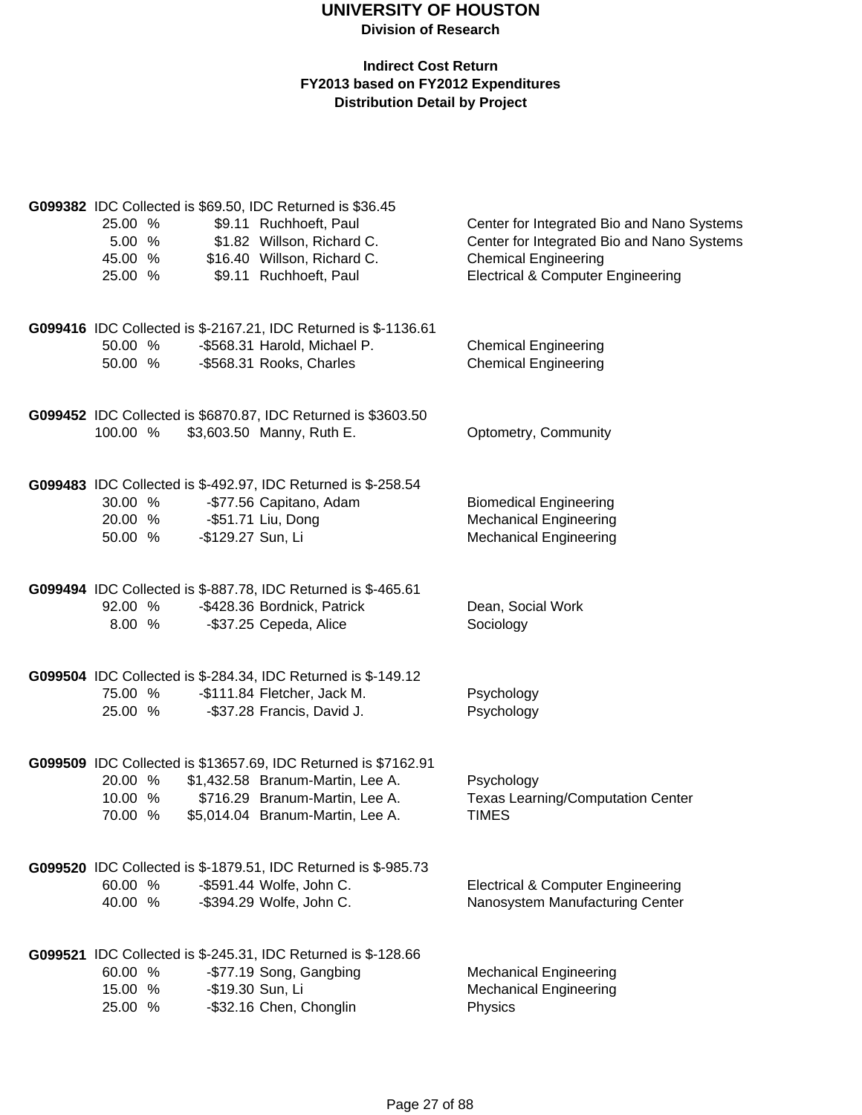|                             |                   | G099382 IDC Collected is \$69.50, IDC Returned is \$36.45          |                                                          |
|-----------------------------|-------------------|--------------------------------------------------------------------|----------------------------------------------------------|
| 25.00 %                     |                   | \$9.11 Ruchhoeft, Paul                                             | Center for Integrated Bio and Nano Systems               |
| 5.00 %                      |                   | \$1.82 Willson, Richard C.                                         | Center for Integrated Bio and Nano Systems               |
| 45.00 %                     |                   | \$16.40 Willson, Richard C.                                        | <b>Chemical Engineering</b>                              |
| 25.00 %                     |                   | \$9.11 Ruchhoeft, Paul                                             | <b>Electrical &amp; Computer Engineering</b>             |
|                             |                   | G099416 IDC Collected is \$-2167.21, IDC Returned is \$-1136.61    |                                                          |
| 50.00 %                     |                   | -\$568.31 Harold, Michael P.                                       | <b>Chemical Engineering</b>                              |
| 50.00 %                     |                   | -\$568.31 Rooks, Charles                                           | <b>Chemical Engineering</b>                              |
|                             |                   | G099452 IDC Collected is \$6870.87, IDC Returned is \$3603.50      |                                                          |
| 100.00 %                    |                   | \$3,603.50 Manny, Ruth E.                                          | Optometry, Community                                     |
|                             |                   | G099483 IDC Collected is \$-492.97, IDC Returned is \$-258.54      |                                                          |
| 30.00 %                     |                   | -\$77.56 Capitano, Adam                                            | <b>Biomedical Engineering</b>                            |
| 20.00 % - \$51.71 Liu, Dong |                   |                                                                    | <b>Mechanical Engineering</b>                            |
| 50.00 %                     | -\$129.27 Sun, Li |                                                                    | <b>Mechanical Engineering</b>                            |
|                             |                   | G099494 IDC Collected is \$-887.78, IDC Returned is \$-465.61      |                                                          |
| 92.00 %                     |                   | -\$428.36 Bordnick, Patrick                                        | Dean, Social Work                                        |
| 8.00 %                      |                   | -\$37.25 Cepeda, Alice                                             | Sociology                                                |
|                             |                   | G099504 IDC Collected is \$-284.34, IDC Returned is \$-149.12      |                                                          |
| 75.00 %                     |                   | -\$111.84 Fletcher, Jack M.                                        | Psychology                                               |
| 25.00 %                     |                   | -\$37.28 Francis, David J.                                         | Psychology                                               |
|                             |                   | G099509 IDC Collected is \$13657.69, IDC Returned is \$7162.91     |                                                          |
| 20.00 %                     |                   | \$1,432.58 Branum-Martin, Lee A.                                   | Psychology                                               |
| 10.00 %<br>70.00 %          |                   | \$716.29 Branum-Martin, Lee A.<br>\$5,014.04 Branum-Martin, Lee A. | <b>Texas Learning/Computation Center</b><br><b>TIMES</b> |
|                             |                   |                                                                    |                                                          |
|                             |                   | G099520 IDC Collected is \$-1879.51, IDC Returned is \$-985.73     |                                                          |
| 60.00 %<br>40.00 %          |                   | -\$591.44 Wolfe, John C.                                           | <b>Electrical &amp; Computer Engineering</b>             |
|                             |                   | -\$394.29 Wolfe, John C.                                           | Nanosystem Manufacturing Center                          |
|                             |                   | G099521 IDC Collected is \$-245.31, IDC Returned is \$-128.66      |                                                          |
| 60.00 %                     |                   | -\$77.19 Song, Gangbing                                            | <b>Mechanical Engineering</b>                            |
| 15.00 %<br>25.00 %          |                   | -\$19.30 Sun, Li<br>-\$32.16 Chen, Chonglin                        | <b>Mechanical Engineering</b><br>Physics                 |
|                             |                   |                                                                    |                                                          |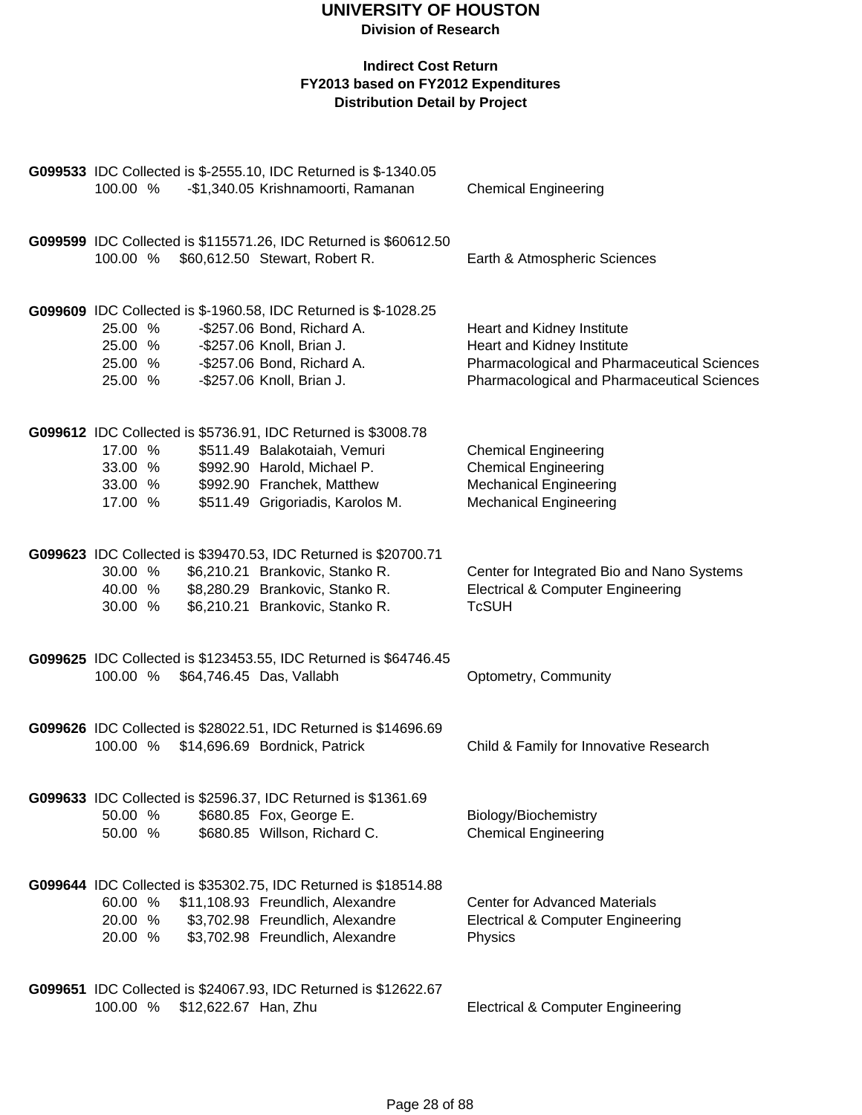|                    |                      | G099533 IDC Collected is \$-2555.10, IDC Returned is \$-1340.05                                    |                                                                                      |
|--------------------|----------------------|----------------------------------------------------------------------------------------------------|--------------------------------------------------------------------------------------|
| 100.00 %           |                      | -\$1,340.05 Krishnamoorti, Ramanan                                                                 | <b>Chemical Engineering</b>                                                          |
| 100.00 %           |                      | G099599 IDC Collected is \$115571.26, IDC Returned is \$60612.50<br>\$60,612.50 Stewart, Robert R. | Earth & Atmospheric Sciences                                                         |
| 25.00 %            |                      | G099609 IDC Collected is \$-1960.58, IDC Returned is \$-1028.25<br>-\$257.06 Bond, Richard A.      | Heart and Kidney Institute                                                           |
| 25.00 %            |                      | -\$257.06 Knoll, Brian J.                                                                          | Heart and Kidney Institute                                                           |
| 25.00 %            |                      | -\$257.06 Bond, Richard A.                                                                         | Pharmacological and Pharmaceutical Sciences                                          |
| 25.00 %            |                      | -\$257.06 Knoll, Brian J.                                                                          | Pharmacological and Pharmaceutical Sciences                                          |
|                    |                      | G099612 IDC Collected is \$5736.91, IDC Returned is \$3008.78                                      |                                                                                      |
| 17.00 %            |                      | \$511.49 Balakotaiah, Vemuri                                                                       | <b>Chemical Engineering</b>                                                          |
| 33.00 %<br>33.00 % |                      | \$992.90 Harold, Michael P.<br>\$992.90 Franchek, Matthew                                          | <b>Chemical Engineering</b><br><b>Mechanical Engineering</b>                         |
| 17.00 %            |                      | \$511.49 Grigoriadis, Karolos M.                                                                   | <b>Mechanical Engineering</b>                                                        |
|                    |                      | G099623 IDC Collected is \$39470.53, IDC Returned is \$20700.71                                    |                                                                                      |
| 30.00 %            |                      | \$6,210.21 Brankovic, Stanko R.                                                                    | Center for Integrated Bio and Nano Systems                                           |
| 40.00 %            |                      | \$8,280.29 Brankovic, Stanko R.                                                                    | <b>Electrical &amp; Computer Engineering</b>                                         |
| 30.00 %            |                      | \$6,210.21 Brankovic, Stanko R.                                                                    | <b>TcSUH</b>                                                                         |
|                    |                      | G099625 IDC Collected is \$123453.55, IDC Returned is \$64746.45                                   |                                                                                      |
| 100.00 %           |                      | \$64,746.45 Das, Vallabh                                                                           | Optometry, Community                                                                 |
|                    |                      | G099626 IDC Collected is \$28022.51, IDC Returned is \$14696.69                                    |                                                                                      |
|                    |                      | 100.00 % \$14,696.69 Bordnick, Patrick                                                             | Child & Family for Innovative Research                                               |
|                    |                      | G099633 IDC Collected is \$2596.37, IDC Returned is \$1361.69                                      |                                                                                      |
| 50.00 %            |                      | \$680.85 Fox, George E.                                                                            | Biology/Biochemistry                                                                 |
| 50.00 %            |                      | \$680.85 Willson, Richard C.                                                                       | <b>Chemical Engineering</b>                                                          |
|                    |                      | G099644 IDC Collected is \$35302.75, IDC Returned is \$18514.88                                    |                                                                                      |
| 60.00 %<br>20.00 % |                      | \$11,108.93 Freundlich, Alexandre<br>\$3,702.98 Freundlich, Alexandre                              | <b>Center for Advanced Materials</b><br><b>Electrical &amp; Computer Engineering</b> |
| 20.00 %            |                      | \$3,702.98 Freundlich, Alexandre                                                                   | Physics                                                                              |
|                    |                      | G099651 IDC Collected is \$24067.93, IDC Returned is \$12622.67                                    |                                                                                      |
| 100.00 %           | \$12,622.67 Han, Zhu |                                                                                                    | <b>Electrical &amp; Computer Engineering</b>                                         |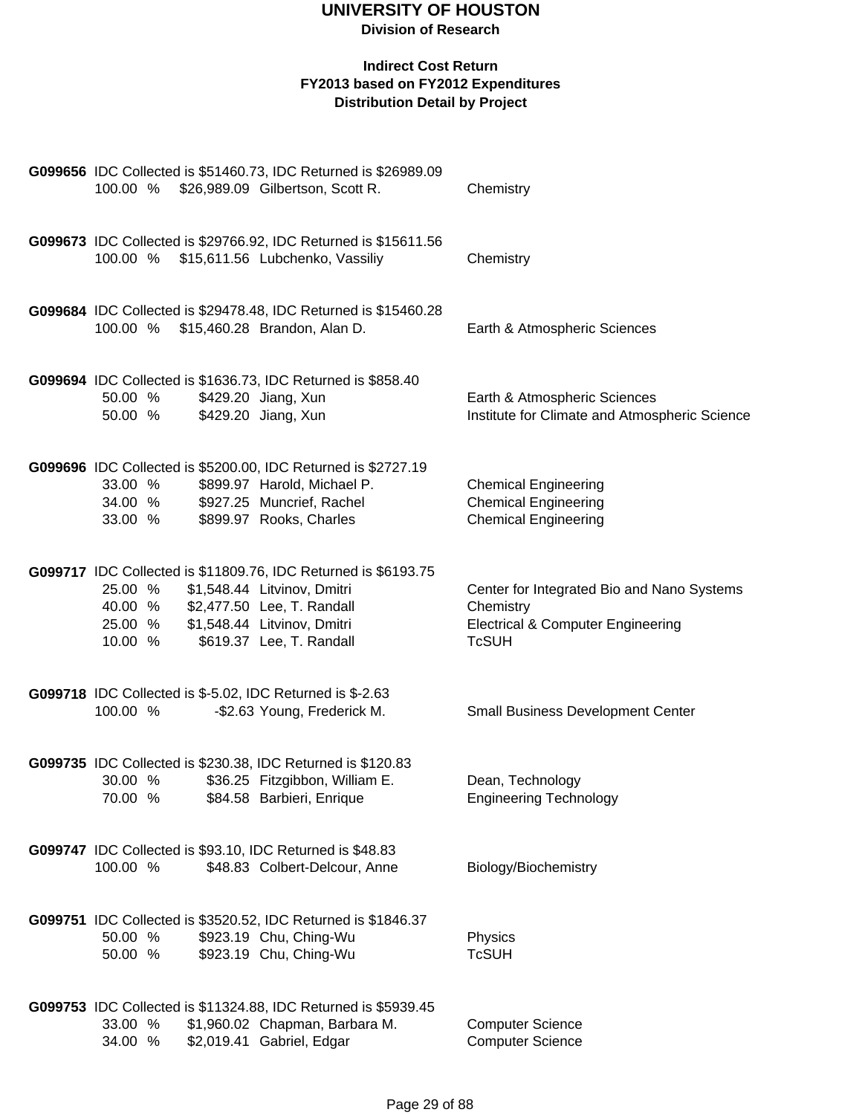### **Division of Research**

|                                                                     | G099656 IDC Collected is \$51460.73, IDC Returned is \$26989.09<br>100.00 % \$26,989.09 Gilbertson, Scott R.                                             | Chemistry                                                                                                               |
|---------------------------------------------------------------------|----------------------------------------------------------------------------------------------------------------------------------------------------------|-------------------------------------------------------------------------------------------------------------------------|
|                                                                     | G099673 IDC Collected is \$29766.92, IDC Returned is \$15611.56<br>100.00 % \$15,611.56 Lubchenko, Vassiliy                                              | Chemistry                                                                                                               |
| 100.00 % \$15,460.28 Brandon, Alan D.                               | G099684 IDC Collected is \$29478.48, IDC Returned is \$15460.28                                                                                          | Earth & Atmospheric Sciences                                                                                            |
| 50.00 %<br>50.00 %                                                  | G099694 IDC Collected is \$1636.73, IDC Returned is \$858.40<br>\$429.20 Jiang, Xun<br>\$429.20 Jiang, Xun                                               | Earth & Atmospheric Sciences<br>Institute for Climate and Atmospheric Science                                           |
| 33.00 %<br>34.00 %<br>33.00 %                                       | G099696 IDC Collected is \$5200.00, IDC Returned is \$2727.19<br>\$899.97 Harold, Michael P.<br>\$927.25 Muncrief, Rachel<br>\$899.97 Rooks, Charles     | <b>Chemical Engineering</b><br><b>Chemical Engineering</b><br><b>Chemical Engineering</b>                               |
| 25.00 %<br>40.00 % \$2,477.50 Lee, T. Randall<br>25.00 %<br>10.00 % | G099717 IDC Collected is \$11809.76, IDC Returned is \$6193.75<br>\$1,548.44 Litvinov, Dmitri<br>\$1,548.44 Litvinov, Dmitri<br>\$619.37 Lee, T. Randall | Center for Integrated Bio and Nano Systems<br>Chemistry<br><b>Electrical &amp; Computer Engineering</b><br><b>TcSUH</b> |
| 100.00 %                                                            | <b>G099718</b> IDC Collected is \$-5.02, IDC Returned is \$-2.63<br>-\$2.63 Young, Frederick M.                                                          | <b>Small Business Development Center</b>                                                                                |
| 30.00 %<br>70.00 %                                                  | G099735 IDC Collected is \$230.38, IDC Returned is \$120.83<br>\$36.25 Fitzgibbon, William E.<br>\$84.58 Barbieri, Enrique                               | Dean, Technology<br><b>Engineering Technology</b>                                                                       |
| 100.00 %                                                            | G099747 IDC Collected is \$93.10, IDC Returned is \$48.83<br>\$48.83 Colbert-Delcour, Anne                                                               | Biology/Biochemistry                                                                                                    |
| 50.00 %<br>50.00 %                                                  | G099751 IDC Collected is \$3520.52, IDC Returned is \$1846.37<br>\$923.19 Chu, Ching-Wu<br>\$923.19 Chu, Ching-Wu                                        | Physics<br><b>TcSUH</b>                                                                                                 |
| 33.00 %<br>34.00 %                                                  | G099753 IDC Collected is \$11324.88, IDC Returned is \$5939.45<br>\$1,960.02 Chapman, Barbara M.<br>\$2,019.41 Gabriel, Edgar                            | <b>Computer Science</b><br><b>Computer Science</b>                                                                      |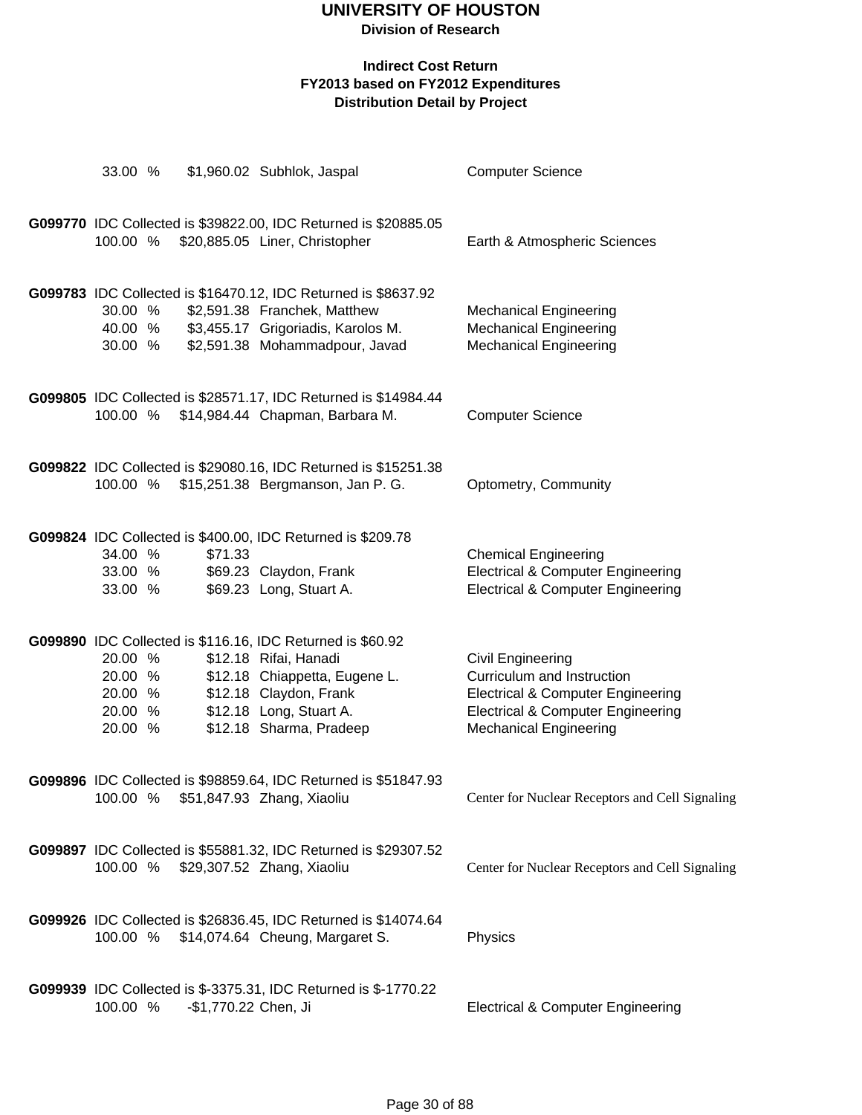| 33.00 %            |                      | \$1,960.02 Subhlok, Jaspal                                                                     | <b>Computer Science</b>                                |
|--------------------|----------------------|------------------------------------------------------------------------------------------------|--------------------------------------------------------|
|                    |                      |                                                                                                |                                                        |
|                    |                      | G099770 IDC Collected is \$39822.00, IDC Returned is \$20885.05                                |                                                        |
| 100.00 %           |                      | \$20,885.05 Liner, Christopher                                                                 | Earth & Atmospheric Sciences                           |
|                    |                      |                                                                                                |                                                        |
| 30.00 %            |                      | G099783 IDC Collected is \$16470.12, IDC Returned is \$8637.92<br>\$2,591.38 Franchek, Matthew | <b>Mechanical Engineering</b>                          |
| 40.00 %            |                      | \$3,455.17 Grigoriadis, Karolos M.                                                             | <b>Mechanical Engineering</b>                          |
| 30.00 %            |                      | \$2,591.38 Mohammadpour, Javad                                                                 | <b>Mechanical Engineering</b>                          |
|                    |                      |                                                                                                |                                                        |
|                    |                      | G099805 IDC Collected is \$28571.17, IDC Returned is \$14984.44                                |                                                        |
| 100.00 %           |                      | \$14,984.44 Chapman, Barbara M.                                                                | <b>Computer Science</b>                                |
|                    |                      |                                                                                                |                                                        |
|                    |                      | G099822 IDC Collected is \$29080.16, IDC Returned is \$15251.38                                |                                                        |
| 100.00 %           |                      | \$15,251.38 Bergmanson, Jan P. G.                                                              | Optometry, Community                                   |
|                    |                      |                                                                                                |                                                        |
| 34.00 %            | \$71.33              | G099824 IDC Collected is \$400.00, IDC Returned is \$209.78                                    | <b>Chemical Engineering</b>                            |
| 33.00 %            |                      | \$69.23 Claydon, Frank                                                                         | <b>Electrical &amp; Computer Engineering</b>           |
| 33.00 %            |                      | \$69.23 Long, Stuart A.                                                                        | <b>Electrical &amp; Computer Engineering</b>           |
|                    |                      |                                                                                                |                                                        |
|                    |                      | G099890 IDC Collected is \$116.16, IDC Returned is \$60.92                                     |                                                        |
| 20.00 %<br>20.00 % |                      | \$12.18 Rifai, Hanadi<br>\$12.18 Chiappetta, Eugene L.                                         | <b>Civil Engineering</b><br>Curriculum and Instruction |
| 20.00 %            |                      | \$12.18 Claydon, Frank                                                                         | <b>Electrical &amp; Computer Engineering</b>           |
| 20.00 %            |                      | \$12.18 Long, Stuart A.                                                                        | <b>Electrical &amp; Computer Engineering</b>           |
| 20.00 %            |                      | \$12.18 Sharma, Pradeep                                                                        | <b>Mechanical Engineering</b>                          |
|                    |                      |                                                                                                |                                                        |
| 100.00 %           |                      | G099896 IDC Collected is \$98859.64, IDC Returned is \$51847.93<br>\$51,847.93 Zhang, Xiaoliu  | Center for Nuclear Receptors and Cell Signaling        |
|                    |                      |                                                                                                |                                                        |
|                    |                      | G099897 IDC Collected is \$55881.32, IDC Returned is \$29307.52                                |                                                        |
| 100.00 %           |                      | \$29,307.52 Zhang, Xiaoliu                                                                     | Center for Nuclear Receptors and Cell Signaling        |
|                    |                      |                                                                                                |                                                        |
|                    |                      | G099926 IDC Collected is \$26836.45, IDC Returned is \$14074.64                                |                                                        |
| 100.00 %           |                      | \$14,074.64 Cheung, Margaret S.                                                                | Physics                                                |
|                    |                      |                                                                                                |                                                        |
|                    |                      | G099939 IDC Collected is \$-3375.31, IDC Returned is \$-1770.22                                |                                                        |
| 100.00 %           | -\$1,770.22 Chen, Ji |                                                                                                | <b>Electrical &amp; Computer Engineering</b>           |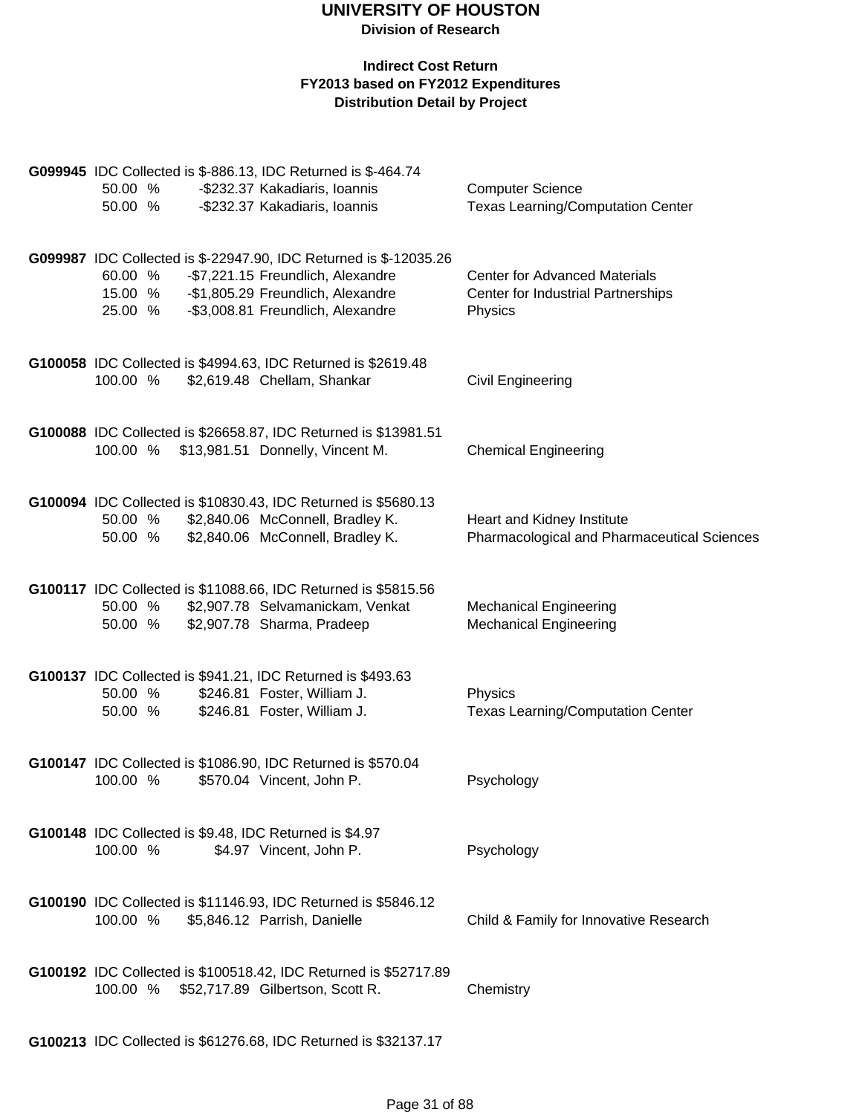| 50.00 %<br>50.00 %                                                  | G099945 IDC Collected is \$-886.13, IDC Returned is \$-464.74<br>-\$232.37 Kakadiaris, Ioannis<br>-\$232.37 Kakadiaris, Ioannis                                                  | <b>Computer Science</b><br><b>Texas Learning/Computation Center</b>                   |
|---------------------------------------------------------------------|----------------------------------------------------------------------------------------------------------------------------------------------------------------------------------|---------------------------------------------------------------------------------------|
| 60.00 %<br>15.00 %<br>25.00 %                                       | G099987 IDC Collected is \$-22947.90, IDC Returned is \$-12035.26<br>-\$7,221.15 Freundlich, Alexandre<br>-\$1,805.29 Freundlich, Alexandre<br>-\$3,008.81 Freundlich, Alexandre | <b>Center for Advanced Materials</b><br>Center for Industrial Partnerships<br>Physics |
| 100.00 %                                                            | G100058 IDC Collected is \$4994.63, IDC Returned is \$2619.48<br>\$2,619.48 Chellam, Shankar                                                                                     | <b>Civil Engineering</b>                                                              |
| 100.00 %                                                            | G100088 IDC Collected is \$26658.87, IDC Returned is \$13981.51<br>\$13,981.51 Donnelly, Vincent M.                                                                              | <b>Chemical Engineering</b>                                                           |
| 50.00 %<br>50.00 %                                                  | G100094 IDC Collected is \$10830.43, IDC Returned is \$5680.13<br>\$2,840.06 McConnell, Bradley K.<br>\$2,840.06 McConnell, Bradley K.                                           | Heart and Kidney Institute<br>Pharmacological and Pharmaceutical Sciences             |
| 50.00 %<br>50.00 %                                                  | G100117 IDC Collected is \$11088.66, IDC Returned is \$5815.56<br>\$2,907.78 Selvamanickam, Venkat<br>\$2,907.78 Sharma, Pradeep                                                 | <b>Mechanical Engineering</b><br><b>Mechanical Engineering</b>                        |
| 50.00 %<br>50.00 %                                                  | G100137 IDC Collected is \$941.21, IDC Returned is \$493.63<br>\$246.81 Foster, William J.<br>\$246.81 Foster, William J.                                                        | Physics<br><b>Texas Learning/Computation Center</b>                                   |
| 100.00 %                                                            | G100147 IDC Collected is \$1086.90, IDC Returned is \$570.04<br>\$570.04 Vincent, John P.                                                                                        | Psychology                                                                            |
| G100148 IDC Collected is \$9.48, IDC Returned is \$4.97<br>100.00 % | \$4.97 Vincent, John P.                                                                                                                                                          | Psychology                                                                            |
| 100.00 %                                                            | G100190 IDC Collected is \$11146.93, IDC Returned is \$5846.12<br>\$5,846.12 Parrish, Danielle                                                                                   | Child & Family for Innovative Research                                                |
| 100.00 %                                                            | G100192 IDC Collected is \$100518.42, IDC Returned is \$52717.89<br>\$52,717.89 Gilbertson, Scott R.                                                                             | Chemistry                                                                             |
|                                                                     | G100213 IDC Collected is \$61276.68, IDC Returned is \$32137.17                                                                                                                  |                                                                                       |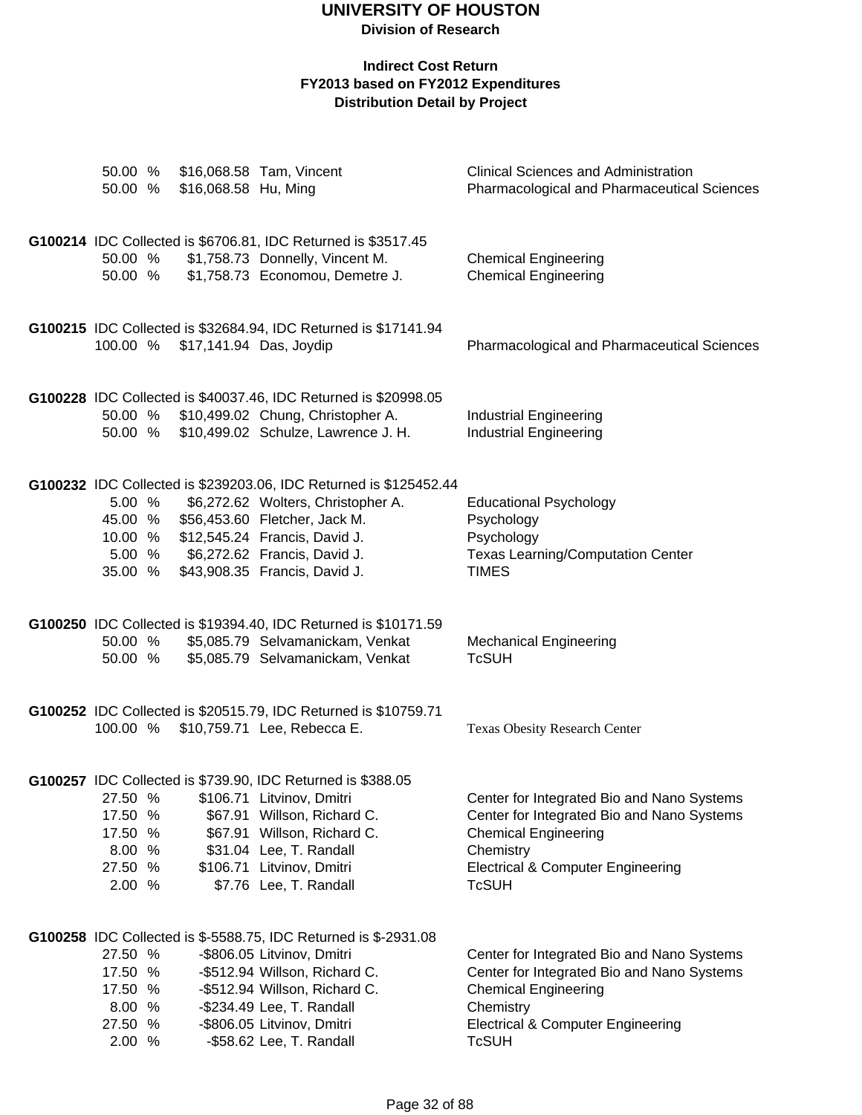**Division of Research**

| 50.00 %<br>50.00 %                                           | \$16,068.58 Hu, Ming | \$16,068.58 Tam, Vincent                                                                                                                                                                                                                               | <b>Clinical Sciences and Administration</b><br>Pharmacological and Pharmaceutical Sciences                                                                                                           |
|--------------------------------------------------------------|----------------------|--------------------------------------------------------------------------------------------------------------------------------------------------------------------------------------------------------------------------------------------------------|------------------------------------------------------------------------------------------------------------------------------------------------------------------------------------------------------|
| 50.00 %<br>50.00 %                                           |                      | G100214 IDC Collected is \$6706.81, IDC Returned is \$3517.45<br>\$1,758.73 Donnelly, Vincent M.<br>\$1,758.73 Economou, Demetre J.                                                                                                                    | <b>Chemical Engineering</b><br><b>Chemical Engineering</b>                                                                                                                                           |
| 100.00 %                                                     |                      | G100215 IDC Collected is \$32684.94, IDC Returned is \$17141.94<br>\$17,141.94 Das, Joydip                                                                                                                                                             | <b>Pharmacological and Pharmaceutical Sciences</b>                                                                                                                                                   |
| 50.00 %<br>50.00 %                                           |                      | G100228 IDC Collected is \$40037.46, IDC Returned is \$20998.05<br>\$10,499.02 Chung, Christopher A.<br>\$10,499.02 Schulze, Lawrence J. H.                                                                                                            | <b>Industrial Engineering</b><br><b>Industrial Engineering</b>                                                                                                                                       |
| 5.00 %<br>45.00 %<br>10.00 %<br>5.00 %<br>35.00 %            |                      | G100232 IDC Collected is \$239203.06, IDC Returned is \$125452.44<br>\$6,272.62 Wolters, Christopher A.<br>\$56,453.60 Fletcher, Jack M.<br>\$12,545.24 Francis, David J.<br>\$6,272.62 Francis, David J.<br>\$43,908.35 Francis, David J.             | <b>Educational Psychology</b><br>Psychology<br>Psychology<br><b>Texas Learning/Computation Center</b><br><b>TIMES</b>                                                                                |
| 50.00 %<br>50.00 %                                           |                      | G100250 IDC Collected is \$19394.40, IDC Returned is \$10171.59<br>\$5,085.79 Selvamanickam, Venkat<br>\$5,085.79 Selvamanickam, Venkat                                                                                                                | <b>Mechanical Engineering</b><br><b>TcSUH</b>                                                                                                                                                        |
| 100.00 %                                                     |                      | G100252 IDC Collected is \$20515.79, IDC Returned is \$10759.71<br>\$10,759.71 Lee, Rebecca E.                                                                                                                                                         | <b>Texas Obesity Research Center</b>                                                                                                                                                                 |
| 27.50 %<br>17.50 %<br>17.50 %<br>8.00 %<br>27.50 %<br>2.00 % |                      | G100257 IDC Collected is \$739.90, IDC Returned is \$388.05<br>\$106.71 Litvinov, Dmitri<br>\$67.91 Willson, Richard C.<br>\$67.91 Willson, Richard C.<br>\$31.04 Lee, T. Randall<br>\$106.71 Litvinov, Dmitri<br>\$7.76 Lee, T. Randall               | Center for Integrated Bio and Nano Systems<br>Center for Integrated Bio and Nano Systems<br><b>Chemical Engineering</b><br>Chemistry<br>Electrical & Computer Engineering<br><b>TcSUH</b>            |
| 27.50 %<br>17.50 %<br>17.50 %<br>8.00 %<br>27.50 %<br>2.00 % |                      | G100258 IDC Collected is \$-5588.75, IDC Returned is \$-2931.08<br>-\$806.05 Litvinov, Dmitri<br>-\$512.94 Willson, Richard C.<br>-\$512.94 Willson, Richard C.<br>-\$234.49 Lee, T. Randall<br>-\$806.05 Litvinov, Dmitri<br>-\$58.62 Lee, T. Randall | Center for Integrated Bio and Nano Systems<br>Center for Integrated Bio and Nano Systems<br><b>Chemical Engineering</b><br>Chemistry<br><b>Electrical &amp; Computer Engineering</b><br><b>TcSUH</b> |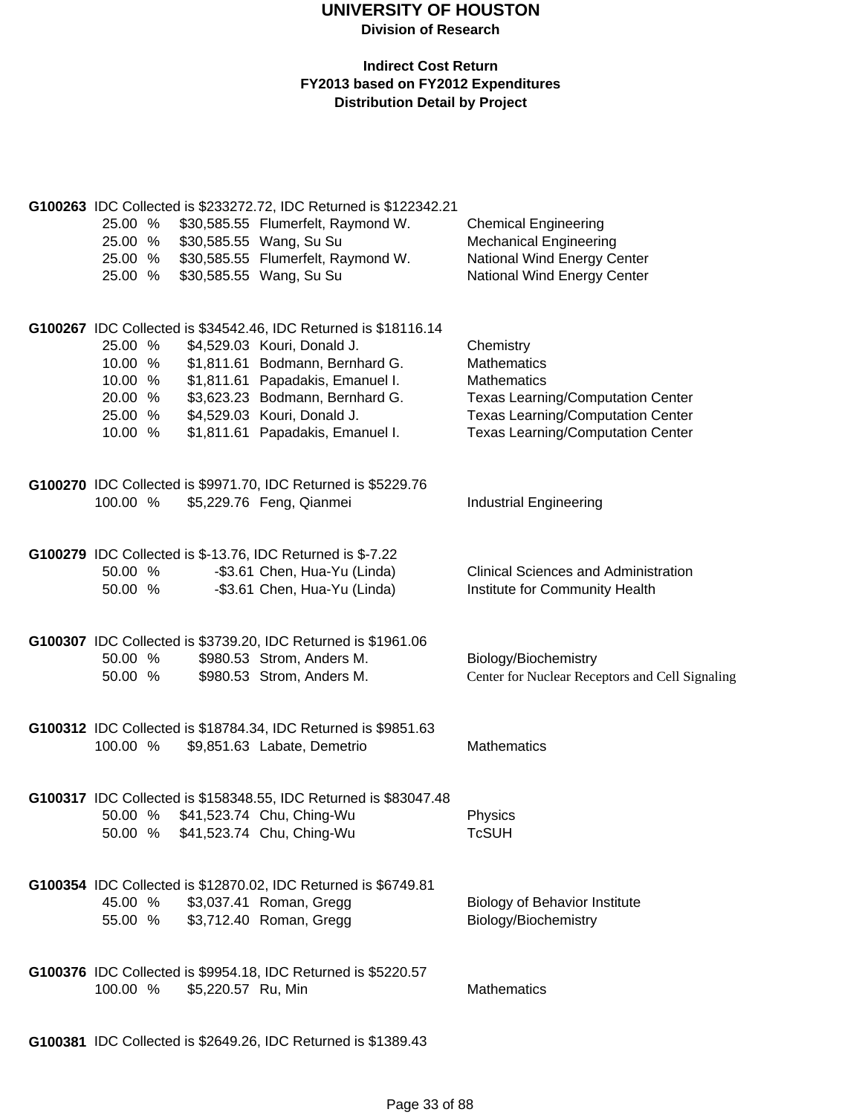### **Indirect Cost Return FY2013 based on FY2012 Expenditures Distribution Detail by Project**

| 25.00 %<br>25.00 %<br>25.00 %<br>25.00 %                                         | G100263 IDC Collected is \$233272.72, IDC Returned is \$122342.21<br>\$30,585.55 Flumerfelt, Raymond W.<br>\$30,585.55 Wang, Su Su<br>\$30,585.55 Flumerfelt, Raymond W.<br>\$30,585.55 Wang, Su Su                                                                         | <b>Chemical Engineering</b><br><b>Mechanical Engineering</b><br>National Wind Energy Center<br>National Wind Energy Center                                                                |
|----------------------------------------------------------------------------------|-----------------------------------------------------------------------------------------------------------------------------------------------------------------------------------------------------------------------------------------------------------------------------|-------------------------------------------------------------------------------------------------------------------------------------------------------------------------------------------|
| 25.00 %<br>10.00 %<br>10.00 %<br>20.00 %<br>25.00 %<br>10.00 %                   | G100267 IDC Collected is \$34542.46, IDC Returned is \$18116.14<br>\$4,529.03 Kouri, Donald J.<br>\$1,811.61 Bodmann, Bernhard G.<br>\$1,811.61 Papadakis, Emanuel I.<br>\$3,623.23 Bodmann, Bernhard G.<br>\$4,529.03 Kouri, Donald J.<br>\$1,811.61 Papadakis, Emanuel I. | Chemistry<br><b>Mathematics</b><br><b>Mathematics</b><br><b>Texas Learning/Computation Center</b><br><b>Texas Learning/Computation Center</b><br><b>Texas Learning/Computation Center</b> |
| 100.00 %                                                                         | G100270 IDC Collected is \$9971.70, IDC Returned is \$5229.76<br>\$5,229.76 Feng, Qianmei                                                                                                                                                                                   | <b>Industrial Engineering</b>                                                                                                                                                             |
| G100279 IDC Collected is \$-13.76, IDC Returned is \$-7.22<br>50.00 %<br>50.00 % | -\$3.61 Chen, Hua-Yu (Linda)<br>-\$3.61 Chen, Hua-Yu (Linda)                                                                                                                                                                                                                | <b>Clinical Sciences and Administration</b><br>Institute for Community Health                                                                                                             |
| 50.00 %<br>50.00 %                                                               | G100307 IDC Collected is \$3739.20, IDC Returned is \$1961.06<br>\$980.53 Strom, Anders M.<br>\$980.53 Strom, Anders M.                                                                                                                                                     | Biology/Biochemistry<br>Center for Nuclear Receptors and Cell Signaling                                                                                                                   |
| 100.00 %                                                                         | G100312 IDC Collected is \$18784.34, IDC Returned is \$9851.63<br>\$9,851.63 Labate, Demetrio                                                                                                                                                                               | <b>Mathematics</b>                                                                                                                                                                        |
| 50.00 %<br>50.00 % \$41,523.74 Chu, Ching-Wu                                     | G100317 IDC Collected is \$158348.55, IDC Returned is \$83047.48<br>\$41,523.74 Chu, Ching-Wu                                                                                                                                                                               | Physics<br><b>TcSUH</b>                                                                                                                                                                   |
| 45.00 %<br>55.00 %                                                               | G100354 IDC Collected is \$12870.02, IDC Returned is \$6749.81<br>\$3,037.41 Roman, Gregg<br>\$3,712.40 Roman, Gregg                                                                                                                                                        | <b>Biology of Behavior Institute</b><br>Biology/Biochemistry                                                                                                                              |
| 100.00 %<br>\$5,220.57 Ru, Min                                                   | G100376 IDC Collected is \$9954.18, IDC Returned is \$5220.57                                                                                                                                                                                                               | <b>Mathematics</b>                                                                                                                                                                        |

**G100381** IDC Collected is \$2649.26, IDC Returned is \$1389.43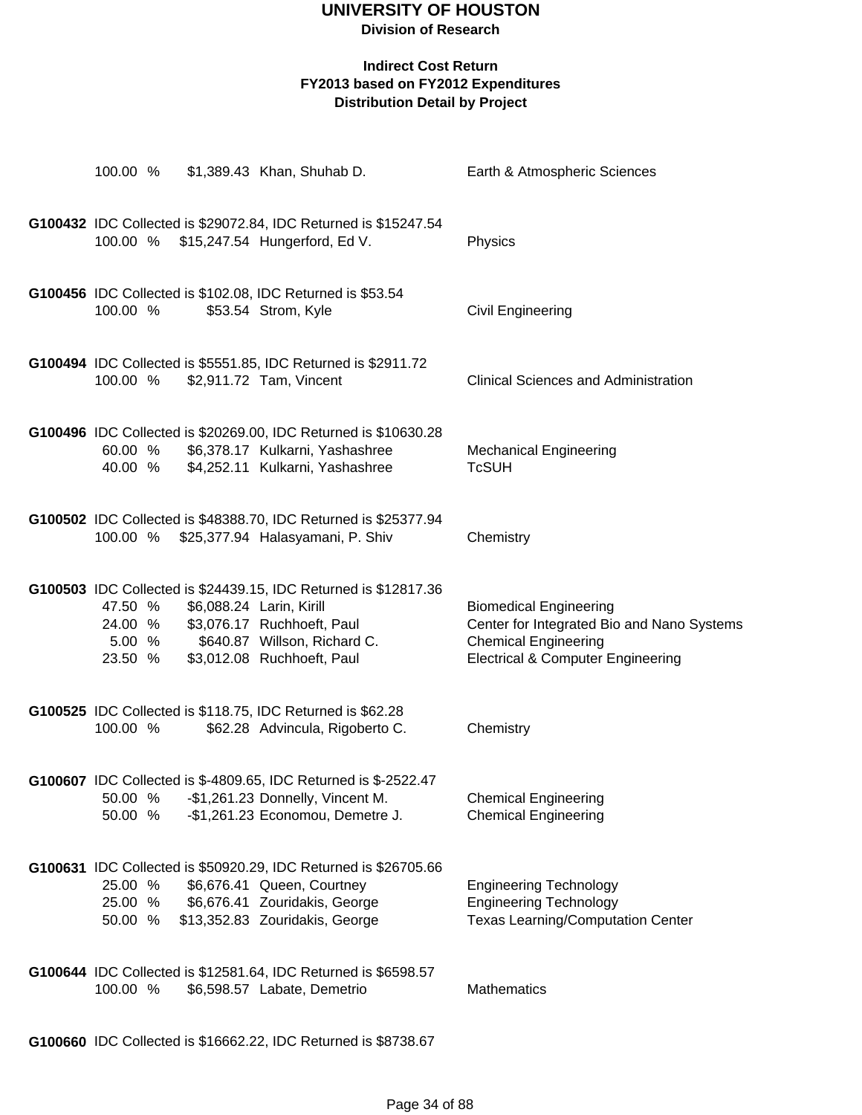### **Indirect Cost Return FY2013 based on FY2012 Expenditures Distribution Detail by Project**

| 100.00 %                      | \$1,389.43 Khan, Shuhab D.                                                                                                                                                                      | Earth & Atmospheric Sciences                                                                                                                               |
|-------------------------------|-------------------------------------------------------------------------------------------------------------------------------------------------------------------------------------------------|------------------------------------------------------------------------------------------------------------------------------------------------------------|
|                               | G100432 IDC Collected is \$29072.84, IDC Returned is \$15247.54<br>100.00 % \$15,247.54 Hungerford, Ed V.                                                                                       | Physics                                                                                                                                                    |
| 100.00 %                      | G100456 IDC Collected is \$102.08, IDC Returned is \$53.54<br>\$53.54 Strom, Kyle                                                                                                               | Civil Engineering                                                                                                                                          |
| 100.00 %                      | G100494 IDC Collected is \$5551.85, IDC Returned is \$2911.72<br>\$2,911.72 Tam, Vincent                                                                                                        | <b>Clinical Sciences and Administration</b>                                                                                                                |
| 60.00 %<br>40.00 %            | G100496 IDC Collected is \$20269.00, IDC Returned is \$10630.28<br>\$6,378.17 Kulkarni, Yashashree<br>\$4,252.11 Kulkarni, Yashashree                                                           | <b>Mechanical Engineering</b><br><b>TcSUH</b>                                                                                                              |
| 100.00 %                      | G100502 IDC Collected is \$48388.70, IDC Returned is \$25377.94<br>\$25,377.94 Halasyamani, P. Shiv                                                                                             | Chemistry                                                                                                                                                  |
| 47.50 %<br>5.00 %<br>23.50 %  | G100503 IDC Collected is \$24439.15, IDC Returned is \$12817.36<br>\$6,088.24 Larin, Kirill<br>24.00 % \$3,076.17 Ruchhoeft, Paul<br>\$640.87 Willson, Richard C.<br>\$3,012.08 Ruchhoeft, Paul | <b>Biomedical Engineering</b><br>Center for Integrated Bio and Nano Systems<br><b>Chemical Engineering</b><br><b>Electrical &amp; Computer Engineering</b> |
| 100.00 %                      | G100525 IDC Collected is \$118.75, IDC Returned is \$62.28<br>\$62.28 Advincula, Rigoberto C.                                                                                                   | Chemistry                                                                                                                                                  |
| 50.00 %                       | G100607 IDC Collected is \$-4809.65, IDC Returned is \$-2522.47<br>50.00 % - \$1,261.23 Donnelly, Vincent M.<br>-\$1,261.23 Economou, Demetre J.                                                | <b>Chemical Engineering</b><br><b>Chemical Engineering</b>                                                                                                 |
| 25.00 %<br>25.00 %<br>50.00 % | G100631 IDC Collected is \$50920.29, IDC Returned is \$26705.66<br>\$6,676.41 Queen, Courtney<br>\$6,676.41 Zouridakis, George<br>\$13,352.83 Zouridakis, George                                | <b>Engineering Technology</b><br><b>Engineering Technology</b><br><b>Texas Learning/Computation Center</b>                                                 |
| 100.00 %                      | G100644 IDC Collected is \$12581.64, IDC Returned is \$6598.57<br>\$6,598.57 Labate, Demetrio                                                                                                   | <b>Mathematics</b>                                                                                                                                         |

**G100660** IDC Collected is \$16662.22, IDC Returned is \$8738.67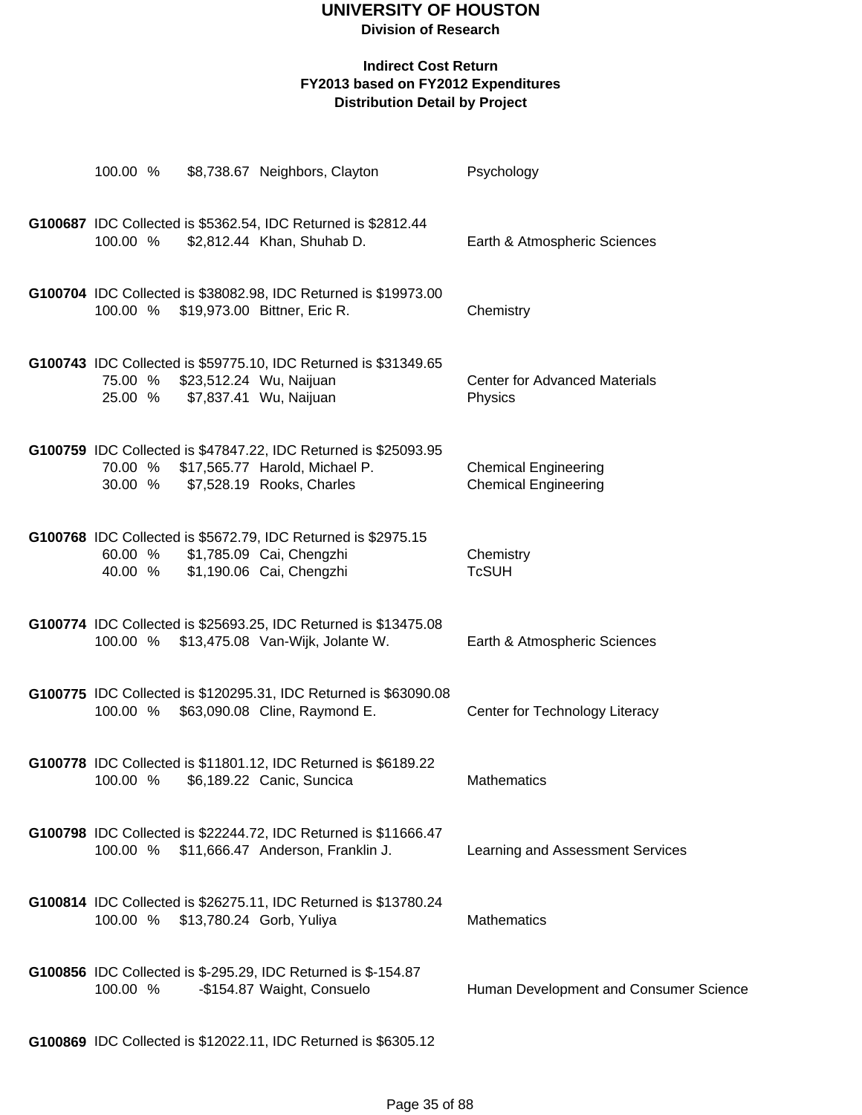**Division of Research**

### **Indirect Cost Return FY2013 based on FY2012 Expenditures Distribution Detail by Project**

|                    | 100.00 % \$8,738.67 Neighbors, Clayton                                                                                                 | Psychology                                                 |
|--------------------|----------------------------------------------------------------------------------------------------------------------------------------|------------------------------------------------------------|
| 100.00 %           | G100687 IDC Collected is \$5362.54, IDC Returned is \$2812.44<br>\$2,812.44 Khan, Shuhab D.                                            | Earth & Atmospheric Sciences                               |
| 100.00 %           | G100704 IDC Collected is \$38082.98, IDC Returned is \$19973.00<br>\$19,973.00 Bittner, Eric R.                                        | Chemistry                                                  |
| 75.00 %            | G100743 IDC Collected is \$59775.10, IDC Returned is \$31349.65<br>\$23,512.24 Wu, Naijuan<br>25.00 % \$7,837.41 Wu, Naijuan           | <b>Center for Advanced Materials</b><br>Physics            |
| 30.00 %            | G100759 IDC Collected is \$47847.22, IDC Returned is \$25093.95<br>70.00 % \$17,565.77 Harold, Michael P.<br>\$7,528.19 Rooks, Charles | <b>Chemical Engineering</b><br><b>Chemical Engineering</b> |
| 60.00 %<br>40.00 % | G100768 IDC Collected is \$5672.79, IDC Returned is \$2975.15<br>\$1,785.09 Cai, Chengzhi<br>\$1,190.06 Cai, Chengzhi                  | Chemistry<br><b>TcSUH</b>                                  |
|                    | G100774 IDC Collected is \$25693.25, IDC Returned is \$13475.08<br>100.00 % \$13,475.08 Van-Wijk, Jolante W.                           | Earth & Atmospheric Sciences                               |
| 100.00 %           | G100775 IDC Collected is \$120295.31, IDC Returned is \$63090.08<br>\$63,090.08 Cline, Raymond E.                                      | Center for Technology Literacy                             |
| 100.00 %           | G100778 IDC Collected is \$11801.12, IDC Returned is \$6189.22<br>\$6,189.22 Canic, Suncica                                            | <b>Mathematics</b>                                         |
| 100.00 %           | G100798 IDC Collected is \$22244.72, IDC Returned is \$11666.47<br>\$11,666.47 Anderson, Franklin J.                                   | Learning and Assessment Services                           |
| 100.00 %           | G100814 IDC Collected is \$26275.11, IDC Returned is \$13780.24<br>\$13,780.24 Gorb, Yuliya                                            | <b>Mathematics</b>                                         |
| 100.00 %           | G100856 IDC Collected is \$-295.29, IDC Returned is \$-154.87<br>-\$154.87 Waight, Consuelo                                            | Human Development and Consumer Science                     |
|                    |                                                                                                                                        |                                                            |

**G100869** IDC Collected is \$12022.11, IDC Returned is \$6305.12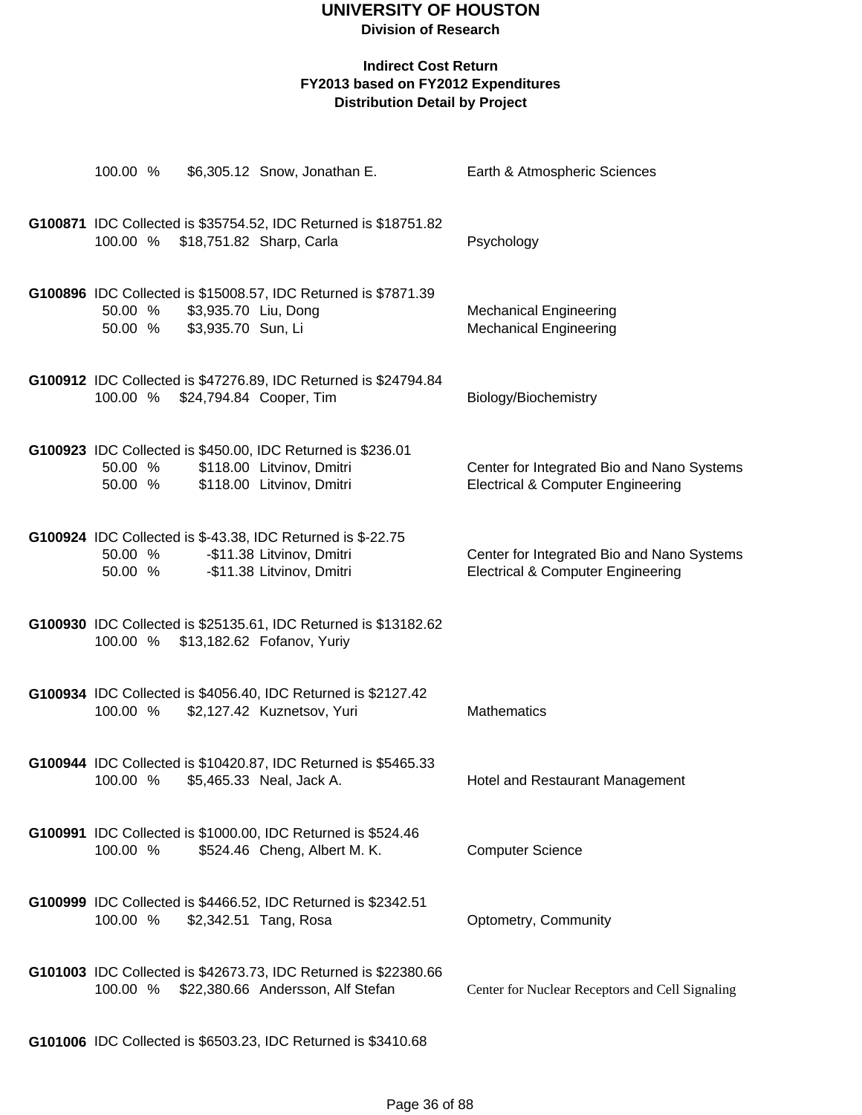**Division of Research**

### **Indirect Cost Return FY2013 based on FY2012 Expenditures Distribution Detail by Project**

|                    |                                            | 100.00 % \$6,305.12 Snow, Jonathan E.                                                                                                   | Earth & Atmospheric Sciences                                                               |
|--------------------|--------------------------------------------|-----------------------------------------------------------------------------------------------------------------------------------------|--------------------------------------------------------------------------------------------|
|                    |                                            | G100871 IDC Collected is \$35754.52, IDC Returned is \$18751.82<br>100.00 % \$18,751.82 Sharp, Carla                                    | Psychology                                                                                 |
| 50.00 %<br>50.00 % | \$3,935.70 Liu, Dong<br>\$3,935.70 Sun, Li | G100896 IDC Collected is \$15008.57, IDC Returned is \$7871.39                                                                          | <b>Mechanical Engineering</b><br><b>Mechanical Engineering</b>                             |
| 100.00 %           |                                            | G100912 IDC Collected is \$47276.89, IDC Returned is \$24794.84<br>\$24,794.84 Cooper, Tim                                              | Biology/Biochemistry                                                                       |
| 50.00 %<br>50.00 % |                                            | G100923 IDC Collected is \$450.00, IDC Returned is \$236.01<br>\$118.00 Litvinov, Dmitri<br>\$118.00 Litvinov, Dmitri                   | Center for Integrated Bio and Nano Systems<br><b>Electrical &amp; Computer Engineering</b> |
|                    |                                            | G100924 IDC Collected is \$-43.38, IDC Returned is \$-22.75<br>50.00 % - \$11.38 Litvinov, Dmitri<br>50.00 % - \$11.38 Litvinov, Dmitri | Center for Integrated Bio and Nano Systems<br><b>Electrical &amp; Computer Engineering</b> |
|                    |                                            | G100930 IDC Collected is \$25135.61, IDC Returned is \$13182.62<br>100.00 % \$13,182.62 Fofanov, Yuriy                                  |                                                                                            |
| 100.00 %           |                                            | G100934 IDC Collected is \$4056.40, IDC Returned is \$2127.42<br>\$2,127.42 Kuznetsov, Yuri                                             | <b>Mathematics</b>                                                                         |
| 100.00 %           |                                            | G100944 IDC Collected is \$10420.87, IDC Returned is \$5465.33<br>\$5,465.33 Neal, Jack A.                                              | Hotel and Restaurant Management                                                            |
| 100.00 %           |                                            | G100991 IDC Collected is \$1000.00, IDC Returned is \$524.46<br>\$524.46 Cheng, Albert M. K.                                            | <b>Computer Science</b>                                                                    |
| 100.00 %           |                                            | G100999 IDC Collected is \$4466.52, IDC Returned is \$2342.51<br>\$2,342.51 Tang, Rosa                                                  | Optometry, Community                                                                       |
| 100.00 %           |                                            | G101003 IDC Collected is \$42673.73, IDC Returned is \$22380.66<br>\$22,380.66 Andersson, Alf Stefan                                    | Center for Nuclear Receptors and Cell Signaling                                            |
|                    |                                            |                                                                                                                                         |                                                                                            |

**G101006** IDC Collected is \$6503.23, IDC Returned is \$3410.68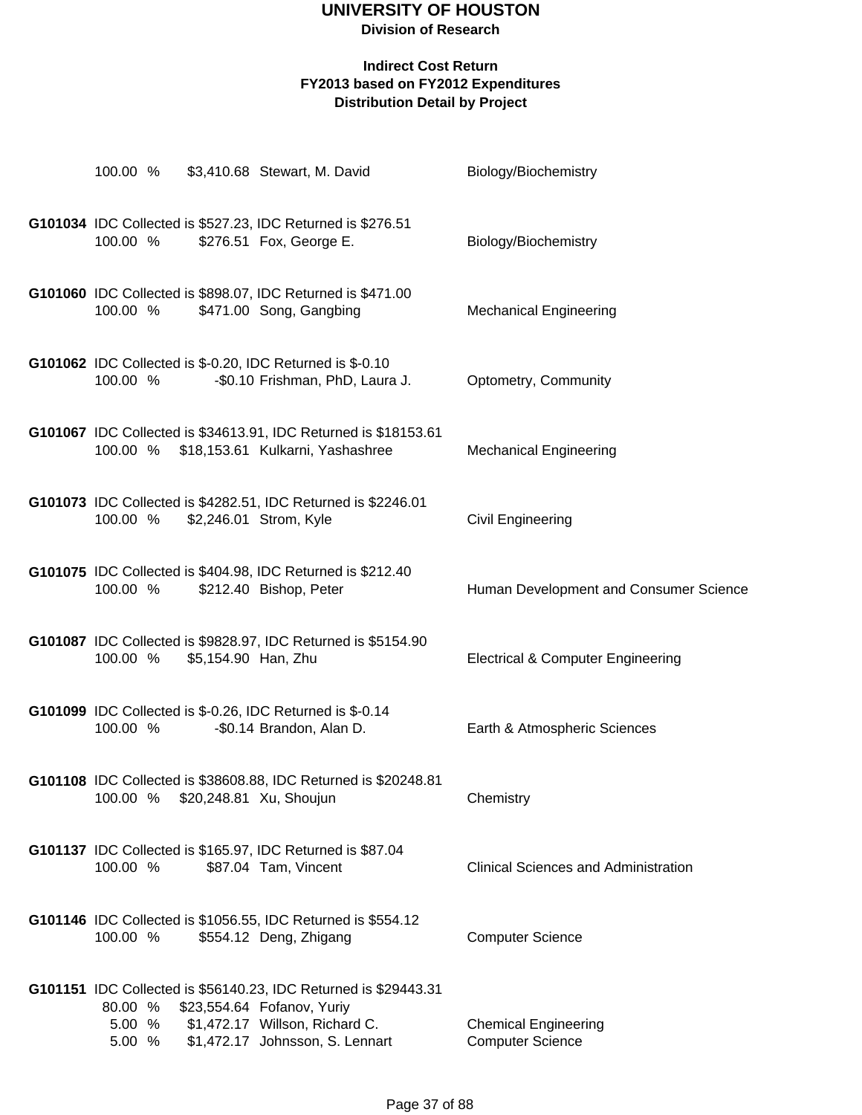# **UNIVERSITY OF HOUSTON**

## **Division of Research**

| 100.00 %                                                                | \$3,410.68 Stewart, M. David                                                                                                                                       | Biology/Biochemistry                                   |
|-------------------------------------------------------------------------|--------------------------------------------------------------------------------------------------------------------------------------------------------------------|--------------------------------------------------------|
| G101034 IDC Collected is \$527.23, IDC Returned is \$276.51<br>100.00 % | \$276.51 Fox, George E.                                                                                                                                            | Biology/Biochemistry                                   |
| 100.00 %                                                                | G101060 IDC Collected is \$898.07, IDC Returned is \$471.00<br>\$471.00 Song, Gangbing                                                                             | <b>Mechanical Engineering</b>                          |
| G101062 IDC Collected is \$-0.20, IDC Returned is \$-0.10<br>100.00 %   | -\$0.10 Frishman, PhD, Laura J.                                                                                                                                    | Optometry, Community                                   |
| 100.00 %                                                                | G101067 IDC Collected is \$34613.91, IDC Returned is \$18153.61<br>\$18,153.61 Kulkarni, Yashashree                                                                | <b>Mechanical Engineering</b>                          |
| 100.00 %                                                                | G101073 IDC Collected is \$4282.51, IDC Returned is \$2246.01<br>\$2,246.01 Strom, Kyle                                                                            | Civil Engineering                                      |
| 100.00 %                                                                | G101075 IDC Collected is \$404.98, IDC Returned is \$212.40<br>\$212.40 Bishop, Peter                                                                              | Human Development and Consumer Science                 |
| 100.00 %                                                                | G101087 IDC Collected is \$9828.97, IDC Returned is \$5154.90<br>\$5,154.90 Han, Zhu                                                                               | <b>Electrical &amp; Computer Engineering</b>           |
| G101099 IDC Collected is \$-0.26, IDC Returned is \$-0.14<br>100.00 %   | -\$0.14 Brandon, Alan D.                                                                                                                                           | Earth & Atmospheric Sciences                           |
| 100.00 %                                                                | G101108 IDC Collected is \$38608.88, IDC Returned is \$20248.81<br>\$20,248.81 Xu, Shoujun                                                                         | Chemistry                                              |
| G101137 IDC Collected is \$165.97, IDC Returned is \$87.04<br>100.00 %  | \$87.04 Tam, Vincent                                                                                                                                               | <b>Clinical Sciences and Administration</b>            |
| 100.00 %                                                                | G101146 IDC Collected is \$1056.55, IDC Returned is \$554.12<br>\$554.12 Deng, Zhigang                                                                             | <b>Computer Science</b>                                |
| 80.00 %<br>5.00 %<br>5.00 %                                             | G101151 IDC Collected is \$56140.23, IDC Returned is \$29443.31<br>\$23,554.64 Fofanov, Yuriy<br>\$1,472.17 Willson, Richard C.<br>\$1,472.17 Johnsson, S. Lennart | <b>Chemical Engineering</b><br><b>Computer Science</b> |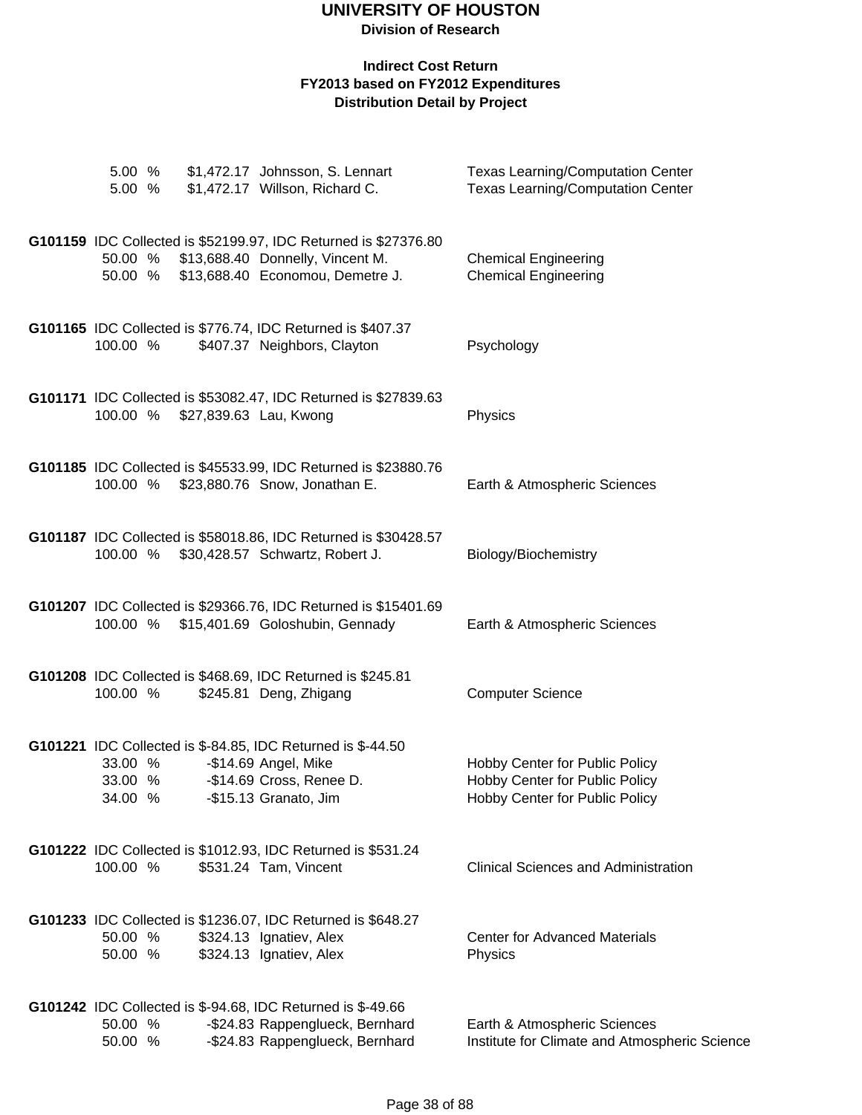| 5.00 %                        | 5.00 % \$1,472.17 Johnsson, S. Lennart<br>\$1,472.17 Willson, Richard C.                                                                 | <b>Texas Learning/Computation Center</b><br><b>Texas Learning/Computation Center</b>               |
|-------------------------------|------------------------------------------------------------------------------------------------------------------------------------------|----------------------------------------------------------------------------------------------------|
| 50.00 %<br>50.00 %            | G101159 IDC Collected is \$52199.97, IDC Returned is \$27376.80<br>\$13,688.40 Donnelly, Vincent M.<br>\$13,688.40 Economou, Demetre J.  | <b>Chemical Engineering</b><br><b>Chemical Engineering</b>                                         |
| 100.00 %                      | G101165 IDC Collected is \$776.74, IDC Returned is \$407.37<br>\$407.37 Neighbors, Clayton                                               | Psychology                                                                                         |
| 100.00 %                      | G101171 IDC Collected is \$53082.47, IDC Returned is \$27839.63<br>\$27,839.63 Lau, Kwong                                                | Physics                                                                                            |
| 100.00 %                      | G101185 IDC Collected is \$45533.99, IDC Returned is \$23880.76<br>\$23,880.76 Snow, Jonathan E.                                         | Earth & Atmospheric Sciences                                                                       |
| 100.00 %                      | G101187 IDC Collected is \$58018.86, IDC Returned is \$30428.57<br>\$30,428.57 Schwartz, Robert J.                                       | Biology/Biochemistry                                                                               |
|                               | G101207 IDC Collected is \$29366.76, IDC Returned is \$15401.69<br>100.00 % \$15,401.69 Goloshubin, Gennady                              | Earth & Atmospheric Sciences                                                                       |
| 100.00 %                      | G101208 IDC Collected is \$468.69, IDC Returned is \$245.81<br>\$245.81 Deng, Zhigang                                                    | <b>Computer Science</b>                                                                            |
| 33.00 %<br>33.00 %<br>34.00 % | G101221 IDC Collected is \$-84.85, IDC Returned is \$-44.50<br>-\$14.69 Angel, Mike<br>-\$14.69 Cross, Renee D.<br>-\$15.13 Granato, Jim | Hobby Center for Public Policy<br>Hobby Center for Public Policy<br>Hobby Center for Public Policy |
| 100.00 %                      | G101222 IDC Collected is \$1012.93, IDC Returned is \$531.24<br>\$531.24 Tam, Vincent                                                    | <b>Clinical Sciences and Administration</b>                                                        |
| 50.00 %<br>50.00 %            | G101233 IDC Collected is \$1236.07, IDC Returned is \$648.27<br>\$324.13 Ignatiev, Alex<br>\$324.13 Ignatiev, Alex                       | <b>Center for Advanced Materials</b><br>Physics                                                    |
| 50.00 %<br>50.00 %            | G101242 IDC Collected is \$-94.68, IDC Returned is \$-49.66<br>-\$24.83 Rappenglueck, Bernhard<br>-\$24.83 Rappenglueck, Bernhard        | Earth & Atmospheric Sciences<br>Institute for Climate and Atmospheric Science                      |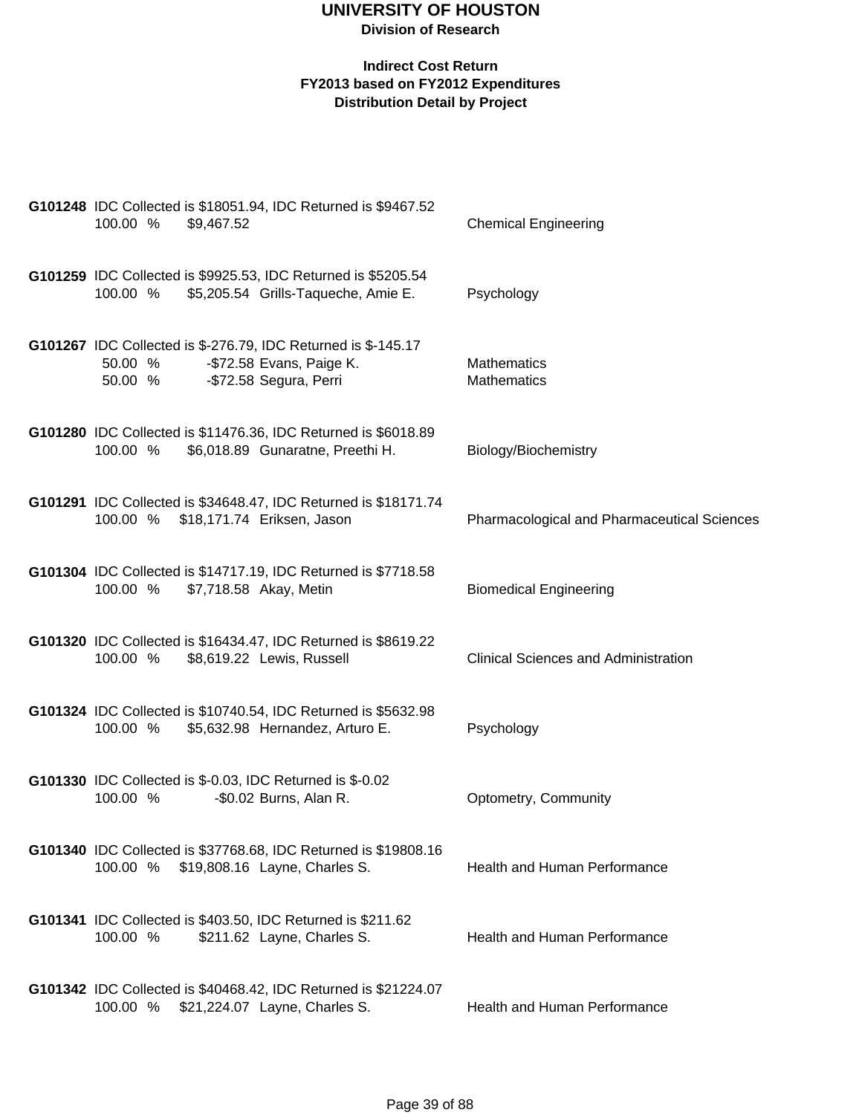| G101248 IDC Collected is \$18051.94, IDC Returned is \$9467.52<br>100.00 %<br>\$9,467.52                                                | <b>Chemical Engineering</b>                 |
|-----------------------------------------------------------------------------------------------------------------------------------------|---------------------------------------------|
| G101259 IDC Collected is \$9925.53, IDC Returned is \$5205.54<br>100.00 % \$5,205.54 Grills-Taqueche, Amie E.                           | Psychology                                  |
| G101267 IDC Collected is \$-276.79, IDC Returned is \$-145.17<br>50.00 % - \$72.58 Evans, Paige K.<br>-\$72.58 Segura, Perri<br>50.00 % | <b>Mathematics</b><br>Mathematics           |
| G101280 IDC Collected is \$11476.36, IDC Returned is \$6018.89<br>\$6,018.89 Gunaratne, Preethi H.<br>100.00 %                          | Biology/Biochemistry                        |
| G101291 IDC Collected is \$34648.47, IDC Returned is \$18171.74<br>100.00 % \$18,171.74 Eriksen, Jason                                  | Pharmacological and Pharmaceutical Sciences |
| G101304 IDC Collected is \$14717.19, IDC Returned is \$7718.58<br>100.00 % \$7,718.58 Akay, Metin                                       | <b>Biomedical Engineering</b>               |
| G101320 IDC Collected is \$16434.47, IDC Returned is \$8619.22<br>100.00 %<br>\$8,619.22 Lewis, Russell                                 | <b>Clinical Sciences and Administration</b> |
| G101324 IDC Collected is \$10740.54, IDC Returned is \$5632.98<br>100.00 % \$5,632.98 Hernandez, Arturo E.                              | Psychology                                  |
| <b>G101330</b> IDC Collected is \$-0.03, IDC Returned is \$-0.02<br>100.00 %<br>-\$0.02 Burns, Alan R.                                  | Optometry, Community                        |
| G101340 IDC Collected is \$37768.68, IDC Returned is \$19808.16<br>100.00 % \$19,808.16 Layne, Charles S.                               | <b>Health and Human Performance</b>         |
| G101341 IDC Collected is \$403.50, IDC Returned is \$211.62<br>100.00 %<br>\$211.62 Layne, Charles S.                                   | <b>Health and Human Performance</b>         |
| G101342 IDC Collected is \$40468.42, IDC Returned is \$21224.07<br>100.00 % \$21,224.07 Layne, Charles S.                               | Health and Human Performance                |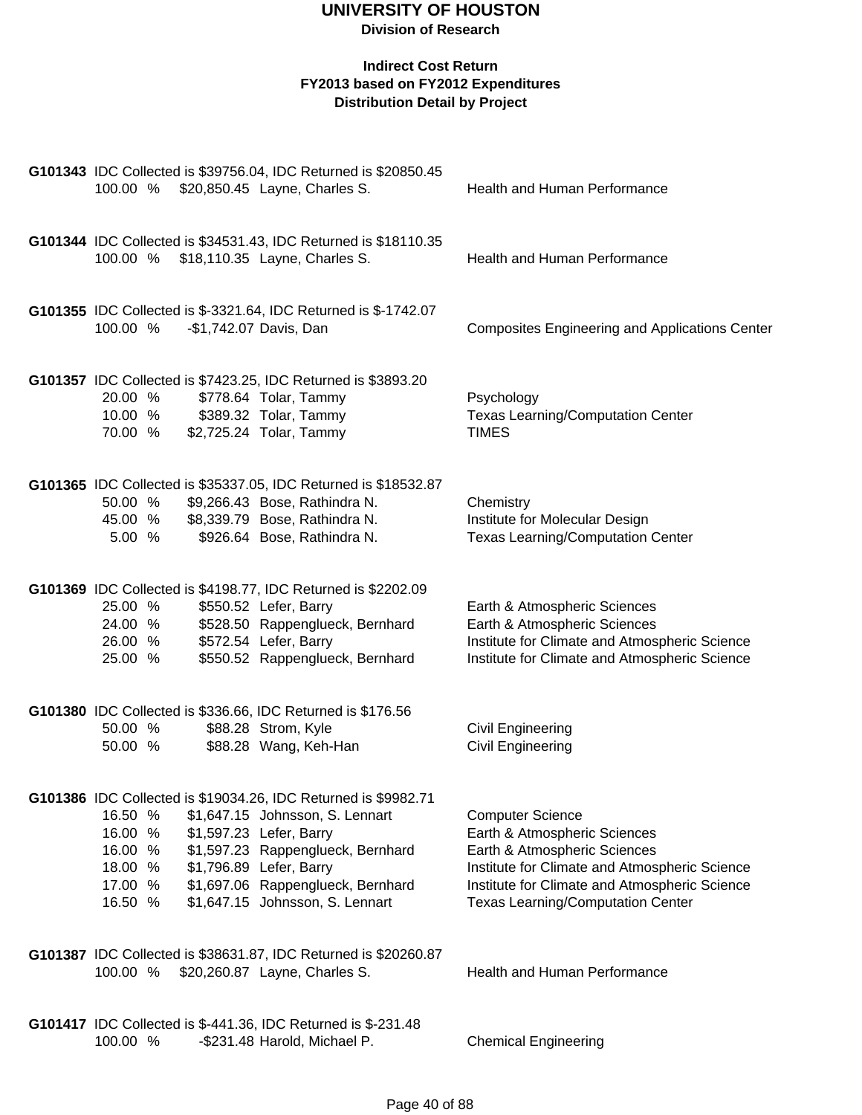| G101343 IDC Collected is \$39756.04, IDC Returned is \$20850.45<br>100.00 % \$20,850.45 Layne, Charles S.                                                                                                                                                                                                                              | Health and Human Performance                                                                                                                                                                                                          |
|----------------------------------------------------------------------------------------------------------------------------------------------------------------------------------------------------------------------------------------------------------------------------------------------------------------------------------------|---------------------------------------------------------------------------------------------------------------------------------------------------------------------------------------------------------------------------------------|
| G101344 IDC Collected is \$34531.43, IDC Returned is \$18110.35<br>100.00 % \$18,110.35 Layne, Charles S.                                                                                                                                                                                                                              | Health and Human Performance                                                                                                                                                                                                          |
| G101355 IDC Collected is \$-3321.64, IDC Returned is \$-1742.07<br>-\$1,742.07 Davis, Dan<br>100.00 %                                                                                                                                                                                                                                  | <b>Composites Engineering and Applications Center</b>                                                                                                                                                                                 |
| G101357 IDC Collected is \$7423.25, IDC Returned is \$3893.20<br>20.00 %<br>\$778.64 Tolar, Tammy<br>\$389.32 Tolar, Tammy<br>10.00 %<br>\$2,725.24 Tolar, Tammy<br>70.00 %                                                                                                                                                            | Psychology<br><b>Texas Learning/Computation Center</b><br><b>TIMES</b>                                                                                                                                                                |
| G101365 IDC Collected is \$35337.05, IDC Returned is \$18532.87<br>\$9,266.43 Bose, Rathindra N.<br>50.00 %<br>\$8,339.79 Bose, Rathindra N.<br>45.00 %<br>5.00 %<br>\$926.64 Bose, Rathindra N.                                                                                                                                       | Chemistry<br>Institute for Molecular Design<br><b>Texas Learning/Computation Center</b>                                                                                                                                               |
| G101369 IDC Collected is \$4198.77, IDC Returned is \$2202.09<br>25.00 %<br>\$550.52 Lefer, Barry<br>\$528.50 Rappenglueck, Bernhard<br>24.00 %<br>\$572.54 Lefer, Barry<br>26.00 %<br>\$550.52 Rappenglueck, Bernhard<br>25.00 %                                                                                                      | Earth & Atmospheric Sciences<br>Earth & Atmospheric Sciences<br>Institute for Climate and Atmospheric Science<br>Institute for Climate and Atmospheric Science                                                                        |
| G101380 IDC Collected is \$336.66, IDC Returned is \$176.56<br>50.00 %<br>\$88.28 Strom, Kyle<br>\$88.28 Wang, Keh-Han<br>50.00 %                                                                                                                                                                                                      | <b>Civil Engineering</b><br><b>Civil Engineering</b>                                                                                                                                                                                  |
| G101386 IDC Collected is \$19034.26, IDC Returned is \$9982.71<br>16.50 %<br>\$1,647.15 Johnsson, S. Lennart<br>16.00 %<br>\$1,597.23 Lefer, Barry<br>\$1,597.23 Rappenglueck, Bernhard<br>16.00 %<br>\$1,796.89 Lefer, Barry<br>18.00 %<br>\$1,697.06 Rappenglueck, Bernhard<br>17.00 %<br>\$1,647.15 Johnsson, S. Lennart<br>16.50 % | <b>Computer Science</b><br>Earth & Atmospheric Sciences<br>Earth & Atmospheric Sciences<br>Institute for Climate and Atmospheric Science<br>Institute for Climate and Atmospheric Science<br><b>Texas Learning/Computation Center</b> |
| G101387 IDC Collected is \$38631.87, IDC Returned is \$20260.87<br>\$20,260.87 Layne, Charles S.<br>100.00 %                                                                                                                                                                                                                           | Health and Human Performance                                                                                                                                                                                                          |
| G101417 IDC Collected is \$-441.36, IDC Returned is \$-231.48<br>100.00 %<br>-\$231.48 Harold, Michael P.                                                                                                                                                                                                                              | <b>Chemical Engineering</b>                                                                                                                                                                                                           |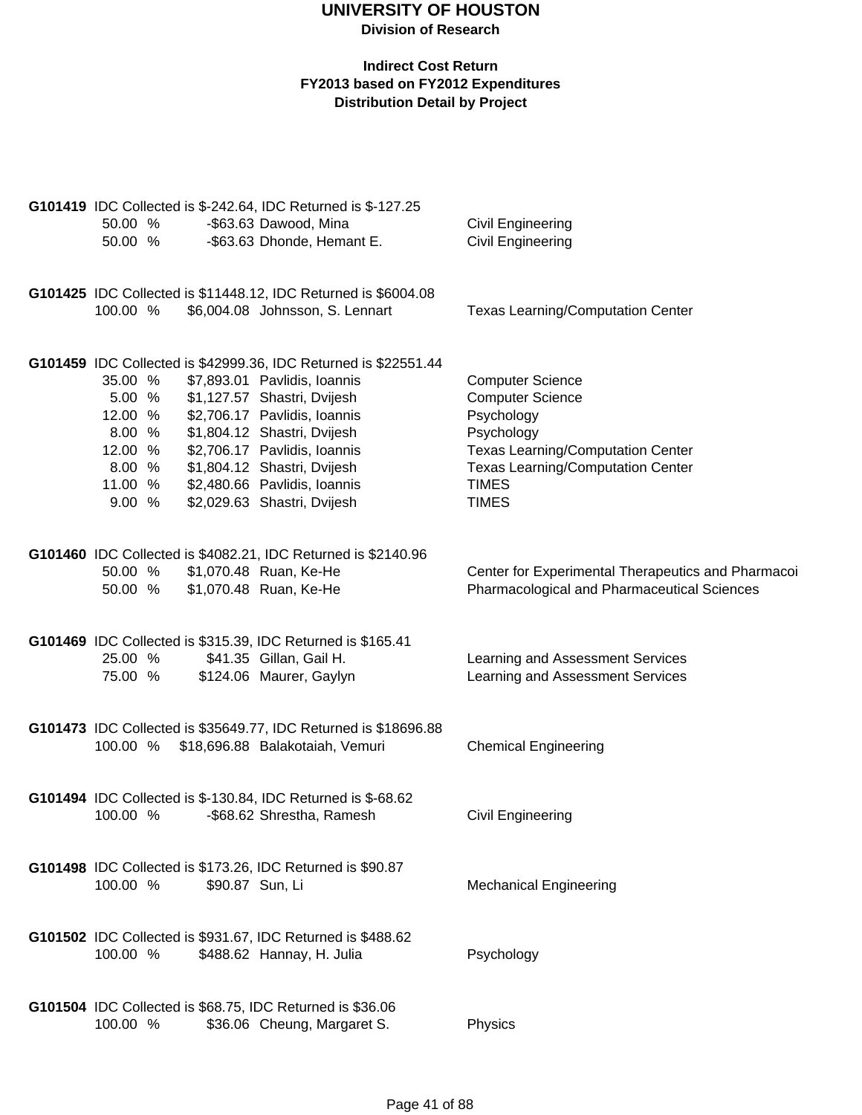|  |          |                 | G101419 IDC Collected is \$-242.64, IDC Returned is \$-127.25                            |                                                    |
|--|----------|-----------------|------------------------------------------------------------------------------------------|----------------------------------------------------|
|  | 50.00 %  |                 | -\$63.63 Dawood, Mina                                                                    | <b>Civil Engineering</b>                           |
|  | 50.00 %  |                 | -\$63.63 Dhonde, Hemant E.                                                               | <b>Civil Engineering</b>                           |
|  |          |                 | G101425 IDC Collected is \$11448.12, IDC Returned is \$6004.08                           |                                                    |
|  | 100.00 % |                 | \$6,004.08 Johnsson, S. Lennart                                                          | <b>Texas Learning/Computation Center</b>           |
|  |          |                 | G101459 IDC Collected is \$42999.36, IDC Returned is \$22551.44                          |                                                    |
|  | 35.00 %  |                 | \$7,893.01 Pavlidis, Ioannis                                                             | <b>Computer Science</b>                            |
|  | 5.00 %   |                 | \$1,127.57 Shastri, Dvijesh                                                              | <b>Computer Science</b>                            |
|  | 12.00 %  |                 | \$2,706.17 Pavlidis, Ioannis                                                             | Psychology                                         |
|  | 8.00 %   |                 | \$1,804.12 Shastri, Dvijesh                                                              | Psychology                                         |
|  | 12.00 %  |                 | \$2,706.17 Pavlidis, Ioannis                                                             | <b>Texas Learning/Computation Center</b>           |
|  | 8.00 %   |                 | \$1,804.12 Shastri, Dvijesh                                                              | <b>Texas Learning/Computation Center</b>           |
|  | 11.00 %  |                 | \$2,480.66 Pavlidis, Ioannis                                                             | <b>TIMES</b>                                       |
|  | 9.00 %   |                 | \$2,029.63 Shastri, Dvijesh                                                              | <b>TIMES</b>                                       |
|  |          |                 |                                                                                          |                                                    |
|  |          |                 | G101460 IDC Collected is \$4082.21, IDC Returned is \$2140.96                            |                                                    |
|  | 50.00 %  |                 | \$1,070.48 Ruan, Ke-He                                                                   | Center for Experimental Therapeutics and Pharmacoi |
|  | 50.00 %  |                 | \$1,070.48 Ruan, Ke-He                                                                   | Pharmacological and Pharmaceutical Sciences        |
|  |          |                 | G101469 IDC Collected is \$315.39, IDC Returned is \$165.41                              |                                                    |
|  | 25.00 %  |                 | \$41.35 Gillan, Gail H.                                                                  | Learning and Assessment Services                   |
|  | 75.00 %  |                 | \$124.06 Maurer, Gaylyn                                                                  | Learning and Assessment Services                   |
|  |          |                 |                                                                                          |                                                    |
|  |          |                 | G101473 IDC Collected is \$35649.77, IDC Returned is \$18696.88                          |                                                    |
|  |          |                 | 100.00 % \$18,696.88 Balakotaiah, Vemuri                                                 | <b>Chemical Engineering</b>                        |
|  |          |                 | G101494 IDC Collected is \$-130.84, IDC Returned is \$-68.62                             |                                                    |
|  | 100.00 % |                 | -\$68.62 Shrestha, Ramesh                                                                | Civil Engineering                                  |
|  |          |                 |                                                                                          |                                                    |
|  | 100.00 % | \$90.87 Sun, Li | G101498 IDC Collected is \$173.26, IDC Returned is \$90.87                               | <b>Mechanical Engineering</b>                      |
|  |          |                 |                                                                                          |                                                    |
|  |          |                 | G101502 IDC Collected is \$931.67, IDC Returned is \$488.62                              |                                                    |
|  | 100.00 % |                 | \$488.62 Hannay, H. Julia                                                                | Psychology                                         |
|  |          |                 |                                                                                          |                                                    |
|  | 100.00 % |                 | G101504 IDC Collected is \$68.75, IDC Returned is \$36.06<br>\$36.06 Cheung, Margaret S. | Physics                                            |
|  |          |                 |                                                                                          |                                                    |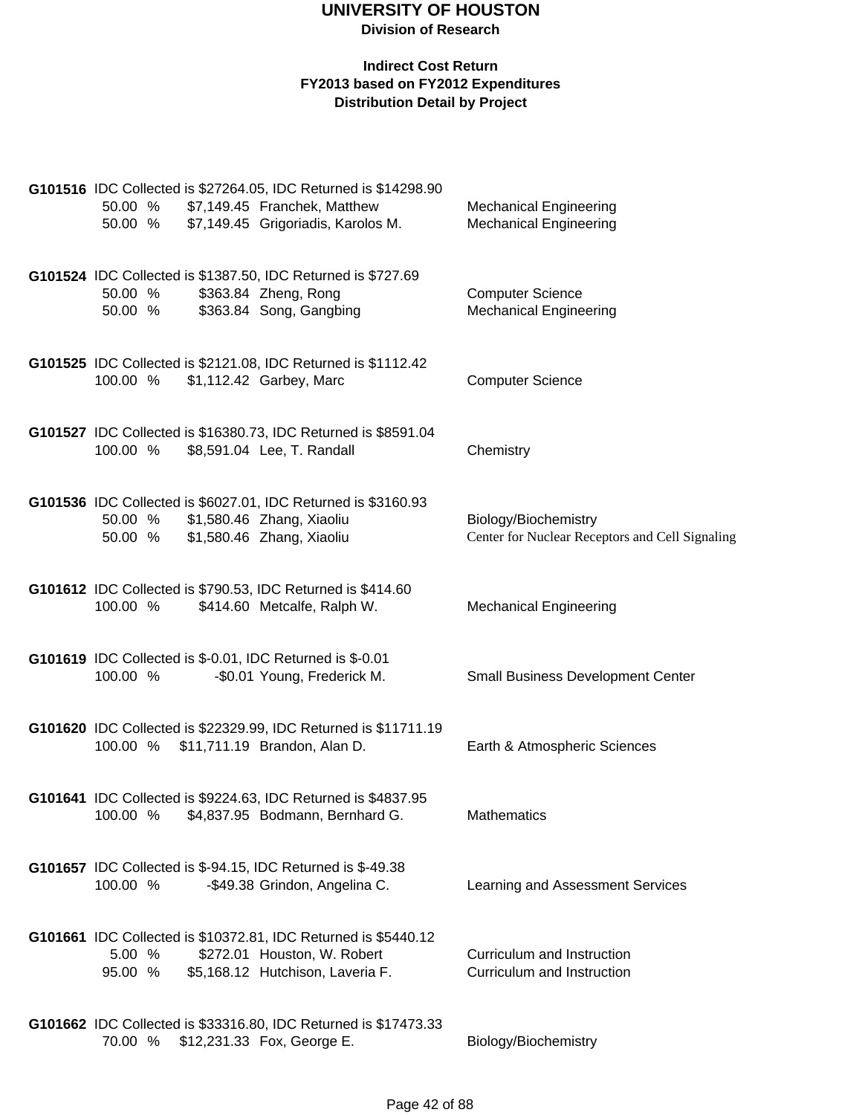| G101516 IDC Collected is \$27264.05, IDC Returned is \$14298.90<br>\$7,149.45 Franchek, Matthew<br>50.00 %<br>\$7,149.45 Grigoriadis, Karolos M.<br>50.00 % | <b>Mechanical Engineering</b><br><b>Mechanical Engineering</b>          |
|-------------------------------------------------------------------------------------------------------------------------------------------------------------|-------------------------------------------------------------------------|
| G101524 IDC Collected is \$1387.50, IDC Returned is \$727.69<br>\$363.84 Zheng, Rong<br>50.00 %<br>\$363.84 Song, Gangbing<br>50.00 %                       | <b>Computer Science</b><br><b>Mechanical Engineering</b>                |
| G101525 IDC Collected is \$2121.08, IDC Returned is \$1112.42<br>100.00 %<br>\$1,112.42 Garbey, Marc                                                        | <b>Computer Science</b>                                                 |
| G101527 IDC Collected is \$16380.73, IDC Returned is \$8591.04<br>\$8,591.04 Lee, T. Randall<br>100.00 %                                                    | Chemistry                                                               |
| G101536 IDC Collected is \$6027.01, IDC Returned is \$3160.93<br>\$1,580.46 Zhang, Xiaoliu<br>50.00 %<br>\$1,580.46 Zhang, Xiaoliu<br>50.00 %               | Biology/Biochemistry<br>Center for Nuclear Receptors and Cell Signaling |
| G101612 IDC Collected is \$790.53, IDC Returned is \$414.60<br>100.00 %<br>\$414.60 Metcalfe, Ralph W.                                                      | <b>Mechanical Engineering</b>                                           |
| G101619 IDC Collected is \$-0.01, IDC Returned is \$-0.01<br>100.00 %<br>-\$0.01 Young, Frederick M.                                                        | <b>Small Business Development Center</b>                                |
| G101620 IDC Collected is \$22329.99, IDC Returned is \$11711.19<br>100.00 %<br>\$11,711.19 Brandon, Alan D.                                                 | Earth & Atmospheric Sciences                                            |
| G101641 IDC Collected is \$9224.63, IDC Returned is \$4837.95<br>100.00 %<br>\$4,837.95 Bodmann, Bernhard G.                                                | Mathematics                                                             |
| <b>G101657</b> IDC Collected is \$-94.15, IDC Returned is \$-49.38<br>100.00 %<br>-\$49.38 Grindon, Angelina C.                                             | Learning and Assessment Services                                        |
| G101661 IDC Collected is \$10372.81, IDC Returned is \$5440.12<br>5.00 %<br>\$272.01 Houston, W. Robert<br>95.00 %<br>\$5,168.12 Hutchison, Laveria F.      | Curriculum and Instruction<br>Curriculum and Instruction                |
| G101662 IDC Collected is \$33316.80, IDC Returned is \$17473.33<br>70.00 %<br>\$12,231.33 Fox, George E.                                                    | Biology/Biochemistry                                                    |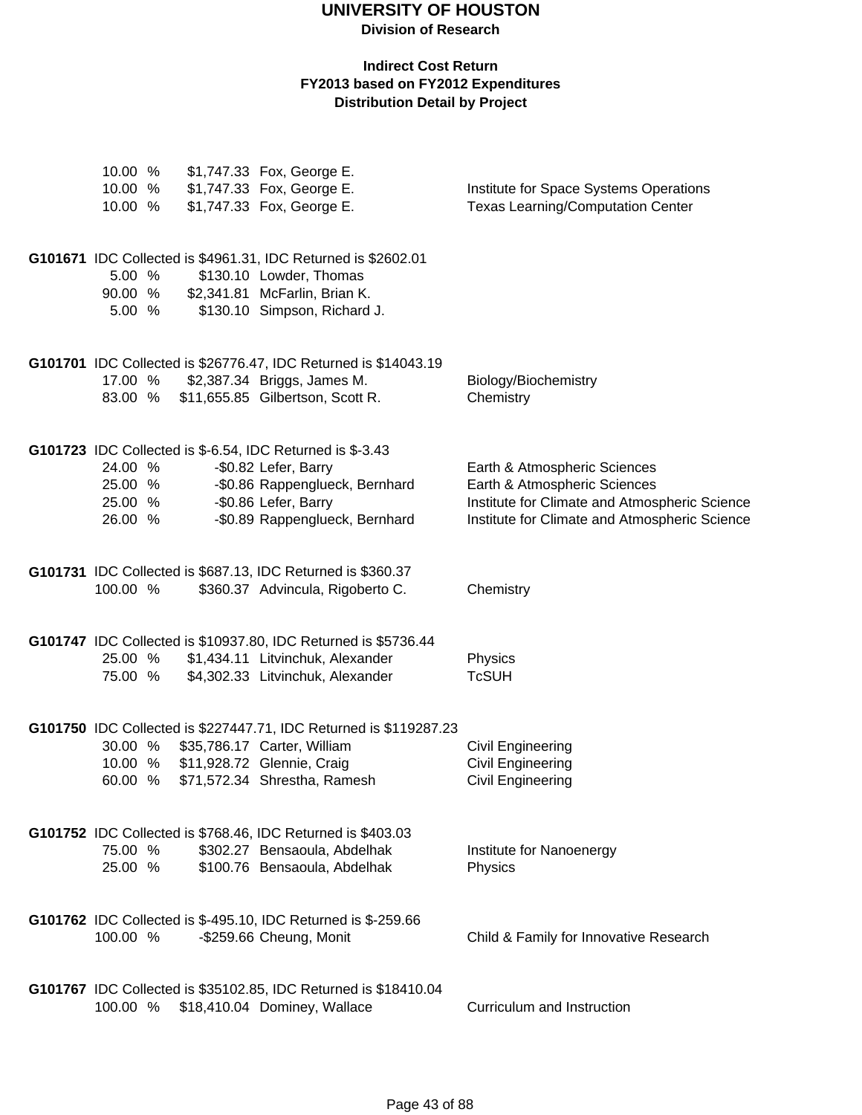## **UNIVERSITY OF HOUSTON**

**Division of Research**

| 10.00 %  |  | \$1,747.33 Fox, George E.                                                                |                                                              |
|----------|--|------------------------------------------------------------------------------------------|--------------------------------------------------------------|
| 10.00 %  |  | \$1,747.33 Fox, George E.                                                                | Institute for Space Systems Operations                       |
| 10.00 %  |  | \$1,747.33 Fox, George E.                                                                | <b>Texas Learning/Computation Center</b>                     |
|          |  |                                                                                          |                                                              |
|          |  |                                                                                          |                                                              |
|          |  | G101671 IDC Collected is \$4961.31, IDC Returned is \$2602.01                            |                                                              |
| 5.00 %   |  | \$130.10 Lowder, Thomas                                                                  |                                                              |
| 90.00 %  |  | \$2,341.81 McFarlin, Brian K.                                                            |                                                              |
| 5.00 %   |  | \$130.10 Simpson, Richard J.                                                             |                                                              |
|          |  |                                                                                          |                                                              |
|          |  | G101701 IDC Collected is \$26776.47, IDC Returned is \$14043.19                          |                                                              |
| 17.00 %  |  | \$2,387.34 Briggs, James M.                                                              | Biology/Biochemistry                                         |
| 83.00 %  |  | \$11,655.85 Gilbertson, Scott R.                                                         | Chemistry                                                    |
|          |  |                                                                                          |                                                              |
|          |  |                                                                                          |                                                              |
| 24.00 %  |  | <b>G101723</b> IDC Collected is \$-6.54, IDC Returned is \$-3.43<br>-\$0.82 Lefer, Barry |                                                              |
| 25.00 %  |  | -\$0.86 Rappenglueck, Bernhard                                                           | Earth & Atmospheric Sciences<br>Earth & Atmospheric Sciences |
| 25.00 %  |  | -\$0.86 Lefer, Barry                                                                     | Institute for Climate and Atmospheric Science                |
| 26.00 %  |  | -\$0.89 Rappenglueck, Bernhard                                                           | Institute for Climate and Atmospheric Science                |
|          |  |                                                                                          |                                                              |
|          |  |                                                                                          |                                                              |
|          |  | G101731 IDC Collected is \$687.13, IDC Returned is \$360.37                              |                                                              |
| 100.00 % |  | \$360.37 Advincula, Rigoberto C.                                                         | Chemistry                                                    |
|          |  |                                                                                          |                                                              |
|          |  | G101747 IDC Collected is \$10937.80, IDC Returned is \$5736.44                           |                                                              |
| 25.00 %  |  | \$1,434.11 Litvinchuk, Alexander                                                         | Physics                                                      |
| 75.00 %  |  | \$4,302.33 Litvinchuk, Alexander                                                         | <b>TcSUH</b>                                                 |
|          |  |                                                                                          |                                                              |
|          |  |                                                                                          |                                                              |
|          |  | G101750 IDC Collected is \$227447.71, IDC Returned is \$119287.23                        |                                                              |
| 30.00 %  |  | \$35,786.17 Carter, William                                                              | Civil Engineering                                            |
| 10.00 %  |  | \$11,928.72 Glennie, Craig                                                               | Civil Engineering                                            |
| 60.00 %  |  | \$71,572.34 Shrestha, Ramesh                                                             | Civil Engineering                                            |
|          |  |                                                                                          |                                                              |
|          |  | G101752 IDC Collected is \$768.46, IDC Returned is \$403.03                              |                                                              |
| 75.00 %  |  | \$302.27 Bensaoula, Abdelhak                                                             | Institute for Nanoenergy                                     |
| 25.00 %  |  | \$100.76 Bensaoula, Abdelhak                                                             | Physics                                                      |
|          |  |                                                                                          |                                                              |
|          |  | G101762 IDC Collected is \$-495.10, IDC Returned is \$-259.66                            |                                                              |
| 100.00 % |  | -\$259.66 Cheung, Monit                                                                  | Child & Family for Innovative Research                       |
|          |  |                                                                                          |                                                              |
|          |  |                                                                                          |                                                              |
|          |  | G101767 IDC Collected is \$35102.85, IDC Returned is \$18410.04                          |                                                              |
| 100.00 % |  | \$18,410.04 Dominey, Wallace                                                             | Curriculum and Instruction                                   |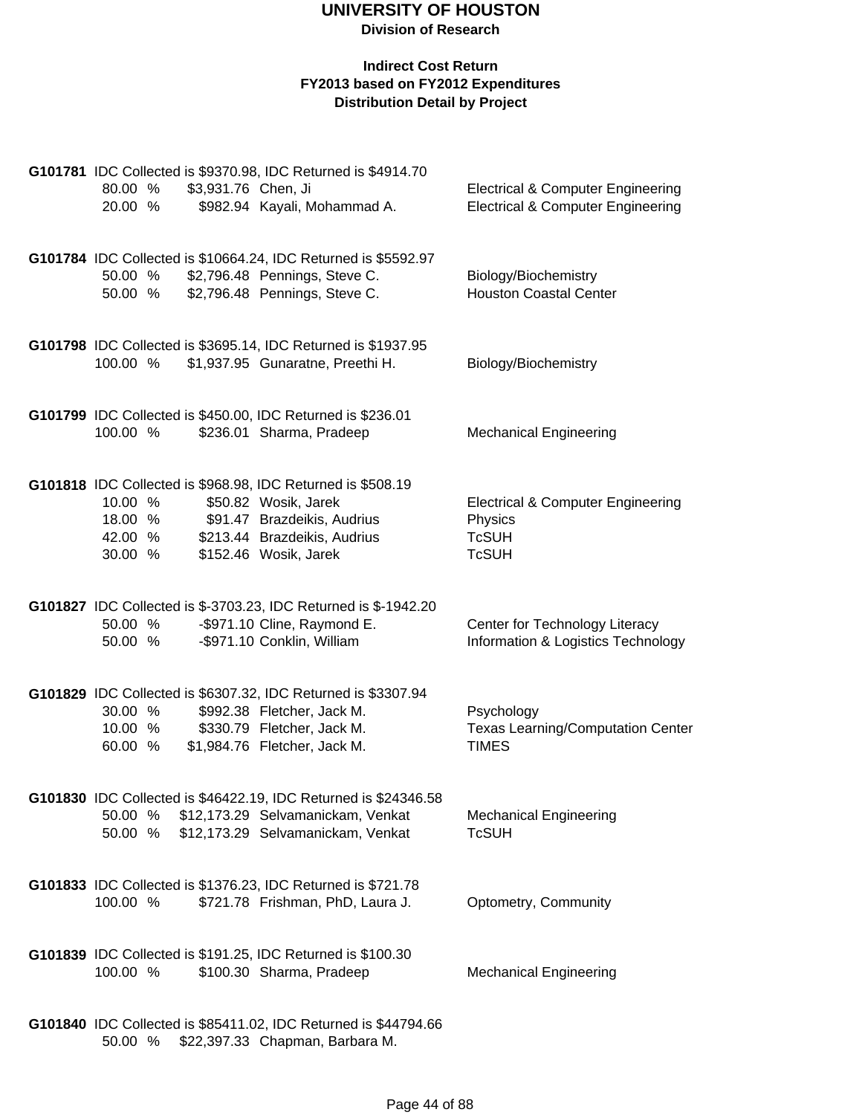#### **Indirect Cost Return FY2013 based on FY2012 Expenditures Distribution Detail by Project**

|          |         |                     | G101781 IDC Collected is \$9370.98, IDC Returned is \$4914.70   |                                              |
|----------|---------|---------------------|-----------------------------------------------------------------|----------------------------------------------|
| 80.00 %  |         | \$3,931.76 Chen, Ji |                                                                 | <b>Electrical &amp; Computer Engineering</b> |
| 20.00 %  |         |                     | \$982.94 Kayali, Mohammad A.                                    | <b>Electrical &amp; Computer Engineering</b> |
|          |         |                     |                                                                 |                                              |
|          |         |                     | G101784 IDC Collected is \$10664.24, IDC Returned is \$5592.97  |                                              |
| 50.00 %  |         |                     | \$2,796.48 Pennings, Steve C.                                   | Biology/Biochemistry                         |
| 50.00 %  |         |                     | \$2,796.48 Pennings, Steve C.                                   | <b>Houston Coastal Center</b>                |
|          |         |                     |                                                                 |                                              |
|          |         |                     |                                                                 |                                              |
|          |         |                     | G101798 IDC Collected is \$3695.14, IDC Returned is \$1937.95   |                                              |
| 100.00 % |         |                     | \$1,937.95 Gunaratne, Preethi H.                                | Biology/Biochemistry                         |
|          |         |                     |                                                                 |                                              |
|          |         |                     | G101799 IDC Collected is \$450.00, IDC Returned is \$236.01     |                                              |
| 100.00 % |         |                     | \$236.01 Sharma, Pradeep                                        | <b>Mechanical Engineering</b>                |
|          |         |                     |                                                                 |                                              |
|          |         |                     | G101818 IDC Collected is \$968.98, IDC Returned is \$508.19     |                                              |
| 10.00 %  |         |                     | \$50.82 Wosik, Jarek                                            | <b>Electrical &amp; Computer Engineering</b> |
|          | 18.00 % |                     | \$91.47 Brazdeikis, Audrius                                     | Physics                                      |
| 42.00 %  |         |                     | \$213.44 Brazdeikis, Audrius                                    | <b>TcSUH</b>                                 |
| 30.00 %  |         |                     | \$152.46 Wosik, Jarek                                           | <b>TcSUH</b>                                 |
|          |         |                     |                                                                 |                                              |
|          |         |                     | G101827 IDC Collected is \$-3703.23, IDC Returned is \$-1942.20 |                                              |
| 50.00 %  |         |                     | -\$971.10 Cline, Raymond E.                                     | Center for Technology Literacy               |
| 50.00 %  |         |                     | -\$971.10 Conklin, William                                      | Information & Logistics Technology           |
|          |         |                     |                                                                 |                                              |
|          |         |                     | G101829 IDC Collected is \$6307.32, IDC Returned is \$3307.94   |                                              |
| 30.00 %  |         |                     | \$992.38 Fletcher, Jack M.                                      | Psychology                                   |
| 10.00 %  |         |                     | \$330.79 Fletcher, Jack M.                                      | <b>Texas Learning/Computation Center</b>     |
| 60.00 %  |         |                     | \$1,984.76 Fletcher, Jack M.                                    | <b>TIMES</b>                                 |
|          |         |                     |                                                                 |                                              |
|          |         |                     | G101830 IDC Collected is \$46422.19, IDC Returned is \$24346.58 |                                              |
| 50.00 %  |         |                     | \$12,173.29 Selvamanickam, Venkat                               | <b>Mechanical Engineering</b>                |
| 50.00 %  |         |                     | \$12,173.29 Selvamanickam, Venkat                               | <b>TcSUH</b>                                 |
|          |         |                     |                                                                 |                                              |
|          |         |                     |                                                                 |                                              |
| 100.00 % |         |                     | G101833 IDC Collected is \$1376.23, IDC Returned is \$721.78    |                                              |
|          |         |                     | \$721.78 Frishman, PhD, Laura J.                                | Optometry, Community                         |
|          |         |                     |                                                                 |                                              |
|          |         |                     | G101839 IDC Collected is \$191.25, IDC Returned is \$100.30     |                                              |
| 100.00 % |         |                     | \$100.30 Sharma, Pradeep                                        | <b>Mechanical Engineering</b>                |
|          |         |                     |                                                                 |                                              |
|          |         |                     | G101840 IDC Collected is \$85411.02, IDC Returned is \$44794.66 |                                              |
|          |         |                     |                                                                 |                                              |

50.00 % \$22,397.33 Chapman, Barbara M.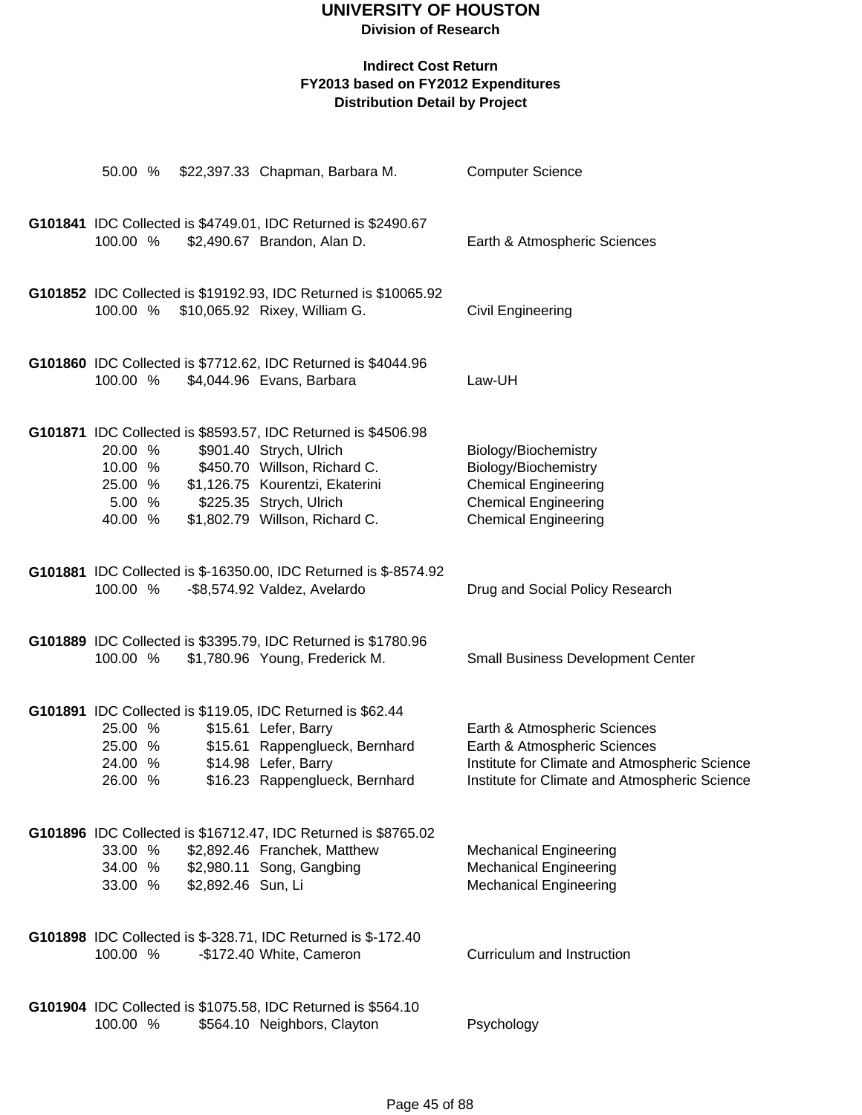# **UNIVERSITY OF HOUSTON**

## **Division of Research**

| 50.00 %            |                    | \$22,397.33 Chapman, Barbara M.                                                              | <b>Computer Science</b>                                                       |
|--------------------|--------------------|----------------------------------------------------------------------------------------------|-------------------------------------------------------------------------------|
|                    |                    |                                                                                              |                                                                               |
| 100.00 %           |                    | G101841 IDC Collected is \$4749.01, IDC Returned is \$2490.67<br>\$2,490.67 Brandon, Alan D. | Earth & Atmospheric Sciences                                                  |
|                    |                    |                                                                                              |                                                                               |
|                    |                    | G101852 IDC Collected is \$19192.93, IDC Returned is \$10065.92                              |                                                                               |
| 100.00 %           |                    | \$10,065.92 Rixey, William G.                                                                | Civil Engineering                                                             |
|                    |                    |                                                                                              |                                                                               |
|                    |                    | G101860 IDC Collected is \$7712.62, IDC Returned is \$4044.96                                |                                                                               |
| 100.00 %           |                    | \$4,044.96 Evans, Barbara                                                                    | Law-UH                                                                        |
|                    |                    | G101871 IDC Collected is \$8593.57, IDC Returned is \$4506.98                                |                                                                               |
| 20.00 %            |                    | \$901.40 Strych, Ulrich                                                                      | Biology/Biochemistry                                                          |
| 10.00 %            |                    | \$450.70 Willson, Richard C.                                                                 | Biology/Biochemistry                                                          |
| 25.00 %            |                    | \$1,126.75 Kourentzi, Ekaterini                                                              | <b>Chemical Engineering</b>                                                   |
| 5.00 %             |                    | \$225.35 Strych, Ulrich                                                                      | <b>Chemical Engineering</b>                                                   |
| 40.00 %            |                    | \$1,802.79 Willson, Richard C.                                                               | <b>Chemical Engineering</b>                                                   |
|                    |                    | G101881 IDC Collected is \$-16350.00, IDC Returned is \$-8574.92                             |                                                                               |
| 100.00 %           |                    | -\$8,574.92 Valdez, Avelardo                                                                 | Drug and Social Policy Research                                               |
|                    |                    |                                                                                              |                                                                               |
|                    |                    | G101889 IDC Collected is \$3395.79, IDC Returned is \$1780.96                                |                                                                               |
| 100.00 %           |                    | \$1,780.96 Young, Frederick M.                                                               | <b>Small Business Development Center</b>                                      |
|                    |                    |                                                                                              |                                                                               |
|                    |                    | G101891 IDC Collected is \$119.05, IDC Returned is \$62.44                                   |                                                                               |
| 25.00 %            |                    | \$15.61 Lefer, Barry                                                                         | Earth & Atmospheric Sciences                                                  |
| 25.00 %<br>24.00 % |                    | \$15.61 Rappenglueck, Bernhard<br>\$14.98 Lefer, Barry                                       | Earth & Atmospheric Sciences<br>Institute for Climate and Atmospheric Science |
| 26.00 %            |                    | \$16.23 Rappenglueck, Bernhard                                                               | Institute for Climate and Atmospheric Science                                 |
|                    |                    |                                                                                              |                                                                               |
|                    |                    | G101896 IDC Collected is \$16712.47, IDC Returned is \$8765.02                               |                                                                               |
| 33.00 %            |                    | \$2,892.46 Franchek, Matthew                                                                 | <b>Mechanical Engineering</b>                                                 |
| 34.00 %            |                    | \$2,980.11 Song, Gangbing                                                                    | <b>Mechanical Engineering</b>                                                 |
| 33.00 %            | \$2,892.46 Sun, Li |                                                                                              | <b>Mechanical Engineering</b>                                                 |
|                    |                    | G101898 IDC Collected is \$-328.71, IDC Returned is \$-172.40                                |                                                                               |
| 100.00 %           |                    | -\$172.40 White, Cameron                                                                     | Curriculum and Instruction                                                    |
|                    |                    |                                                                                              |                                                                               |
|                    |                    | G101904 IDC Collected is \$1075.58, IDC Returned is \$564.10                                 |                                                                               |
| 100.00 %           |                    | \$564.10 Neighbors, Clayton                                                                  | Psychology                                                                    |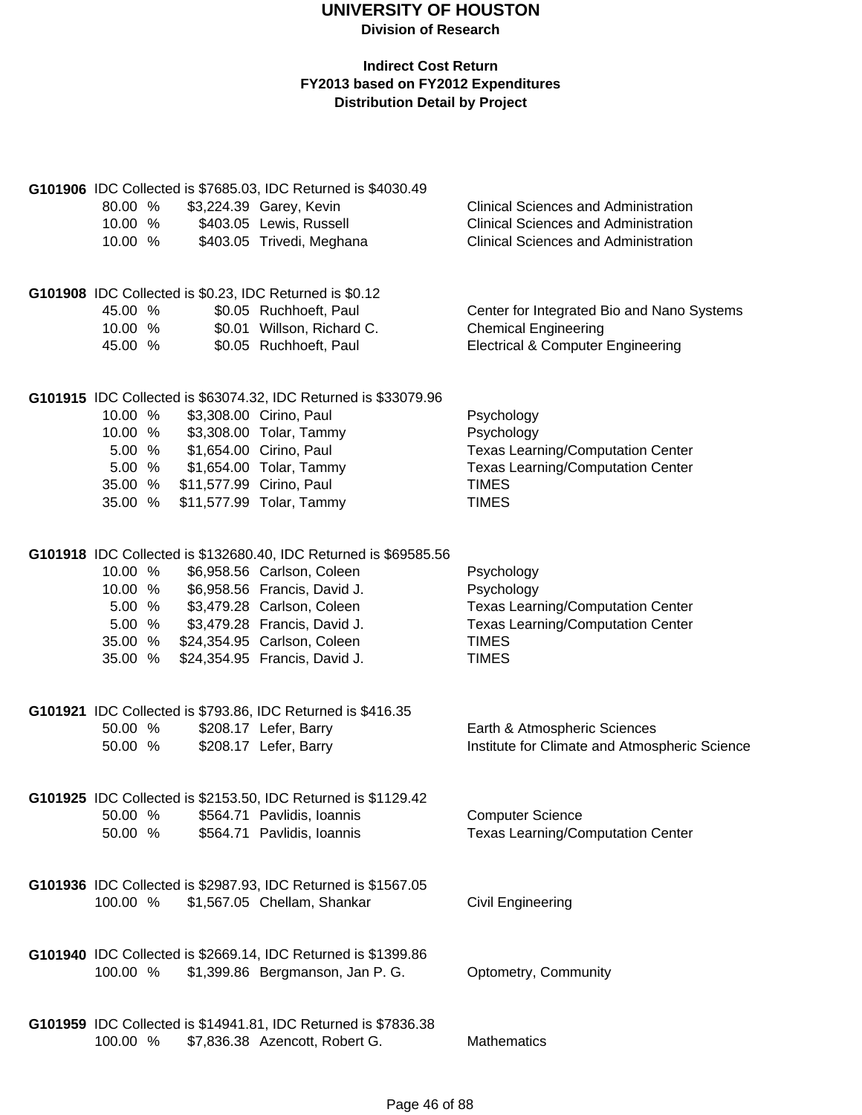| 80.00 %<br>10.00 %<br>10.00 % | G101906 IDC Collected is \$7685.03, IDC Returned is \$4030.49<br>\$3,224.39 Garey, Kevin<br>\$403.05 Lewis, Russell<br>\$403.05 Trivedi, Meghana | <b>Clinical Sciences and Administration</b><br><b>Clinical Sciences and Administration</b><br><b>Clinical Sciences and Administration</b> |
|-------------------------------|--------------------------------------------------------------------------------------------------------------------------------------------------|-------------------------------------------------------------------------------------------------------------------------------------------|
| 45.00 %<br>10.00 %<br>45.00 % | G101908 IDC Collected is \$0.23, IDC Returned is \$0.12<br>\$0.05 Ruchhoeft, Paul<br>\$0.01 Willson, Richard C.<br>\$0.05 Ruchhoeft, Paul        | Center for Integrated Bio and Nano Systems<br><b>Chemical Engineering</b><br><b>Electrical &amp; Computer Engineering</b>                 |
|                               | G101915 IDC Collected is \$63074.32, IDC Returned is \$33079.96                                                                                  |                                                                                                                                           |
| 10.00 %                       | \$3,308.00 Cirino, Paul                                                                                                                          | Psychology                                                                                                                                |
| 10.00 %                       | \$3,308.00 Tolar, Tammy                                                                                                                          | Psychology                                                                                                                                |
| 5.00 %                        | \$1,654.00 Cirino, Paul                                                                                                                          | <b>Texas Learning/Computation Center</b>                                                                                                  |
| 5.00 %                        | \$1,654.00 Tolar, Tammy                                                                                                                          | <b>Texas Learning/Computation Center</b>                                                                                                  |
| 35.00 %                       | \$11,577.99 Cirino, Paul                                                                                                                         | <b>TIMES</b>                                                                                                                              |
| 35.00 %                       | \$11,577.99 Tolar, Tammy                                                                                                                         | <b>TIMES</b>                                                                                                                              |
|                               |                                                                                                                                                  |                                                                                                                                           |
|                               | G101918 IDC Collected is \$132680.40, IDC Returned is \$69585.56                                                                                 |                                                                                                                                           |
| 10.00 %                       | \$6,958.56 Carlson, Coleen                                                                                                                       | Psychology                                                                                                                                |
| 10.00 %                       | \$6,958.56 Francis, David J.                                                                                                                     | Psychology                                                                                                                                |
| 5.00 %                        | \$3,479.28 Carlson, Coleen                                                                                                                       | <b>Texas Learning/Computation Center</b>                                                                                                  |
| 5.00 %                        | \$3,479.28 Francis, David J.                                                                                                                     | <b>Texas Learning/Computation Center</b>                                                                                                  |
| 35.00 %                       | \$24,354.95 Carlson, Coleen                                                                                                                      | <b>TIMES</b>                                                                                                                              |
| 35.00 %                       | \$24,354.95 Francis, David J.                                                                                                                    | <b>TIMES</b>                                                                                                                              |
|                               | G101921 IDC Collected is \$793.86, IDC Returned is \$416.35                                                                                      |                                                                                                                                           |
| 50.00 %                       | \$208.17 Lefer, Barry                                                                                                                            | Earth & Atmospheric Sciences                                                                                                              |
| 50.00 %                       | \$208.17 Lefer, Barry                                                                                                                            | Institute for Climate and Atmospheric Science                                                                                             |
|                               | G101925 IDC Collected is \$2153.50, IDC Returned is \$1129.42                                                                                    |                                                                                                                                           |
| 50.00 %                       | \$564.71 Pavlidis, Ioannis                                                                                                                       | <b>Computer Science</b>                                                                                                                   |
| 50.00 %                       | \$564.71 Pavlidis, Ioannis                                                                                                                       | <b>Texas Learning/Computation Center</b>                                                                                                  |
|                               |                                                                                                                                                  |                                                                                                                                           |
|                               | G101936 IDC Collected is \$2987.93, IDC Returned is \$1567.05                                                                                    |                                                                                                                                           |
| 100.00 %                      | \$1,567.05 Chellam, Shankar                                                                                                                      | <b>Civil Engineering</b>                                                                                                                  |
|                               | G101940 IDC Collected is \$2669.14, IDC Returned is \$1399.86                                                                                    |                                                                                                                                           |
| 100.00 %                      | \$1,399.86 Bergmanson, Jan P. G.                                                                                                                 | Optometry, Community                                                                                                                      |
|                               |                                                                                                                                                  |                                                                                                                                           |
|                               | G101959 IDC Collected is \$14941.81, IDC Returned is \$7836.38                                                                                   |                                                                                                                                           |
| 100.00 %                      | \$7,836.38 Azencott, Robert G.                                                                                                                   | <b>Mathematics</b>                                                                                                                        |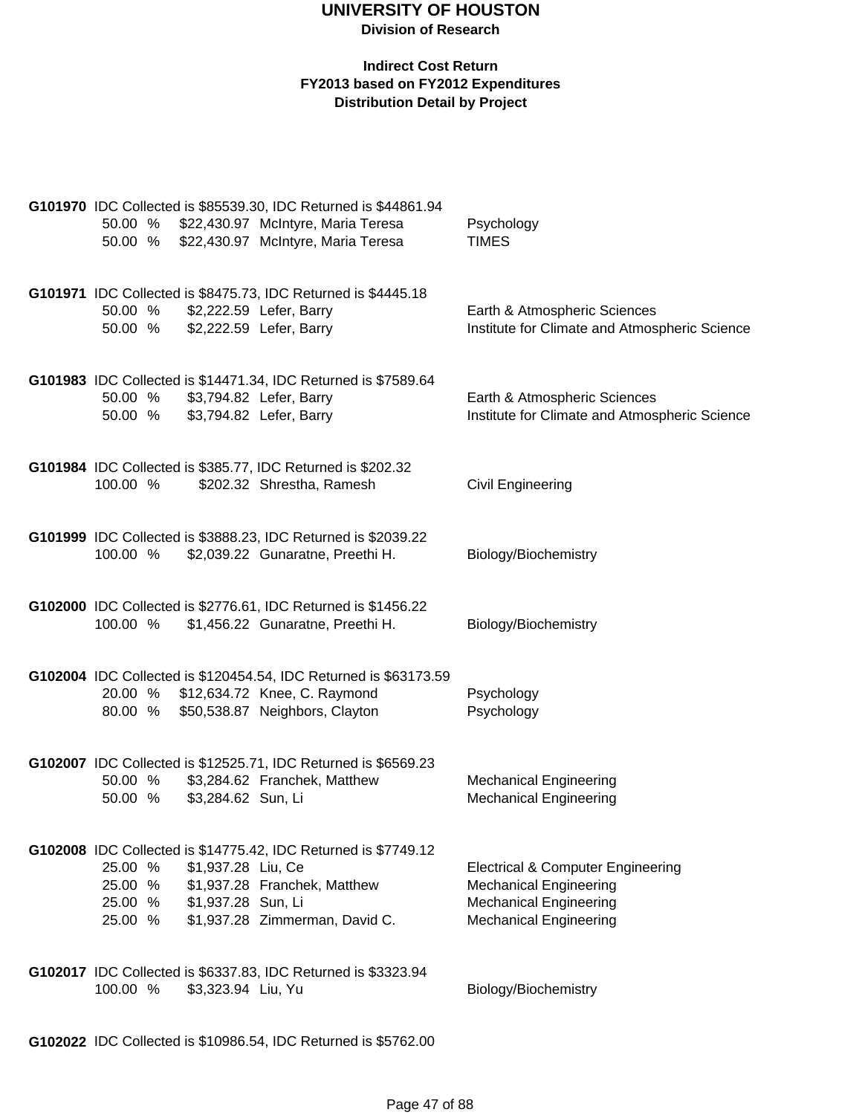#### **Indirect Cost Return FY2013 based on FY2012 Expenditures Distribution Detail by Project**

| G101970 IDC Collected is \$85539.30, IDC Returned is \$44861.94<br>\$22,430.97 McIntyre, Maria Teresa<br>50.00 %<br>\$22,430.97 McIntyre, Maria Teresa<br>50.00 %                                                     | Psychology<br><b>TIMES</b>                                                                                                                      |
|-----------------------------------------------------------------------------------------------------------------------------------------------------------------------------------------------------------------------|-------------------------------------------------------------------------------------------------------------------------------------------------|
| G101971 IDC Collected is \$8475.73, IDC Returned is \$4445.18<br>50.00 %<br>\$2,222.59 Lefer, Barry<br>\$2,222.59 Lefer, Barry<br>50.00 %                                                                             | Earth & Atmospheric Sciences<br>Institute for Climate and Atmospheric Science                                                                   |
| G101983 IDC Collected is \$14471.34, IDC Returned is \$7589.64<br>50.00 %<br>\$3,794.82 Lefer, Barry<br>50.00 %<br>\$3,794.82 Lefer, Barry                                                                            | Earth & Atmospheric Sciences<br>Institute for Climate and Atmospheric Science                                                                   |
| G101984 IDC Collected is \$385.77, IDC Returned is \$202.32<br>\$202.32 Shrestha, Ramesh<br>100.00 %                                                                                                                  | Civil Engineering                                                                                                                               |
| G101999 IDC Collected is \$3888.23, IDC Returned is \$2039.22<br>\$2,039.22 Gunaratne, Preethi H.<br>100.00 %                                                                                                         | Biology/Biochemistry                                                                                                                            |
| G102000 IDC Collected is \$2776.61, IDC Returned is \$1456.22<br>\$1,456.22 Gunaratne, Preethi H.<br>100.00 %                                                                                                         | Biology/Biochemistry                                                                                                                            |
| G102004 IDC Collected is \$120454.54, IDC Returned is \$63173.59<br>20.00 % \$12,634.72 Knee, C. Raymond<br>\$50,538.87 Neighbors, Clayton<br>80.00 %                                                                 | Psychology<br>Psychology                                                                                                                        |
| G102007 IDC Collected is \$12525.71, IDC Returned is \$6569.23<br>\$3,284.62 Franchek, Matthew<br>50.00 %<br>\$3,284.62 Sun, Li<br>50.00 %                                                                            | <b>Mechanical Engineering</b><br><b>Mechanical Engineering</b>                                                                                  |
| G102008 IDC Collected is \$14775.42, IDC Returned is \$7749.12<br>\$1,937.28 Liu, Ce<br>25.00 %<br>\$1,937.28 Franchek, Matthew<br>25.00 %<br>25.00 % \$1,937.28 Sun, Li<br>\$1,937.28 Zimmerman, David C.<br>25.00 % | <b>Electrical &amp; Computer Engineering</b><br><b>Mechanical Engineering</b><br><b>Mechanical Engineering</b><br><b>Mechanical Engineering</b> |
| G102017 IDC Collected is \$6337.83, IDC Returned is \$3323.94<br>100.00 %<br>\$3,323.94 Liu, Yu                                                                                                                       | Biology/Biochemistry                                                                                                                            |

**G102022** IDC Collected is \$10986.54, IDC Returned is \$5762.00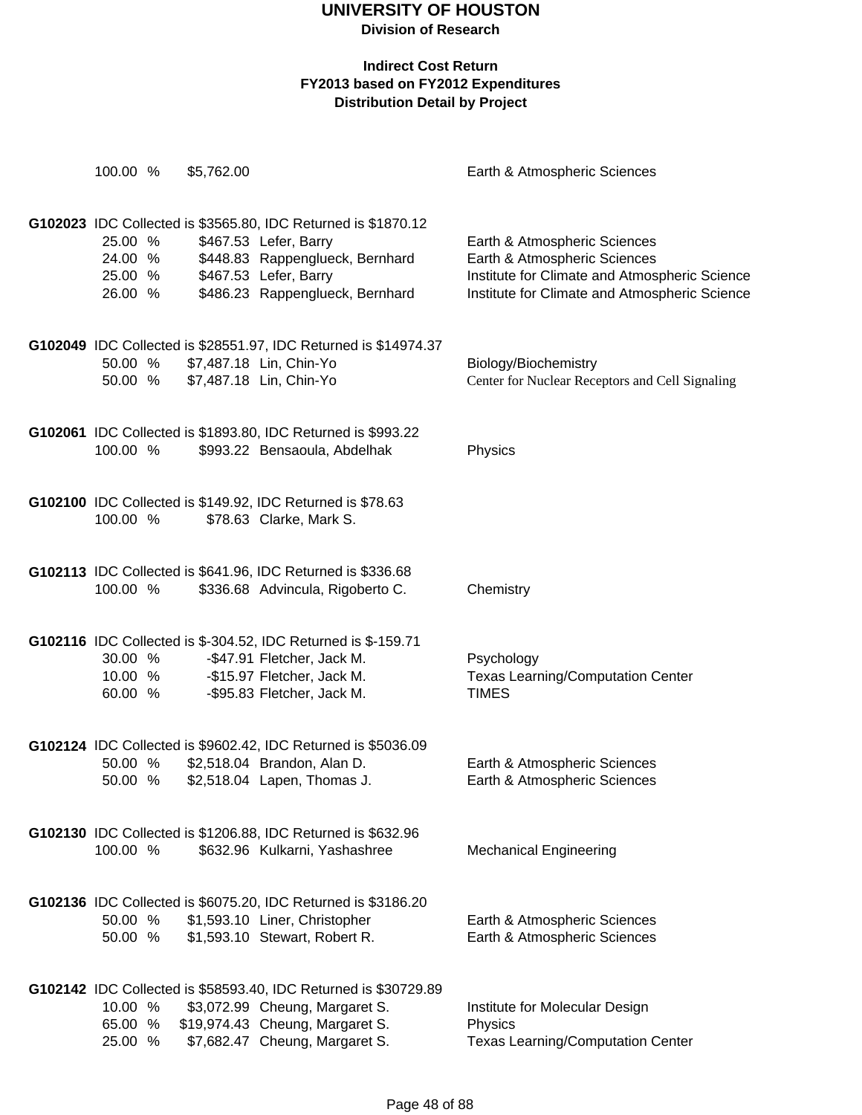## **UNIVERSITY OF HOUSTON**

**Division of Research**

| 100.00 %                                 | \$5,762.00 |                                                                                                                                                                                       | Earth & Atmospheric Sciences                                                                                                                                   |
|------------------------------------------|------------|---------------------------------------------------------------------------------------------------------------------------------------------------------------------------------------|----------------------------------------------------------------------------------------------------------------------------------------------------------------|
| 25.00 %<br>24.00 %<br>25.00 %<br>26.00 % |            | G102023 IDC Collected is \$3565.80, IDC Returned is \$1870.12<br>\$467.53 Lefer, Barry<br>\$448.83 Rappenglueck, Bernhard<br>\$467.53 Lefer, Barry<br>\$486.23 Rappenglueck, Bernhard | Earth & Atmospheric Sciences<br>Earth & Atmospheric Sciences<br>Institute for Climate and Atmospheric Science<br>Institute for Climate and Atmospheric Science |
| 50.00 %<br>50.00 %                       |            | G102049 IDC Collected is \$28551.97, IDC Returned is \$14974.37<br>\$7,487.18 Lin, Chin-Yo<br>\$7,487.18 Lin, Chin-Yo                                                                 | Biology/Biochemistry<br>Center for Nuclear Receptors and Cell Signaling                                                                                        |
| 100.00 %                                 |            | G102061 IDC Collected is \$1893.80, IDC Returned is \$993.22<br>\$993.22 Bensaoula, Abdelhak                                                                                          | Physics                                                                                                                                                        |
| 100.00 %                                 |            | G102100 IDC Collected is \$149.92, IDC Returned is \$78.63<br>\$78.63 Clarke, Mark S.                                                                                                 |                                                                                                                                                                |
| 100.00 %                                 |            | G102113 IDC Collected is \$641.96, IDC Returned is \$336.68<br>\$336.68 Advincula, Rigoberto C.                                                                                       | Chemistry                                                                                                                                                      |
| 30.00 %<br>10.00 %<br>60.00 %            |            | G102116 IDC Collected is \$-304.52, IDC Returned is \$-159.71<br>-\$47.91 Fletcher, Jack M.<br>-\$15.97 Fletcher, Jack M.<br>-\$95.83 Fletcher, Jack M.                               | Psychology<br><b>Texas Learning/Computation Center</b><br><b>TIMES</b>                                                                                         |
| 50.00 %<br>50.00 %                       |            | G102124 IDC Collected is \$9602.42, IDC Returned is \$5036.09<br>\$2,518.04 Brandon, Alan D.<br>\$2,518.04 Lapen, Thomas J.                                                           | Earth & Atmospheric Sciences<br>Earth & Atmospheric Sciences                                                                                                   |
| 100.00 %                                 |            | G102130 IDC Collected is \$1206.88, IDC Returned is \$632.96<br>\$632.96 Kulkarni, Yashashree                                                                                         | <b>Mechanical Engineering</b>                                                                                                                                  |
| 50.00 %<br>50.00 %                       |            | G102136 IDC Collected is \$6075.20, IDC Returned is \$3186.20<br>\$1,593.10 Liner, Christopher<br>\$1,593.10 Stewart, Robert R.                                                       | Earth & Atmospheric Sciences<br>Earth & Atmospheric Sciences                                                                                                   |
| 10.00 %<br>65.00 %<br>25.00 %            |            | G102142 IDC Collected is \$58593.40, IDC Returned is \$30729.89<br>\$3,072.99 Cheung, Margaret S.<br>\$19,974.43 Cheung, Margaret S.<br>\$7,682.47 Cheung, Margaret S.                | Institute for Molecular Design<br>Physics<br><b>Texas Learning/Computation Center</b>                                                                          |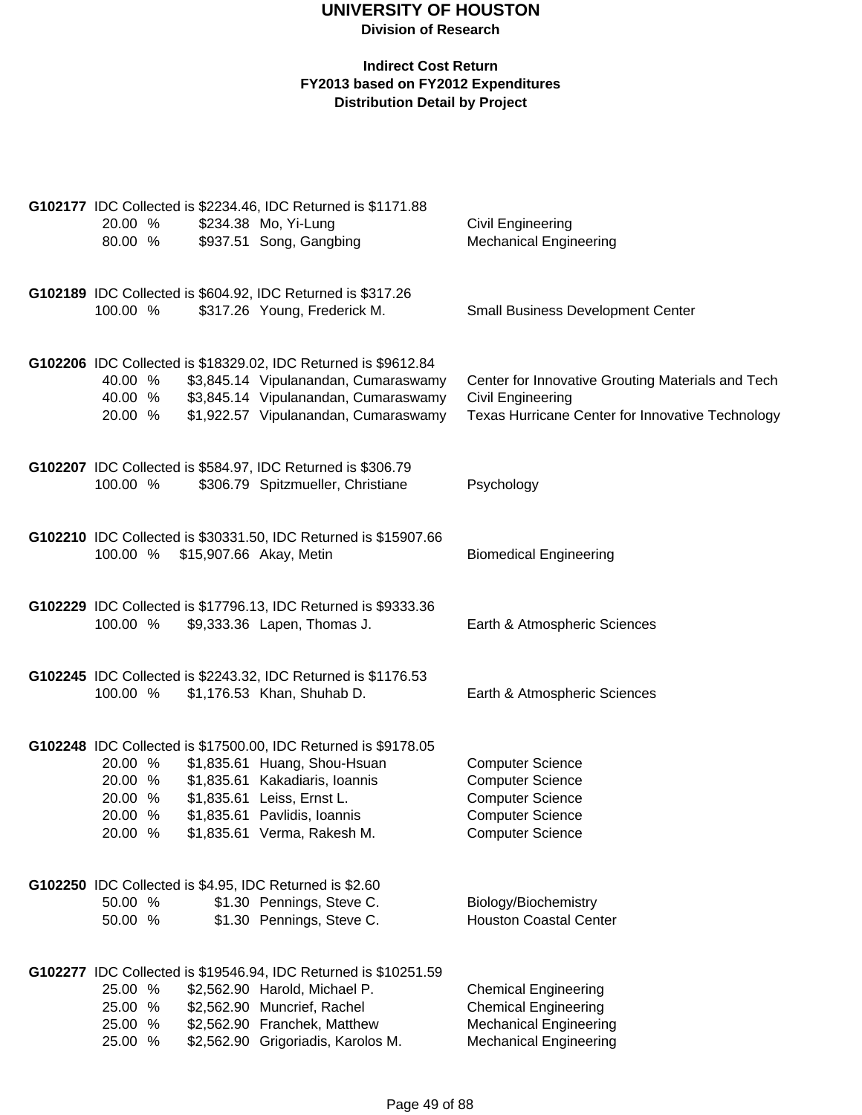|                    | G102177 IDC Collected is \$2234.46, IDC Returned is \$1171.88                                 |                                                   |
|--------------------|-----------------------------------------------------------------------------------------------|---------------------------------------------------|
| 20.00 %            | \$234.38 Mo, Yi-Lung                                                                          | Civil Engineering                                 |
| 80.00 %            | \$937.51 Song, Gangbing                                                                       | <b>Mechanical Engineering</b>                     |
|                    |                                                                                               |                                                   |
|                    | G102189 IDC Collected is \$604.92, IDC Returned is \$317.26                                   |                                                   |
| 100.00 %           | \$317.26 Young, Frederick M.                                                                  | <b>Small Business Development Center</b>          |
|                    |                                                                                               |                                                   |
|                    |                                                                                               |                                                   |
|                    | G102206 IDC Collected is \$18329.02, IDC Returned is \$9612.84                                |                                                   |
| 40.00 %            | \$3,845.14 Vipulanandan, Cumaraswamy                                                          | Center for Innovative Grouting Materials and Tech |
| 40.00 %<br>20.00 % | \$3,845.14 Vipulanandan, Cumaraswamy                                                          | <b>Civil Engineering</b>                          |
|                    | \$1,922.57 Vipulanandan, Cumaraswamy                                                          | Texas Hurricane Center for Innovative Technology  |
|                    |                                                                                               |                                                   |
|                    | G102207 IDC Collected is \$584.97, IDC Returned is \$306.79                                   |                                                   |
| 100.00 %           | \$306.79 Spitzmueller, Christiane                                                             | Psychology                                        |
|                    |                                                                                               |                                                   |
|                    | G102210 IDC Collected is \$30331.50, IDC Returned is \$15907.66                               |                                                   |
| 100.00 %           | \$15,907.66 Akay, Metin                                                                       | <b>Biomedical Engineering</b>                     |
|                    |                                                                                               |                                                   |
|                    |                                                                                               |                                                   |
| 100.00 %           | G102229 IDC Collected is \$17796.13, IDC Returned is \$9333.36<br>\$9,333.36 Lapen, Thomas J. | Earth & Atmospheric Sciences                      |
|                    |                                                                                               |                                                   |
|                    |                                                                                               |                                                   |
|                    | G102245 IDC Collected is \$2243.32, IDC Returned is \$1176.53                                 |                                                   |
| 100.00 %           | \$1,176.53 Khan, Shuhab D.                                                                    | Earth & Atmospheric Sciences                      |
|                    |                                                                                               |                                                   |
|                    | G102248 IDC Collected is \$17500.00, IDC Returned is \$9178.05                                |                                                   |
| 20.00 %            | \$1,835.61 Huang, Shou-Hsuan                                                                  | <b>Computer Science</b>                           |
| 20.00 %            | \$1,835.61 Kakadiaris, Ioannis                                                                | <b>Computer Science</b>                           |
| 20.00 %            | \$1,835.61 Leiss, Ernst L.                                                                    | <b>Computer Science</b>                           |
| 20.00 %            | \$1,835.61 Pavlidis, Ioannis                                                                  | <b>Computer Science</b>                           |
| 20.00 %            | \$1,835.61 Verma, Rakesh M.                                                                   | <b>Computer Science</b>                           |
|                    |                                                                                               |                                                   |
|                    | G102250 IDC Collected is \$4.95, IDC Returned is \$2.60                                       |                                                   |
| 50.00 %            | \$1.30 Pennings, Steve C.                                                                     | Biology/Biochemistry                              |
| 50.00 %            | \$1.30 Pennings, Steve C.                                                                     | <b>Houston Coastal Center</b>                     |
|                    |                                                                                               |                                                   |
|                    | G102277 IDC Collected is \$19546.94, IDC Returned is \$10251.59                               |                                                   |
| 25.00 %            | \$2,562.90 Harold, Michael P.                                                                 | <b>Chemical Engineering</b>                       |
| 25.00 %            | \$2,562.90 Muncrief, Rachel                                                                   | <b>Chemical Engineering</b>                       |
| 25.00 %            | \$2,562.90 Franchek, Matthew                                                                  | <b>Mechanical Engineering</b>                     |
| 25.00 %            | \$2,562.90 Grigoriadis, Karolos M.                                                            | <b>Mechanical Engineering</b>                     |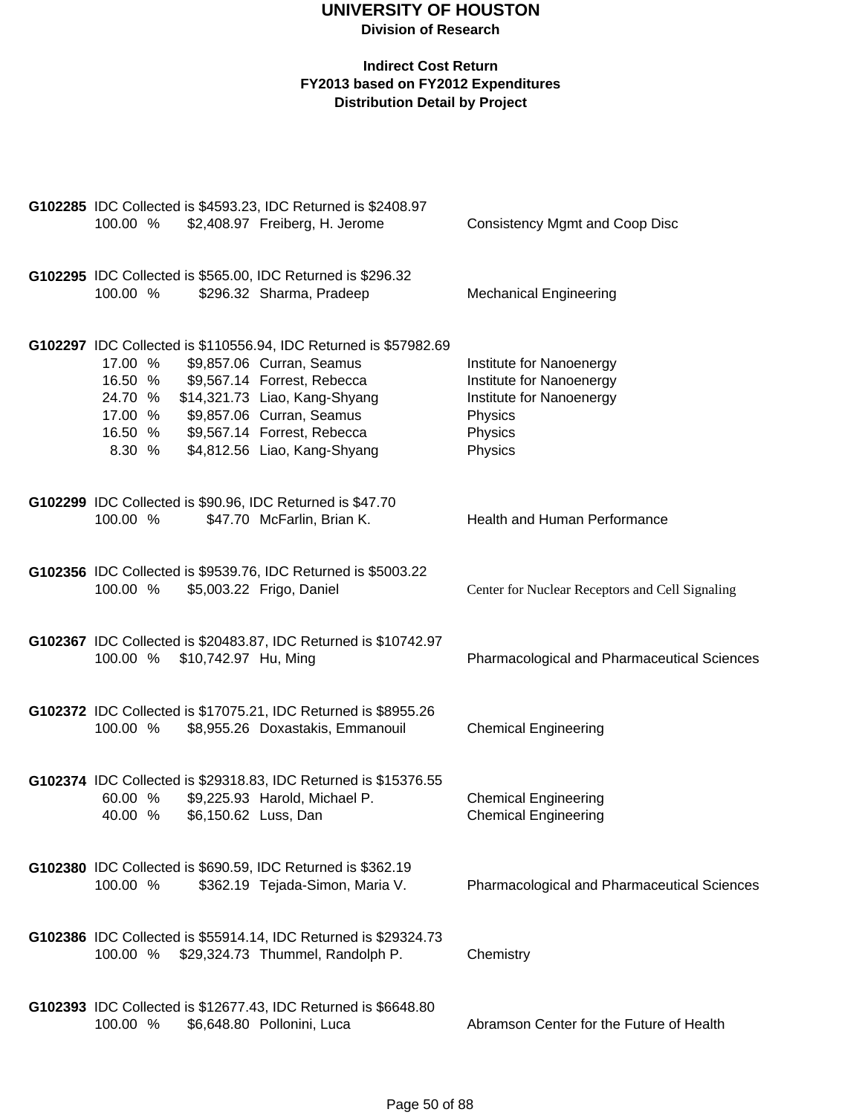| 100.00 %                                                                                                            | G102285 IDC Collected is \$4593.23, IDC Returned is \$2408.97<br>\$2,408.97 Freiberg, H. Jerome                                                                                               | <b>Consistency Mgmt and Coop Disc</b>                                                                             |
|---------------------------------------------------------------------------------------------------------------------|-----------------------------------------------------------------------------------------------------------------------------------------------------------------------------------------------|-------------------------------------------------------------------------------------------------------------------|
| 100.00 %                                                                                                            | G102295 IDC Collected is \$565.00, IDC Returned is \$296.32<br>\$296.32 Sharma, Pradeep                                                                                                       | <b>Mechanical Engineering</b>                                                                                     |
| 17.00 %<br>16.50 %<br>24.70 %<br>17.00 % \$9,857.06 Curran, Seamus<br>16.50 % \$9,567.14 Forrest, Rebecca<br>8.30 % | G102297 IDC Collected is \$110556.94, IDC Returned is \$57982.69<br>\$9,857.06 Curran, Seamus<br>\$9,567.14 Forrest, Rebecca<br>\$14,321.73 Liao, Kang-Shyang<br>\$4,812.56 Liao, Kang-Shyang | Institute for Nanoenergy<br>Institute for Nanoenergy<br>Institute for Nanoenergy<br>Physics<br>Physics<br>Physics |
| G102299 IDC Collected is \$90.96, IDC Returned is \$47.70<br>100.00 %                                               | \$47.70 McFarlin, Brian K.                                                                                                                                                                    | <b>Health and Human Performance</b>                                                                               |
| 100.00 %                                                                                                            | G102356 IDC Collected is \$9539.76, IDC Returned is \$5003.22<br>\$5,003.22 Frigo, Daniel                                                                                                     | Center for Nuclear Receptors and Cell Signaling                                                                   |
| 100.00 % \$10,742.97 Hu, Ming                                                                                       | G102367 IDC Collected is \$20483.87, IDC Returned is \$10742.97                                                                                                                               | <b>Pharmacological and Pharmaceutical Sciences</b>                                                                |
| 100.00 %                                                                                                            | G102372 IDC Collected is \$17075.21, IDC Returned is \$8955.26<br>\$8,955.26 Doxastakis, Emmanouil                                                                                            | <b>Chemical Engineering</b>                                                                                       |
| 60.00 %<br>40.00 %                                                                                                  | G102374 IDC Collected is \$29318.83, IDC Returned is \$15376.55<br>\$9,225.93 Harold, Michael P.<br>\$6,150.62 Luss, Dan                                                                      | <b>Chemical Engineering</b><br><b>Chemical Engineering</b>                                                        |
| 100.00 %                                                                                                            | G102380 IDC Collected is \$690.59, IDC Returned is \$362.19<br>\$362.19 Tejada-Simon, Maria V.                                                                                                | Pharmacological and Pharmaceutical Sciences                                                                       |
| 100.00 %                                                                                                            | G102386 IDC Collected is \$55914.14, IDC Returned is \$29324.73<br>\$29,324.73 Thummel, Randolph P.                                                                                           | Chemistry                                                                                                         |
| 100.00 %                                                                                                            | G102393 IDC Collected is \$12677.43, IDC Returned is \$6648.80<br>\$6,648.80 Pollonini, Luca                                                                                                  | Abramson Center for the Future of Health                                                                          |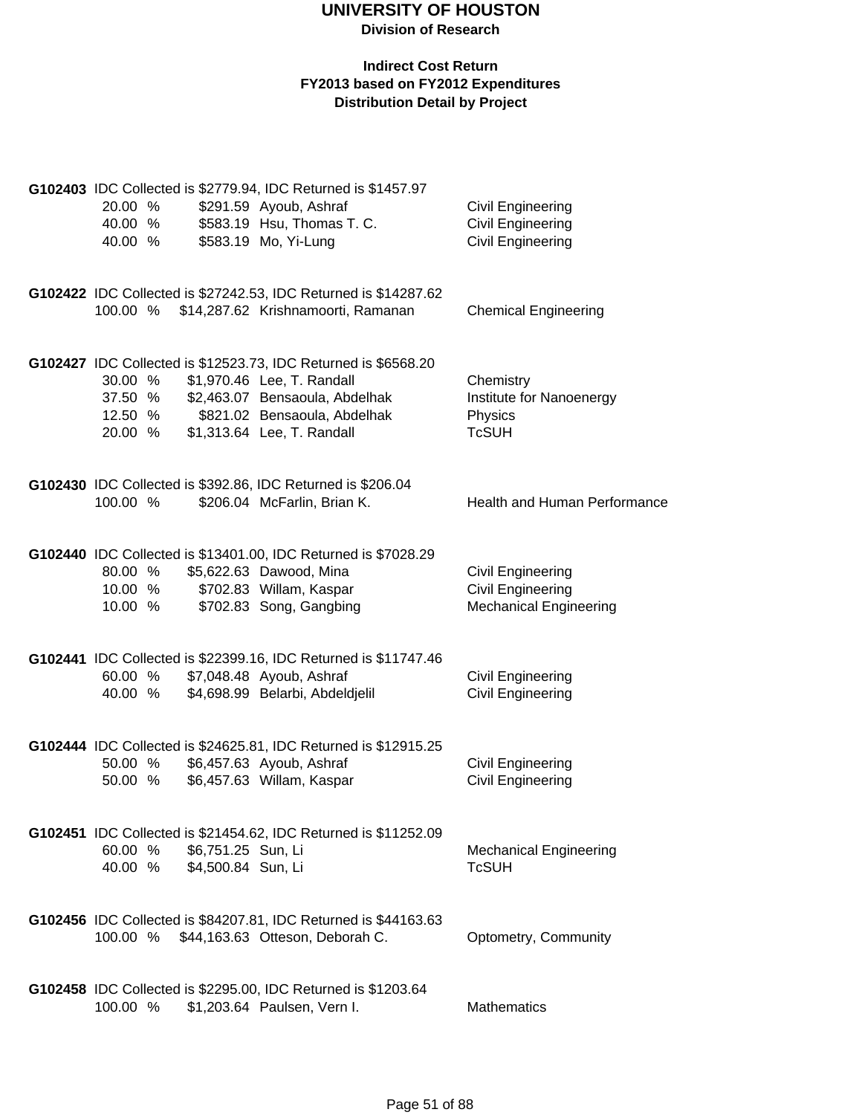| 20.00 %<br>40.00 %<br>40.00 %            |                                                  | G102403 IDC Collected is \$2779.94, IDC Returned is \$1457.97<br>\$291.59 Ayoub, Ashraf<br>\$583.19 Hsu, Thomas T. C.<br>\$583.19 Mo, Yi-Lung                                                | Civil Engineering<br><b>Civil Engineering</b><br><b>Civil Engineering</b>      |
|------------------------------------------|--------------------------------------------------|----------------------------------------------------------------------------------------------------------------------------------------------------------------------------------------------|--------------------------------------------------------------------------------|
| 100.00 %                                 |                                                  | G102422 IDC Collected is \$27242.53, IDC Returned is \$14287.62<br>\$14,287.62 Krishnamoorti, Ramanan                                                                                        | <b>Chemical Engineering</b>                                                    |
| 30.00 %<br>37.50 %<br>12.50 %<br>20.00 % |                                                  | G102427 IDC Collected is \$12523.73, IDC Returned is \$6568.20<br>\$1,970.46 Lee, T. Randall<br>\$2,463.07 Bensaoula, Abdelhak<br>\$821.02 Bensaoula, Abdelhak<br>\$1,313.64 Lee, T. Randall | Chemistry<br>Institute for Nanoenergy<br>Physics<br><b>TcSUH</b>               |
| 100.00 %                                 |                                                  | G102430 IDC Collected is \$392.86, IDC Returned is \$206.04<br>\$206.04 McFarlin, Brian K.                                                                                                   | Health and Human Performance                                                   |
| 80.00 %<br>10.00 %<br>10.00 %            |                                                  | G102440 IDC Collected is \$13401.00, IDC Returned is \$7028.29<br>\$5,622.63 Dawood, Mina<br>\$702.83 Willam, Kaspar<br>\$702.83 Song, Gangbing                                              | Civil Engineering<br><b>Civil Engineering</b><br><b>Mechanical Engineering</b> |
| 60.00 %<br>40.00 %                       |                                                  | G102441 IDC Collected is \$22399.16, IDC Returned is \$11747.46<br>\$7,048.48 Ayoub, Ashraf<br>\$4,698.99 Belarbi, Abdeldjelil                                                               | Civil Engineering<br><b>Civil Engineering</b>                                  |
| 50.00 %<br>50.00 %                       |                                                  | G102444 IDC Collected is \$24625.81, IDC Returned is \$12915.25<br>\$6,457.63 Ayoub, Ashraf<br>\$6,457.63 Willam, Kaspar                                                                     | <b>Civil Engineering</b><br>Civil Engineering                                  |
| 60.00 %                                  | \$6,751.25 Sun, Li<br>40.00 % \$4,500.84 Sun, Li | G102451 IDC Collected is \$21454.62, IDC Returned is \$11252.09                                                                                                                              | <b>Mechanical Engineering</b><br><b>TcSUH</b>                                  |
| 100.00 %                                 |                                                  | G102456 IDC Collected is \$84207.81, IDC Returned is \$44163.63<br>\$44,163.63 Otteson, Deborah C.                                                                                           | Optometry, Community                                                           |
| 100.00 %                                 |                                                  | G102458 IDC Collected is \$2295.00, IDC Returned is \$1203.64<br>\$1,203.64 Paulsen, Vern I.                                                                                                 | <b>Mathematics</b>                                                             |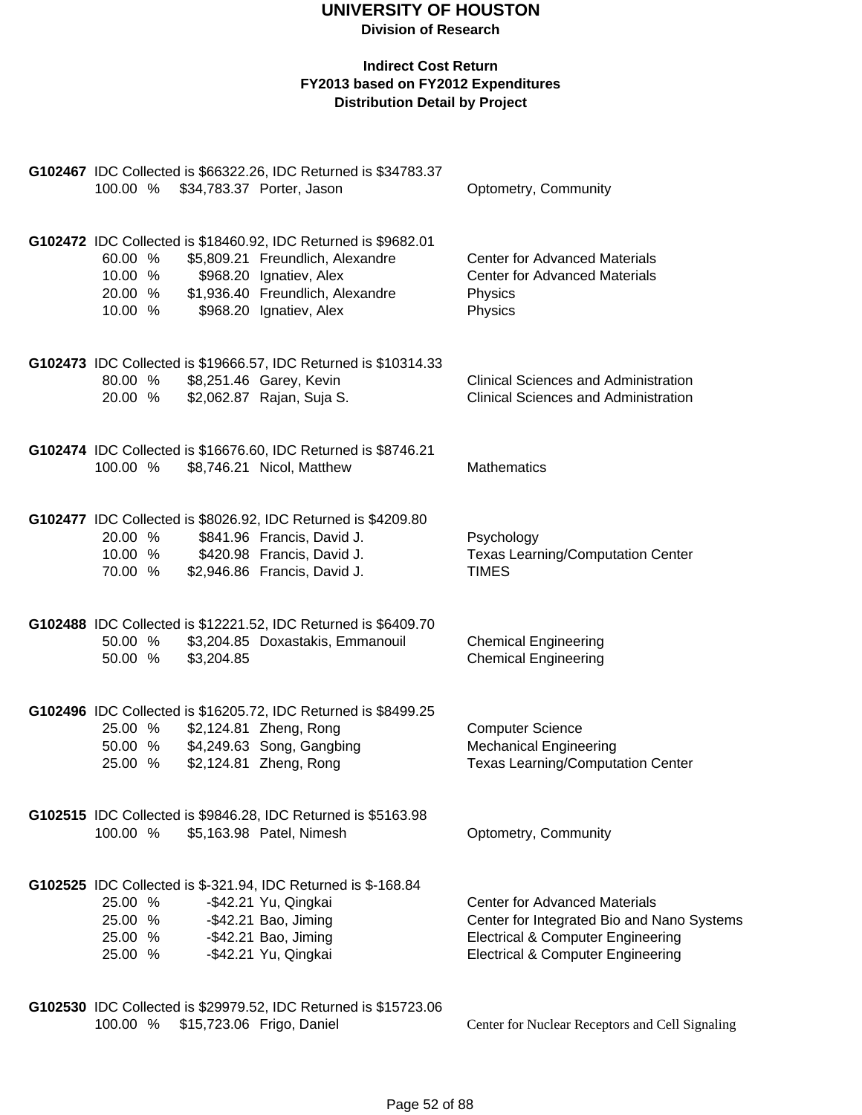#### **Indirect Cost Return FY2013 based on FY2012 Expenditures Distribution Detail by Project**

| G102467 IDC Collected is \$66322.26, IDC Returned is \$34783.37<br>100.00 %<br>\$34,783.37 Porter, Jason                                                                                                                                 | Optometry, Community                                                                                                                                                               |
|------------------------------------------------------------------------------------------------------------------------------------------------------------------------------------------------------------------------------------------|------------------------------------------------------------------------------------------------------------------------------------------------------------------------------------|
| G102472 IDC Collected is \$18460.92, IDC Returned is \$9682.01<br>\$5,809.21 Freundlich, Alexandre<br>60.00 %<br>10.00 %<br>\$968.20 Ignatiev, Alex<br>\$1,936.40 Freundlich, Alexandre<br>20.00 %<br>\$968.20 Ignatiev, Alex<br>10.00 % | <b>Center for Advanced Materials</b><br><b>Center for Advanced Materials</b><br>Physics<br>Physics                                                                                 |
| G102473 IDC Collected is \$19666.57, IDC Returned is \$10314.33<br>\$8,251.46 Garey, Kevin<br>80.00 %<br>\$2,062.87 Rajan, Suja S.<br>20.00 %                                                                                            | <b>Clinical Sciences and Administration</b><br><b>Clinical Sciences and Administration</b>                                                                                         |
| G102474 IDC Collected is \$16676.60, IDC Returned is \$8746.21<br>100.00 %<br>\$8,746.21 Nicol, Matthew                                                                                                                                  | <b>Mathematics</b>                                                                                                                                                                 |
| G102477 IDC Collected is \$8026.92, IDC Returned is \$4209.80<br>\$841.96 Francis, David J.<br>20.00 %<br>10.00 %<br>\$420.98 Francis, David J.<br>70.00 %<br>\$2,946.86 Francis, David J.                                               | Psychology<br><b>Texas Learning/Computation Center</b><br><b>TIMES</b>                                                                                                             |
| G102488 IDC Collected is \$12221.52, IDC Returned is \$6409.70<br>\$3,204.85 Doxastakis, Emmanouil<br>50.00 %<br>\$3,204.85<br>50.00 %                                                                                                   | <b>Chemical Engineering</b><br><b>Chemical Engineering</b>                                                                                                                         |
| G102496 IDC Collected is \$16205.72, IDC Returned is \$8499.25<br>\$2,124.81 Zheng, Rong<br>25.00 %<br>50.00 % \$4,249.63 Song, Gangbing<br>\$2,124.81 Zheng, Rong<br>25.00 %                                                            | <b>Computer Science</b><br><b>Mechanical Engineering</b><br><b>Texas Learning/Computation Center</b>                                                                               |
| G102515 IDC Collected is \$9846.28, IDC Returned is \$5163.98<br>\$5,163.98 Patel, Nimesh<br>100.00 %                                                                                                                                    | Optometry, Community                                                                                                                                                               |
| G102525 IDC Collected is \$-321.94, IDC Returned is \$-168.84<br>25.00 %<br>-\$42.21 Yu, Qingkai<br>25.00 %<br>-\$42.21 Bao, Jiming<br>-\$42.21 Bao, Jiming<br>25.00 %<br>-\$42.21 Yu, Qingkai<br>25.00 %                                | <b>Center for Advanced Materials</b><br>Center for Integrated Bio and Nano Systems<br><b>Electrical &amp; Computer Engineering</b><br><b>Electrical &amp; Computer Engineering</b> |
|                                                                                                                                                                                                                                          |                                                                                                                                                                                    |

**G102530** IDC Collected is \$29979.52, IDC Returned is \$15723.06 100.00 % \$15,723.06 Frigo, Daniel Center for Nuclear Receptors and Cell Signaling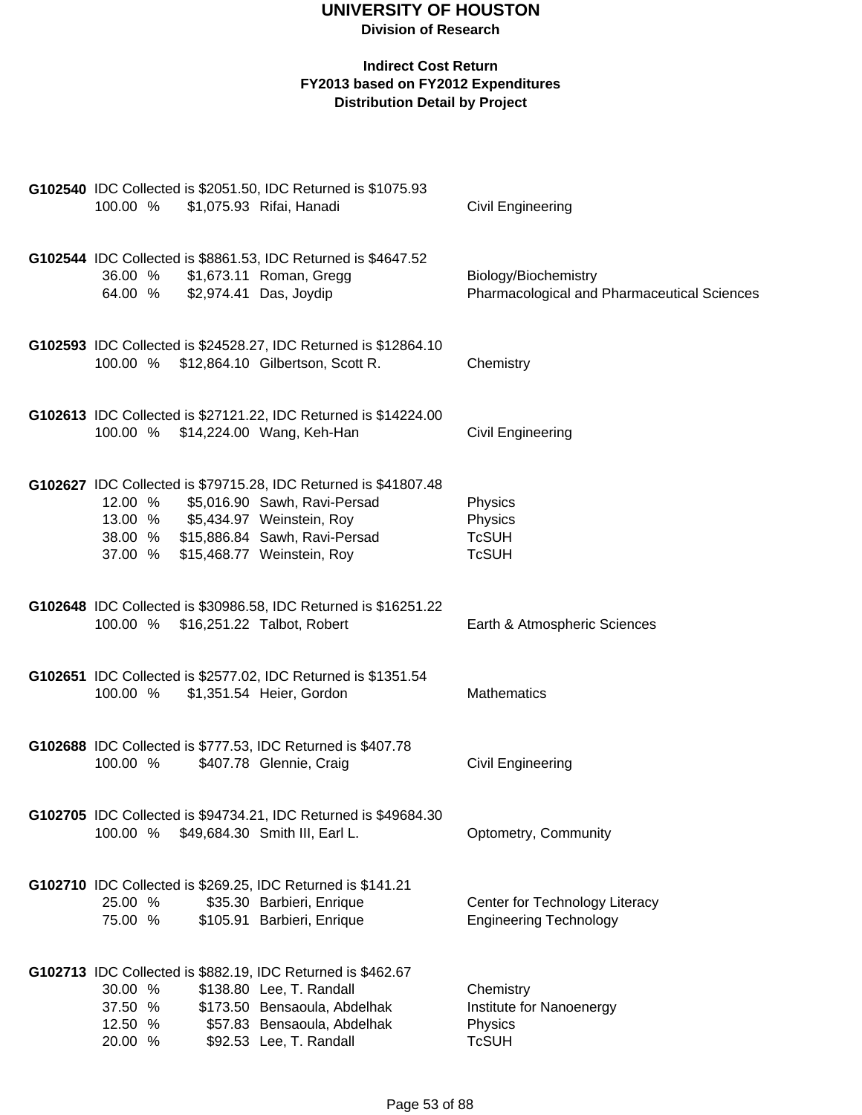| 100.00 % \$1,075.93 Rifai, Hanadi                                                                                                                        | G102540 IDC Collected is \$2051.50, IDC Returned is \$1075.93                                                      | Civil Engineering                                                   |
|----------------------------------------------------------------------------------------------------------------------------------------------------------|--------------------------------------------------------------------------------------------------------------------|---------------------------------------------------------------------|
| 36.00 % \$1,673.11 Roman, Gregg<br>64.00 % \$2,974.41 Das, Joydip                                                                                        | G102544 IDC Collected is \$8861.53, IDC Returned is \$4647.52                                                      | Biology/Biochemistry<br>Pharmacological and Pharmaceutical Sciences |
| 100.00 % \$12,864.10 Gilbertson, Scott R.                                                                                                                | G102593 IDC Collected is \$24528.27, IDC Returned is \$12864.10                                                    | Chemistry                                                           |
| 100.00 % \$14,224.00 Wang, Keh-Han                                                                                                                       | G102613 IDC Collected is \$27121.22, IDC Returned is \$14224.00                                                    | Civil Engineering                                                   |
| 12.00 % \$5,016.90 Sawh, Ravi-Persad<br>13.00 % \$5,434.97 Weinstein, Roy<br>38.00 % \$15,886.84 Sawh, Ravi-Persad<br>37.00 % \$15,468.77 Weinstein, Roy | G102627 IDC Collected is \$79715.28, IDC Returned is \$41807.48                                                    | Physics<br>Physics<br><b>TcSUH</b><br><b>TcSUH</b>                  |
| 100.00 % \$16,251.22 Talbot, Robert                                                                                                                      | G102648 IDC Collected is \$30986.58, IDC Returned is \$16251.22                                                    | Earth & Atmospheric Sciences                                        |
| 100.00 % \$1,351.54 Heier, Gordon                                                                                                                        | G102651 IDC Collected is \$2577.02, IDC Returned is \$1351.54                                                      | <b>Mathematics</b>                                                  |
| G102688 IDC Collected is \$777.53, IDC Returned is \$407.78<br>100.00 %                                                                                  | \$407.78 Glennie, Craig                                                                                            | Civil Engineering                                                   |
| 100.00 %                                                                                                                                                 | G102705 IDC Collected is \$94734.21, IDC Returned is \$49684.30<br>\$49,684.30 Smith III, Earl L.                  | Optometry, Community                                                |
| G102710 IDC Collected is \$269.25, IDC Returned is \$141.21<br>25.00 %<br>75.00 %                                                                        | \$35.30 Barbieri, Enrique<br>\$105.91 Barbieri, Enrique                                                            | Center for Technology Literacy<br><b>Engineering Technology</b>     |
| G102713 IDC Collected is \$882.19, IDC Returned is \$462.67<br>30.00 %<br>37.50 %<br>12.50 %<br>20.00 %                                                  | \$138.80 Lee, T. Randall<br>\$173.50 Bensaoula, Abdelhak<br>\$57.83 Bensaoula, Abdelhak<br>\$92.53 Lee, T. Randall | Chemistry<br>Institute for Nanoenergy<br>Physics<br><b>TcSUH</b>    |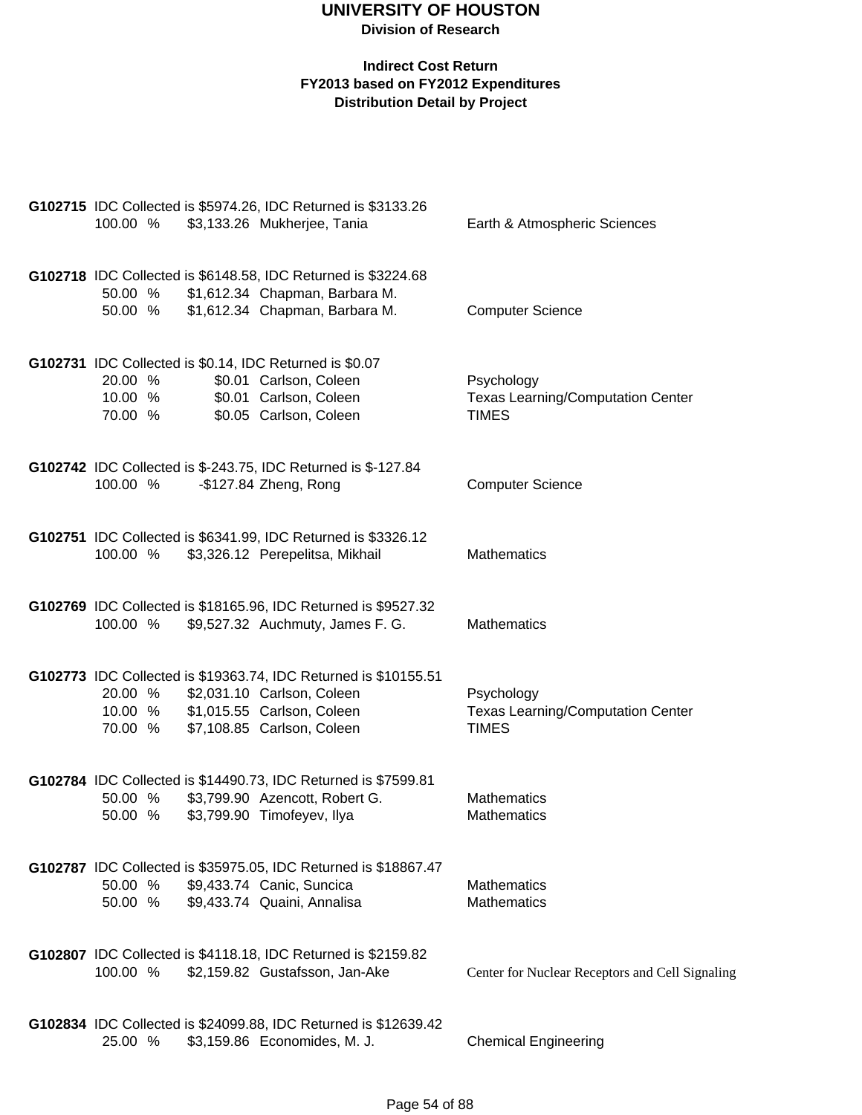| 100.00 %                      | G102715 IDC Collected is \$5974.26, IDC Returned is \$3133.26<br>\$3,133.26 Mukherjee, Tania                                                              | Earth & Atmospheric Sciences                                           |
|-------------------------------|-----------------------------------------------------------------------------------------------------------------------------------------------------------|------------------------------------------------------------------------|
| 50.00 %<br>50.00 %            | G102718 IDC Collected is \$6148.58, IDC Returned is \$3224.68<br>\$1,612.34 Chapman, Barbara M.<br>\$1,612.34 Chapman, Barbara M.                         | <b>Computer Science</b>                                                |
| 20.00 %<br>10.00 %<br>70.00 % | G102731 IDC Collected is \$0.14, IDC Returned is \$0.07<br>\$0.01 Carlson, Coleen<br>\$0.01 Carlson, Coleen<br>\$0.05 Carlson, Coleen                     | Psychology<br><b>Texas Learning/Computation Center</b><br><b>TIMES</b> |
| 100.00 %                      | G102742 IDC Collected is \$-243.75, IDC Returned is \$-127.84<br>$-$127.84$ Zheng, Rong                                                                   | <b>Computer Science</b>                                                |
| 100.00 %                      | G102751 IDC Collected is \$6341.99, IDC Returned is \$3326.12<br>\$3,326.12 Perepelitsa, Mikhail                                                          | <b>Mathematics</b>                                                     |
| 100.00 %                      | G102769 IDC Collected is \$18165.96, IDC Returned is \$9527.32<br>\$9,527.32 Auchmuty, James F. G.                                                        | <b>Mathematics</b>                                                     |
| 20.00 %<br>10.00 %<br>70.00 % | G102773 IDC Collected is \$19363.74, IDC Returned is \$10155.51<br>\$2,031.10 Carlson, Coleen<br>\$1,015.55 Carlson, Coleen<br>\$7,108.85 Carlson, Coleen | Psychology<br><b>Texas Learning/Computation Center</b><br><b>TIMES</b> |
| 50.00 %<br>50.00 %            | G102784 IDC Collected is \$14490.73, IDC Returned is \$7599.81<br>\$3,799.90 Azencott, Robert G.<br>\$3,799.90 Timofeyev, Ilya                            | <b>Mathematics</b><br><b>Mathematics</b>                               |
| 50.00 %<br>50.00 %            | G102787 IDC Collected is \$35975.05, IDC Returned is \$18867.47<br>\$9,433.74 Canic, Suncica<br>\$9,433.74 Quaini, Annalisa                               | <b>Mathematics</b><br><b>Mathematics</b>                               |
| 100.00 %                      | G102807 IDC Collected is \$4118.18, IDC Returned is \$2159.82<br>\$2,159.82 Gustafsson, Jan-Ake                                                           | Center for Nuclear Receptors and Cell Signaling                        |
| 25.00 %                       | G102834 IDC Collected is \$24099.88, IDC Returned is \$12639.42<br>\$3,159.86 Economides, M. J.                                                           | <b>Chemical Engineering</b>                                            |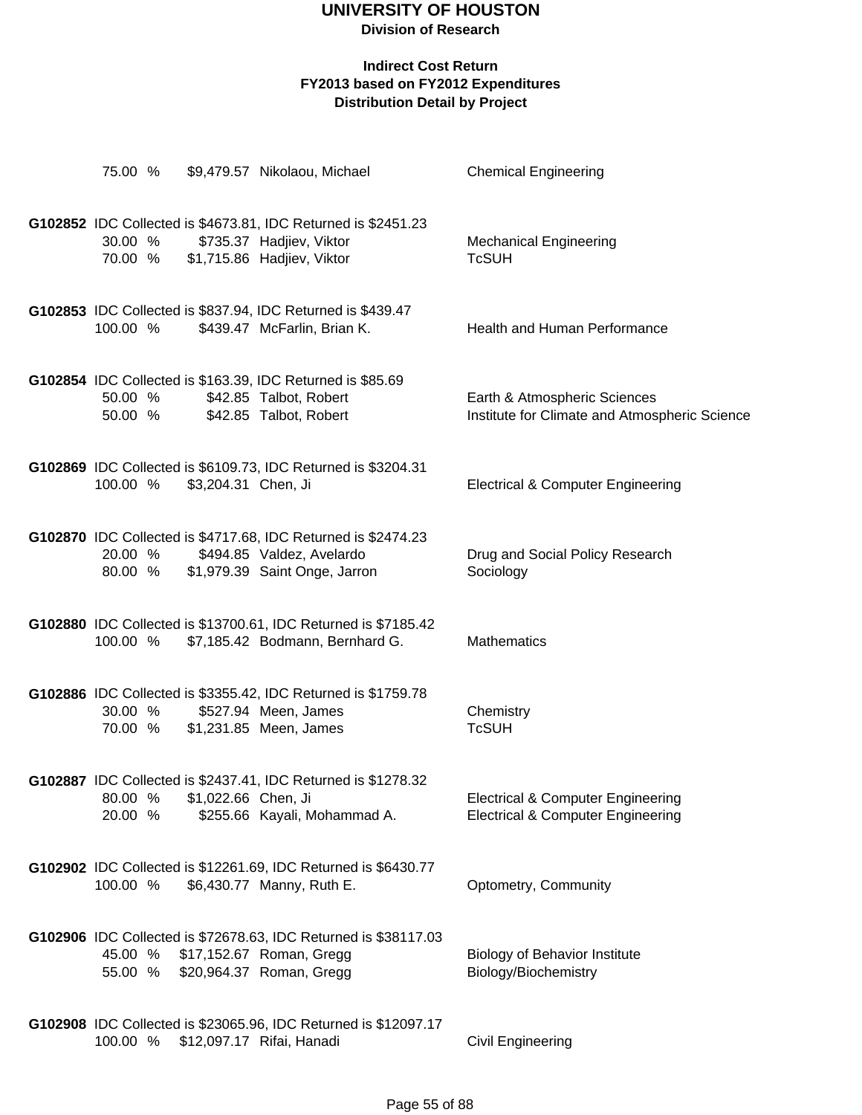| 75.00 %            |                                    | \$9,479.57 Nikolaou, Michael                                                                                                | <b>Chemical Engineering</b>                                                                  |
|--------------------|------------------------------------|-----------------------------------------------------------------------------------------------------------------------------|----------------------------------------------------------------------------------------------|
| 30.00 %            | 70.00 % \$1,715.86 Hadjiev, Viktor | G102852 IDC Collected is \$4673.81, IDC Returned is \$2451.23<br>\$735.37 Hadjiev, Viktor                                   | <b>Mechanical Engineering</b><br><b>TcSUH</b>                                                |
| 100.00 %           |                                    | G102853 IDC Collected is \$837.94, IDC Returned is \$439.47<br>\$439.47 McFarlin, Brian K.                                  | Health and Human Performance                                                                 |
| 50.00 %            | 50.00 % \$42.85 Talbot, Robert     | G102854 IDC Collected is \$163.39, IDC Returned is \$85.69<br>\$42.85 Talbot, Robert                                        | Earth & Atmospheric Sciences<br>Institute for Climate and Atmospheric Science                |
| 100.00 %           | \$3,204.31 Chen, Ji                | G102869 IDC Collected is \$6109.73, IDC Returned is \$3204.31                                                               | <b>Electrical &amp; Computer Engineering</b>                                                 |
| 20.00 %<br>80.00 % |                                    | G102870 IDC Collected is \$4717.68, IDC Returned is \$2474.23<br>\$494.85 Valdez, Avelardo<br>\$1,979.39 Saint Onge, Jarron | Drug and Social Policy Research<br>Sociology                                                 |
| 100.00 %           |                                    | G102880 IDC Collected is \$13700.61, IDC Returned is \$7185.42<br>\$7,185.42 Bodmann, Bernhard G.                           | <b>Mathematics</b>                                                                           |
| 30.00 %<br>70.00 % |                                    | G102886 IDC Collected is \$3355.42, IDC Returned is \$1759.78<br>\$527.94 Meen, James<br>\$1,231.85 Meen, James             | Chemistry<br><b>TcSUH</b>                                                                    |
| 80.00 %<br>20.00 % | \$1,022.66 Chen, Ji                | G102887 IDC Collected is \$2437.41, IDC Returned is \$1278.32<br>\$255.66 Kayali, Mohammad A.                               | <b>Electrical &amp; Computer Engineering</b><br><b>Electrical &amp; Computer Engineering</b> |
| 100.00 %           |                                    | G102902 IDC Collected is \$12261.69, IDC Returned is \$6430.77<br>\$6,430.77 Manny, Ruth E.                                 | Optometry, Community                                                                         |
| 45.00 %<br>55.00 % |                                    | G102906 IDC Collected is \$72678.63, IDC Returned is \$38117.03<br>\$17,152.67 Roman, Gregg<br>\$20,964.37 Roman, Gregg     | <b>Biology of Behavior Institute</b><br>Biology/Biochemistry                                 |
| 100.00 %           |                                    | G102908 IDC Collected is \$23065.96, IDC Returned is \$12097.17<br>\$12,097.17 Rifai, Hanadi                                | <b>Civil Engineering</b>                                                                     |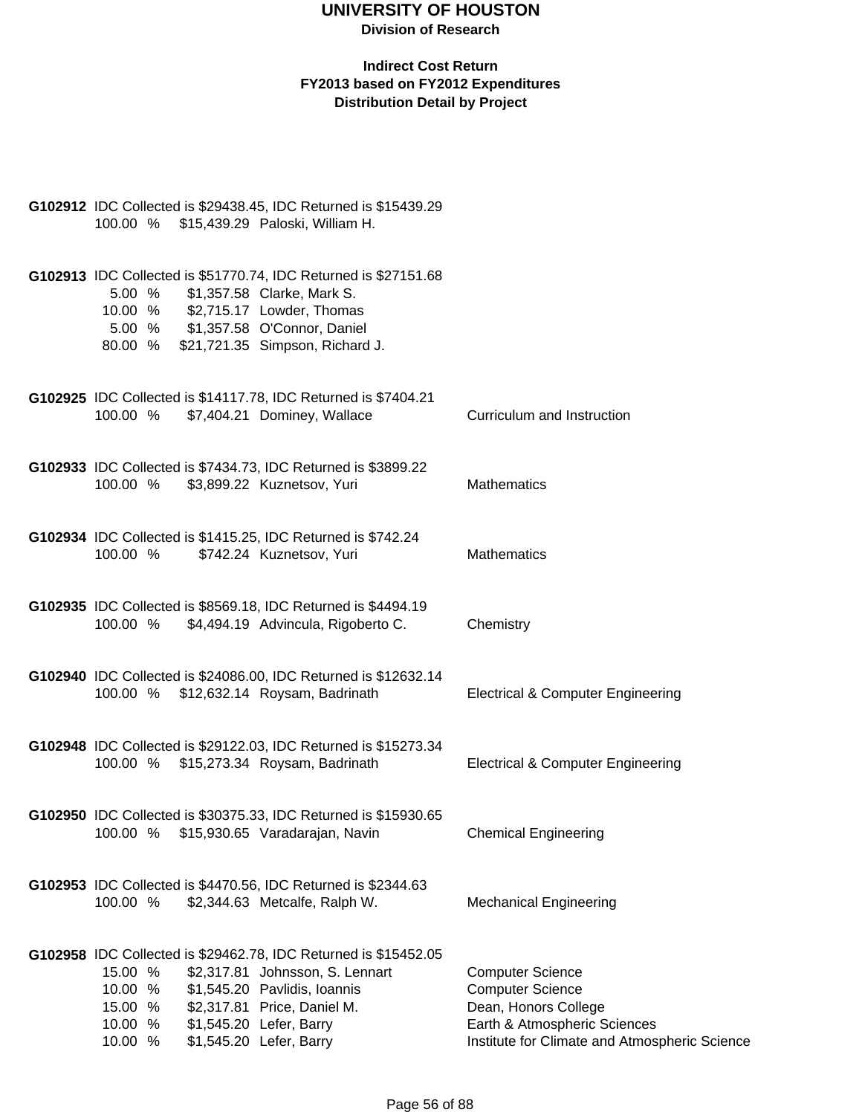| G102912 IDC Collected is \$29438.45, IDC Returned is \$15439.29<br>100.00 % \$15,439.29 Paloski, William H.                                                                                                                                                                    |                                                                                                                                                             |
|--------------------------------------------------------------------------------------------------------------------------------------------------------------------------------------------------------------------------------------------------------------------------------|-------------------------------------------------------------------------------------------------------------------------------------------------------------|
| G102913 IDC Collected is \$51770.74, IDC Returned is \$27151.68<br>5.00 %<br>\$1,357.58 Clarke, Mark S.<br>10.00 % \$2,715.17 Lowder, Thomas<br>5.00 % \$1,357.58 O'Connor, Daniel<br>80.00 % \$21,721.35 Simpson, Richard J.                                                  |                                                                                                                                                             |
| G102925 IDC Collected is \$14117.78, IDC Returned is \$7404.21<br>100.00 % \$7,404.21 Dominey, Wallace                                                                                                                                                                         | Curriculum and Instruction                                                                                                                                  |
| G102933 IDC Collected is \$7434.73, IDC Returned is \$3899.22<br>100.00 % \$3,899.22 Kuznetsov, Yuri                                                                                                                                                                           | <b>Mathematics</b>                                                                                                                                          |
| G102934 IDC Collected is \$1415.25, IDC Returned is \$742.24<br>100.00 %<br>\$742.24 Kuznetsov, Yuri                                                                                                                                                                           | <b>Mathematics</b>                                                                                                                                          |
| G102935 IDC Collected is \$8569.18, IDC Returned is \$4494.19<br>100.00 % \$4,494.19 Advincula, Rigoberto C.                                                                                                                                                                   | Chemistry                                                                                                                                                   |
| G102940 IDC Collected is \$24086.00, IDC Returned is \$12632.14<br>100.00 % \$12,632.14 Roysam, Badrinath                                                                                                                                                                      | Electrical & Computer Engineering                                                                                                                           |
| G102948 IDC Collected is \$29122.03, IDC Returned is \$15273.34<br>100.00 % \$15,273.34 Roysam, Badrinath                                                                                                                                                                      | Electrical & Computer Engineering                                                                                                                           |
| G102950 IDC Collected is \$30375.33, IDC Returned is \$15930.65<br>100.00 % \$15,930.65 Varadarajan, Navin                                                                                                                                                                     | <b>Chemical Engineering</b>                                                                                                                                 |
| G102953 IDC Collected is \$4470.56, IDC Returned is \$2344.63<br>100.00 %<br>\$2,344.63 Metcalfe, Ralph W.                                                                                                                                                                     | <b>Mechanical Engineering</b>                                                                                                                               |
| G102958 IDC Collected is \$29462.78, IDC Returned is \$15452.05<br>15.00 %<br>\$2,317.81 Johnsson, S. Lennart<br>10.00 %<br>\$1,545.20 Pavlidis, Ioannis<br>\$2,317.81 Price, Daniel M.<br>15.00 %<br>\$1,545.20 Lefer, Barry<br>10.00 %<br>\$1,545.20 Lefer, Barry<br>10.00 % | <b>Computer Science</b><br><b>Computer Science</b><br>Dean, Honors College<br>Earth & Atmospheric Sciences<br>Institute for Climate and Atmospheric Science |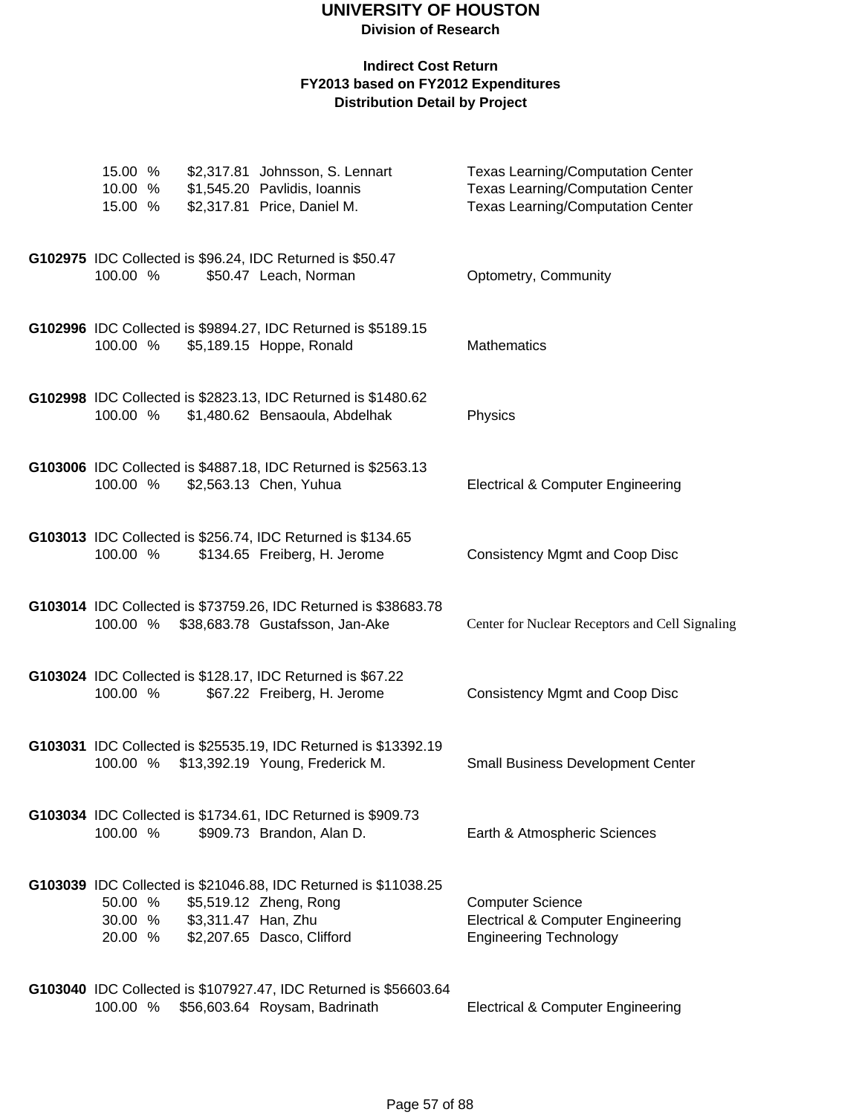#### **Indirect Cost Return FY2013 based on FY2012 Expenditures Distribution Detail by Project**

| 15.00 %<br>10.00 %<br>15.00 %          | \$2,317.81 Johnsson, S. Lennart<br>\$1,545.20 Pavlidis, Ioannis<br>\$2,317.81 Price, Daniel M.                                  | <b>Texas Learning/Computation Center</b><br><b>Texas Learning/Computation Center</b><br><b>Texas Learning/Computation Center</b> |
|----------------------------------------|---------------------------------------------------------------------------------------------------------------------------------|----------------------------------------------------------------------------------------------------------------------------------|
| 100.00 %                               | G102975 IDC Collected is \$96.24, IDC Returned is \$50.47<br>\$50.47 Leach, Norman                                              | Optometry, Community                                                                                                             |
| 100.00 %                               | G102996 IDC Collected is \$9894.27, IDC Returned is \$5189.15<br>\$5,189.15 Hoppe, Ronald                                       | <b>Mathematics</b>                                                                                                               |
| 100.00 %                               | G102998 IDC Collected is \$2823.13, IDC Returned is \$1480.62<br>\$1,480.62 Bensaoula, Abdelhak                                 | Physics                                                                                                                          |
| 100.00 %                               | G103006 IDC Collected is \$4887.18, IDC Returned is \$2563.13<br>\$2,563.13 Chen, Yuhua                                         | <b>Electrical &amp; Computer Engineering</b>                                                                                     |
| 100.00 %                               | G103013 IDC Collected is \$256.74, IDC Returned is \$134.65<br>\$134.65 Freiberg, H. Jerome                                     | <b>Consistency Mgmt and Coop Disc</b>                                                                                            |
| 100.00 %                               | G103014 IDC Collected is \$73759.26, IDC Returned is \$38683.78<br>\$38,683.78 Gustafsson, Jan-Ake                              | Center for Nuclear Receptors and Cell Signaling                                                                                  |
| 100.00 %                               | G103024 IDC Collected is \$128.17, IDC Returned is \$67.22<br>\$67.22 Freiberg, H. Jerome                                       | <b>Consistency Mgmt and Coop Disc</b>                                                                                            |
| 100.00 %                               | G103031 IDC Collected is \$25535.19, IDC Returned is \$13392.19<br>\$13,392.19 Young, Frederick M.                              | <b>Small Business Development Center</b>                                                                                         |
| 100.00 %                               | G103034 IDC Collected is \$1734.61, IDC Returned is \$909.73<br>\$909.73 Brandon, Alan D.                                       | Earth & Atmospheric Sciences                                                                                                     |
| 50.00 %<br>30.00 % \$3,311.47 Han, Zhu | G103039 IDC Collected is \$21046.88, IDC Returned is \$11038.25<br>\$5,519.12 Zheng, Rong<br>20.00 % \$2,207.65 Dasco, Clifford | <b>Computer Science</b><br><b>Electrical &amp; Computer Engineering</b><br><b>Engineering Technology</b>                         |
|                                        | G103040 IDC Collected is \$107927.47, IDC Returned is \$56603.64                                                                |                                                                                                                                  |

100.00 % \$56,603.64 Roysam, Badrinath Electrical & Computer Engineering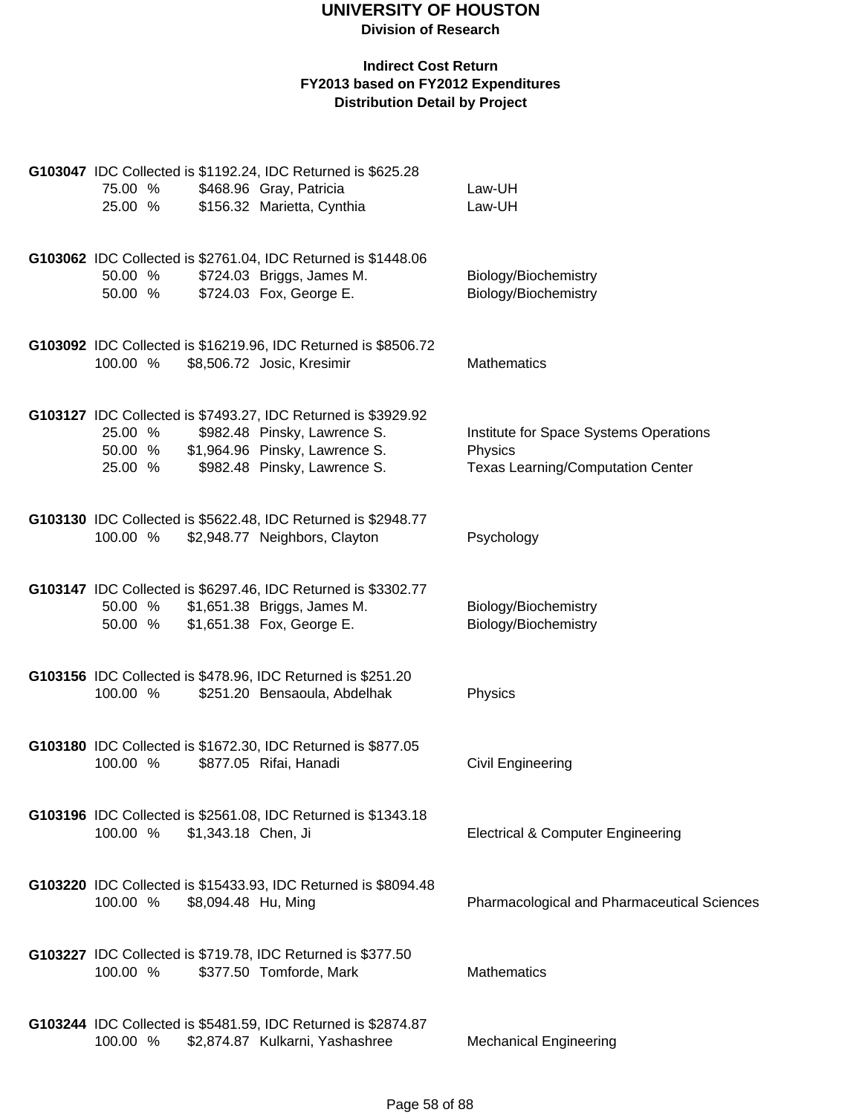| 75.00 %<br>25.00 %            | G103047 IDC Collected is \$1192.24, IDC Returned is \$625.28<br>\$468.96 Gray, Patricia<br>\$156.32 Marietta, Cynthia                                           | Law-UH<br>Law-UH                                                                              |
|-------------------------------|-----------------------------------------------------------------------------------------------------------------------------------------------------------------|-----------------------------------------------------------------------------------------------|
| 50.00 %<br>50.00 %            | G103062 IDC Collected is \$2761.04, IDC Returned is \$1448.06<br>\$724.03 Briggs, James M.<br>\$724.03 Fox, George E.                                           | Biology/Biochemistry<br>Biology/Biochemistry                                                  |
| 100.00 %                      | G103092 IDC Collected is \$16219.96, IDC Returned is \$8506.72<br>\$8,506.72 Josic, Kresimir                                                                    | Mathematics                                                                                   |
| 25.00 %<br>50.00 %<br>25.00 % | G103127 IDC Collected is \$7493.27, IDC Returned is \$3929.92<br>\$982.48 Pinsky, Lawrence S.<br>\$1,964.96 Pinsky, Lawrence S.<br>\$982.48 Pinsky, Lawrence S. | Institute for Space Systems Operations<br>Physics<br><b>Texas Learning/Computation Center</b> |
| 100.00 %                      | G103130 IDC Collected is \$5622.48, IDC Returned is \$2948.77<br>\$2,948.77 Neighbors, Clayton                                                                  | Psychology                                                                                    |
| 50.00 %<br>50.00 %            | G103147 IDC Collected is \$6297.46, IDC Returned is \$3302.77<br>\$1,651.38 Briggs, James M.<br>\$1,651.38 Fox, George E.                                       | Biology/Biochemistry<br>Biology/Biochemistry                                                  |
| 100.00 %                      | G103156 IDC Collected is \$478.96, IDC Returned is \$251.20<br>\$251.20 Bensaoula, Abdelhak                                                                     | Physics                                                                                       |
| 100.00 %                      | G103180 IDC Collected is \$1672.30, IDC Returned is \$877.05<br>\$877.05 Rifai, Hanadi                                                                          | Civil Engineering                                                                             |
| 100.00 %                      | G103196 IDC Collected is \$2561.08, IDC Returned is \$1343.18<br>\$1,343.18 Chen, Ji                                                                            | <b>Electrical &amp; Computer Engineering</b>                                                  |
| 100.00 %                      | G103220 IDC Collected is \$15433.93, IDC Returned is \$8094.48<br>\$8,094.48 Hu, Ming                                                                           | Pharmacological and Pharmaceutical Sciences                                                   |
| 100.00 %                      | G103227 IDC Collected is \$719.78, IDC Returned is \$377.50<br>\$377.50 Tomforde, Mark                                                                          | Mathematics                                                                                   |
| 100.00 %                      | G103244 IDC Collected is \$5481.59, IDC Returned is \$2874.87<br>\$2,874.87 Kulkarni, Yashashree                                                                | <b>Mechanical Engineering</b>                                                                 |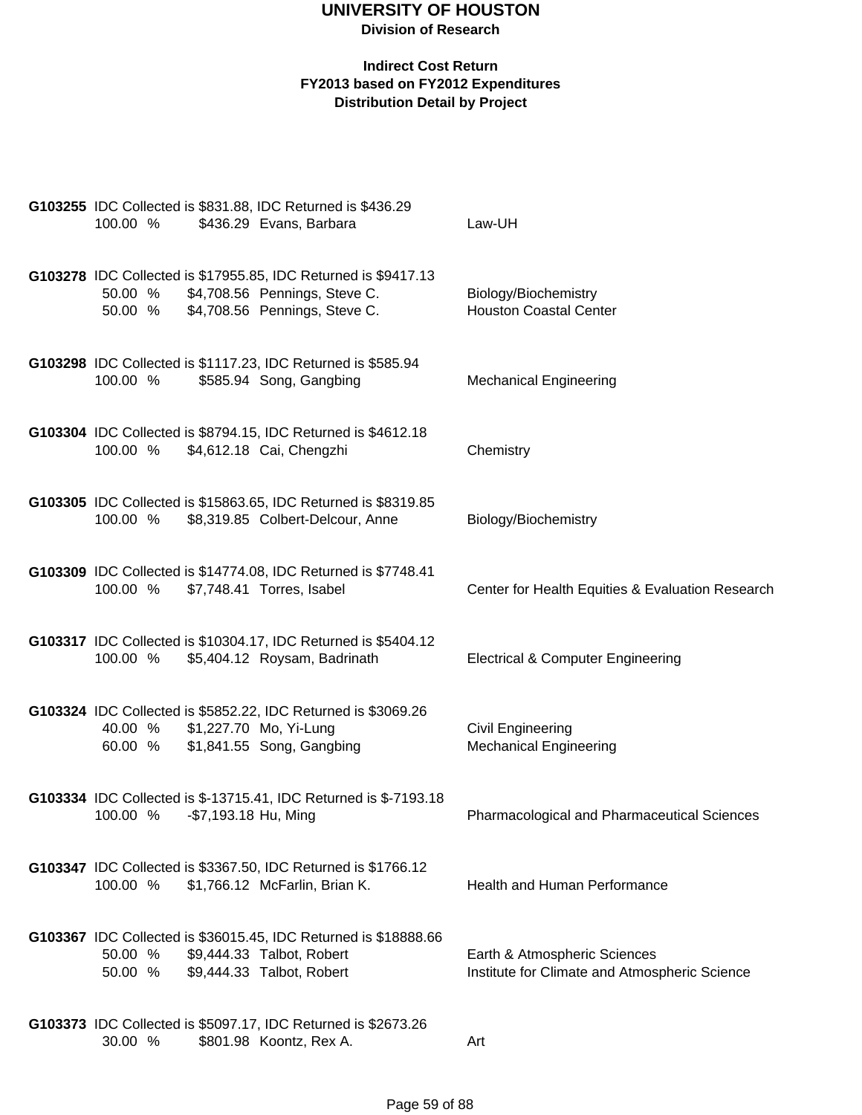| 100.00 %           |                      | G103255 IDC Collected is \$831.88, IDC Returned is \$436.29<br>\$436.29 Evans, Barbara                                           | Law-UH                                                                        |
|--------------------|----------------------|----------------------------------------------------------------------------------------------------------------------------------|-------------------------------------------------------------------------------|
| 50.00 %<br>50.00 % |                      | G103278 IDC Collected is \$17955.85, IDC Returned is \$9417.13<br>\$4,708.56 Pennings, Steve C.<br>\$4,708.56 Pennings, Steve C. | Biology/Biochemistry<br><b>Houston Coastal Center</b>                         |
| 100.00 %           |                      | G103298 IDC Collected is \$1117.23, IDC Returned is \$585.94<br>\$585.94 Song, Gangbing                                          | <b>Mechanical Engineering</b>                                                 |
| 100.00 %           |                      | G103304 IDC Collected is \$8794.15, IDC Returned is \$4612.18<br>\$4,612.18 Cai, Chengzhi                                        | Chemistry                                                                     |
| 100.00 %           |                      | G103305 IDC Collected is \$15863.65, IDC Returned is \$8319.85<br>\$8,319.85 Colbert-Delcour, Anne                               | Biology/Biochemistry                                                          |
| 100.00 %           |                      | G103309 IDC Collected is \$14774.08, IDC Returned is \$7748.41<br>\$7,748.41 Torres, Isabel                                      | Center for Health Equities & Evaluation Research                              |
| 100.00 %           |                      | G103317 IDC Collected is \$10304.17, IDC Returned is \$5404.12<br>\$5,404.12 Roysam, Badrinath                                   | <b>Electrical &amp; Computer Engineering</b>                                  |
| 40.00 %<br>60.00 % |                      | G103324 IDC Collected is \$5852.22, IDC Returned is \$3069.26<br>\$1,227.70 Mo, Yi-Lung<br>\$1,841.55 Song, Gangbing             | <b>Civil Engineering</b><br><b>Mechanical Engineering</b>                     |
| 100.00 %           | -\$7,193.18 Hu, Ming | G103334 IDC Collected is \$-13715.41, IDC Returned is \$-7193.18                                                                 | <b>Pharmacological and Pharmaceutical Sciences</b>                            |
| 100.00 %           |                      | G103347 IDC Collected is \$3367.50, IDC Returned is \$1766.12<br>\$1,766.12 McFarlin, Brian K.                                   | <b>Health and Human Performance</b>                                           |
| 50.00 %<br>50.00 % |                      | G103367 IDC Collected is \$36015.45, IDC Returned is \$18888.66<br>\$9,444.33 Talbot, Robert<br>\$9,444.33 Talbot, Robert        | Earth & Atmospheric Sciences<br>Institute for Climate and Atmospheric Science |
| 30.00 %            |                      | G103373 IDC Collected is \$5097.17, IDC Returned is \$2673.26<br>\$801.98 Koontz, Rex A.                                         | Art                                                                           |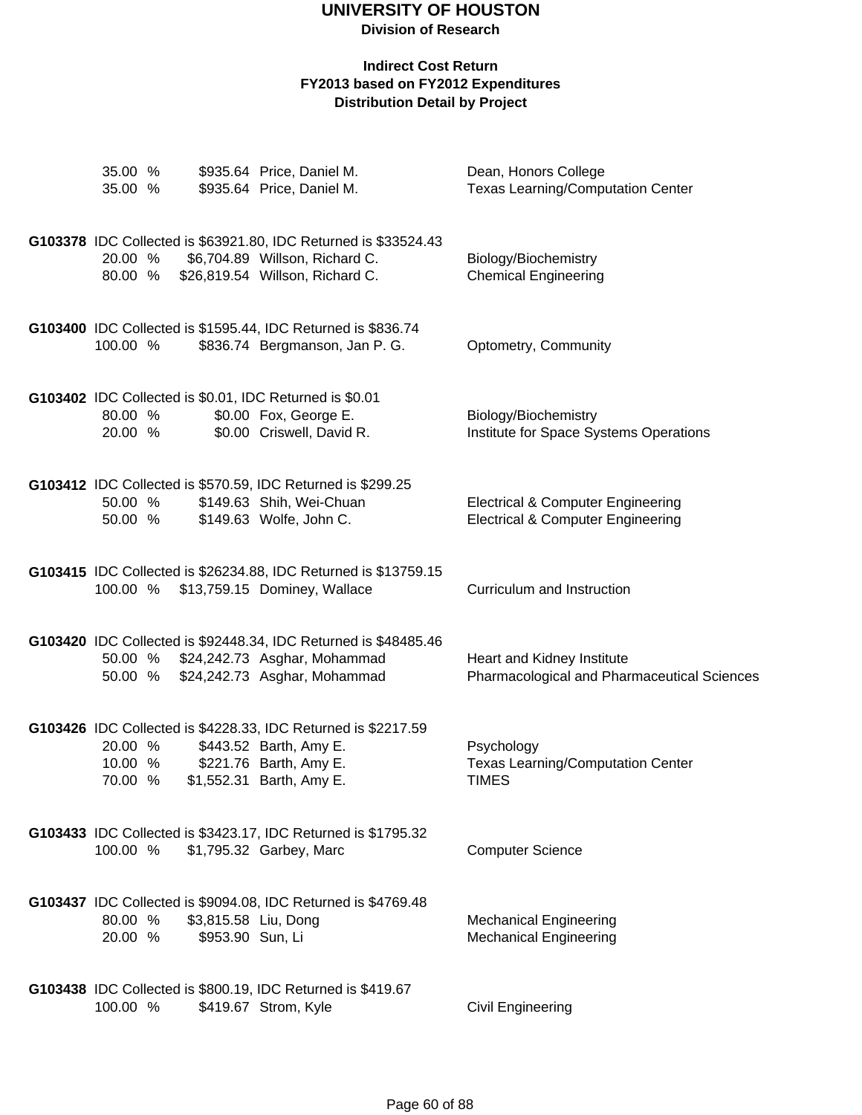| 35.00 %<br>35.00 %            |                                          | \$935.64 Price, Daniel M.<br>\$935.64 Price, Daniel M.                                                                                        | Dean, Honors College<br><b>Texas Learning/Computation Center</b>                             |
|-------------------------------|------------------------------------------|-----------------------------------------------------------------------------------------------------------------------------------------------|----------------------------------------------------------------------------------------------|
| 20.00 %<br>80.00 %            |                                          | G103378 IDC Collected is \$63921.80, IDC Returned is \$33524.43<br>\$6,704.89 Willson, Richard C.<br>\$26,819.54 Willson, Richard C.          | Biology/Biochemistry<br><b>Chemical Engineering</b>                                          |
| 100.00 %                      |                                          | G103400 IDC Collected is \$1595.44, IDC Returned is \$836.74<br>\$836.74 Bergmanson, Jan P. G.                                                | Optometry, Community                                                                         |
| 80.00 %<br>20.00 %            |                                          | G103402 IDC Collected is \$0.01, IDC Returned is \$0.01<br>\$0.00 Fox, George E.<br>\$0.00 Criswell, David R.                                 | Biology/Biochemistry<br>Institute for Space Systems Operations                               |
| 50.00 %<br>50.00 %            |                                          | G103412 IDC Collected is \$570.59, IDC Returned is \$299.25<br>\$149.63 Shih, Wei-Chuan<br>\$149.63 Wolfe, John C.                            | <b>Electrical &amp; Computer Engineering</b><br><b>Electrical &amp; Computer Engineering</b> |
|                               |                                          | G103415 IDC Collected is \$26234.88, IDC Returned is \$13759.15<br>100.00 % \$13,759.15 Dominey, Wallace                                      | Curriculum and Instruction                                                                   |
| 50.00 %<br>50.00 %            |                                          | G103420 IDC Collected is \$92448.34, IDC Returned is \$48485.46<br>\$24,242.73 Asghar, Mohammad<br>\$24,242.73 Asghar, Mohammad               | Heart and Kidney Institute<br>Pharmacological and Pharmaceutical Sciences                    |
| 20.00 %<br>10.00 %<br>70.00 % |                                          | G103426 IDC Collected is \$4228.33, IDC Returned is \$2217.59<br>\$443.52 Barth, Amy E.<br>\$221.76 Barth, Amy E.<br>\$1,552.31 Barth, Amy E. | Psychology<br><b>Texas Learning/Computation Center</b><br><b>TIMES</b>                       |
| 100.00 %                      |                                          | G103433 IDC Collected is \$3423.17, IDC Returned is \$1795.32<br>\$1,795.32 Garbey, Marc                                                      | <b>Computer Science</b>                                                                      |
| 80.00 %<br>20.00 %            | \$3,815.58 Liu, Dong<br>\$953.90 Sun, Li | G103437 IDC Collected is \$9094.08, IDC Returned is \$4769.48                                                                                 | <b>Mechanical Engineering</b><br><b>Mechanical Engineering</b>                               |
| 100.00 %                      |                                          | G103438 IDC Collected is \$800.19, IDC Returned is \$419.67<br>\$419.67 Strom, Kyle                                                           | Civil Engineering                                                                            |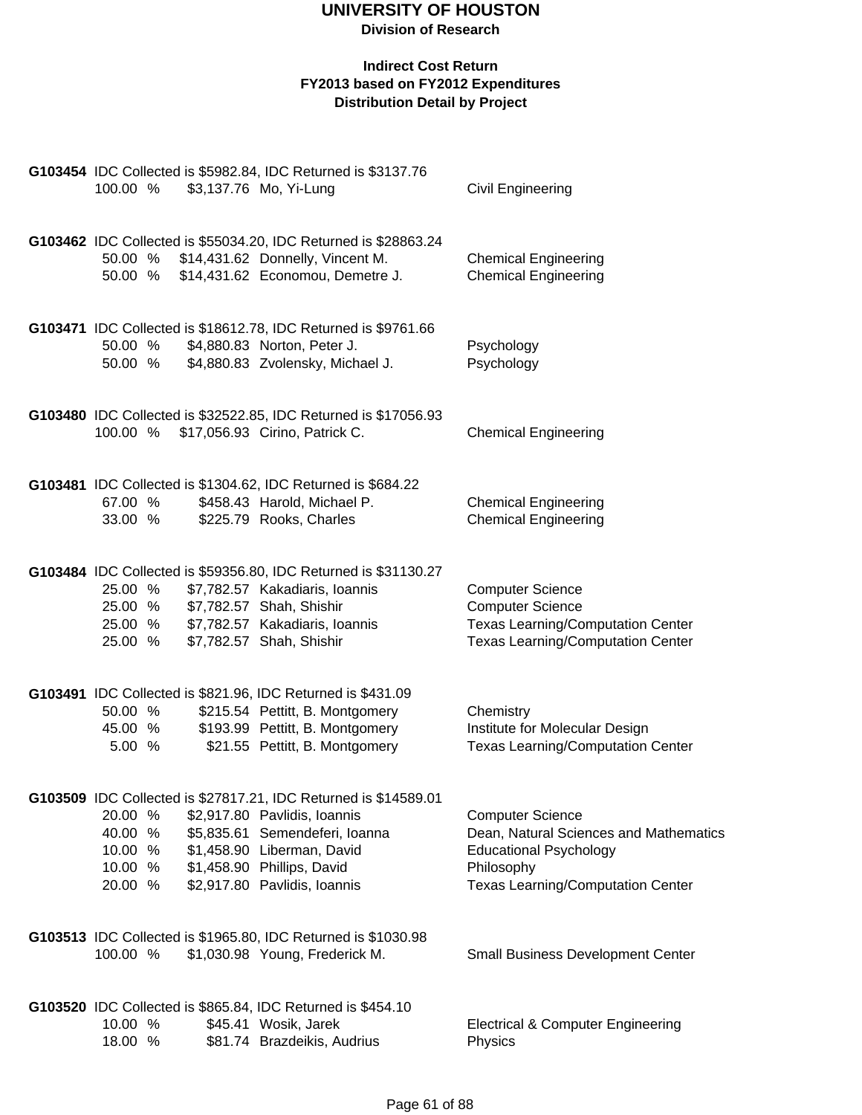| 100.00 %                                            |  | G103454 IDC Collected is \$5982.84, IDC Returned is \$3137.76<br>\$3,137.76 Mo, Yi-Lung                                                                                                                                       | Civil Engineering                                                                                                                                            |
|-----------------------------------------------------|--|-------------------------------------------------------------------------------------------------------------------------------------------------------------------------------------------------------------------------------|--------------------------------------------------------------------------------------------------------------------------------------------------------------|
| 50.00 %                                             |  | G103462 IDC Collected is \$55034.20, IDC Returned is \$28863.24<br>50.00 % \$14,431.62 Donnelly, Vincent M.<br>\$14,431.62 Economou, Demetre J.                                                                               | <b>Chemical Engineering</b><br><b>Chemical Engineering</b>                                                                                                   |
| 50.00 %<br>50.00 %                                  |  | G103471 IDC Collected is \$18612.78, IDC Returned is \$9761.66<br>\$4,880.83 Norton, Peter J.<br>\$4,880.83 Zvolensky, Michael J.                                                                                             | Psychology<br>Psychology                                                                                                                                     |
| 100.00 %                                            |  | G103480 IDC Collected is \$32522.85, IDC Returned is \$17056.93<br>\$17,056.93 Cirino, Patrick C.                                                                                                                             | <b>Chemical Engineering</b>                                                                                                                                  |
| 67.00 %<br>33.00 %                                  |  | G103481 IDC Collected is \$1304.62, IDC Returned is \$684.22<br>\$458.43 Harold, Michael P.<br>\$225.79 Rooks, Charles                                                                                                        | <b>Chemical Engineering</b><br><b>Chemical Engineering</b>                                                                                                   |
| 25.00 %<br>25.00 %<br>25.00 %<br>25.00 %            |  | G103484 IDC Collected is \$59356.80, IDC Returned is \$31130.27<br>\$7,782.57 Kakadiaris, Ioannis<br>\$7,782.57 Shah, Shishir<br>\$7,782.57 Kakadiaris, Ioannis<br>\$7,782.57 Shah, Shishir                                   | <b>Computer Science</b><br><b>Computer Science</b><br>Texas Learning/Computation Center<br><b>Texas Learning/Computation Center</b>                          |
| 50.00 %<br>45.00 %<br>5.00 %                        |  | G103491 IDC Collected is \$821.96, IDC Returned is \$431.09<br>\$215.54 Pettitt, B. Montgomery<br>\$193.99 Pettitt, B. Montgomery<br>\$21.55 Pettitt, B. Montgomery                                                           | Chemistry<br>Institute for Molecular Design<br><b>Texas Learning/Computation Center</b>                                                                      |
| 20.00 %<br>40.00 %<br>10.00 %<br>10.00 %<br>20.00 % |  | G103509 IDC Collected is \$27817.21, IDC Returned is \$14589.01<br>\$2,917.80 Pavlidis, Ioannis<br>\$5,835.61 Semendeferi, Ioanna<br>\$1,458.90 Liberman, David<br>\$1,458.90 Phillips, David<br>\$2,917.80 Pavlidis, Ioannis | <b>Computer Science</b><br>Dean, Natural Sciences and Mathematics<br><b>Educational Psychology</b><br>Philosophy<br><b>Texas Learning/Computation Center</b> |
| 100.00 %                                            |  | G103513 IDC Collected is \$1965.80, IDC Returned is \$1030.98<br>\$1,030.98 Young, Frederick M.                                                                                                                               | Small Business Development Center                                                                                                                            |
| 10.00 %<br>18.00 %                                  |  | G103520 IDC Collected is \$865.84, IDC Returned is \$454.10<br>\$45.41 Wosik, Jarek<br>\$81.74 Brazdeikis, Audrius                                                                                                            | <b>Electrical &amp; Computer Engineering</b><br>Physics                                                                                                      |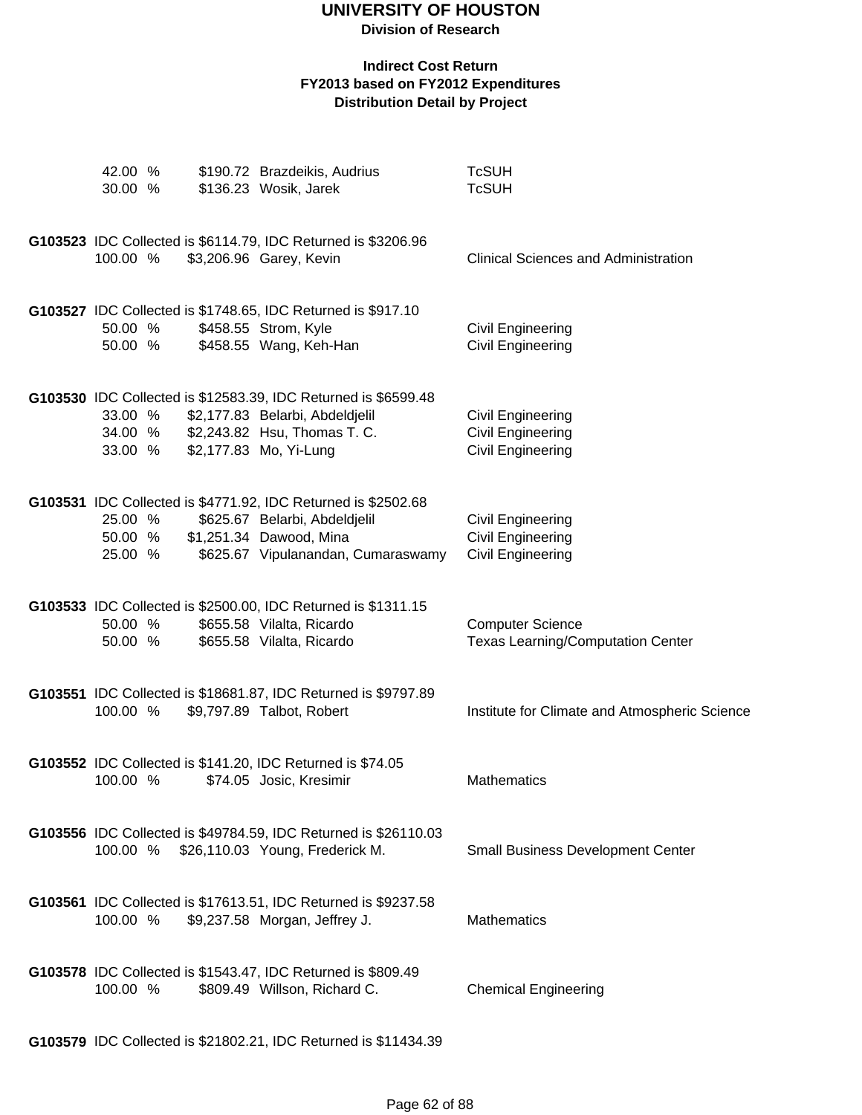#### **Indirect Cost Return FY2013 based on FY2012 Expenditures Distribution Detail by Project**

|  | 42.00 %<br>30.00 %            |  | \$190.72 Brazdeikis, Audrius<br>\$136.23 Wosik, Jarek                                                                                                               | <b>TcSUH</b><br><b>TcSUH</b>                                              |
|--|-------------------------------|--|---------------------------------------------------------------------------------------------------------------------------------------------------------------------|---------------------------------------------------------------------------|
|  | 100.00 %                      |  | G103523 IDC Collected is \$6114.79, IDC Returned is \$3206.96<br>\$3,206.96 Garey, Kevin                                                                            | <b>Clinical Sciences and Administration</b>                               |
|  | 50.00 %<br>50.00 %            |  | G103527 IDC Collected is \$1748.65, IDC Returned is \$917.10<br>\$458.55 Strom, Kyle<br>\$458.55 Wang, Keh-Han                                                      | <b>Civil Engineering</b><br>Civil Engineering                             |
|  | 33.00 %<br>33.00 %            |  | G103530 IDC Collected is \$12583.39, IDC Returned is \$6599.48<br>\$2,177.83 Belarbi, Abdeldjelil<br>34.00 % \$2,243.82 Hsu, Thomas T. C.<br>\$2,177.83 Mo, Yi-Lung | Civil Engineering<br>Civil Engineering<br>Civil Engineering               |
|  | 25.00 %<br>50.00 %<br>25.00 % |  | G103531 IDC Collected is \$4771.92, IDC Returned is \$2502.68<br>\$625.67 Belarbi, Abdeldjelil<br>\$1,251.34 Dawood, Mina<br>\$625.67 Vipulanandan, Cumaraswamy     | Civil Engineering<br><b>Civil Engineering</b><br><b>Civil Engineering</b> |
|  | 50.00 %<br>50.00 %            |  | G103533 IDC Collected is \$2500.00, IDC Returned is \$1311.15<br>\$655.58 Vilalta, Ricardo<br>\$655.58 Vilalta, Ricardo                                             | <b>Computer Science</b><br><b>Texas Learning/Computation Center</b>       |
|  | 100.00 %                      |  | G103551 IDC Collected is \$18681.87, IDC Returned is \$9797.89<br>\$9,797.89 Talbot, Robert                                                                         | Institute for Climate and Atmospheric Science                             |
|  | 100.00 %                      |  | G103552 IDC Collected is \$141.20, IDC Returned is \$74.05<br>\$74.05 Josic, Kresimir                                                                               | <b>Mathematics</b>                                                        |
|  |                               |  | G103556 IDC Collected is \$49784.59, IDC Returned is \$26110.03<br>100.00 % \$26,110.03 Young, Frederick M.                                                         | <b>Small Business Development Center</b>                                  |
|  | 100.00 %                      |  | G103561 IDC Collected is \$17613.51, IDC Returned is \$9237.58<br>\$9,237.58 Morgan, Jeffrey J.                                                                     | <b>Mathematics</b>                                                        |
|  | 100.00 %                      |  | G103578 IDC Collected is \$1543.47, IDC Returned is \$809.49<br>\$809.49 Willson, Richard C.                                                                        | <b>Chemical Engineering</b>                                               |
|  |                               |  |                                                                                                                                                                     |                                                                           |

**G103579** IDC Collected is \$21802.21, IDC Returned is \$11434.39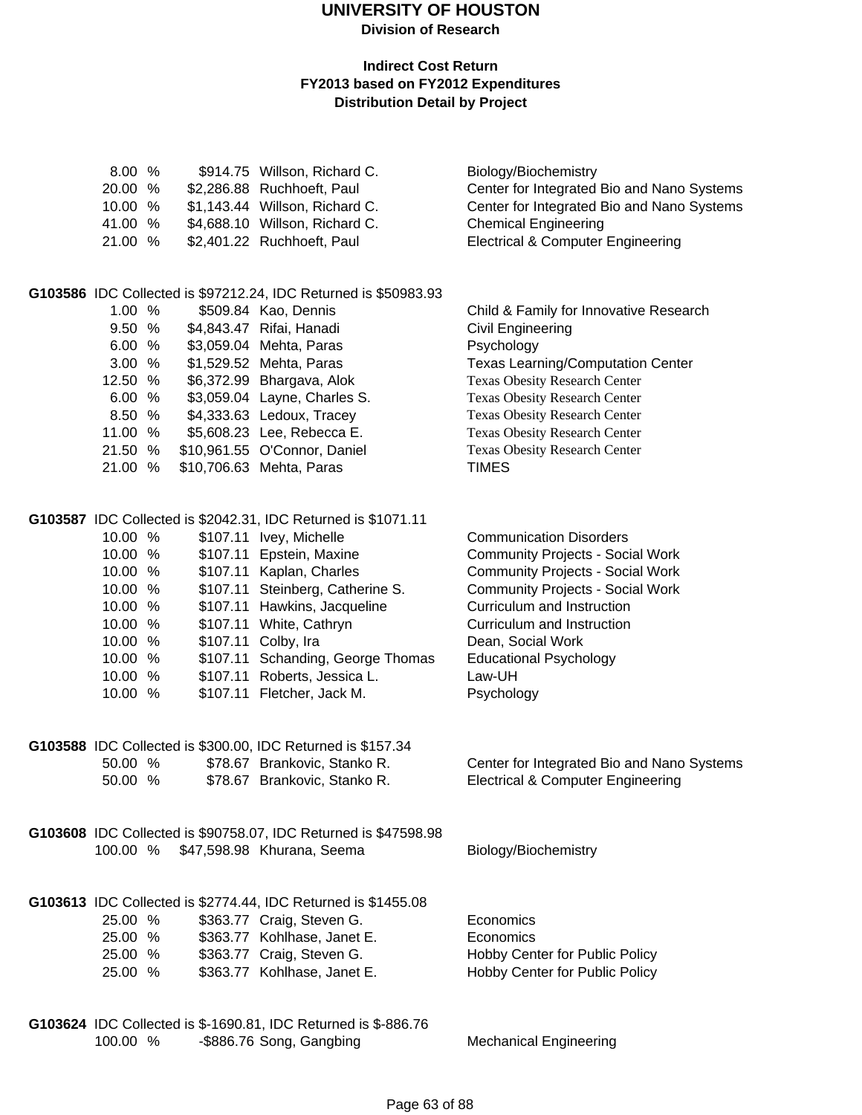## **UNIVERSITY OF HOUSTON**

**Division of Research**

| 8.00 %   |      | \$914.75 Willson, Richard C.                                                                  | Biology/Biochemistry                         |
|----------|------|-----------------------------------------------------------------------------------------------|----------------------------------------------|
| 20.00 %  |      | \$2,286.88 Ruchhoeft, Paul                                                                    | Center for Integrated Bio and Nano Systems   |
| 10.00 %  |      | \$1,143.44 Willson, Richard C.                                                                | Center for Integrated Bio and Nano Systems   |
| 41.00    | $\%$ | \$4,688.10 Willson, Richard C.                                                                | <b>Chemical Engineering</b>                  |
| 21.00 %  |      | \$2,401.22 Ruchhoeft, Paul                                                                    | <b>Electrical &amp; Computer Engineering</b> |
|          |      |                                                                                               |                                              |
| 1.00 %   |      | G103586 IDC Collected is \$97212.24, IDC Returned is \$50983.93<br>\$509.84 Kao, Dennis       | Child & Family for Innovative Research       |
| 9.50 %   |      | \$4,843.47 Rifai, Hanadi                                                                      | Civil Engineering                            |
| 6.00 %   |      | \$3,059.04 Mehta, Paras                                                                       | Psychology                                   |
| 3.00 %   |      | \$1,529.52 Mehta, Paras                                                                       | <b>Texas Learning/Computation Center</b>     |
| 12.50 %  |      | \$6,372.99 Bhargava, Alok                                                                     | Texas Obesity Research Center                |
| 6.00 %   |      | \$3,059.04 Layne, Charles S.                                                                  | <b>Texas Obesity Research Center</b>         |
| 8.50 %   |      | \$4,333.63 Ledoux, Tracey                                                                     | <b>Texas Obesity Research Center</b>         |
| 11.00 %  |      | \$5,608.23 Lee, Rebecca E.                                                                    | Texas Obesity Research Center                |
| 21.50 %  |      | \$10,961.55 O'Connor, Daniel                                                                  | Texas Obesity Research Center                |
| 21.00 %  |      | \$10,706.63 Mehta, Paras                                                                      | <b>TIMES</b>                                 |
|          |      |                                                                                               |                                              |
|          |      | G103587 IDC Collected is \$2042.31, IDC Returned is \$1071.11                                 |                                              |
| 10.00 %  |      | \$107.11 Ivey, Michelle                                                                       | <b>Communication Disorders</b>               |
| 10.00 %  |      | \$107.11 Epstein, Maxine                                                                      | <b>Community Projects - Social Work</b>      |
| 10.00 %  |      | \$107.11 Kaplan, Charles                                                                      | <b>Community Projects - Social Work</b>      |
| 10.00 %  |      | \$107.11 Steinberg, Catherine S.                                                              | <b>Community Projects - Social Work</b>      |
| 10.00 %  |      | \$107.11 Hawkins, Jacqueline                                                                  | Curriculum and Instruction                   |
| 10.00 %  |      | \$107.11 White, Cathryn                                                                       | Curriculum and Instruction                   |
| 10.00 %  |      | \$107.11 Colby, Ira                                                                           | Dean, Social Work                            |
| 10.00 %  |      | \$107.11 Schanding, George Thomas                                                             | <b>Educational Psychology</b>                |
| 10.00 %  |      | \$107.11 Roberts, Jessica L.                                                                  | Law-UH                                       |
| 10.00 %  |      | \$107.11 Fletcher, Jack M.                                                                    | Psychology                                   |
|          |      | G103588 IDC Collected is \$300.00, IDC Returned is \$157.34                                   |                                              |
| 50.00 %  |      | \$78.67 Brankovic, Stanko R.                                                                  | Center for Integrated Bio and Nano Systems   |
| 50.00 %  |      | \$78.67 Brankovic, Stanko R.                                                                  | <b>Electrical &amp; Computer Engineering</b> |
|          |      |                                                                                               |                                              |
| 100.00 % |      | G103608 IDC Collected is \$90758.07, IDC Returned is \$47598.98<br>\$47,598.98 Khurana, Seema |                                              |
|          |      |                                                                                               | Biology/Biochemistry                         |
|          |      | G103613 IDC Collected is \$2774.44, IDC Returned is \$1455.08                                 |                                              |
| 25.00 %  |      | \$363.77 Craig, Steven G.                                                                     | Economics                                    |
| 25.00 %  |      | \$363.77 Kohlhase, Janet E.                                                                   | Economics                                    |
| 25.00 %  |      | \$363.77 Craig, Steven G.                                                                     | Hobby Center for Public Policy               |
| 25.00 %  |      | \$363.77 Kohlhase, Janet E.                                                                   | Hobby Center for Public Policy               |
|          |      | G103624 IDC Collected is \$-1690.81, IDC Returned is \$-886.76                                |                                              |
| 100.00 % |      | -\$886.76 Song, Gangbing                                                                      | <b>Mechanical Engineering</b>                |
|          |      |                                                                                               |                                              |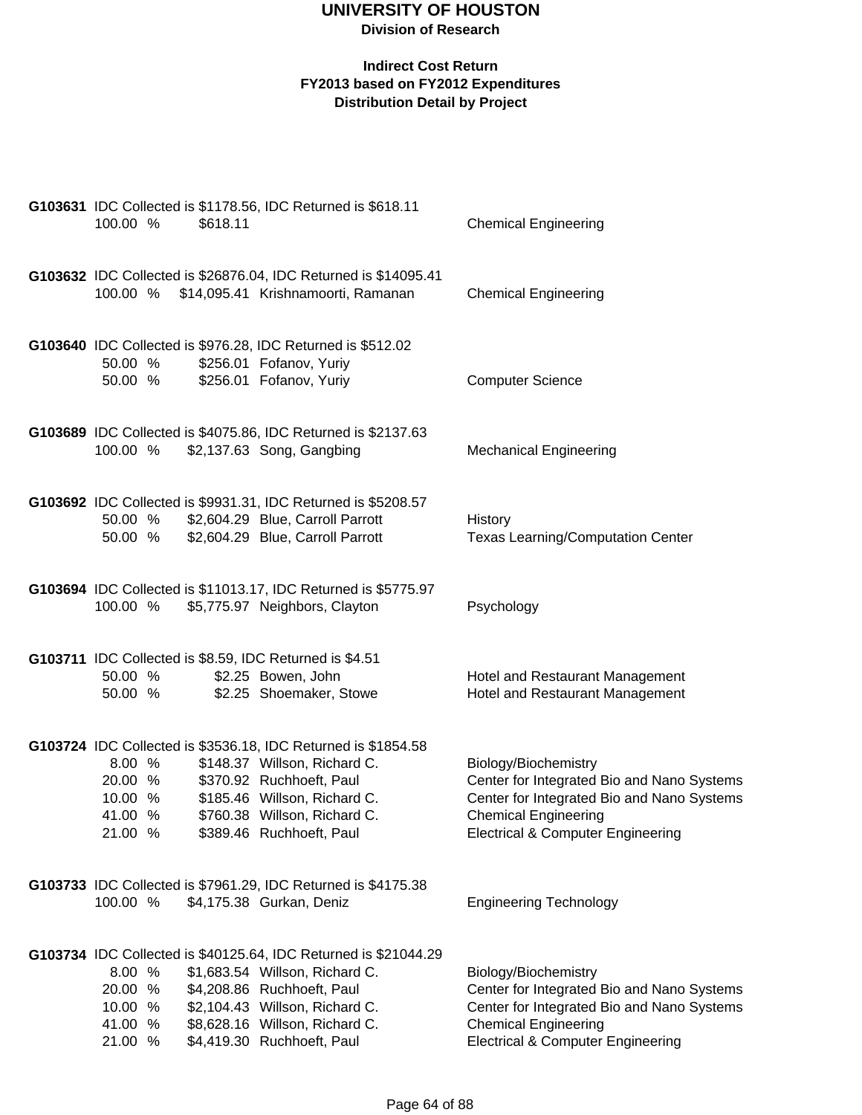| G103631 IDC Collected is \$1178.56, IDC Returned is \$618.11<br>100.00 %<br>\$618.11                                                                                                                                                                                                    | <b>Chemical Engineering</b>                                                                                                                                                                     |
|-----------------------------------------------------------------------------------------------------------------------------------------------------------------------------------------------------------------------------------------------------------------------------------------|-------------------------------------------------------------------------------------------------------------------------------------------------------------------------------------------------|
| G103632 IDC Collected is \$26876.04, IDC Returned is \$14095.41<br>\$14,095.41 Krishnamoorti, Ramanan<br>100.00 %                                                                                                                                                                       | <b>Chemical Engineering</b>                                                                                                                                                                     |
| G103640 IDC Collected is \$976.28, IDC Returned is \$512.02<br>\$256.01 Fofanov, Yuriy<br>50.00 %<br>50.00 %<br>\$256.01 Fofanov, Yuriy                                                                                                                                                 | <b>Computer Science</b>                                                                                                                                                                         |
| G103689 IDC Collected is \$4075.86, IDC Returned is \$2137.63<br>100.00 %<br>\$2,137.63 Song, Gangbing                                                                                                                                                                                  | <b>Mechanical Engineering</b>                                                                                                                                                                   |
| G103692 IDC Collected is \$9931.31, IDC Returned is \$5208.57<br>50.00 %<br>\$2,604.29 Blue, Carroll Parrott<br>50.00 %<br>\$2,604.29 Blue, Carroll Parrott                                                                                                                             | History<br><b>Texas Learning/Computation Center</b>                                                                                                                                             |
| G103694 IDC Collected is \$11013.17, IDC Returned is \$5775.97<br>\$5,775.97 Neighbors, Clayton<br>100.00 %                                                                                                                                                                             | Psychology                                                                                                                                                                                      |
| G103711 IDC Collected is \$8.59, IDC Returned is \$4.51<br>\$2.25 Bowen, John<br>50.00 %<br>50.00 %<br>\$2.25 Shoemaker, Stowe                                                                                                                                                          | Hotel and Restaurant Management<br>Hotel and Restaurant Management                                                                                                                              |
| G103724 IDC Collected is \$3536.18, IDC Returned is \$1854.58<br>8.00 %<br>\$148.37 Willson, Richard C.<br>20.00 %<br>\$370.92 Ruchhoeft, Paul<br>10.00 %<br>\$185.46 Willson, Richard C.<br>41.00 %<br>\$760.38 Willson, Richard C.<br>21.00 %<br>\$389.46 Ruchhoeft, Paul             | Biology/Biochemistry<br>Center for Integrated Bio and Nano Systems<br>Center for Integrated Bio and Nano Systems<br><b>Chemical Engineering</b><br><b>Electrical &amp; Computer Engineering</b> |
| G103733 IDC Collected is \$7961.29, IDC Returned is \$4175.38<br>100.00 %<br>\$4,175.38 Gurkan, Deniz                                                                                                                                                                                   | <b>Engineering Technology</b>                                                                                                                                                                   |
| G103734 IDC Collected is \$40125.64, IDC Returned is \$21044.29<br>8.00 %<br>\$1,683.54 Willson, Richard C.<br>20.00 %<br>\$4,208.86 Ruchhoeft, Paul<br>\$2,104.43 Willson, Richard C.<br>10.00 %<br>\$8,628.16 Willson, Richard C.<br>41.00 %<br>\$4,419.30 Ruchhoeft, Paul<br>21.00 % | Biology/Biochemistry<br>Center for Integrated Bio and Nano Systems<br>Center for Integrated Bio and Nano Systems<br><b>Chemical Engineering</b><br><b>Electrical &amp; Computer Engineering</b> |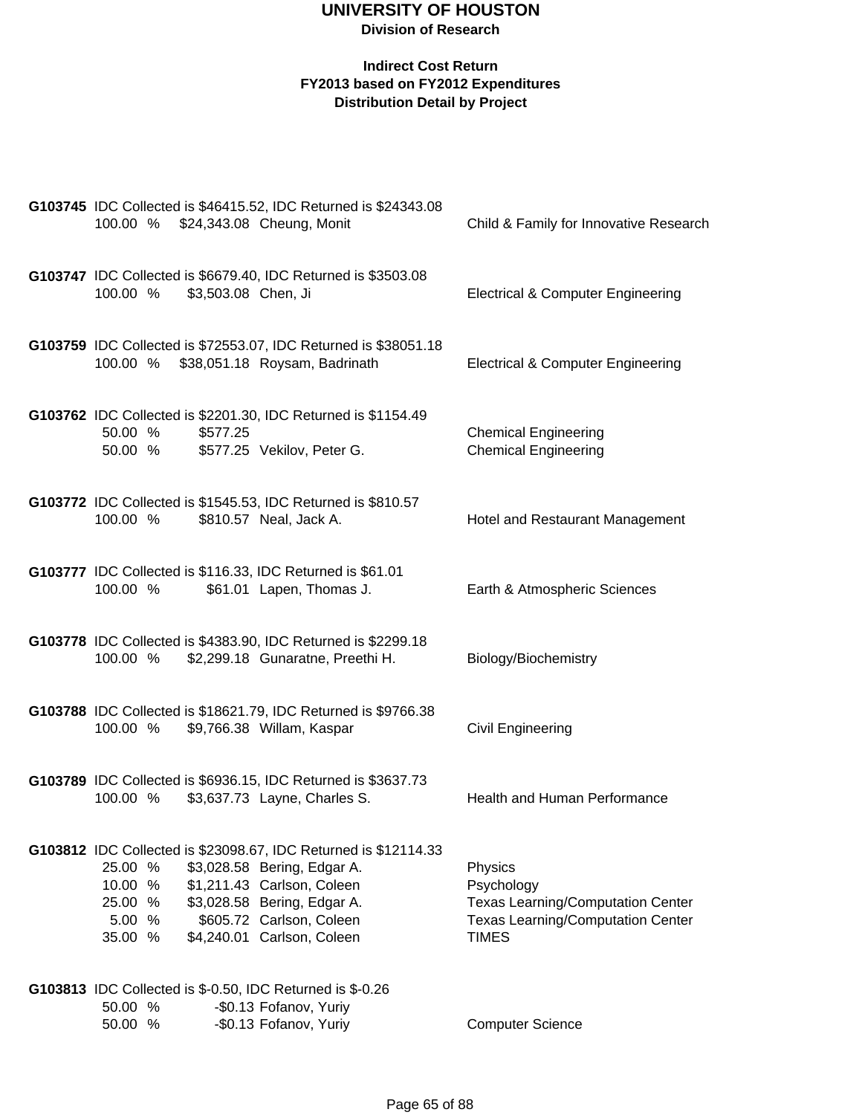|                                                    |                     | G103745 IDC Collected is \$46415.52, IDC Returned is \$24343.08<br>100.00 % \$24,343.08 Cheung, Monit                                                                                                                 | Child & Family for Innovative Research                                                                                        |
|----------------------------------------------------|---------------------|-----------------------------------------------------------------------------------------------------------------------------------------------------------------------------------------------------------------------|-------------------------------------------------------------------------------------------------------------------------------|
| 100.00 %                                           | \$3,503.08 Chen, Ji | G103747 IDC Collected is \$6679.40, IDC Returned is \$3503.08                                                                                                                                                         | <b>Electrical &amp; Computer Engineering</b>                                                                                  |
|                                                    |                     | G103759 IDC Collected is \$72553.07, IDC Returned is \$38051.18<br>100.00 % \$38,051.18 Roysam, Badrinath                                                                                                             | <b>Electrical &amp; Computer Engineering</b>                                                                                  |
| 50.00 %<br>50.00 %                                 | \$577.25            | G103762 IDC Collected is \$2201.30, IDC Returned is \$1154.49<br>\$577.25 Vekilov, Peter G.                                                                                                                           | <b>Chemical Engineering</b><br><b>Chemical Engineering</b>                                                                    |
| 100.00 %                                           |                     | G103772 IDC Collected is \$1545.53, IDC Returned is \$810.57<br>\$810.57 Neal, Jack A.                                                                                                                                | Hotel and Restaurant Management                                                                                               |
| 100.00 %                                           |                     | G103777 IDC Collected is \$116.33, IDC Returned is \$61.01<br>\$61.01 Lapen, Thomas J.                                                                                                                                | Earth & Atmospheric Sciences                                                                                                  |
| 100.00 %                                           |                     | G103778 IDC Collected is \$4383.90, IDC Returned is \$2299.18<br>\$2,299.18 Gunaratne, Preethi H.                                                                                                                     | Biology/Biochemistry                                                                                                          |
| 100.00 %                                           |                     | G103788 IDC Collected is \$18621.79, IDC Returned is \$9766.38<br>\$9,766.38 Willam, Kaspar                                                                                                                           | Civil Engineering                                                                                                             |
| 100.00 %                                           |                     | G103789 IDC Collected is \$6936.15, IDC Returned is \$3637.73<br>\$3,637.73 Layne, Charles S.                                                                                                                         | Health and Human Performance                                                                                                  |
| 25.00 %<br>10.00 %<br>25.00 %<br>5.00 %<br>35.00 % |                     | G103812 IDC Collected is \$23098.67, IDC Returned is \$12114.33<br>\$3,028.58 Bering, Edgar A.<br>\$1,211.43 Carlson, Coleen<br>\$3,028.58 Bering, Edgar A.<br>\$605.72 Carlson, Coleen<br>\$4,240.01 Carlson, Coleen | Physics<br>Psychology<br><b>Texas Learning/Computation Center</b><br><b>Texas Learning/Computation Center</b><br><b>TIMES</b> |
| 50.00 %<br>50.00 %                                 |                     | G103813 IDC Collected is \$-0.50, IDC Returned is \$-0.26<br>-\$0.13 Fofanov, Yuriy<br>-\$0.13 Fofanov, Yuriy                                                                                                         | <b>Computer Science</b>                                                                                                       |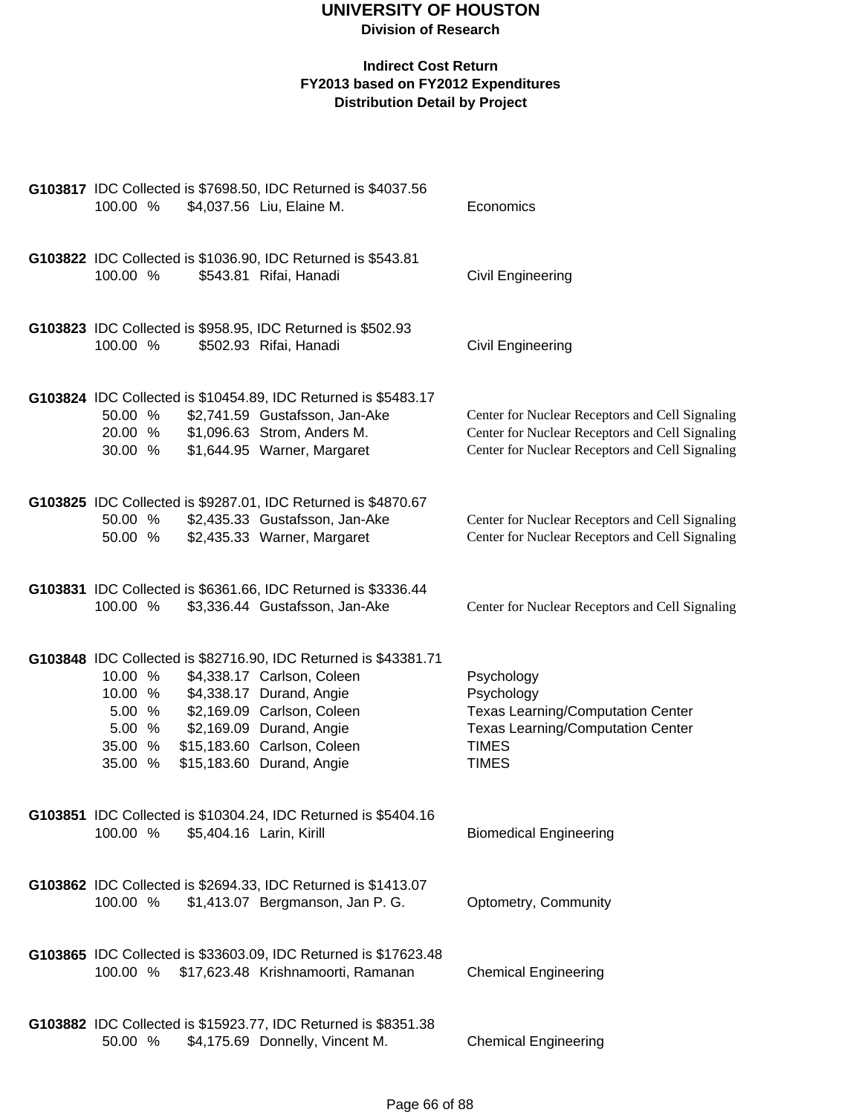| 100.00 %                                                     | G103817 IDC Collected is \$7698.50, IDC Returned is \$4037.56<br>\$4,037.56 Liu, Elaine M.                                                                                                                                                      | Economics                                                                                                                                             |
|--------------------------------------------------------------|-------------------------------------------------------------------------------------------------------------------------------------------------------------------------------------------------------------------------------------------------|-------------------------------------------------------------------------------------------------------------------------------------------------------|
| 100.00 %                                                     | G103822 IDC Collected is \$1036.90, IDC Returned is \$543.81<br>\$543.81 Rifai, Hanadi                                                                                                                                                          | Civil Engineering                                                                                                                                     |
| 100.00 %                                                     | G103823 IDC Collected is \$958.95, IDC Returned is \$502.93<br>\$502.93 Rifai, Hanadi                                                                                                                                                           | <b>Civil Engineering</b>                                                                                                                              |
| 50.00 %<br>20.00 %<br>30.00 %                                | G103824 IDC Collected is \$10454.89, IDC Returned is \$5483.17<br>\$2,741.59 Gustafsson, Jan-Ake<br>\$1,096.63 Strom, Anders M.<br>\$1,644.95 Warner, Margaret                                                                                  | Center for Nuclear Receptors and Cell Signaling<br>Center for Nuclear Receptors and Cell Signaling<br>Center for Nuclear Receptors and Cell Signaling |
| 50.00 %<br>50.00 %                                           | G103825 IDC Collected is \$9287.01, IDC Returned is \$4870.67<br>\$2,435.33 Gustafsson, Jan-Ake<br>\$2,435.33 Warner, Margaret                                                                                                                  | Center for Nuclear Receptors and Cell Signaling<br>Center for Nuclear Receptors and Cell Signaling                                                    |
| 100.00 %                                                     | G103831 IDC Collected is \$6361.66, IDC Returned is \$3336.44<br>\$3,336.44 Gustafsson, Jan-Ake                                                                                                                                                 | Center for Nuclear Receptors and Cell Signaling                                                                                                       |
| 10.00 %<br>10.00 %<br>5.00 %<br>5.00 %<br>35.00 %<br>35.00 % | G103848 IDC Collected is \$82716.90, IDC Returned is \$43381.71<br>\$4,338.17 Carlson, Coleen<br>\$4,338.17 Durand, Angie<br>\$2,169.09 Carlson, Coleen<br>\$2,169.09 Durand, Angie<br>\$15,183.60 Carlson, Coleen<br>\$15,183.60 Durand, Angie | Psychology<br>Psychology<br><b>Texas Learning/Computation Center</b><br><b>Texas Learning/Computation Center</b><br><b>TIMES</b><br><b>TIMES</b>      |
| 100.00 %                                                     | G103851 IDC Collected is \$10304.24, IDC Returned is \$5404.16<br>\$5,404.16 Larin, Kirill                                                                                                                                                      | <b>Biomedical Engineering</b>                                                                                                                         |
| 100.00 %                                                     | G103862 IDC Collected is \$2694.33, IDC Returned is \$1413.07<br>\$1,413.07 Bergmanson, Jan P. G.                                                                                                                                               | Optometry, Community                                                                                                                                  |
| 100.00 %                                                     | G103865 IDC Collected is \$33603.09, IDC Returned is \$17623.48<br>\$17,623.48 Krishnamoorti, Ramanan                                                                                                                                           | <b>Chemical Engineering</b>                                                                                                                           |
| 50.00 %                                                      | G103882 IDC Collected is \$15923.77, IDC Returned is \$8351.38<br>\$4,175.69 Donnelly, Vincent M.                                                                                                                                               | <b>Chemical Engineering</b>                                                                                                                           |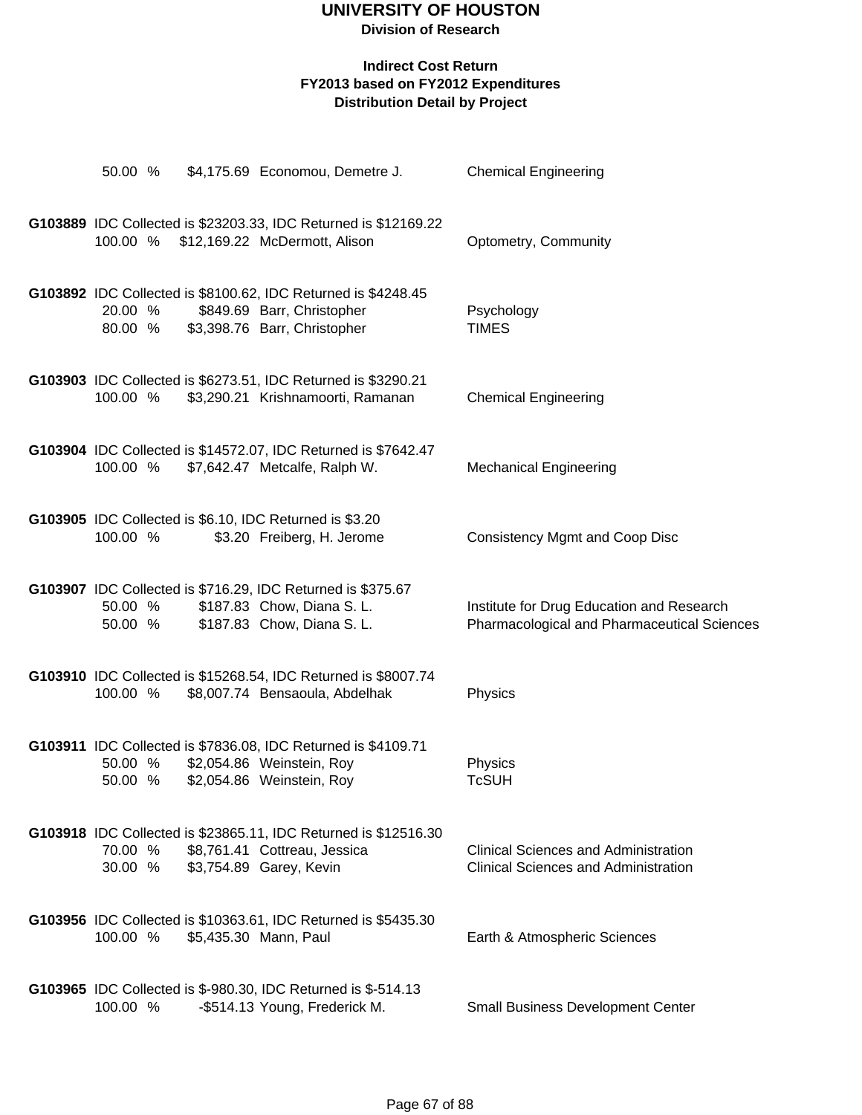| 50.00 %            | \$4,175.69 Economou, Demetre J.                                                                                             | <b>Chemical Engineering</b>                                                                |
|--------------------|-----------------------------------------------------------------------------------------------------------------------------|--------------------------------------------------------------------------------------------|
| 100.00 %           | G103889 IDC Collected is \$23203.33, IDC Returned is \$12169.22<br>\$12,169.22 McDermott, Alison                            | Optometry, Community                                                                       |
| 20.00 %<br>80.00 % | G103892 IDC Collected is \$8100.62, IDC Returned is \$4248.45<br>\$849.69 Barr, Christopher<br>\$3,398.76 Barr, Christopher | Psychology<br><b>TIMES</b>                                                                 |
| 100.00 %           | G103903 IDC Collected is \$6273.51, IDC Returned is \$3290.21<br>\$3,290.21 Krishnamoorti, Ramanan                          | <b>Chemical Engineering</b>                                                                |
| 100.00 %           | G103904 IDC Collected is \$14572.07, IDC Returned is \$7642.47<br>\$7,642.47 Metcalfe, Ralph W.                             | <b>Mechanical Engineering</b>                                                              |
| 100.00 %           | G103905 IDC Collected is \$6.10, IDC Returned is \$3.20<br>\$3.20 Freiberg, H. Jerome                                       | <b>Consistency Mgmt and Coop Disc</b>                                                      |
| 50.00 %<br>50.00 % | G103907 IDC Collected is \$716.29, IDC Returned is \$375.67<br>\$187.83 Chow, Diana S. L.<br>\$187.83 Chow, Diana S. L.     | Institute for Drug Education and Research<br>Pharmacological and Pharmaceutical Sciences   |
| 100.00 %           | G103910 IDC Collected is \$15268.54, IDC Returned is \$8007.74<br>\$8,007.74 Bensaoula, Abdelhak                            | Physics                                                                                    |
| 50.00 %<br>50.00 % | G103911 IDC Collected is \$7836.08, IDC Returned is \$4109.71<br>\$2,054.86 Weinstein, Roy<br>\$2,054.86 Weinstein, Roy     | Physics<br><b>TcSUH</b>                                                                    |
| 70.00 %<br>30.00 % | G103918 IDC Collected is \$23865.11, IDC Returned is \$12516.30<br>\$8,761.41 Cottreau, Jessica<br>\$3,754.89 Garey, Kevin  | <b>Clinical Sciences and Administration</b><br><b>Clinical Sciences and Administration</b> |
| 100.00 %           | G103956 IDC Collected is \$10363.61, IDC Returned is \$5435.30<br>\$5,435.30 Mann, Paul                                     | Earth & Atmospheric Sciences                                                               |
| 100.00 %           | <b>G103965</b> IDC Collected is \$-980.30, IDC Returned is \$-514.13<br>-\$514.13 Young, Frederick M.                       | <b>Small Business Development Center</b>                                                   |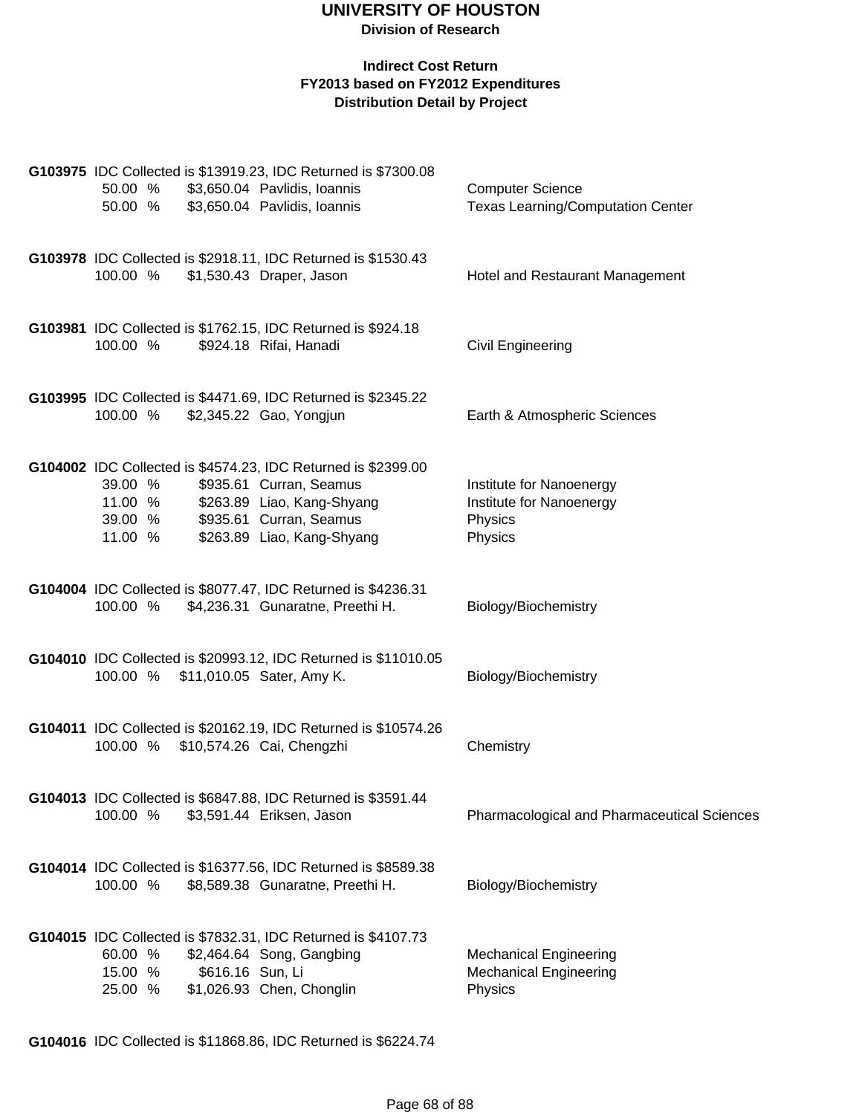#### **Indirect Cost Return FY2013 based on FY2012 Expenditures Distribution Detail by Project**

| 50.00 %                                  |                  | G103975 IDC Collected is \$13919.23, IDC Returned is \$7300.08<br>50.00 % \$3,650.04 Pavlidis, Ioannis<br>\$3,650.04 Pavlidis, Ioannis                                          | <b>Computer Science</b><br><b>Texas Learning/Computation Center</b>        |
|------------------------------------------|------------------|---------------------------------------------------------------------------------------------------------------------------------------------------------------------------------|----------------------------------------------------------------------------|
| 100.00 %                                 |                  | G103978 IDC Collected is \$2918.11, IDC Returned is \$1530.43<br>\$1,530.43 Draper, Jason                                                                                       | Hotel and Restaurant Management                                            |
| 100.00 %                                 |                  | G103981 IDC Collected is \$1762.15, IDC Returned is \$924.18<br>\$924.18 Rifai, Hanadi                                                                                          | Civil Engineering                                                          |
| 100.00 %                                 |                  | G103995 IDC Collected is \$4471.69, IDC Returned is \$2345.22<br>\$2,345.22 Gao, Yongjun                                                                                        | Earth & Atmospheric Sciences                                               |
| 39.00 %<br>11.00 %<br>39.00 %<br>11.00 % |                  | G104002 IDC Collected is \$4574.23, IDC Returned is \$2399.00<br>\$935.61 Curran, Seamus<br>\$263.89 Liao, Kang-Shyang<br>\$935.61 Curran, Seamus<br>\$263.89 Liao, Kang-Shyang | Institute for Nanoenergy<br>Institute for Nanoenergy<br>Physics<br>Physics |
| 100.00 %                                 |                  | G104004 IDC Collected is \$8077.47, IDC Returned is \$4236.31<br>\$4,236.31 Gunaratne, Preethi H.                                                                               | Biology/Biochemistry                                                       |
|                                          |                  | G104010 IDC Collected is \$20993.12, IDC Returned is \$11010.05<br>100.00 % \$11,010.05 Sater, Amy K.                                                                           | Biology/Biochemistry                                                       |
|                                          |                  | G104011 IDC Collected is \$20162.19, IDC Returned is \$10574.26<br>100.00 % \$10,574.26 Cai, Chengzhi                                                                           | Chemistry                                                                  |
| 100.00 %                                 |                  | G104013 IDC Collected is \$6847.88, IDC Returned is \$3591.44<br>\$3,591.44 Eriksen, Jason                                                                                      | Pharmacological and Pharmaceutical Sciences                                |
| 100.00 %                                 |                  | G104014 IDC Collected is \$16377.56, IDC Returned is \$8589.38<br>\$8,589.38 Gunaratne, Preethi H.                                                                              | Biology/Biochemistry                                                       |
| 60.00 %<br>15.00 %<br>25.00 %            | \$616.16 Sun, Li | G104015 IDC Collected is \$7832.31, IDC Returned is \$4107.73<br>\$2,464.64 Song, Gangbing<br>\$1,026.93 Chen, Chonglin                                                         | <b>Mechanical Engineering</b><br><b>Mechanical Engineering</b><br>Physics  |

**G104016** IDC Collected is \$11868.86, IDC Returned is \$6224.74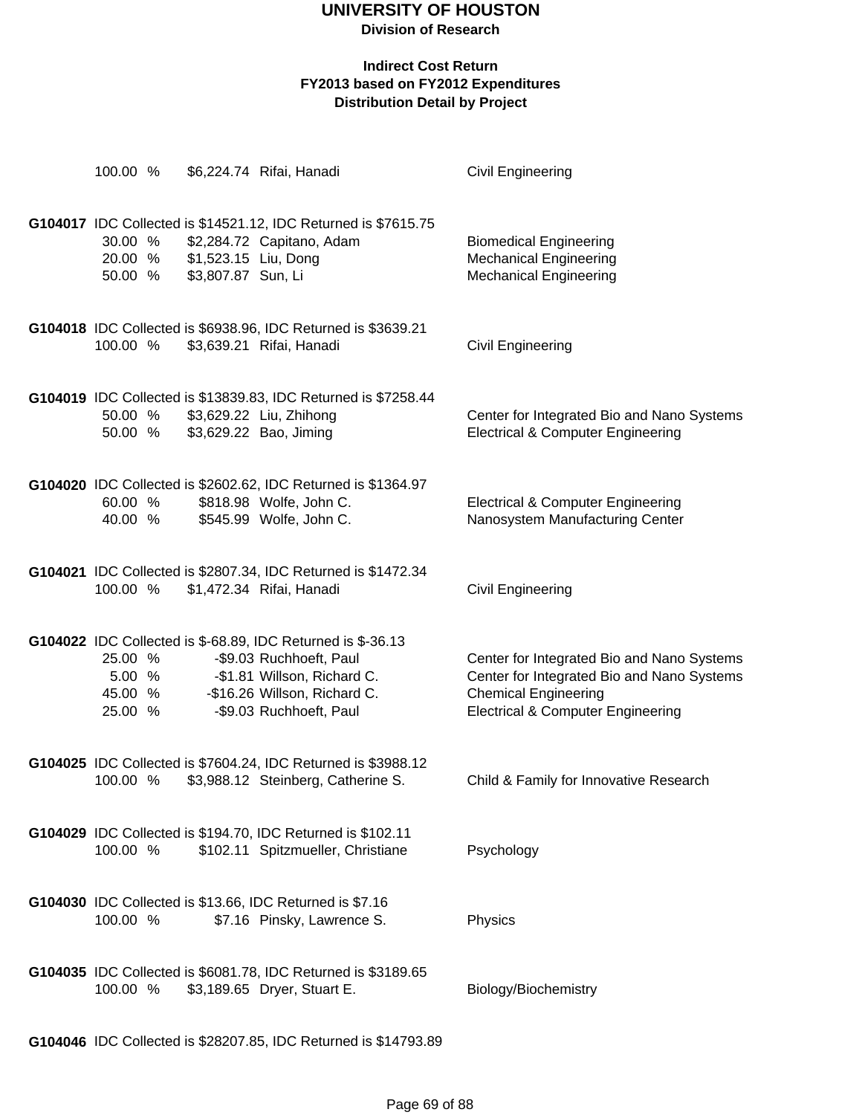## **UNIVERSITY OF HOUSTON**

**Division of Research**

#### **Indirect Cost Return FY2013 based on FY2012 Expenditures Distribution Detail by Project**

| 100.00 %                                |                                            | \$6,224.74 Rifai, Hanadi                                                                                                                                                         | Civil Engineering                                                                                                                                                       |
|-----------------------------------------|--------------------------------------------|----------------------------------------------------------------------------------------------------------------------------------------------------------------------------------|-------------------------------------------------------------------------------------------------------------------------------------------------------------------------|
| 30.00 %<br>20.00 %<br>50.00 %           | \$1,523.15 Liu, Dong<br>\$3,807.87 Sun, Li | G104017 IDC Collected is \$14521.12, IDC Returned is \$7615.75<br>\$2,284.72 Capitano, Adam                                                                                      | <b>Biomedical Engineering</b><br><b>Mechanical Engineering</b><br><b>Mechanical Engineering</b>                                                                         |
| 100.00 %                                |                                            | G104018 IDC Collected is \$6938.96, IDC Returned is \$3639.21<br>\$3,639.21 Rifai, Hanadi                                                                                        | Civil Engineering                                                                                                                                                       |
| 50.00 %<br>50.00 %                      |                                            | G104019 IDC Collected is \$13839.83, IDC Returned is \$7258.44<br>\$3,629.22 Liu, Zhihong<br>\$3,629.22 Bao, Jiming                                                              | Center for Integrated Bio and Nano Systems<br><b>Electrical &amp; Computer Engineering</b>                                                                              |
| 60.00 %<br>40.00 %                      |                                            | G104020 IDC Collected is \$2602.62, IDC Returned is \$1364.97<br>\$818.98 Wolfe, John C.<br>\$545.99 Wolfe, John C.                                                              | <b>Electrical &amp; Computer Engineering</b><br>Nanosystem Manufacturing Center                                                                                         |
| 100.00 %                                |                                            | G104021 IDC Collected is \$2807.34, IDC Returned is \$1472.34<br>\$1,472.34 Rifai, Hanadi                                                                                        | Civil Engineering                                                                                                                                                       |
| 25.00 %<br>5.00 %<br>45.00 %<br>25.00 % |                                            | G104022 IDC Collected is \$-68.89, IDC Returned is \$-36.13<br>-\$9.03 Ruchhoeft, Paul<br>-\$1.81 Willson, Richard C.<br>-\$16.26 Willson, Richard C.<br>-\$9.03 Ruchhoeft, Paul | Center for Integrated Bio and Nano Systems<br>Center for Integrated Bio and Nano Systems<br><b>Chemical Engineering</b><br><b>Electrical &amp; Computer Engineering</b> |
| 100.00 %                                |                                            | G104025 IDC Collected is \$7604.24, IDC Returned is \$3988.12<br>\$3,988.12 Steinberg, Catherine S.                                                                              | Child & Family for Innovative Research                                                                                                                                  |
| 100.00 %                                |                                            | G104029 IDC Collected is \$194.70, IDC Returned is \$102.11<br>\$102.11 Spitzmueller, Christiane                                                                                 | Psychology                                                                                                                                                              |
| 100.00 %                                |                                            | G104030 IDC Collected is \$13.66, IDC Returned is \$7.16<br>\$7.16 Pinsky, Lawrence S.                                                                                           | Physics                                                                                                                                                                 |
| 100.00 %                                |                                            | G104035 IDC Collected is \$6081.78, IDC Returned is \$3189.65<br>\$3,189.65 Dryer, Stuart E.                                                                                     | Biology/Biochemistry                                                                                                                                                    |

**G104046** IDC Collected is \$28207.85, IDC Returned is \$14793.89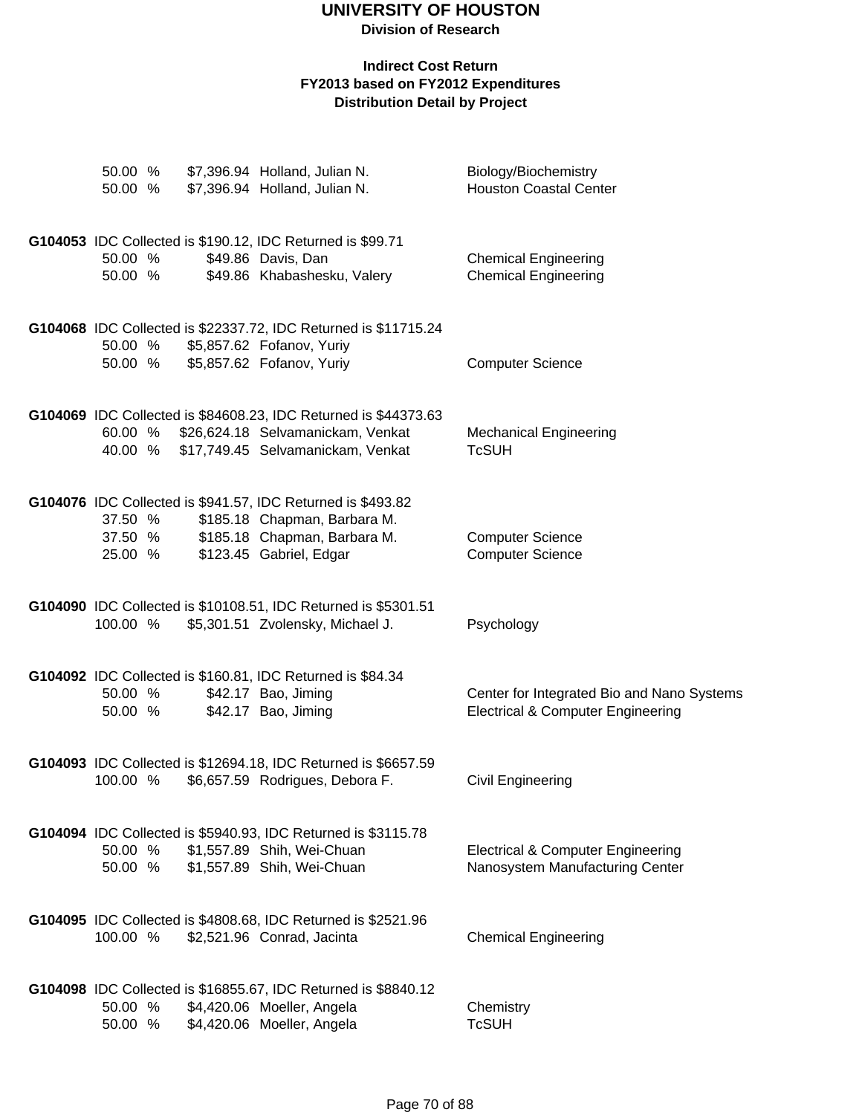## **UNIVERSITY OF HOUSTON**

**Division of Research**

| 50.00 %<br>50.00 % | \$7,396.94 Holland, Julian N.<br>\$7,396.94 Holland, Julian N.                                                                    | Biology/Biochemistry<br><b>Houston Coastal Center</b>                                      |
|--------------------|-----------------------------------------------------------------------------------------------------------------------------------|--------------------------------------------------------------------------------------------|
|                    | G104053 IDC Collected is \$190.12, IDC Returned is \$99.71                                                                        |                                                                                            |
| 50.00 %<br>50.00 % | \$49.86 Davis, Dan<br>\$49.86 Khabashesku, Valery                                                                                 | <b>Chemical Engineering</b><br><b>Chemical Engineering</b>                                 |
| 50.00 %            | G104068 IDC Collected is \$22337.72, IDC Returned is \$11715.24<br>50.00 % \$5,857.62 Fofanov, Yuriy<br>\$5,857.62 Fofanov, Yuriy | <b>Computer Science</b>                                                                    |
| 60.00 %            | G104069 IDC Collected is \$84608.23, IDC Returned is \$44373.63<br>\$26,624.18 Selvamanickam, Venkat                              | <b>Mechanical Engineering</b>                                                              |
| 40.00 %            | \$17,749.45 Selvamanickam, Venkat                                                                                                 | <b>TcSUH</b>                                                                               |
| 37.50 %            | G104076 IDC Collected is \$941.57, IDC Returned is \$493.82<br>\$185.18 Chapman, Barbara M.                                       |                                                                                            |
| 37.50 %<br>25.00 % | \$185.18 Chapman, Barbara M.<br>\$123.45 Gabriel, Edgar                                                                           | <b>Computer Science</b><br><b>Computer Science</b>                                         |
| 100.00 %           | G104090 IDC Collected is \$10108.51, IDC Returned is \$5301.51<br>\$5,301.51 Zvolensky, Michael J.                                | Psychology                                                                                 |
|                    | G104092 IDC Collected is \$160.81, IDC Returned is \$84.34                                                                        |                                                                                            |
| 50.00 %<br>50.00 % | \$42.17 Bao, Jiming<br>\$42.17 Bao, Jiming                                                                                        | Center for Integrated Bio and Nano Systems<br><b>Electrical &amp; Computer Engineering</b> |
| 100.00 %           | G104093 IDC Collected is \$12694.18, IDC Returned is \$6657.59<br>\$6,657.59 Rodrigues, Debora F.                                 | Civil Engineering                                                                          |
| 50.00 %<br>50.00 % | G104094 IDC Collected is \$5940.93, IDC Returned is \$3115.78<br>\$1,557.89 Shih, Wei-Chuan<br>\$1,557.89 Shih, Wei-Chuan         | <b>Electrical &amp; Computer Engineering</b><br>Nanosystem Manufacturing Center            |
|                    |                                                                                                                                   |                                                                                            |
| 100.00 %           | G104095 IDC Collected is \$4808.68, IDC Returned is \$2521.96<br>\$2,521.96 Conrad, Jacinta                                       | <b>Chemical Engineering</b>                                                                |
| 50.00 %            | G104098 IDC Collected is \$16855.67, IDC Returned is \$8840.12<br>\$4,420.06 Moeller, Angela                                      | Chemistry                                                                                  |
| 50.00 %            | \$4,420.06 Moeller, Angela                                                                                                        | <b>TcSUH</b>                                                                               |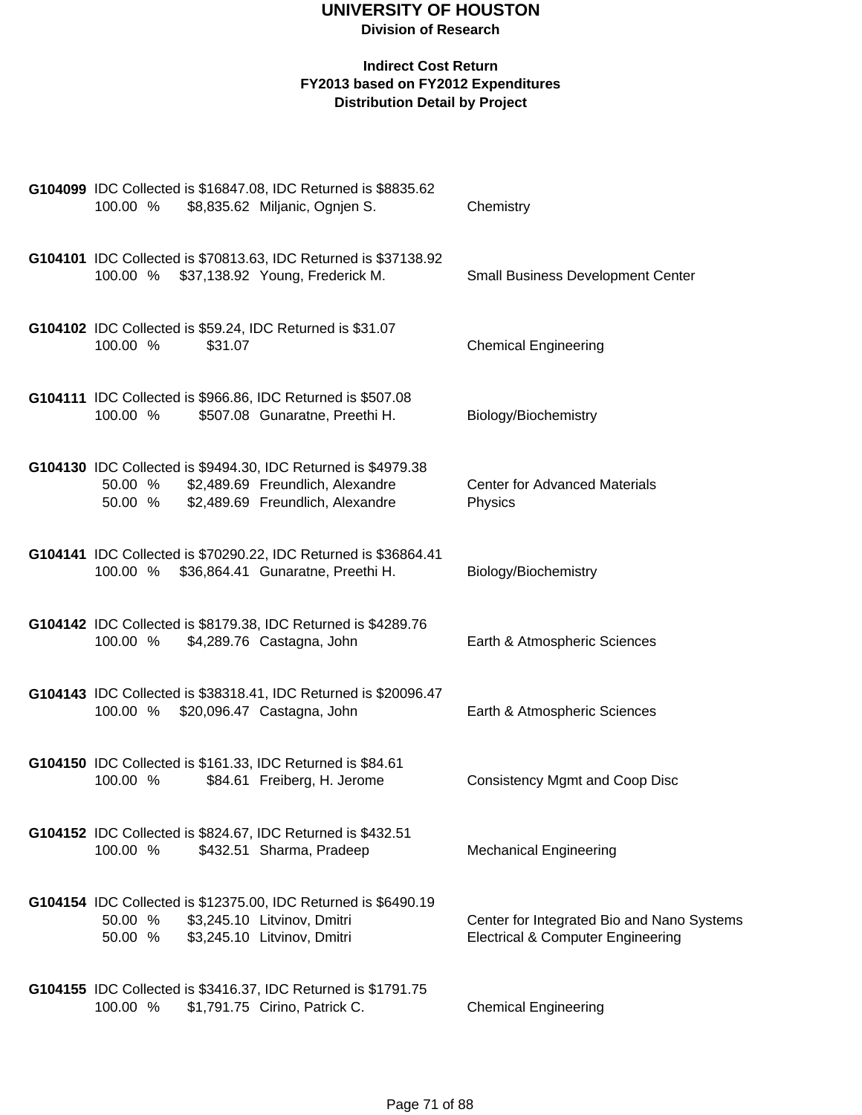| 100.00 %           |         | G104099 IDC Collected is \$16847.08, IDC Returned is \$8835.62<br>\$8,835.62 Miljanic, Ognjen S.                                      | Chemistry                                                                                  |
|--------------------|---------|---------------------------------------------------------------------------------------------------------------------------------------|--------------------------------------------------------------------------------------------|
|                    |         | G104101 IDC Collected is \$70813.63, IDC Returned is \$37138.92<br>100.00 % \$37,138.92 Young, Frederick M.                           | <b>Small Business Development Center</b>                                                   |
| 100.00 %           | \$31.07 | G104102 IDC Collected is \$59.24, IDC Returned is \$31.07                                                                             | <b>Chemical Engineering</b>                                                                |
| 100.00 %           |         | G104111 IDC Collected is \$966.86, IDC Returned is \$507.08<br>\$507.08 Gunaratne, Preethi H.                                         | Biology/Biochemistry                                                                       |
| 50.00 %<br>50.00 % |         | G104130 IDC Collected is \$9494.30, IDC Returned is \$4979.38<br>\$2,489.69 Freundlich, Alexandre<br>\$2,489.69 Freundlich, Alexandre | <b>Center for Advanced Materials</b><br>Physics                                            |
|                    |         | G104141 IDC Collected is \$70290.22, IDC Returned is \$36864.41<br>100.00 % \$36,864.41 Gunaratne, Preethi H.                         | Biology/Biochemistry                                                                       |
| 100.00 %           |         | G104142 IDC Collected is \$8179.38, IDC Returned is \$4289.76<br>\$4,289.76 Castagna, John                                            | Earth & Atmospheric Sciences                                                               |
|                    |         | G104143 IDC Collected is \$38318.41, IDC Returned is \$20096.47<br>100.00 % \$20,096.47 Castagna, John                                | Earth & Atmospheric Sciences                                                               |
| 100.00 %           |         | G104150 IDC Collected is \$161.33, IDC Returned is \$84.61<br>\$84.61 Freiberg, H. Jerome                                             | <b>Consistency Mgmt and Coop Disc</b>                                                      |
| 100.00 %           |         | G104152 IDC Collected is \$824.67, IDC Returned is \$432.51<br>\$432.51 Sharma, Pradeep                                               | <b>Mechanical Engineering</b>                                                              |
| 50.00 %<br>50.00 % |         | G104154 IDC Collected is \$12375.00, IDC Returned is \$6490.19<br>\$3,245.10 Litvinov, Dmitri<br>\$3,245.10 Litvinov, Dmitri          | Center for Integrated Bio and Nano Systems<br><b>Electrical &amp; Computer Engineering</b> |
| 100.00 %           |         | G104155 IDC Collected is \$3416.37, IDC Returned is \$1791.75<br>\$1,791.75 Cirino, Patrick C.                                        | <b>Chemical Engineering</b>                                                                |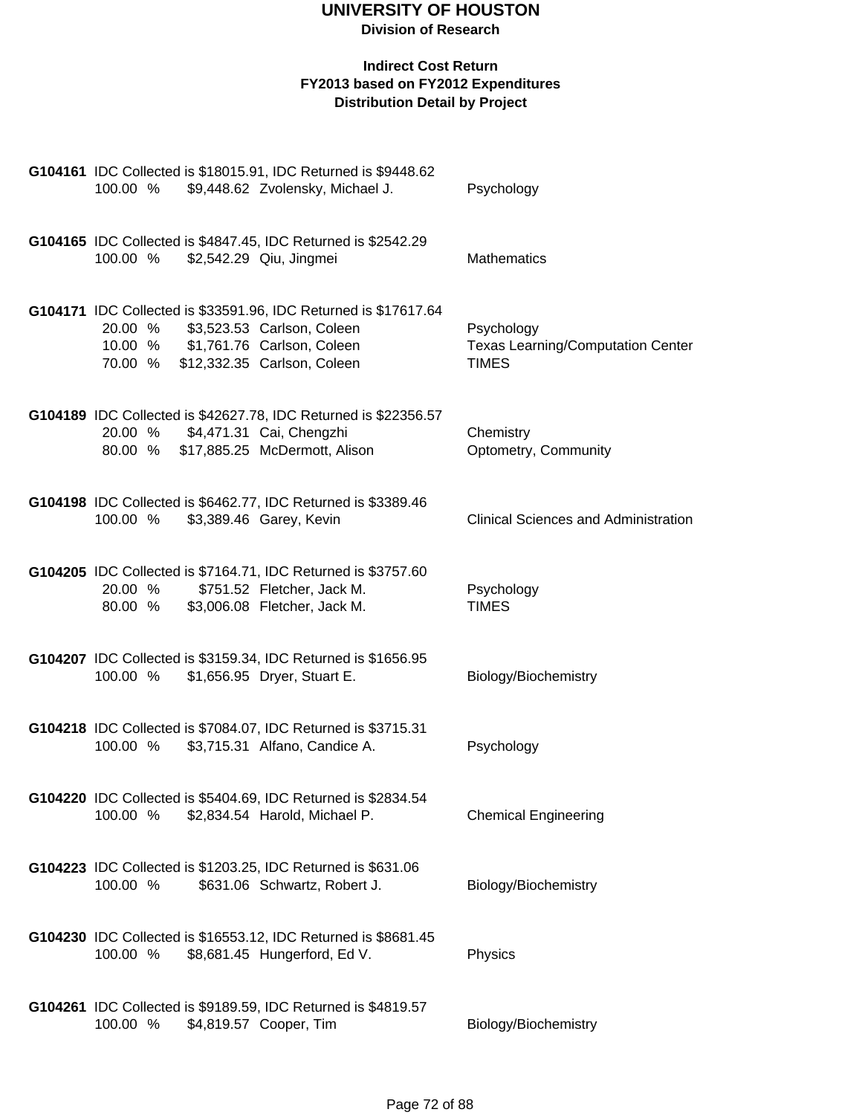| 100.00 %                         | G104161 IDC Collected is \$18015.91, IDC Returned is \$9448.62<br>\$9,448.62 Zvolensky, Michael J.                                                                                 | Psychology                                                             |
|----------------------------------|------------------------------------------------------------------------------------------------------------------------------------------------------------------------------------|------------------------------------------------------------------------|
| 100.00 % \$2,542.29 Qiu, Jingmei | G104165 IDC Collected is \$4847.45, IDC Returned is \$2542.29                                                                                                                      | <b>Mathematics</b>                                                     |
|                                  | G104171 IDC Collected is \$33591.96, IDC Returned is \$17617.64<br>20.00 % \$3,523.53 Carlson, Coleen<br>10.00 % \$1,761.76 Carlson, Coleen<br>70.00 % \$12,332.35 Carlson, Coleen | Psychology<br><b>Texas Learning/Computation Center</b><br><b>TIMES</b> |
| 20.00 %                          | G104189 IDC Collected is \$42627.78, IDC Returned is \$22356.57<br>\$4,471.31 Cai, Chengzhi<br>80.00 % \$17,885.25 McDermott, Alison                                               | Chemistry<br>Optometry, Community                                      |
| 100.00 %                         | G104198 IDC Collected is \$6462.77, IDC Returned is \$3389.46<br>\$3,389.46 Garey, Kevin                                                                                           | <b>Clinical Sciences and Administration</b>                            |
|                                  | G104205 IDC Collected is \$7164.71, IDC Returned is \$3757.60<br>20.00 % \$751.52 Fletcher, Jack M.<br>80.00 % \$3,006.08 Fletcher, Jack M.                                        | Psychology<br><b>TIMES</b>                                             |
| 100.00 %                         | G104207 IDC Collected is \$3159.34, IDC Returned is \$1656.95<br>\$1,656.95 Dryer, Stuart E.                                                                                       | Biology/Biochemistry                                                   |
| 100.00 %                         | G104218 IDC Collected is \$7084.07, IDC Returned is \$3715.31<br>\$3,715.31 Alfano, Candice A.                                                                                     | Psychology                                                             |
| 100.00 %                         | G104220 IDC Collected is \$5404.69, IDC Returned is \$2834.54<br>\$2,834.54 Harold, Michael P.                                                                                     | <b>Chemical Engineering</b>                                            |
| 100.00 %                         | G104223 IDC Collected is \$1203.25, IDC Returned is \$631.06<br>\$631.06 Schwartz, Robert J.                                                                                       | Biology/Biochemistry                                                   |
| 100.00 %                         | G104230 IDC Collected is \$16553.12, IDC Returned is \$8681.45<br>\$8,681.45 Hungerford, Ed V.                                                                                     | Physics                                                                |
| 100.00 %                         | G104261 IDC Collected is \$9189.59, IDC Returned is \$4819.57<br>\$4,819.57 Cooper, Tim                                                                                            | Biology/Biochemistry                                                   |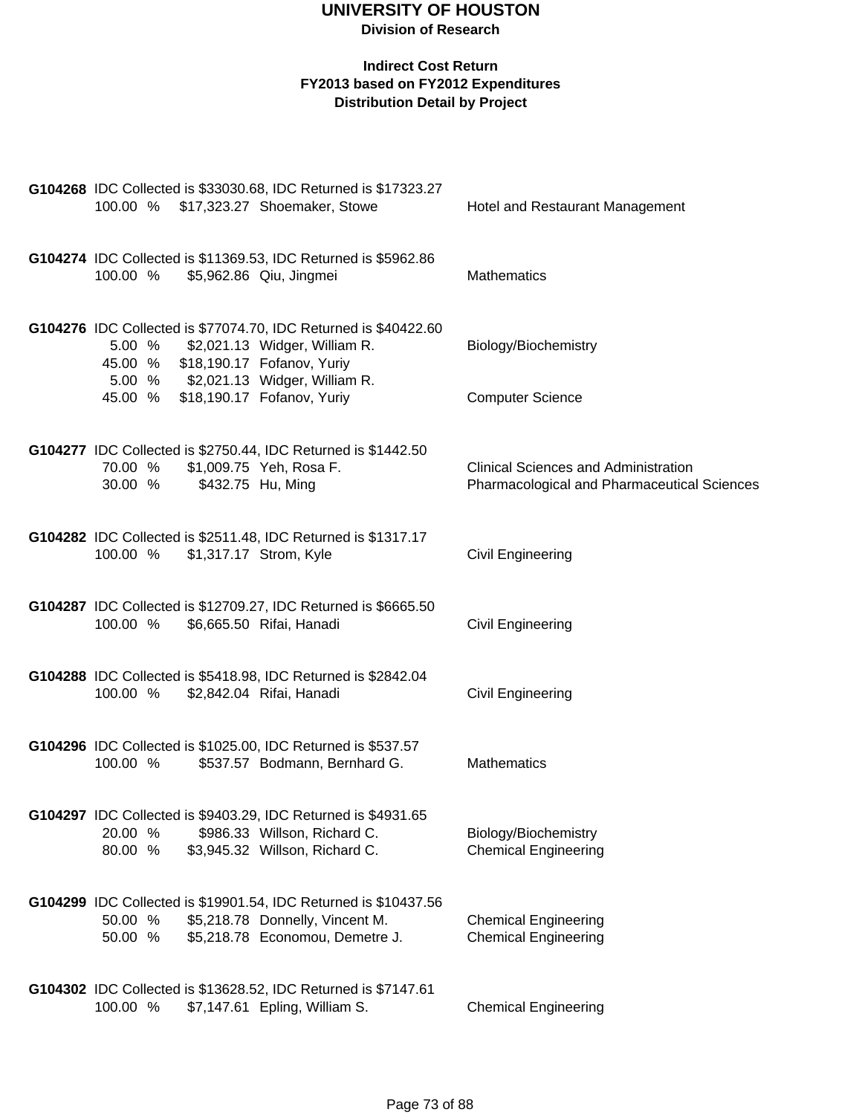|                                 | G104268 IDC Collected is \$33030.68, IDC Returned is \$17323.27                           |                                             |
|---------------------------------|-------------------------------------------------------------------------------------------|---------------------------------------------|
|                                 | 100.00 % \$17,323.27 Shoemaker, Stowe                                                     | Hotel and Restaurant Management             |
|                                 |                                                                                           |                                             |
|                                 |                                                                                           |                                             |
| 100.00 %                        | G104274 IDC Collected is \$11369.53, IDC Returned is \$5962.86<br>\$5,962.86 Qiu, Jingmei | <b>Mathematics</b>                          |
|                                 |                                                                                           |                                             |
|                                 |                                                                                           |                                             |
|                                 | G104276 IDC Collected is \$77074.70, IDC Returned is \$40422.60                           |                                             |
|                                 | 5.00 % \$2,021.13 Widger, William R.                                                      | Biology/Biochemistry                        |
|                                 | 45.00 % \$18,190.17 Fofanov, Yuriy                                                        |                                             |
|                                 | 5.00 % \$2,021.13 Widger, William R.                                                      |                                             |
|                                 | 45.00 % \$18,190.17 Fofanov, Yuriy                                                        | <b>Computer Science</b>                     |
|                                 |                                                                                           |                                             |
|                                 |                                                                                           |                                             |
|                                 | G104277 IDC Collected is \$2750.44, IDC Returned is \$1442.50                             |                                             |
| 70.00 %                         | \$1,009.75 Yeh, Rosa F.                                                                   | <b>Clinical Sciences and Administration</b> |
| 30.00 %                         | \$432.75 Hu, Ming                                                                         | Pharmacological and Pharmaceutical Sciences |
|                                 |                                                                                           |                                             |
|                                 | G104282 IDC Collected is \$2511.48, IDC Returned is \$1317.17                             |                                             |
| 100.00 % \$1,317.17 Strom, Kyle |                                                                                           | <b>Civil Engineering</b>                    |
|                                 |                                                                                           |                                             |
|                                 |                                                                                           |                                             |
|                                 | G104287 IDC Collected is \$12709.27, IDC Returned is \$6665.50                            |                                             |
|                                 | 100.00 % \$6,665.50 Rifai, Hanadi                                                         | <b>Civil Engineering</b>                    |
|                                 |                                                                                           |                                             |
|                                 |                                                                                           |                                             |
|                                 | G104288 IDC Collected is \$5418.98, IDC Returned is \$2842.04                             |                                             |
|                                 | 100.00 % \$2,842.04 Rifai, Hanadi                                                         | <b>Civil Engineering</b>                    |
|                                 |                                                                                           |                                             |
|                                 | G104296 IDC Collected is \$1025.00, IDC Returned is \$537.57                              |                                             |
| 100.00 %                        | \$537.57 Bodmann, Bernhard G.                                                             | Mathematics                                 |
|                                 |                                                                                           |                                             |
|                                 |                                                                                           |                                             |
|                                 | G104297 IDC Collected is \$9403.29, IDC Returned is \$4931.65                             |                                             |
| 20.00 %                         | \$986.33 Willson, Richard C.                                                              | Biology/Biochemistry                        |
| 80.00 %                         | \$3,945.32 Willson, Richard C.                                                            | <b>Chemical Engineering</b>                 |
|                                 |                                                                                           |                                             |
|                                 |                                                                                           |                                             |
|                                 | G104299 IDC Collected is \$19901.54, IDC Returned is \$10437.56                           |                                             |
| 50.00 %                         | \$5,218.78 Donnelly, Vincent M.                                                           | <b>Chemical Engineering</b>                 |
| 50.00 %                         | \$5,218.78 Economou, Demetre J.                                                           | <b>Chemical Engineering</b>                 |
|                                 |                                                                                           |                                             |
|                                 | G104302 IDC Collected is \$13628.52, IDC Returned is \$7147.61                            |                                             |
| 100.00 %                        | \$7,147.61 Epling, William S.                                                             | <b>Chemical Engineering</b>                 |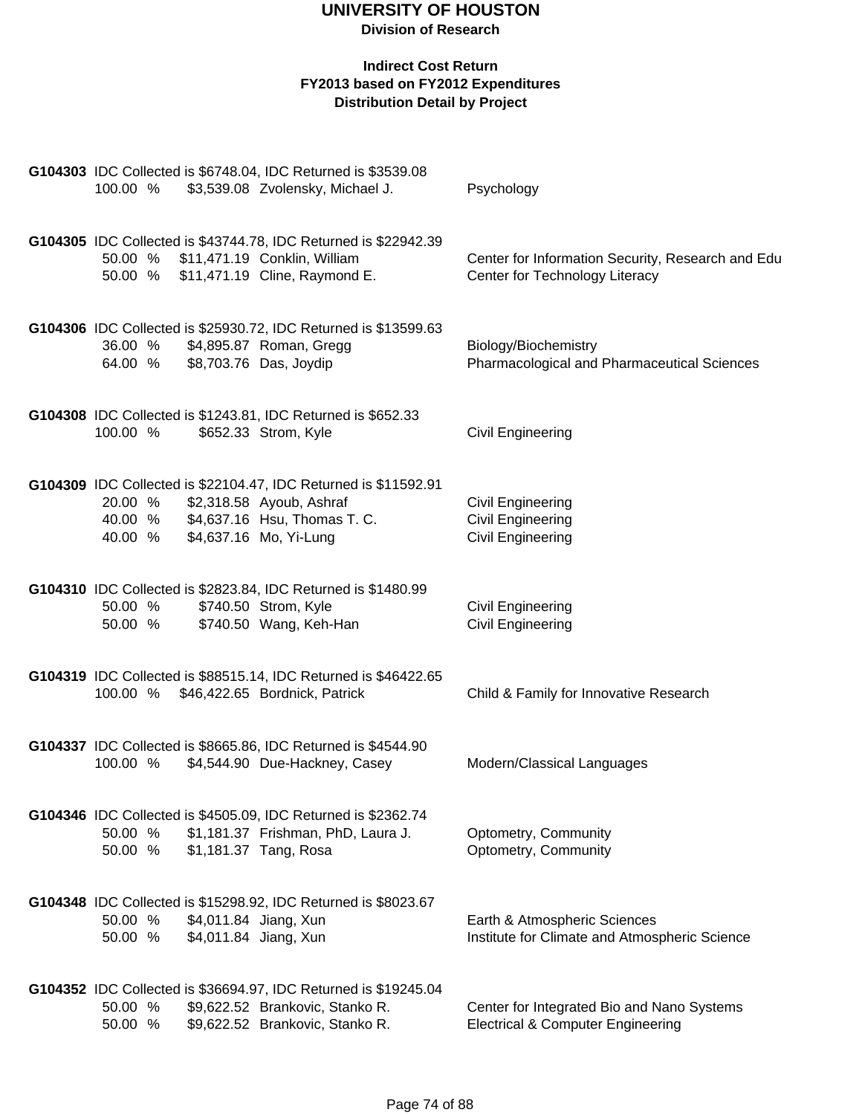| G104303 IDC Collected is \$6748.04, IDC Returned is \$3539.08<br>100.00 %<br>\$3,539.08 Zvolensky, Michael J.                                                                          | Psychology                                                                                 |
|----------------------------------------------------------------------------------------------------------------------------------------------------------------------------------------|--------------------------------------------------------------------------------------------|
| G104305 IDC Collected is \$43744.78, IDC Returned is \$22942.39<br>50.00 % \$11,471.19 Conklin, William<br>50.00 % \$11,471.19 Cline, Raymond E.                                       | Center for Information Security, Research and Edu<br>Center for Technology Literacy        |
| G104306 IDC Collected is \$25930.72, IDC Returned is \$13599.63<br>36.00 %<br>\$4,895.87 Roman, Gregg<br>\$8,703.76 Das, Joydip<br>64.00 %                                             | Biology/Biochemistry<br>Pharmacological and Pharmaceutical Sciences                        |
| G104308 IDC Collected is \$1243.81, IDC Returned is \$652.33<br>\$652.33 Strom, Kyle<br>100.00 %                                                                                       | Civil Engineering                                                                          |
| G104309 IDC Collected is \$22104.47, IDC Returned is \$11592.91<br>\$2,318.58 Ayoub, Ashraf<br>20.00 %<br>\$4,637.16 Hsu, Thomas T. C.<br>40.00 %<br>\$4,637.16 Mo, Yi-Lung<br>40.00 % | <b>Civil Engineering</b><br><b>Civil Engineering</b><br><b>Civil Engineering</b>           |
| G104310 IDC Collected is \$2823.84, IDC Returned is \$1480.99<br>\$740.50 Strom, Kyle<br>50.00 %<br>\$740.50 Wang, Keh-Han<br>50.00 %                                                  | Civil Engineering<br><b>Civil Engineering</b>                                              |
| G104319 IDC Collected is \$88515.14, IDC Returned is \$46422.65<br>100.00 % \$46,422.65 Bordnick, Patrick                                                                              | Child & Family for Innovative Research                                                     |
| G104337 IDC Collected is \$8665.86, IDC Returned is \$4544.90<br>\$4,544.90 Due-Hackney, Casey<br>100.00 %                                                                             | Modern/Classical Languages                                                                 |
| G104346 IDC Collected is \$4505.09, IDC Returned is \$2362.74<br>\$1,181.37 Frishman, PhD, Laura J.<br>50.00 %<br>\$1,181.37 Tang, Rosa<br>50.00 %                                     | Optometry, Community<br>Optometry, Community                                               |
| G104348 IDC Collected is \$15298.92, IDC Returned is \$8023.67<br>\$4,011.84 Jiang, Xun<br>50.00 %<br>\$4,011.84 Jiang, Xun<br>50.00 %                                                 | Earth & Atmospheric Sciences<br>Institute for Climate and Atmospheric Science              |
| G104352 IDC Collected is \$36694.97, IDC Returned is \$19245.04<br>\$9,622.52 Brankovic, Stanko R.<br>50.00 %<br>\$9,622.52 Brankovic, Stanko R.<br>50.00 %                            | Center for Integrated Bio and Nano Systems<br><b>Electrical &amp; Computer Engineering</b> |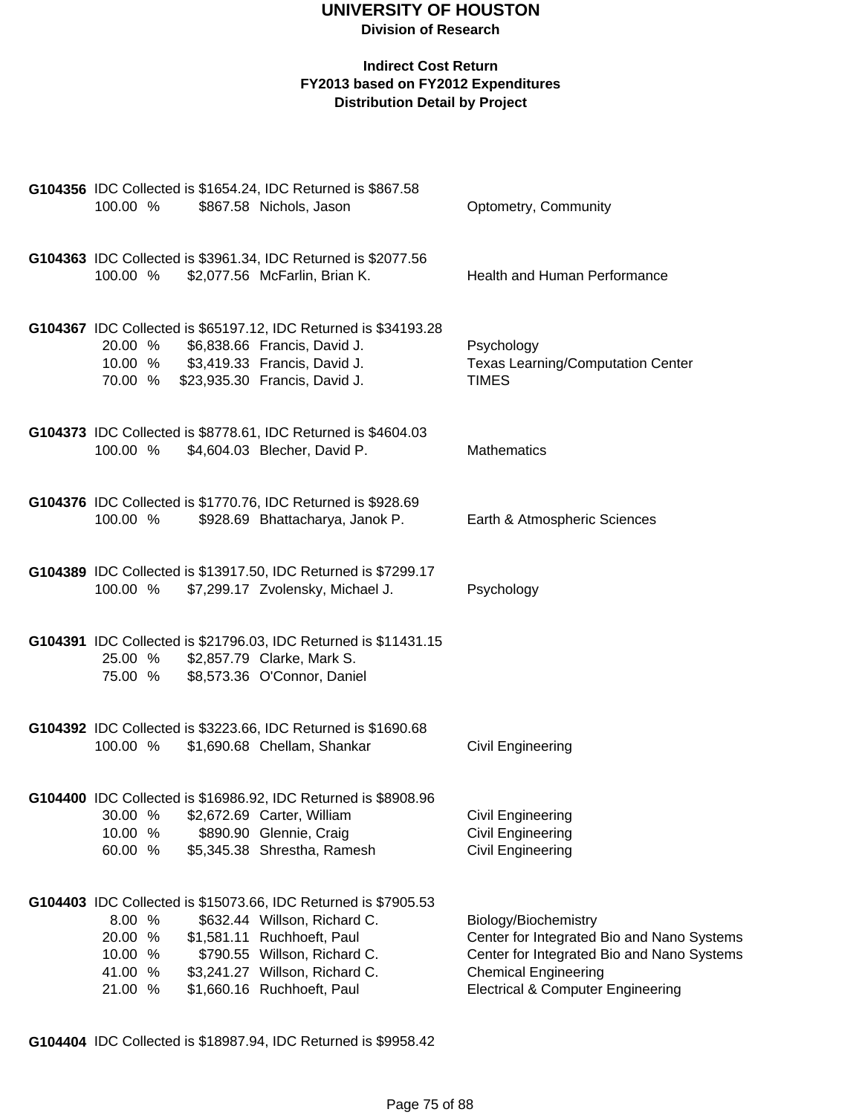#### **Indirect Cost Return FY2013 based on FY2012 Expenditures Distribution Detail by Project**

| 100.00 %                                           | G104356 IDC Collected is \$1654.24, IDC Returned is \$867.58<br>\$867.58 Nichols, Jason                                                                                                                                      | Optometry, Community                                                                                                                                                                            |
|----------------------------------------------------|------------------------------------------------------------------------------------------------------------------------------------------------------------------------------------------------------------------------------|-------------------------------------------------------------------------------------------------------------------------------------------------------------------------------------------------|
| 100.00 %                                           | G104363 IDC Collected is \$3961.34, IDC Returned is \$2077.56<br>\$2,077.56 McFarlin, Brian K.                                                                                                                               | Health and Human Performance                                                                                                                                                                    |
| 20.00 %<br>10.00 %<br>70.00 %                      | G104367 IDC Collected is \$65197.12, IDC Returned is \$34193.28<br>\$6,838.66 Francis, David J.<br>\$3,419.33 Francis, David J.<br>\$23,935.30 Francis, David J.                                                             | Psychology<br><b>Texas Learning/Computation Center</b><br><b>TIMES</b>                                                                                                                          |
| 100.00 %                                           | G104373 IDC Collected is \$8778.61, IDC Returned is \$4604.03<br>\$4,604.03 Blecher, David P.                                                                                                                                | <b>Mathematics</b>                                                                                                                                                                              |
| 100.00 %                                           | G104376 IDC Collected is \$1770.76, IDC Returned is \$928.69<br>\$928.69 Bhattacharya, Janok P.                                                                                                                              | Earth & Atmospheric Sciences                                                                                                                                                                    |
| 100.00 %                                           | G104389 IDC Collected is \$13917.50, IDC Returned is \$7299.17<br>\$7,299.17 Zvolensky, Michael J.                                                                                                                           | Psychology                                                                                                                                                                                      |
| 25.00 %<br>75.00 %                                 | G104391 IDC Collected is \$21796.03, IDC Returned is \$11431.15<br>\$2,857.79 Clarke, Mark S.<br>\$8,573.36 O'Connor, Daniel                                                                                                 |                                                                                                                                                                                                 |
| 100.00 %                                           | G104392 IDC Collected is \$3223.66, IDC Returned is \$1690.68<br>\$1,690.68 Chellam, Shankar                                                                                                                                 | <b>Civil Engineering</b>                                                                                                                                                                        |
| 30.00 %<br>10.00 %<br>60.00 %                      | G104400 IDC Collected is \$16986.92, IDC Returned is \$8908.96<br>\$2,672.69 Carter, William<br>\$890.90 Glennie, Craig<br>\$5,345.38 Shrestha, Ramesh                                                                       | <b>Civil Engineering</b><br>Civil Engineering<br>Civil Engineering                                                                                                                              |
| 8.00 %<br>20.00 %<br>10.00 %<br>41.00 %<br>21.00 % | G104403 IDC Collected is \$15073.66, IDC Returned is \$7905.53<br>\$632.44 Willson, Richard C.<br>\$1,581.11 Ruchhoeft, Paul<br>\$790.55 Willson, Richard C.<br>\$3,241.27 Willson, Richard C.<br>\$1,660.16 Ruchhoeft, Paul | Biology/Biochemistry<br>Center for Integrated Bio and Nano Systems<br>Center for Integrated Bio and Nano Systems<br><b>Chemical Engineering</b><br><b>Electrical &amp; Computer Engineering</b> |

**G104404** IDC Collected is \$18987.94, IDC Returned is \$9958.42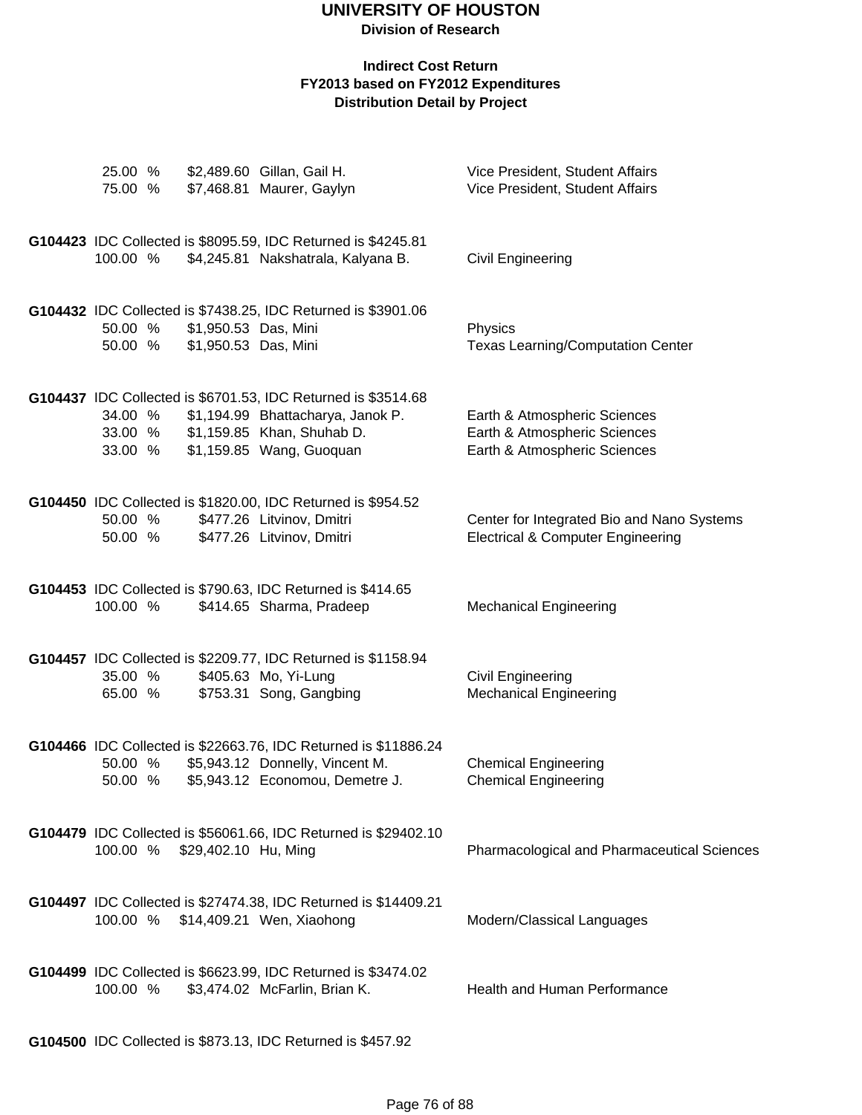## **UNIVERSITY OF HOUSTON**

**Division of Research**

| \$2,489.60 Gillan, Gail H.<br>25.00 %<br>75.00 %                                                                                    | \$7,468.81 Maurer, Gaylyn                                          | Vice President, Student Affairs<br>Vice President, Student Affairs                           |
|-------------------------------------------------------------------------------------------------------------------------------------|--------------------------------------------------------------------|----------------------------------------------------------------------------------------------|
| G104423 IDC Collected is \$8095.59, IDC Returned is \$4245.81<br>100.00 %                                                           | \$4,245.81 Nakshatrala, Kalyana B.                                 | Civil Engineering                                                                            |
| G104432 IDC Collected is \$7438.25, IDC Returned is \$3901.06<br>50.00 %<br>\$1,950.53 Das, Mini<br>50.00 %<br>\$1,950.53 Das, Mini |                                                                    | Physics<br><b>Texas Learning/Computation Center</b>                                          |
| G104437 IDC Collected is \$6701.53, IDC Returned is \$3514.68<br>34.00 %<br>33.00 % \$1,159.85 Khan, Shuhab D.<br>33.00 %           | \$1,194.99 Bhattacharya, Janok P.<br>\$1,159.85 Wang, Guoquan      | Earth & Atmospheric Sciences<br>Earth & Atmospheric Sciences<br>Earth & Atmospheric Sciences |
| G104450 IDC Collected is \$1820.00, IDC Returned is \$954.52<br>50.00 %<br>50.00 %                                                  | \$477.26 Litvinov, Dmitri<br>\$477.26 Litvinov, Dmitri             | Center for Integrated Bio and Nano Systems<br><b>Electrical &amp; Computer Engineering</b>   |
| G104453 IDC Collected is \$790.63, IDC Returned is \$414.65<br>100.00 %                                                             | \$414.65 Sharma, Pradeep                                           | <b>Mechanical Engineering</b>                                                                |
| G104457 IDC Collected is \$2209.77, IDC Returned is \$1158.94<br>35.00 %<br>\$405.63 Mo, Yi-Lung<br>65.00 %                         | \$753.31 Song, Gangbing                                            | Civil Engineering<br><b>Mechanical Engineering</b>                                           |
| G104466 IDC Collected is \$22663.76, IDC Returned is \$11886.24<br>50.00 %<br>50.00 %                                               | \$5,943.12 Donnelly, Vincent M.<br>\$5,943.12 Economou, Demetre J. | <b>Chemical Engineering</b><br><b>Chemical Engineering</b>                                   |
| G104479 IDC Collected is \$56061.66, IDC Returned is \$29402.10<br>100.00 % \$29,402.10 Hu, Ming                                    |                                                                    | Pharmacological and Pharmaceutical Sciences                                                  |
| G104497 IDC Collected is \$27474.38, IDC Returned is \$14409.21<br>100.00 % \$14,409.21 Wen, Xiaohong                               |                                                                    | Modern/Classical Languages                                                                   |
| G104499 IDC Collected is \$6623.99, IDC Returned is \$3474.02<br>100.00 %                                                           | \$3,474.02 McFarlin, Brian K.                                      | <b>Health and Human Performance</b>                                                          |
| G104500 IDC Collected is \$873.13, IDC Returned is \$457.92                                                                         |                                                                    |                                                                                              |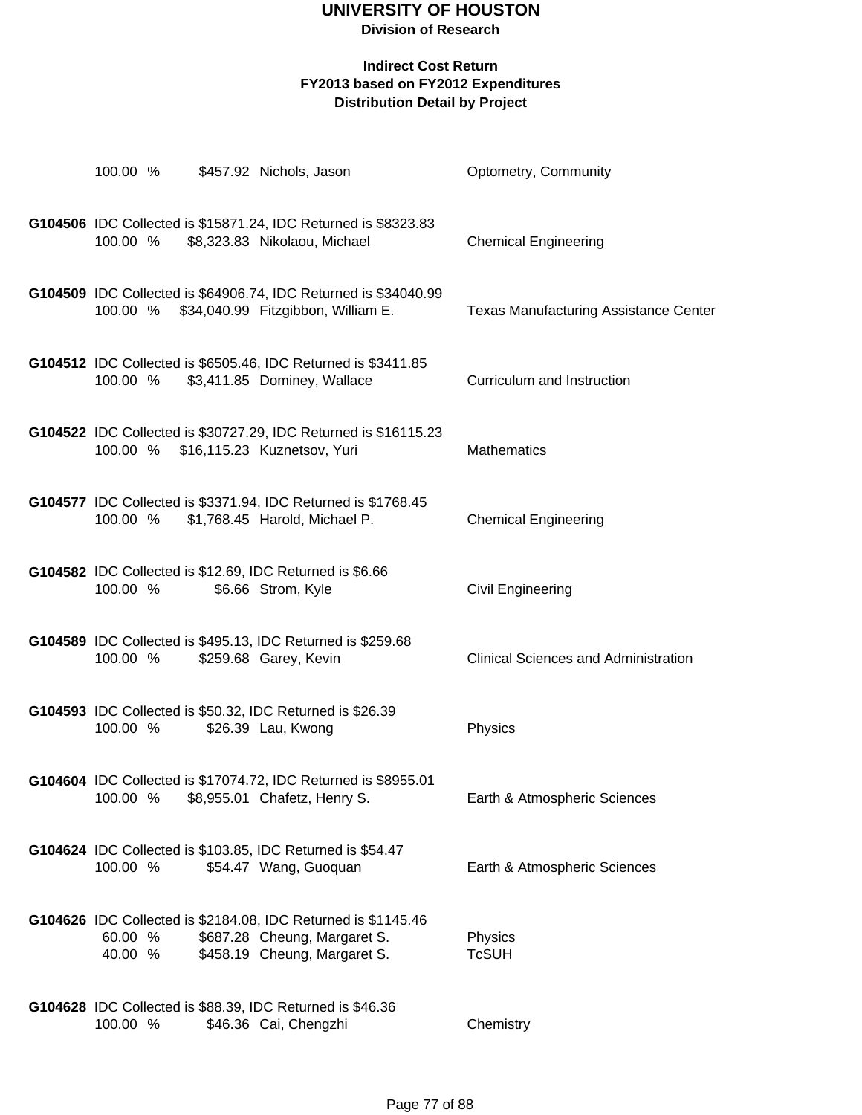# **UNIVERSITY OF HOUSTON**

### **Division of Research**

| 100.00 %                             | \$457.92 Nichols, Jason                                                                                                       | Optometry, Community                         |
|--------------------------------------|-------------------------------------------------------------------------------------------------------------------------------|----------------------------------------------|
| 100.00 %                             | G104506 IDC Collected is \$15871.24, IDC Returned is \$8323.83<br>\$8,323.83 Nikolaou, Michael                                | <b>Chemical Engineering</b>                  |
|                                      | G104509 IDC Collected is \$64906.74, IDC Returned is \$34040.99<br>100.00 % \$34,040.99 Fitzgibbon, William E.                | <b>Texas Manufacturing Assistance Center</b> |
|                                      | G104512 IDC Collected is \$6505.46, IDC Returned is \$3411.85<br>100.00 % \$3,411.85 Dominey, Wallace                         | Curriculum and Instruction                   |
| 100.00 % \$16,115.23 Kuznetsov, Yuri | G104522 IDC Collected is \$30727.29, IDC Returned is \$16115.23                                                               | <b>Mathematics</b>                           |
| 100.00 %                             | G104577 IDC Collected is \$3371.94, IDC Returned is \$1768.45<br>\$1,768.45 Harold, Michael P.                                | <b>Chemical Engineering</b>                  |
| 100.00 %                             | G104582 IDC Collected is \$12.69, IDC Returned is \$6.66<br>\$6.66 Strom, Kyle                                                | Civil Engineering                            |
| 100.00 %                             | G104589 IDC Collected is \$495.13, IDC Returned is \$259.68<br>\$259.68 Garey, Kevin                                          | <b>Clinical Sciences and Administration</b>  |
| 100.00 %                             | G104593 IDC Collected is \$50.32, IDC Returned is \$26.39<br>\$26.39 Lau, Kwong                                               | Physics                                      |
| 100.00 %                             | G104604 IDC Collected is \$17074.72, IDC Returned is \$8955.01<br>\$8,955.01 Chafetz, Henry S.                                | Earth & Atmospheric Sciences                 |
| 100.00 %                             | G104624 IDC Collected is \$103.85, IDC Returned is \$54.47<br>\$54.47 Wang, Guoquan                                           | Earth & Atmospheric Sciences                 |
| 60.00 %<br>40.00 %                   | G104626 IDC Collected is \$2184.08, IDC Returned is \$1145.46<br>\$687.28 Cheung, Margaret S.<br>\$458.19 Cheung, Margaret S. | Physics<br><b>TcSUH</b>                      |
| 100.00 %                             | G104628 IDC Collected is \$88.39, IDC Returned is \$46.36<br>\$46.36 Cai, Chengzhi                                            | Chemistry                                    |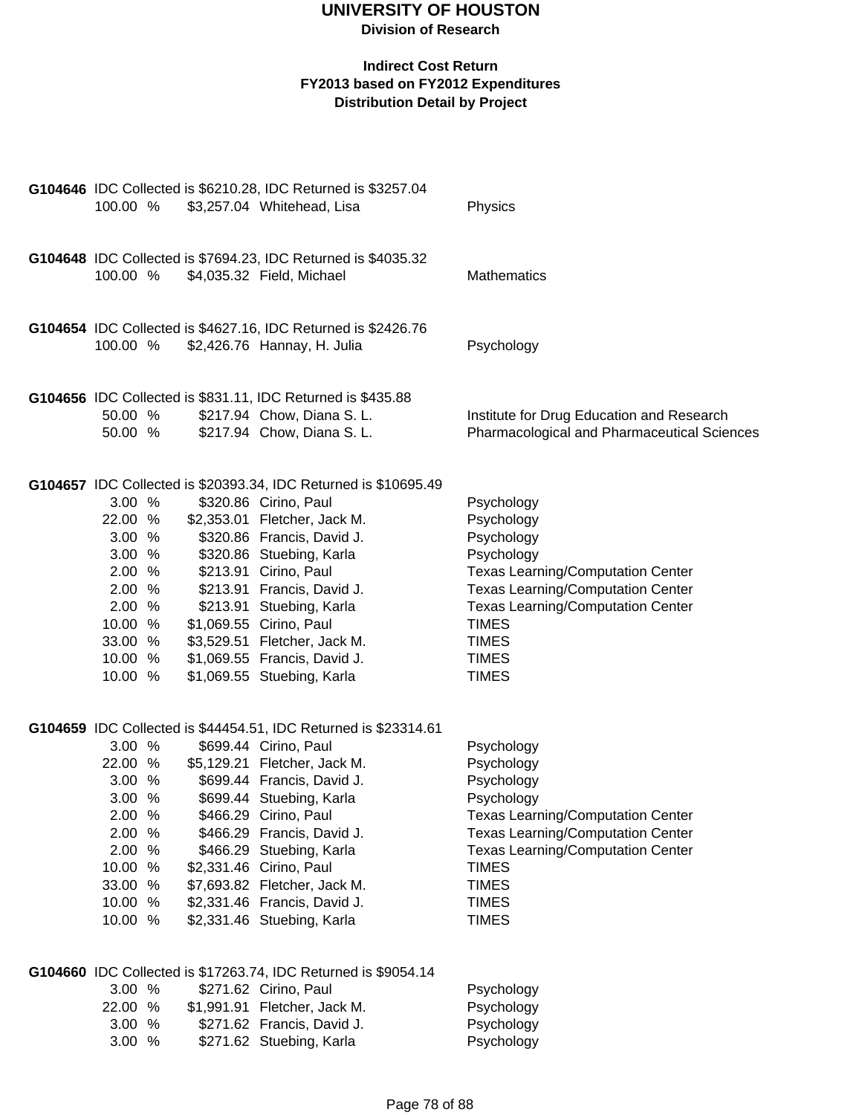|          | G104646 IDC Collected is \$6210.28, IDC Returned is \$3257.04   |                                                    |
|----------|-----------------------------------------------------------------|----------------------------------------------------|
| 100.00 % | \$3,257.04 Whitehead, Lisa                                      | Physics                                            |
|          |                                                                 |                                                    |
|          |                                                                 |                                                    |
|          | G104648 IDC Collected is \$7694.23, IDC Returned is \$4035.32   |                                                    |
| 100.00 % | \$4,035.32 Field, Michael                                       | <b>Mathematics</b>                                 |
|          |                                                                 |                                                    |
|          |                                                                 |                                                    |
|          | G104654 IDC Collected is \$4627.16, IDC Returned is \$2426.76   |                                                    |
| 100.00 % | \$2,426.76 Hannay, H. Julia                                     | Psychology                                         |
|          |                                                                 |                                                    |
|          |                                                                 |                                                    |
|          | G104656 IDC Collected is \$831.11, IDC Returned is \$435.88     |                                                    |
| 50.00 %  | \$217.94 Chow, Diana S. L.                                      | Institute for Drug Education and Research          |
| 50.00 %  | \$217.94 Chow, Diana S. L.                                      | <b>Pharmacological and Pharmaceutical Sciences</b> |
|          |                                                                 |                                                    |
|          |                                                                 |                                                    |
|          | G104657 IDC Collected is \$20393.34, IDC Returned is \$10695.49 |                                                    |
| 3.00%    | \$320.86 Cirino, Paul                                           | Psychology                                         |
| 22.00 %  | \$2,353.01 Fletcher, Jack M.                                    | Psychology                                         |
| 3.00 %   | \$320.86 Francis, David J.                                      | Psychology                                         |
| 3.00 %   | \$320.86 Stuebing, Karla                                        | Psychology                                         |
| 2.00 %   | \$213.91 Cirino, Paul                                           | <b>Texas Learning/Computation Center</b>           |
| 2.00 %   | \$213.91 Francis, David J.                                      | <b>Texas Learning/Computation Center</b>           |
| 2.00 %   | \$213.91 Stuebing, Karla                                        | <b>Texas Learning/Computation Center</b>           |
| 10.00 %  | \$1,069.55 Cirino, Paul                                         | <b>TIMES</b>                                       |
| 33.00 %  | \$3,529.51 Fletcher, Jack M.                                    | <b>TIMES</b>                                       |
| 10.00 %  | \$1,069.55 Francis, David J.                                    | <b>TIMES</b>                                       |
| 10.00 %  | \$1,069.55 Stuebing, Karla                                      | <b>TIMES</b>                                       |
|          |                                                                 |                                                    |
|          |                                                                 |                                                    |
|          | G104659 IDC Collected is \$44454.51, IDC Returned is \$23314.61 |                                                    |
| 3.00 %   | \$699.44 Cirino, Paul                                           | Psychology                                         |
| 22.00 %  | \$5,129.21 Fletcher, Jack M.                                    | Psychology                                         |
| 3.00%    | \$699.44 Francis, David J.                                      | Psychology                                         |
| 3.00 %   | \$699.44 Stuebing, Karla                                        | Psychology                                         |
| 2.00 %   | \$466.29 Cirino, Paul                                           | <b>Texas Learning/Computation Center</b>           |
| 2.00 %   | \$466.29 Francis, David J.                                      | <b>Texas Learning/Computation Center</b>           |
| 2.00 %   | \$466.29 Stuebing, Karla                                        | <b>Texas Learning/Computation Center</b>           |
| 10.00 %  | \$2,331.46 Cirino, Paul                                         | <b>TIMES</b>                                       |
| 33.00 %  | \$7,693.82 Fletcher, Jack M.                                    | <b>TIMES</b>                                       |
| 10.00 %  | \$2,331.46 Francis, David J.                                    | <b>TIMES</b>                                       |
| 10.00 %  | \$2,331.46 Stuebing, Karla                                      | <b>TIMES</b>                                       |
|          |                                                                 |                                                    |
|          |                                                                 |                                                    |
|          | G104660 IDC Collected is \$17263.74, IDC Returned is \$9054.14  |                                                    |
| 3.00 %   | \$271.62 Cirino, Paul                                           | Psychology                                         |
| 22.00 %  | \$1,991.91 Fletcher, Jack M.                                    | Psychology                                         |
| 3.00 %   | \$271.62 Francis, David J.                                      | Psychology                                         |
| 3.00 %   | \$271.62 Stuebing, Karla                                        | Psychology                                         |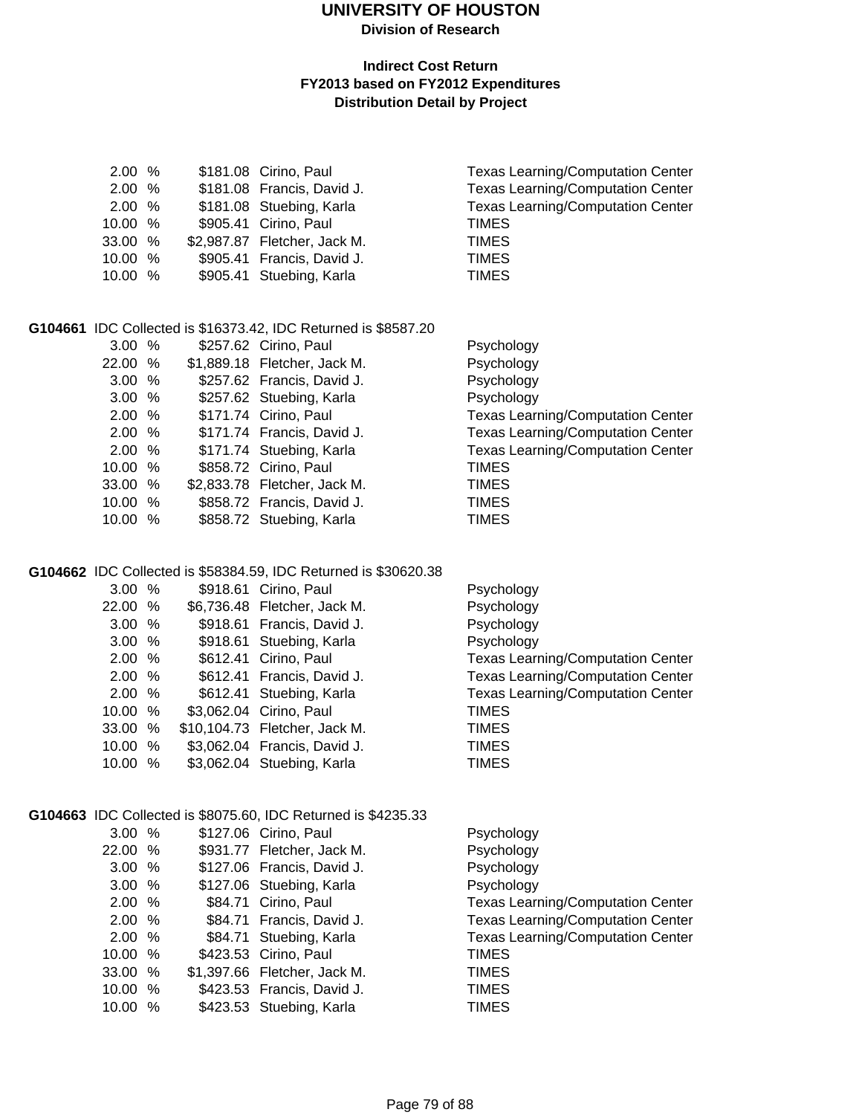#### **Indirect Cost Return FY2013 based on FY2012 Expenditures Distribution Detail by Project**

| 2.00              | %    | \$181.08 Cirino, Paul                                          | <b>Texas Learning/Computation Center</b> |
|-------------------|------|----------------------------------------------------------------|------------------------------------------|
| 2.00              | %    | \$181.08 Francis, David J.                                     | <b>Texas Learning/Computation Center</b> |
| 2.00              | $\%$ | \$181.08 Stuebing, Karla                                       | <b>Texas Learning/Computation Center</b> |
| 10.00             | $\%$ | \$905.41 Cirino, Paul                                          | <b>TIMES</b>                             |
| 33.00             | %    | \$2,987.87 Fletcher, Jack M.                                   | <b>TIMES</b>                             |
| 10.00             | %    | \$905.41 Francis, David J.                                     | <b>TIMES</b>                             |
| 10.00             | %    | \$905.41 Stuebing, Karla                                       | <b>TIMES</b>                             |
|                   |      |                                                                |                                          |
|                   |      |                                                                |                                          |
|                   |      | G104661 IDC Collected is \$16373.42, IDC Returned is \$8587.20 |                                          |
| 3.00%             |      | \$257.62 Cirino, Paul                                          | Psychology                               |
| 22.00             | %    | \$1,889.18 Fletcher, Jack M.                                   | Psychology                               |
| 3.00 <sub>1</sub> | %    | \$257.62 Francis, David J.                                     | Psychology                               |
| 3.00              | %    | \$257.62 Stuebing, Karla                                       | Psychology                               |
| 2.00              | %    | \$171.74 Cirino, Paul                                          | <b>Texas Learning/Computation Center</b> |
| 2.00              | %    | \$171.74 Francis, David J.                                     | <b>Texas Learning/Computation Center</b> |
| 2.00              | $\%$ | \$171.74 Stuebing, Karla                                       | <b>Texas Learning/Computation Center</b> |
| 10.00             | %    | \$858.72 Cirino, Paul                                          | <b>TIMES</b>                             |
| 33.00             | %    | \$2,833.78 Fletcher, Jack M.                                   | <b>TIMES</b>                             |
| 10.00             | %    | \$858.72 Francis, David J.                                     | <b>TIMES</b>                             |
| 10.00             | %    | \$858.72 Stuebing, Karla                                       | <b>TIMES</b>                             |
|                   |      |                                                                |                                          |

#### **G104662** IDC Collected is \$58384.59, IDC Returned is \$30620.38

| 3.00%   |  | \$918.61 Cirino, Paul         | Psychology                               |
|---------|--|-------------------------------|------------------------------------------|
| 22.00 % |  | \$6,736.48 Fletcher, Jack M.  | Psychology                               |
| 3.00%   |  | \$918.61 Francis, David J.    | Psychology                               |
| 3.00%   |  | \$918.61 Stuebing, Karla      | Psychology                               |
| 2.00%   |  | \$612.41 Cirino, Paul         | <b>Texas Learning/Computation Center</b> |
| 2.00%   |  | \$612.41 Francis, David J.    | <b>Texas Learning/Computation Center</b> |
| 2.00%   |  | \$612.41 Stuebing, Karla      | <b>Texas Learning/Computation Center</b> |
| 10.00 % |  | \$3,062.04 Cirino, Paul       | TIMES                                    |
| 33.00 % |  | \$10,104.73 Fletcher, Jack M. | <b>TIMES</b>                             |
| 10.00 % |  | \$3,062.04 Francis, David J.  | <b>TIMES</b>                             |
| 10.00 % |  | \$3,062.04 Stuebing, Karla    | TIMES                                    |
|         |  |                               |                                          |

#### **G104663** IDC Collected is \$8075.60, IDC Returned is \$4235.33

| 3.00%   |  | \$127.06 Cirino, Paul        | Psychology                               |
|---------|--|------------------------------|------------------------------------------|
| 22.00 % |  | \$931.77 Fletcher, Jack M.   | Psychology                               |
| 3.00%   |  | \$127.06 Francis, David J.   | Psychology                               |
| 3.00%   |  | \$127.06 Stuebing, Karla     | Psychology                               |
| 2.00%   |  | \$84.71 Cirino, Paul         | <b>Texas Learning/Computation Center</b> |
| 2.00%   |  | \$84.71 Francis, David J.    | <b>Texas Learning/Computation Center</b> |
| 2.00%   |  | \$84.71 Stuebing, Karla      | <b>Texas Learning/Computation Center</b> |
| 10.00%  |  | \$423.53 Cirino, Paul        | <b>TIMES</b>                             |
| 33.00 % |  | \$1,397.66 Fletcher, Jack M. | <b>TIMES</b>                             |
| 10.00%  |  | \$423.53 Francis, David J.   | <b>TIMES</b>                             |
| 10.00 % |  | \$423.53 Stuebing, Karla     | <b>TIMES</b>                             |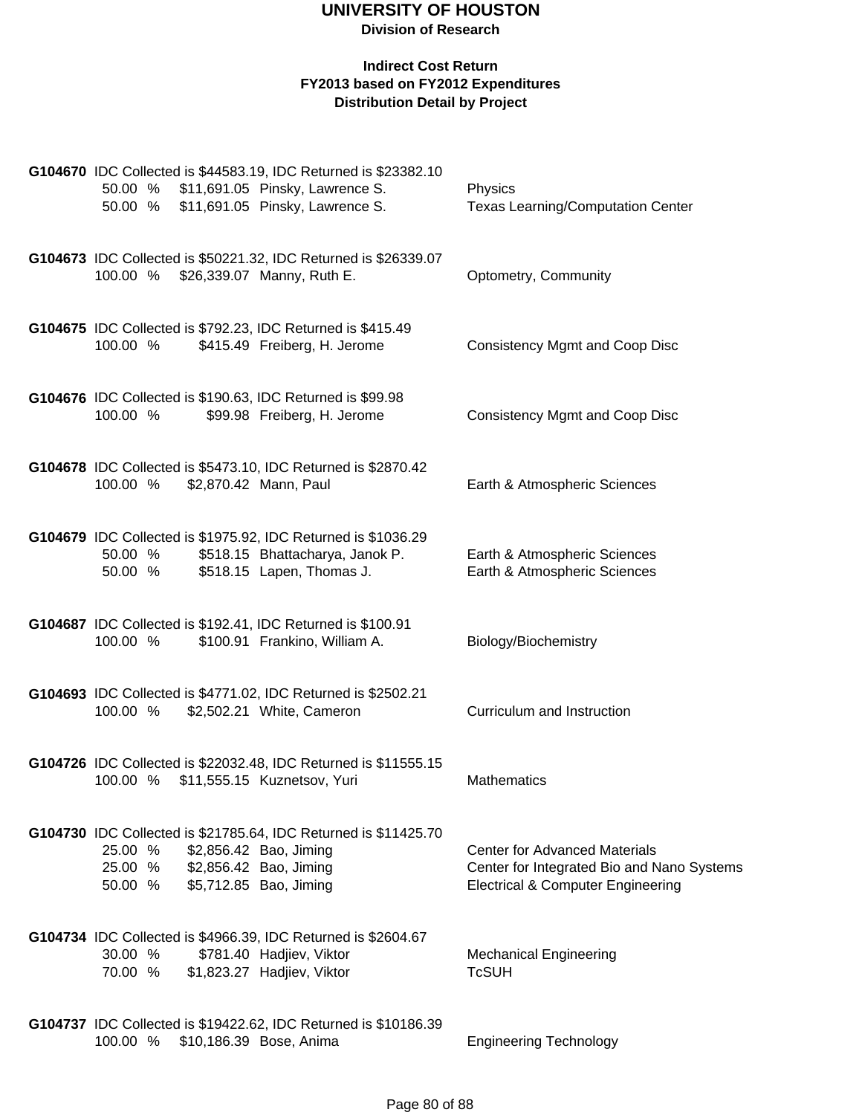| G104670 IDC Collected is \$44583.19, IDC Returned is \$23382.10<br>50.00 % \$11,691.05 Pinsky, Lawrence S.<br>\$11,691.05 Pinsky, Lawrence S.<br>50.00 %                    | Physics<br>Texas Learning/Computation Center                                                                                       |
|-----------------------------------------------------------------------------------------------------------------------------------------------------------------------------|------------------------------------------------------------------------------------------------------------------------------------|
| G104673 IDC Collected is \$50221.32, IDC Returned is \$26339.07<br>100.00 % \$26,339.07 Manny, Ruth E.                                                                      | Optometry, Community                                                                                                               |
| G104675 IDC Collected is \$792.23, IDC Returned is \$415.49<br>100.00 %<br>\$415.49 Freiberg, H. Jerome                                                                     | <b>Consistency Mgmt and Coop Disc</b>                                                                                              |
| G104676 IDC Collected is \$190.63, IDC Returned is \$99.98<br>100.00 %<br>\$99.98 Freiberg, H. Jerome                                                                       | <b>Consistency Mgmt and Coop Disc</b>                                                                                              |
| G104678 IDC Collected is \$5473.10, IDC Returned is \$2870.42<br>100.00 %<br>\$2,870.42 Mann, Paul                                                                          | Earth & Atmospheric Sciences                                                                                                       |
| G104679 IDC Collected is \$1975.92, IDC Returned is \$1036.29<br>\$518.15 Bhattacharya, Janok P.<br>50.00 %<br>50.00 %<br>\$518.15 Lapen, Thomas J.                         | Earth & Atmospheric Sciences<br>Earth & Atmospheric Sciences                                                                       |
| G104687 IDC Collected is \$192.41, IDC Returned is \$100.91<br>100.00 %<br>\$100.91 Frankino, William A.                                                                    | Biology/Biochemistry                                                                                                               |
| G104693 IDC Collected is \$4771.02, IDC Returned is \$2502.21<br>100.00 %<br>\$2,502.21 White, Cameron                                                                      | Curriculum and Instruction                                                                                                         |
| G104726 IDC Collected is \$22032.48, IDC Returned is \$11555.15<br>\$11,555.15 Kuznetsov, Yuri<br>100.00 %                                                                  | <b>Mathematics</b>                                                                                                                 |
| G104730 IDC Collected is \$21785.64, IDC Returned is \$11425.70<br>25.00 %<br>\$2,856.42 Bao, Jiming<br>25.00 % \$2,856.42 Bao, Jiming<br>\$5,712.85 Bao, Jiming<br>50.00 % | <b>Center for Advanced Materials</b><br>Center for Integrated Bio and Nano Systems<br><b>Electrical &amp; Computer Engineering</b> |
| G104734 IDC Collected is \$4966.39, IDC Returned is \$2604.67<br>30.00 %<br>\$781.40 Hadjiev, Viktor<br>70.00 % \$1,823.27 Hadjiev, Viktor                                  | <b>Mechanical Engineering</b><br><b>TcSUH</b>                                                                                      |
| G104737 IDC Collected is \$19422.62, IDC Returned is \$10186.39<br>100.00 %<br>\$10,186.39 Bose, Anima                                                                      | <b>Engineering Technology</b>                                                                                                      |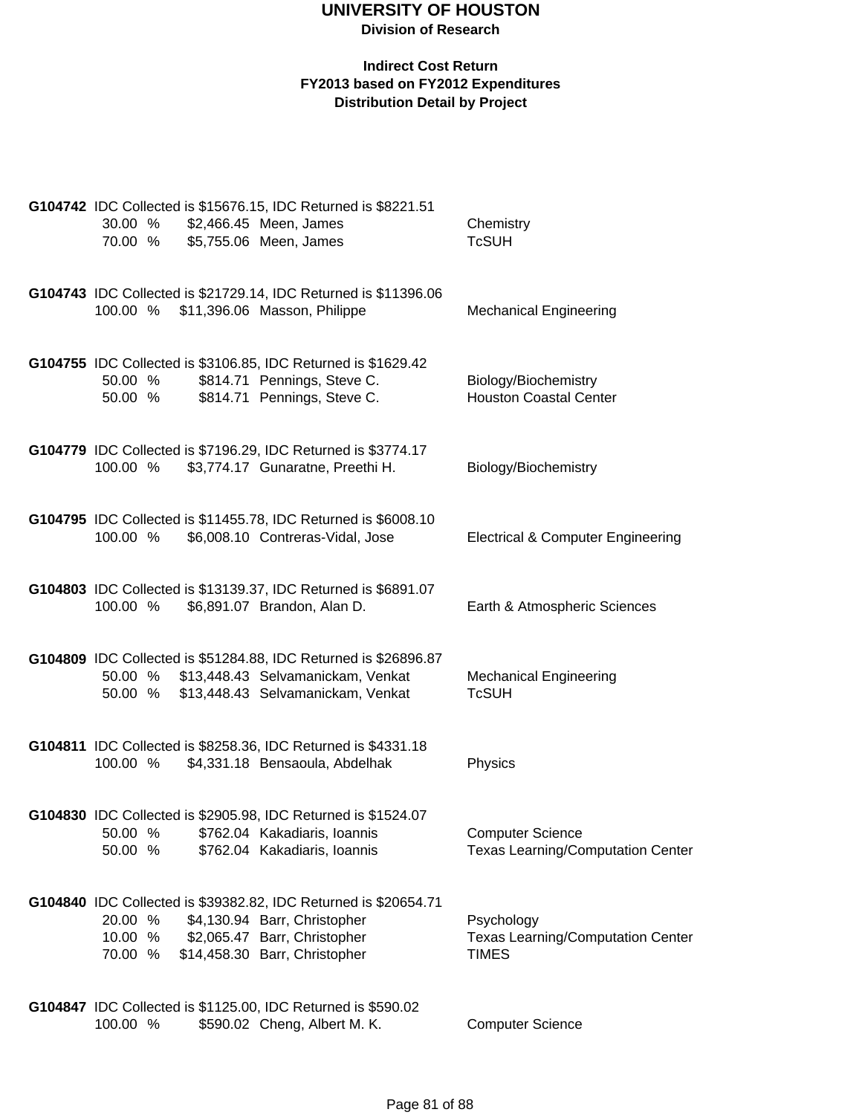| 30.00 %            |  | G104742 IDC Collected is \$15676.15, IDC Returned is \$8221.51<br>\$2,466.45 Meen, James             | Chemistry                                                           |
|--------------------|--|------------------------------------------------------------------------------------------------------|---------------------------------------------------------------------|
| 70.00 %            |  | \$5,755.06 Meen, James                                                                               | <b>TcSUH</b>                                                        |
| 100.00 %           |  | G104743 IDC Collected is \$21729.14, IDC Returned is \$11396.06<br>\$11,396.06 Masson, Philippe      | <b>Mechanical Engineering</b>                                       |
|                    |  |                                                                                                      |                                                                     |
| 50.00 %            |  | G104755 IDC Collected is \$3106.85, IDC Returned is \$1629.42<br>\$814.71 Pennings, Steve C.         | Biology/Biochemistry                                                |
| 50.00 %            |  | \$814.71 Pennings, Steve C.                                                                          | <b>Houston Coastal Center</b>                                       |
|                    |  | G104779 IDC Collected is \$7196.29, IDC Returned is \$3774.17                                        |                                                                     |
| 100.00 %           |  | \$3,774.17 Gunaratne, Preethi H.                                                                     | Biology/Biochemistry                                                |
| 100.00 %           |  | G104795 IDC Collected is \$11455.78, IDC Returned is \$6008.10<br>\$6,008.10 Contreras-Vidal, Jose   | <b>Electrical &amp; Computer Engineering</b>                        |
|                    |  |                                                                                                      |                                                                     |
| 100.00 %           |  | G104803 IDC Collected is \$13139.37, IDC Returned is \$6891.07<br>\$6,891.07 Brandon, Alan D.        | Earth & Atmospheric Sciences                                        |
|                    |  |                                                                                                      |                                                                     |
| 50.00 %            |  | G104809 IDC Collected is \$51284.88, IDC Returned is \$26896.87<br>\$13,448.43 Selvamanickam, Venkat | <b>Mechanical Engineering</b>                                       |
| 50.00 %            |  | \$13,448.43 Selvamanickam, Venkat                                                                    | <b>TcSUH</b>                                                        |
|                    |  | G104811 IDC Collected is \$8258.36, IDC Returned is \$4331.18                                        |                                                                     |
| 100.00 %           |  | \$4,331.18 Bensaoula, Abdelhak                                                                       | Physics                                                             |
|                    |  | G104830 IDC Collected is \$2905.98, IDC Returned is \$1524.07                                        |                                                                     |
| 50.00 %<br>50.00 % |  | \$762.04 Kakadiaris, Ioannis<br>\$762.04 Kakadiaris, Ioannis                                         | <b>Computer Science</b><br><b>Texas Learning/Computation Center</b> |
|                    |  |                                                                                                      |                                                                     |
|                    |  | G104840 IDC Collected is \$39382.82, IDC Returned is \$20654.71                                      |                                                                     |
| 20.00 %<br>10.00 % |  | \$4,130.94 Barr, Christopher<br>\$2,065.47 Barr, Christopher                                         | Psychology<br><b>Texas Learning/Computation Center</b>              |
| 70.00 %            |  | \$14,458.30 Barr, Christopher                                                                        | <b>TIMES</b>                                                        |
|                    |  | G104847 IDC Collected is \$1125.00, IDC Returned is \$590.02                                         |                                                                     |
| 100.00 %           |  | \$590.02 Cheng, Albert M. K.                                                                         | <b>Computer Science</b>                                             |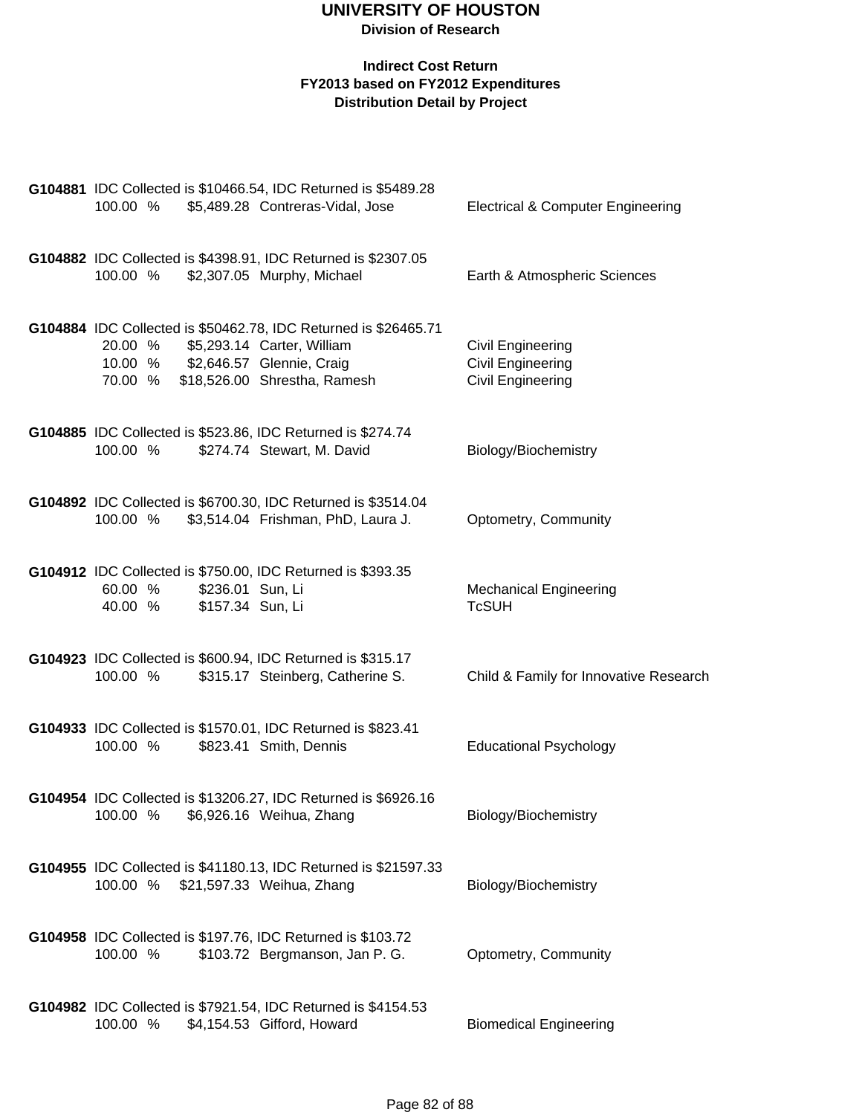|          |                  | G104881 IDC Collected is \$10466.54, IDC Returned is \$5489.28                                        |                                              |
|----------|------------------|-------------------------------------------------------------------------------------------------------|----------------------------------------------|
| 100.00 % |                  | \$5,489.28 Contreras-Vidal, Jose                                                                      | <b>Electrical &amp; Computer Engineering</b> |
|          |                  |                                                                                                       |                                              |
| 100.00 % |                  | G104882 IDC Collected is \$4398.91, IDC Returned is \$2307.05<br>\$2,307.05 Murphy, Michael           | Earth & Atmospheric Sciences                 |
|          |                  |                                                                                                       |                                              |
|          |                  |                                                                                                       |                                              |
|          |                  | G104884 IDC Collected is \$50462.78, IDC Returned is \$26465.71<br>20.00 % \$5,293.14 Carter, William | Civil Engineering                            |
|          |                  | 10.00 % \$2,646.57 Glennie, Craig                                                                     | Civil Engineering                            |
| 70.00 %  |                  | \$18,526.00 Shrestha, Ramesh                                                                          | Civil Engineering                            |
|          |                  |                                                                                                       |                                              |
| 100.00 % |                  | G104885 IDC Collected is \$523.86, IDC Returned is \$274.74                                           |                                              |
|          |                  | \$274.74 Stewart, M. David                                                                            | Biology/Biochemistry                         |
|          |                  |                                                                                                       |                                              |
| 100.00 % |                  | G104892 IDC Collected is \$6700.30, IDC Returned is \$3514.04<br>\$3,514.04 Frishman, PhD, Laura J.   | Optometry, Community                         |
|          |                  |                                                                                                       |                                              |
|          |                  | G104912 IDC Collected is \$750.00, IDC Returned is \$393.35                                           |                                              |
| 60.00 %  | \$236.01 Sun, Li |                                                                                                       | <b>Mechanical Engineering</b>                |
| 40.00 %  | \$157.34 Sun, Li |                                                                                                       | <b>TcSUH</b>                                 |
|          |                  |                                                                                                       |                                              |
| 100.00 % |                  | G104923 IDC Collected is \$600.94, IDC Returned is \$315.17<br>\$315.17 Steinberg, Catherine S.       | Child & Family for Innovative Research       |
|          |                  |                                                                                                       |                                              |
|          |                  | G104933 IDC Collected is \$1570.01, IDC Returned is \$823.41                                          |                                              |
| 100.00 % |                  | \$823.41 Smith, Dennis                                                                                | <b>Educational Psychology</b>                |
|          |                  |                                                                                                       |                                              |
|          |                  | G104954 IDC Collected is \$13206.27, IDC Returned is \$6926.16                                        |                                              |
| 100.00 % |                  | \$6,926.16 Weihua, Zhang                                                                              | Biology/Biochemistry                         |
|          |                  |                                                                                                       |                                              |
| 100.00 % |                  | G104955 IDC Collected is \$41180.13, IDC Returned is \$21597.33<br>\$21,597.33 Weihua, Zhang          | Biology/Biochemistry                         |
|          |                  |                                                                                                       |                                              |
|          |                  | G104958 IDC Collected is \$197.76, IDC Returned is \$103.72                                           |                                              |
| 100.00 % |                  | \$103.72 Bergmanson, Jan P. G.                                                                        | Optometry, Community                         |
|          |                  |                                                                                                       |                                              |
|          |                  | G104982 IDC Collected is \$7921.54, IDC Returned is \$4154.53                                         |                                              |
| 100.00 % |                  | \$4,154.53 Gifford, Howard                                                                            | <b>Biomedical Engineering</b>                |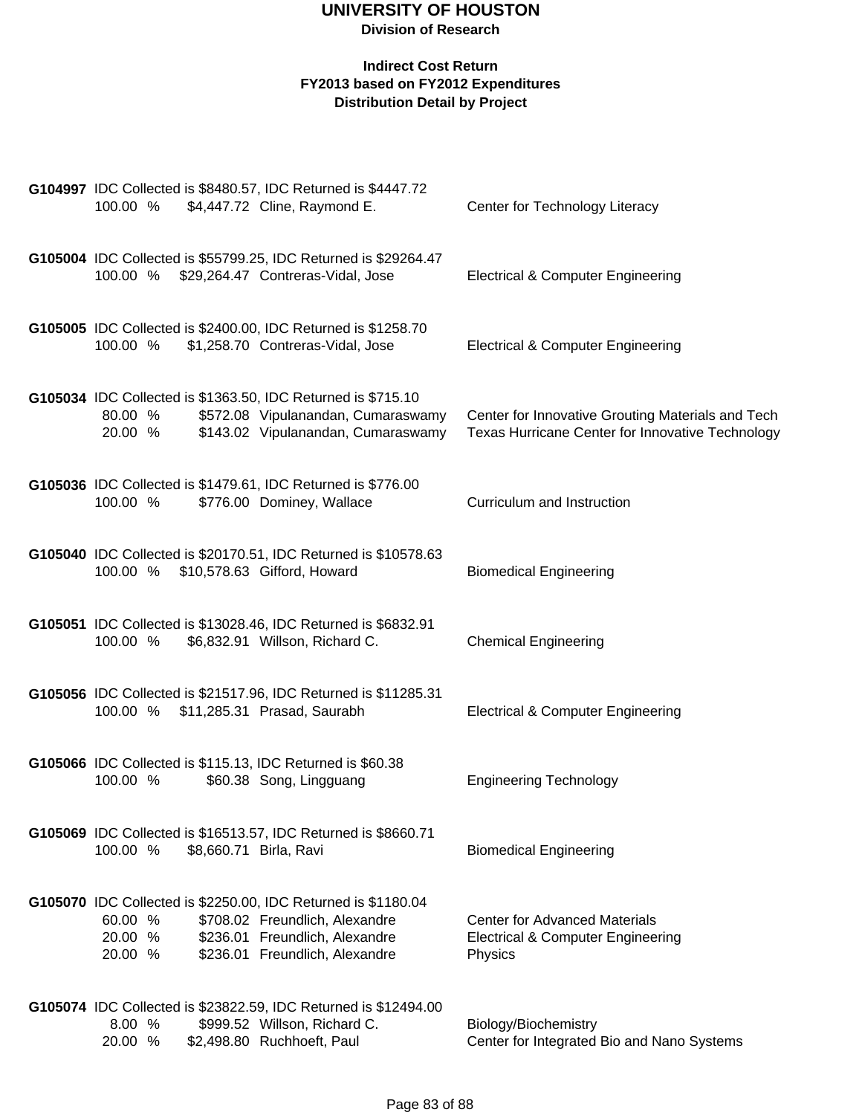| 100.00 %                                                               | G104997 IDC Collected is \$8480.57, IDC Returned is \$4447.72<br>\$4,447.72 Cline, Raymond E.                                                                       | Center for Technology Literacy                                                                        |
|------------------------------------------------------------------------|---------------------------------------------------------------------------------------------------------------------------------------------------------------------|-------------------------------------------------------------------------------------------------------|
| 100.00 % \$29,264.47 Contreras-Vidal, Jose                             | G105004 IDC Collected is \$55799.25, IDC Returned is \$29264.47                                                                                                     | <b>Electrical &amp; Computer Engineering</b>                                                          |
| 100.00 %                                                               | G105005 IDC Collected is \$2400.00, IDC Returned is \$1258.70<br>\$1,258.70 Contreras-Vidal, Jose                                                                   | <b>Electrical &amp; Computer Engineering</b>                                                          |
| 80.00 %<br>20.00 %                                                     | G105034 IDC Collected is \$1363.50, IDC Returned is \$715.10<br>\$572.08 Vipulanandan, Cumaraswamy<br>\$143.02 Vipulanandan, Cumaraswamy                            | Center for Innovative Grouting Materials and Tech<br>Texas Hurricane Center for Innovative Technology |
| 100.00 %                                                               | G105036 IDC Collected is \$1479.61, IDC Returned is \$776.00<br>\$776.00 Dominey, Wallace                                                                           | Curriculum and Instruction                                                                            |
| 100.00 % \$10,578.63 Gifford, Howard                                   | G105040 IDC Collected is \$20170.51, IDC Returned is \$10578.63                                                                                                     | <b>Biomedical Engineering</b>                                                                         |
| 100.00 %                                                               | G105051 IDC Collected is \$13028.46, IDC Returned is \$6832.91<br>\$6,832.91 Willson, Richard C.                                                                    | <b>Chemical Engineering</b>                                                                           |
| 100.00 % \$11,285.31 Prasad, Saurabh                                   | G105056 IDC Collected is \$21517.96, IDC Returned is \$11285.31                                                                                                     | <b>Electrical &amp; Computer Engineering</b>                                                          |
| G105066 IDC Collected is \$115.13, IDC Returned is \$60.38<br>100.00 % | \$60.38 Song, Lingguang                                                                                                                                             | <b>Engineering Technology</b>                                                                         |
| 100.00 %                                                               | G105069 IDC Collected is \$16513.57, IDC Returned is \$8660.71<br>\$8,660.71 Birla, Ravi                                                                            | <b>Biomedical Engineering</b>                                                                         |
| 60.00 %<br>20.00 %<br>20.00 %                                          | G105070 IDC Collected is \$2250.00, IDC Returned is \$1180.04<br>\$708.02 Freundlich, Alexandre<br>\$236.01 Freundlich, Alexandre<br>\$236.01 Freundlich, Alexandre | <b>Center for Advanced Materials</b><br><b>Electrical &amp; Computer Engineering</b><br>Physics       |
| 8.00 %<br>20.00 %                                                      | G105074 IDC Collected is \$23822.59, IDC Returned is \$12494.00<br>\$999.52 Willson, Richard C.<br>\$2,498.80 Ruchhoeft, Paul                                       | Biology/Biochemistry<br>Center for Integrated Bio and Nano Systems                                    |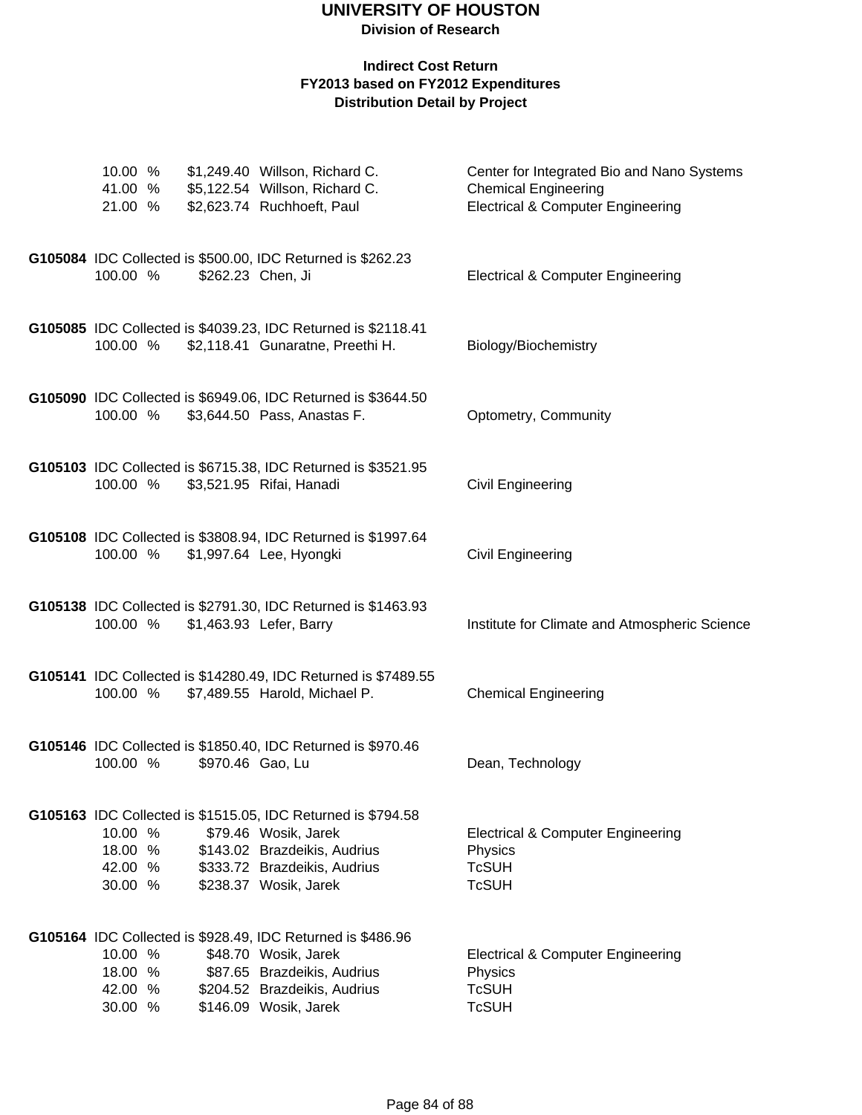| 21.00 %                                  |                  | 10.00 % \$1,249.40 Willson, Richard C.<br>41.00 % \$5,122.54 Willson, Richard C.<br>\$2,623.74 Ruchhoeft, Paul                                                                | Center for Integrated Bio and Nano Systems<br><b>Chemical Engineering</b><br><b>Electrical &amp; Computer Engineering</b> |
|------------------------------------------|------------------|-------------------------------------------------------------------------------------------------------------------------------------------------------------------------------|---------------------------------------------------------------------------------------------------------------------------|
| 100.00 %                                 |                  | G105084 IDC Collected is \$500.00, IDC Returned is \$262.23<br>\$262.23 Chen, Ji                                                                                              | <b>Electrical &amp; Computer Engineering</b>                                                                              |
|                                          |                  | G105085 IDC Collected is \$4039.23, IDC Returned is \$2118.41<br>100.00 % \$2,118.41 Gunaratne, Preethi H.                                                                    | Biology/Biochemistry                                                                                                      |
| 100.00 %                                 |                  | G105090 IDC Collected is \$6949.06, IDC Returned is \$3644.50<br>\$3,644.50 Pass, Anastas F.                                                                                  | Optometry, Community                                                                                                      |
| 100.00 %                                 |                  | G105103 IDC Collected is \$6715.38, IDC Returned is \$3521.95<br>\$3,521.95 Rifai, Hanadi                                                                                     | <b>Civil Engineering</b>                                                                                                  |
|                                          |                  | G105108 IDC Collected is \$3808.94, IDC Returned is \$1997.64<br>100.00 % \$1,997.64 Lee, Hyongki                                                                             | <b>Civil Engineering</b>                                                                                                  |
| 100.00 %                                 |                  | G105138 IDC Collected is \$2791.30, IDC Returned is \$1463.93<br>\$1,463.93 Lefer, Barry                                                                                      | Institute for Climate and Atmospheric Science                                                                             |
|                                          |                  | G105141 IDC Collected is \$14280.49, IDC Returned is \$7489.55<br>100.00 % \$7,489.55 Harold, Michael P.                                                                      | <b>Chemical Engineering</b>                                                                                               |
| 100.00 %                                 | \$970.46 Gao, Lu | G105146 IDC Collected is \$1850.40, IDC Returned is \$970.46                                                                                                                  | Dean, Technology                                                                                                          |
| 10.00 %<br>18.00 %<br>42.00 %<br>30.00 % |                  | G105163 IDC Collected is \$1515.05, IDC Returned is \$794.58<br>\$79.46 Wosik, Jarek<br>\$143.02 Brazdeikis, Audrius<br>\$333.72 Brazdeikis, Audrius<br>\$238.37 Wosik, Jarek | <b>Electrical &amp; Computer Engineering</b><br>Physics<br><b>TcSUH</b><br><b>TcSUH</b>                                   |
| 10.00 %<br>18.00 %<br>42.00 %<br>30.00 % |                  | G105164 IDC Collected is \$928.49, IDC Returned is \$486.96<br>\$48.70 Wosik, Jarek<br>\$87.65 Brazdeikis, Audrius<br>\$204.52 Brazdeikis, Audrius<br>\$146.09 Wosik, Jarek   | <b>Electrical &amp; Computer Engineering</b><br>Physics<br><b>TcSUH</b><br><b>TcSUH</b>                                   |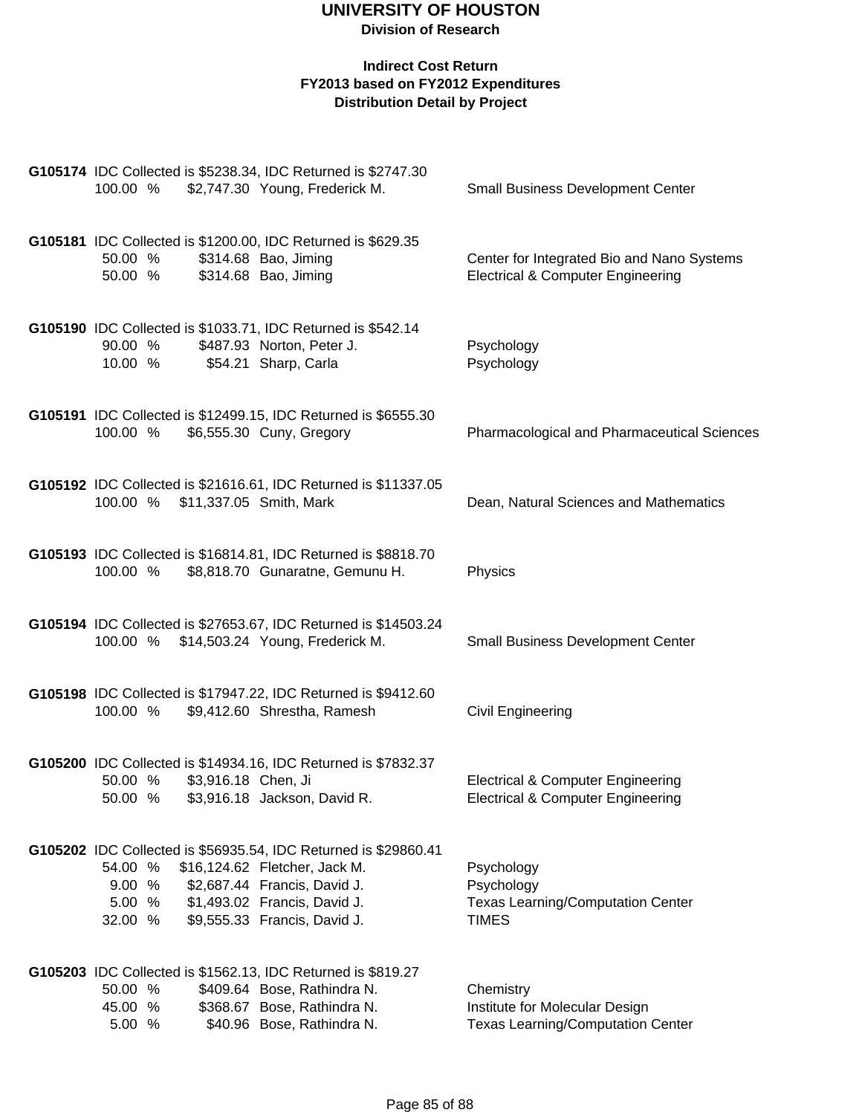| 100.00 %                                  | G105174 IDC Collected is \$5238.34, IDC Returned is \$2747.30<br>\$2,747.30 Young, Frederick M.                                                                                                  | <b>Small Business Development Center</b>                                                   |
|-------------------------------------------|--------------------------------------------------------------------------------------------------------------------------------------------------------------------------------------------------|--------------------------------------------------------------------------------------------|
| 50.00 %<br>50.00 %                        | G105181 IDC Collected is \$1200.00, IDC Returned is \$629.35<br>\$314.68 Bao, Jiming<br>\$314.68 Bao, Jiming                                                                                     | Center for Integrated Bio and Nano Systems<br><b>Electrical &amp; Computer Engineering</b> |
| 90.00 %<br>10.00 %                        | G105190 IDC Collected is \$1033.71, IDC Returned is \$542.14<br>\$487.93 Norton, Peter J.<br>\$54.21 Sharp, Carla                                                                                | Psychology<br>Psychology                                                                   |
| 100.00 %                                  | G105191 IDC Collected is \$12499.15, IDC Returned is \$6555.30<br>\$6,555.30 Cuny, Gregory                                                                                                       | Pharmacological and Pharmaceutical Sciences                                                |
| 100.00 %                                  | G105192 IDC Collected is \$21616.61, IDC Returned is \$11337.05<br>\$11,337.05 Smith, Mark                                                                                                       | Dean, Natural Sciences and Mathematics                                                     |
| 100.00 %                                  | G105193 IDC Collected is \$16814.81, IDC Returned is \$8818.70<br>\$8,818.70 Gunaratne, Gemunu H.                                                                                                | Physics                                                                                    |
| 100.00 % \$14,503.24 Young, Frederick M.  | G105194 IDC Collected is \$27653.67, IDC Returned is \$14503.24                                                                                                                                  | <b>Small Business Development Center</b>                                                   |
| 100.00 %                                  | G105198 IDC Collected is \$17947.22, IDC Returned is \$9412.60<br>\$9,412.60 Shrestha, Ramesh                                                                                                    | Civil Engineering                                                                          |
| 50.00 %<br>\$3,916.18 Chen, Ji<br>50.00 % | G105200 IDC Collected is \$14934.16, IDC Returned is \$7832.37<br>\$3,916.18 Jackson, David R.                                                                                                   | <b>Electrical &amp; Computer Engineering</b><br>Electrical & Computer Engineering          |
| 54.00 %<br>9.00 %<br>5.00 %<br>32.00 %    | G105202 IDC Collected is \$56935.54, IDC Returned is \$29860.41<br>\$16,124.62 Fletcher, Jack M.<br>\$2,687.44 Francis, David J.<br>\$1,493.02 Francis, David J.<br>\$9,555.33 Francis, David J. | Psychology<br>Psychology<br><b>Texas Learning/Computation Center</b><br><b>TIMES</b>       |
| 50.00 %<br>45.00 %<br>5.00 %              | G105203 IDC Collected is \$1562.13, IDC Returned is \$819.27<br>\$409.64 Bose, Rathindra N.<br>\$368.67 Bose, Rathindra N.<br>\$40.96 Bose, Rathindra N.                                         | Chemistry<br>Institute for Molecular Design<br><b>Texas Learning/Computation Center</b>    |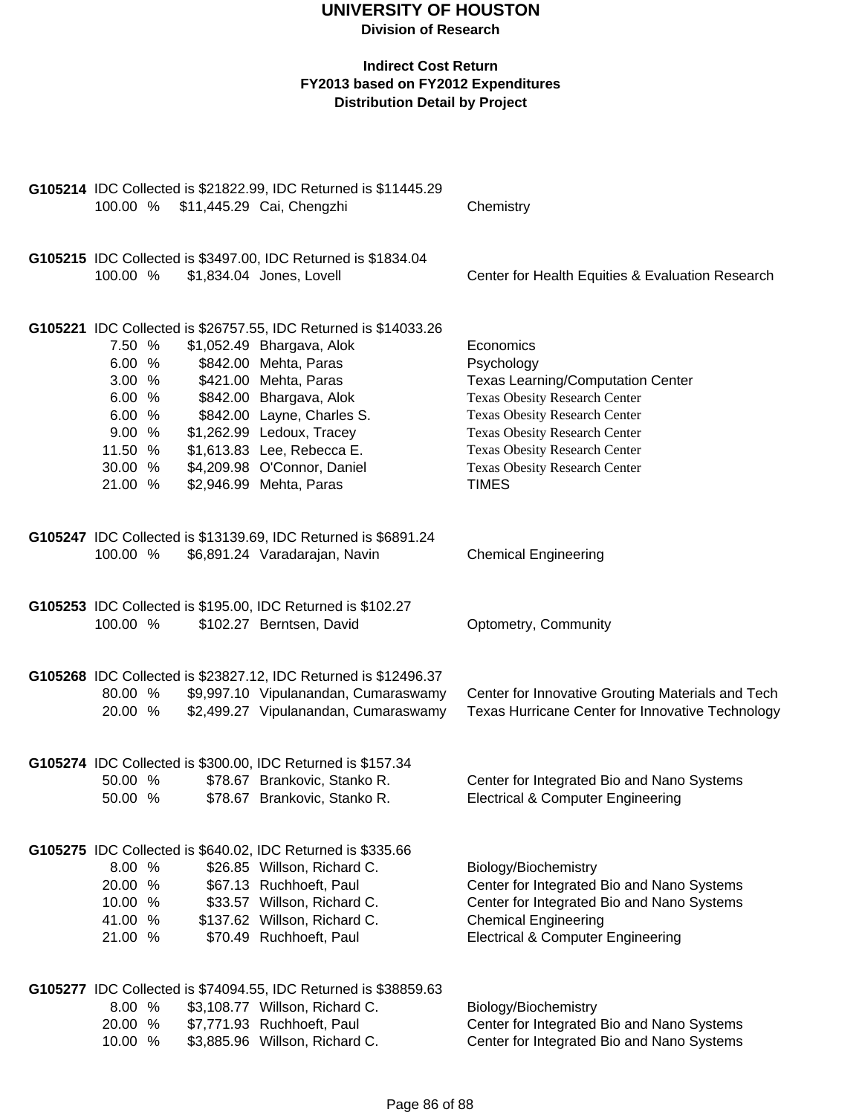|          |  | G105214 IDC Collected is \$21822.99, IDC Returned is \$11445.29 |                                                   |  |
|----------|--|-----------------------------------------------------------------|---------------------------------------------------|--|
|          |  | 100.00 % \$11,445.29 Cai, Chengzhi                              | Chemistry                                         |  |
|          |  |                                                                 |                                                   |  |
|          |  |                                                                 |                                                   |  |
|          |  | G105215 IDC Collected is \$3497.00, IDC Returned is \$1834.04   |                                                   |  |
| 100.00 % |  | \$1,834.04 Jones, Lovell                                        | Center for Health Equities & Evaluation Research  |  |
|          |  |                                                                 |                                                   |  |
|          |  |                                                                 |                                                   |  |
|          |  | G105221 IDC Collected is \$26757.55, IDC Returned is \$14033.26 |                                                   |  |
| 7.50 %   |  | \$1,052.49 Bhargava, Alok                                       | Economics                                         |  |
| 6.00 %   |  | \$842.00 Mehta, Paras                                           | Psychology                                        |  |
| 3.00 %   |  | \$421.00 Mehta, Paras                                           | <b>Texas Learning/Computation Center</b>          |  |
| 6.00 %   |  | \$842.00 Bhargava, Alok                                         | <b>Texas Obesity Research Center</b>              |  |
| 6.00 %   |  | \$842.00 Layne, Charles S.                                      | Texas Obesity Research Center                     |  |
| 9.00 %   |  | \$1,262.99 Ledoux, Tracey                                       | Texas Obesity Research Center                     |  |
| 11.50 %  |  | \$1,613.83 Lee, Rebecca E.                                      | Texas Obesity Research Center                     |  |
| 30.00 %  |  | \$4,209.98 O'Connor, Daniel                                     | Texas Obesity Research Center                     |  |
| 21.00 %  |  | \$2,946.99 Mehta, Paras                                         | <b>TIMES</b>                                      |  |
|          |  |                                                                 |                                                   |  |
|          |  |                                                                 |                                                   |  |
| 100.00 % |  | G105247 IDC Collected is \$13139.69, IDC Returned is \$6891.24  |                                                   |  |
|          |  | \$6,891.24 Varadarajan, Navin                                   | <b>Chemical Engineering</b>                       |  |
|          |  |                                                                 |                                                   |  |
|          |  | G105253 IDC Collected is \$195.00, IDC Returned is \$102.27     |                                                   |  |
| 100.00 % |  | \$102.27 Berntsen, David                                        | Optometry, Community                              |  |
|          |  |                                                                 |                                                   |  |
|          |  |                                                                 |                                                   |  |
|          |  | G105268 IDC Collected is \$23827.12, IDC Returned is \$12496.37 |                                                   |  |
| 80.00 %  |  | \$9,997.10 Vipulanandan, Cumaraswamy                            | Center for Innovative Grouting Materials and Tech |  |
| 20.00 %  |  | \$2,499.27 Vipulanandan, Cumaraswamy                            | Texas Hurricane Center for Innovative Technology  |  |
|          |  |                                                                 |                                                   |  |
|          |  |                                                                 |                                                   |  |
|          |  | G105274 IDC Collected is \$300.00, IDC Returned is \$157.34     |                                                   |  |
| 50.00 %  |  | \$78.67 Brankovic, Stanko R.                                    | Center for Integrated Bio and Nano Systems        |  |
| 50.00 %  |  | \$78.67 Brankovic, Stanko R.                                    | <b>Electrical &amp; Computer Engineering</b>      |  |
|          |  |                                                                 |                                                   |  |
|          |  |                                                                 |                                                   |  |
|          |  | G105275 IDC Collected is \$640.02, IDC Returned is \$335.66     |                                                   |  |
| 8.00 %   |  | \$26.85 Willson, Richard C.                                     | Biology/Biochemistry                              |  |
| 20.00 %  |  | \$67.13 Ruchhoeft, Paul                                         | Center for Integrated Bio and Nano Systems        |  |
| 10.00 %  |  | \$33.57 Willson, Richard C.                                     | Center for Integrated Bio and Nano Systems        |  |
| 41.00 %  |  | \$137.62 Willson, Richard C.                                    | <b>Chemical Engineering</b>                       |  |
| 21.00 %  |  | \$70.49 Ruchhoeft, Paul                                         | <b>Electrical &amp; Computer Engineering</b>      |  |
|          |  |                                                                 |                                                   |  |
|          |  |                                                                 |                                                   |  |
|          |  | G105277 IDC Collected is \$74094.55, IDC Returned is \$38859.63 |                                                   |  |
| 8.00 %   |  | \$3,108.77 Willson, Richard C.                                  | Biology/Biochemistry                              |  |
| 20.00 %  |  | \$7,771.93 Ruchhoeft, Paul                                      | Center for Integrated Bio and Nano Systems        |  |
| 10.00 %  |  | \$3,885.96 Willson, Richard C.                                  | Center for Integrated Bio and Nano Systems        |  |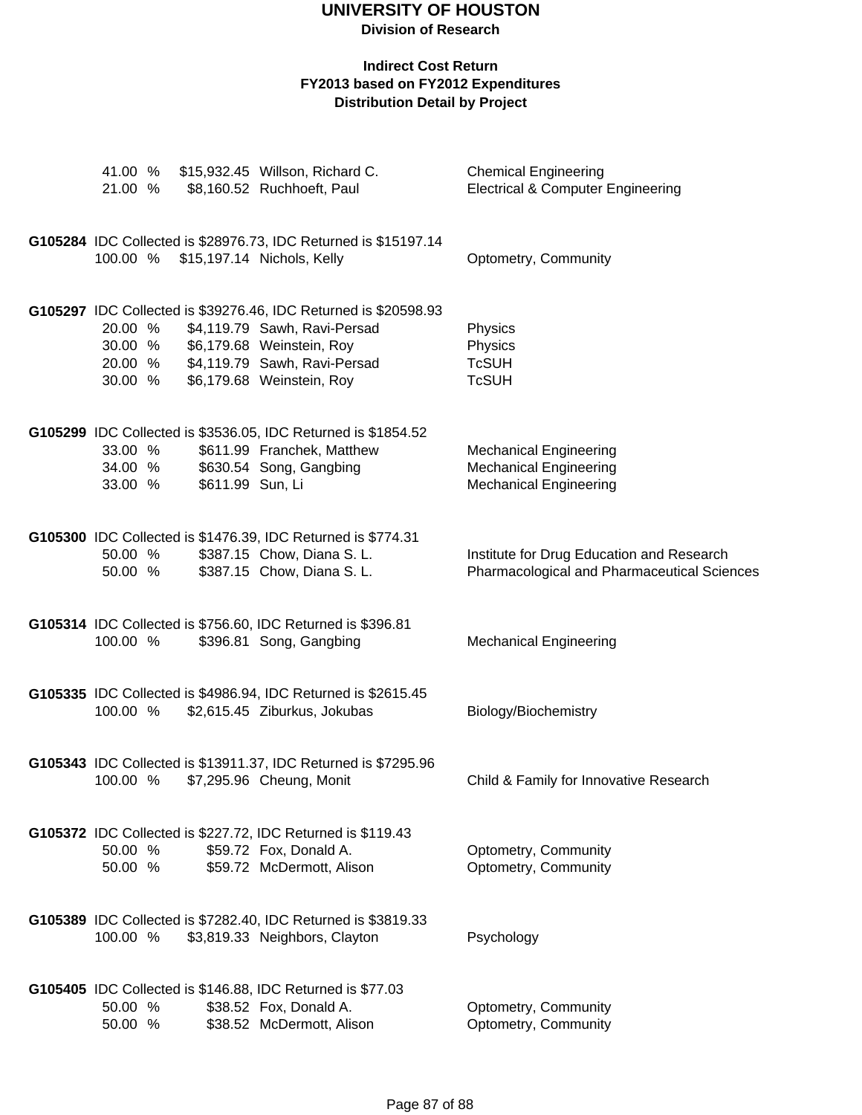| 21.00 %                       |                  | 41.00 % \$15,932.45 Willson, Richard C.<br>\$8,160.52 Ruchhoeft, Paul                                                                                                                                     | <b>Chemical Engineering</b><br><b>Electrical &amp; Computer Engineering</b>                     |
|-------------------------------|------------------|-----------------------------------------------------------------------------------------------------------------------------------------------------------------------------------------------------------|-------------------------------------------------------------------------------------------------|
|                               |                  | G105284 IDC Collected is \$28976.73, IDC Returned is \$15197.14<br>100.00 % \$15,197.14 Nichols, Kelly                                                                                                    | Optometry, Community                                                                            |
| 20.00 %<br>30.00 %            |                  | G105297 IDC Collected is \$39276.46, IDC Returned is \$20598.93<br>\$4,119.79 Sawh, Ravi-Persad<br>30.00 % \$6,179.68 Weinstein, Roy<br>20.00 % \$4,119.79 Sawh, Ravi-Persad<br>\$6,179.68 Weinstein, Roy | Physics<br>Physics<br><b>TcSUH</b><br><b>TcSUH</b>                                              |
| 33.00 %<br>34.00 %<br>33.00 % | \$611.99 Sun, Li | G105299 IDC Collected is \$3536.05, IDC Returned is \$1854.52<br>\$611.99 Franchek, Matthew<br>\$630.54 Song, Gangbing                                                                                    | <b>Mechanical Engineering</b><br><b>Mechanical Engineering</b><br><b>Mechanical Engineering</b> |
| 50.00 %<br>50.00 %            |                  | G105300 IDC Collected is \$1476.39, IDC Returned is \$774.31<br>\$387.15 Chow, Diana S. L.<br>\$387.15 Chow, Diana S. L.                                                                                  | Institute for Drug Education and Research<br>Pharmacological and Pharmaceutical Sciences        |
| 100.00 %                      |                  | G105314 IDC Collected is \$756.60, IDC Returned is \$396.81<br>\$396.81 Song, Gangbing                                                                                                                    | <b>Mechanical Engineering</b>                                                                   |
| 100.00 %                      |                  | G105335 IDC Collected is \$4986.94, IDC Returned is \$2615.45<br>\$2,615.45 Ziburkus, Jokubas                                                                                                             | Biology/Biochemistry                                                                            |
| 100.00 %                      |                  | G105343 IDC Collected is \$13911.37, IDC Returned is \$7295.96<br>\$7,295.96 Cheung, Monit                                                                                                                | Child & Family for Innovative Research                                                          |
| 50.00 %<br>50.00 %            |                  | G105372 IDC Collected is \$227.72, IDC Returned is \$119.43<br>\$59.72 Fox, Donald A.<br>\$59.72 McDermott, Alison                                                                                        | Optometry, Community<br>Optometry, Community                                                    |
| 100.00 %                      |                  | G105389 IDC Collected is \$7282.40, IDC Returned is \$3819.33<br>\$3,819.33 Neighbors, Clayton                                                                                                            | Psychology                                                                                      |
| 50.00 %<br>50.00 %            |                  | G105405 IDC Collected is \$146.88, IDC Returned is \$77.03<br>\$38.52 Fox, Donald A.<br>\$38.52 McDermott, Alison                                                                                         | Optometry, Community<br>Optometry, Community                                                    |